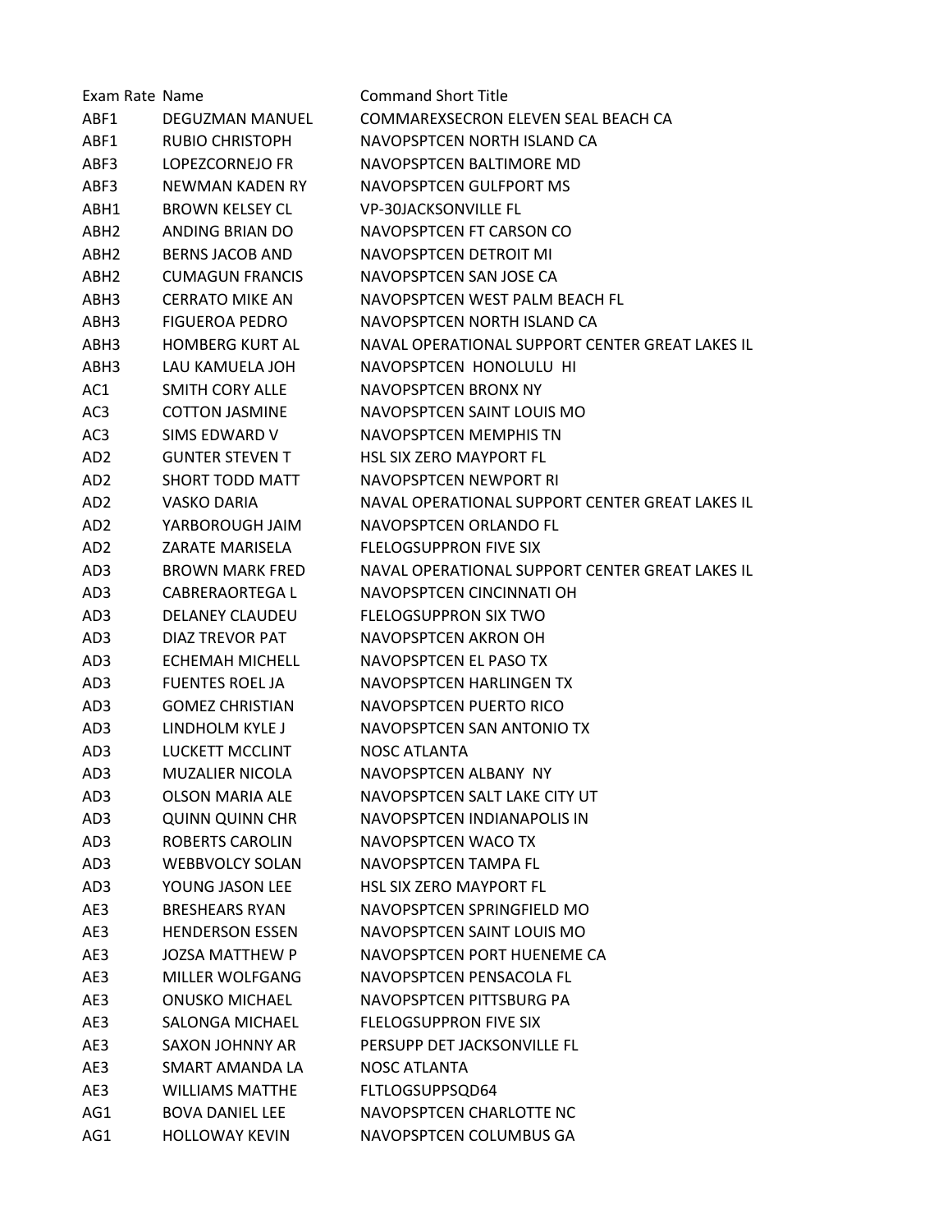| Exam Rate Name   |                        | <b>Command Short Title</b>                      |
|------------------|------------------------|-------------------------------------------------|
| ABF1             | DEGUZMAN MANUEL        | COMMAREXSECRON ELEVEN SEAL BEACH CA             |
| ABF1             | <b>RUBIO CHRISTOPH</b> | NAVOPSPTCEN NORTH ISLAND CA                     |
| ABF3             | LOPEZCORNEJO FR        | NAVOPSPTCEN BALTIMORE MD                        |
| ABF3             | NEWMAN KADEN RY        | NAVOPSPTCEN GULFPORT MS                         |
| ABH1             | <b>BROWN KELSEY CL</b> | <b>VP-30JACKSONVILLE FL</b>                     |
| ABH <sub>2</sub> | ANDING BRIAN DO        | NAVOPSPTCEN FT CARSON CO                        |
| ABH <sub>2</sub> | <b>BERNS JACOB AND</b> | NAVOPSPTCEN DETROIT MI                          |
| ABH <sub>2</sub> | <b>CUMAGUN FRANCIS</b> | NAVOPSPTCEN SAN JOSE CA                         |
| ABH3             | <b>CERRATO MIKE AN</b> | NAVOPSPTCEN WEST PALM BEACH FL                  |
| ABH3             | <b>FIGUEROA PEDRO</b>  | NAVOPSPTCEN NORTH ISLAND CA                     |
| ABH3             | <b>HOMBERG KURT AL</b> | NAVAL OPERATIONAL SUPPORT CENTER GREAT LAKES IL |
| ABH3             | LAU KAMUELA JOH        | NAVOPSPTCEN HONOLULU HI                         |
| AC1              | SMITH CORY ALLE        | NAVOPSPTCEN BRONX NY                            |
| AC <sub>3</sub>  | <b>COTTON JASMINE</b>  | NAVOPSPTCEN SAINT LOUIS MO                      |
| AC <sub>3</sub>  | SIMS EDWARD V          | NAVOPSPTCEN MEMPHIS TN                          |
| AD <sub>2</sub>  | <b>GUNTER STEVEN T</b> | <b>HSL SIX ZERO MAYPORT FL</b>                  |
| AD <sub>2</sub>  | <b>SHORT TODD MATT</b> | NAVOPSPTCEN NEWPORT RI                          |
| AD <sub>2</sub>  | VASKO DARIA            | NAVAL OPERATIONAL SUPPORT CENTER GREAT LAKES IL |
| AD <sub>2</sub>  | YARBOROUGH JAIM        | NAVOPSPTCEN ORLANDO FL                          |
| AD <sub>2</sub>  | ZARATE MARISELA        | <b>FLELOGSUPPRON FIVE SIX</b>                   |
| AD3              | <b>BROWN MARK FRED</b> | NAVAL OPERATIONAL SUPPORT CENTER GREAT LAKES IL |
| AD3              | <b>CABRERAORTEGA L</b> | NAVOPSPTCEN CINCINNATI OH                       |
| AD3              | <b>DELANEY CLAUDEU</b> | <b>FLELOGSUPPRON SIX TWO</b>                    |
| AD3              | DIAZ TREVOR PAT        | NAVOPSPTCEN AKRON OH                            |
| AD3              | ECHEMAH MICHELL        | NAVOPSPTCEN EL PASO TX                          |
| AD3              | <b>FUENTES ROEL JA</b> | NAVOPSPTCEN HARLINGEN TX                        |
| AD3              | <b>GOMEZ CHRISTIAN</b> | NAVOPSPTCEN PUERTO RICO                         |
| AD3              | LINDHOLM KYLE J        | NAVOPSPTCEN SAN ANTONIO TX                      |
| AD3              | LUCKETT MCCLINT        | NOSC ATLANTA                                    |
| AD3              | <b>MUZALIER NICOLA</b> | NAVOPSPTCEN ALBANY NY                           |
| AD3              | <b>OLSON MARIA ALE</b> | NAVOPSPTCEN SALT LAKE CITY UT                   |
| AD3              | <b>QUINN QUINN CHR</b> | NAVOPSPTCEN INDIANAPOLIS IN                     |
| AD3              | ROBERTS CAROLIN        | NAVOPSPTCEN WACO TX                             |
| AD3              | <b>WEBBVOLCY SOLAN</b> | NAVOPSPTCEN TAMPA FL                            |
| AD3              | YOUNG JASON LEE        | <b>HSL SIX ZERO MAYPORT FL</b>                  |
| AE3              | <b>BRESHEARS RYAN</b>  | NAVOPSPTCEN SPRINGFIELD MO                      |
| AE3              | <b>HENDERSON ESSEN</b> | NAVOPSPTCEN SAINT LOUIS MO                      |
| AE3              | <b>JOZSA MATTHEW P</b> | NAVOPSPTCEN PORT HUENEME CA                     |
| AE3              | MILLER WOLFGANG        | NAVOPSPTCEN PENSACOLA FL                        |
| AE3              | <b>ONUSKO MICHAEL</b>  | NAVOPSPTCEN PITTSBURG PA                        |
| AE3              | SALONGA MICHAEL        | FLELOGSUPPRON FIVE SIX                          |
| AE3              | SAXON JOHNNY AR        | PERSUPP DET JACKSONVILLE FL                     |
| AE3              | SMART AMANDA LA        | NOSC ATLANTA                                    |
| AE3              | <b>WILLIAMS MATTHE</b> | FLTLOGSUPPSQD64                                 |
| AG1              | <b>BOVA DANIEL LEE</b> | NAVOPSPTCEN CHARLOTTE NC                        |
| AG1              | <b>HOLLOWAY KEVIN</b>  | NAVOPSPTCEN COLUMBUS GA                         |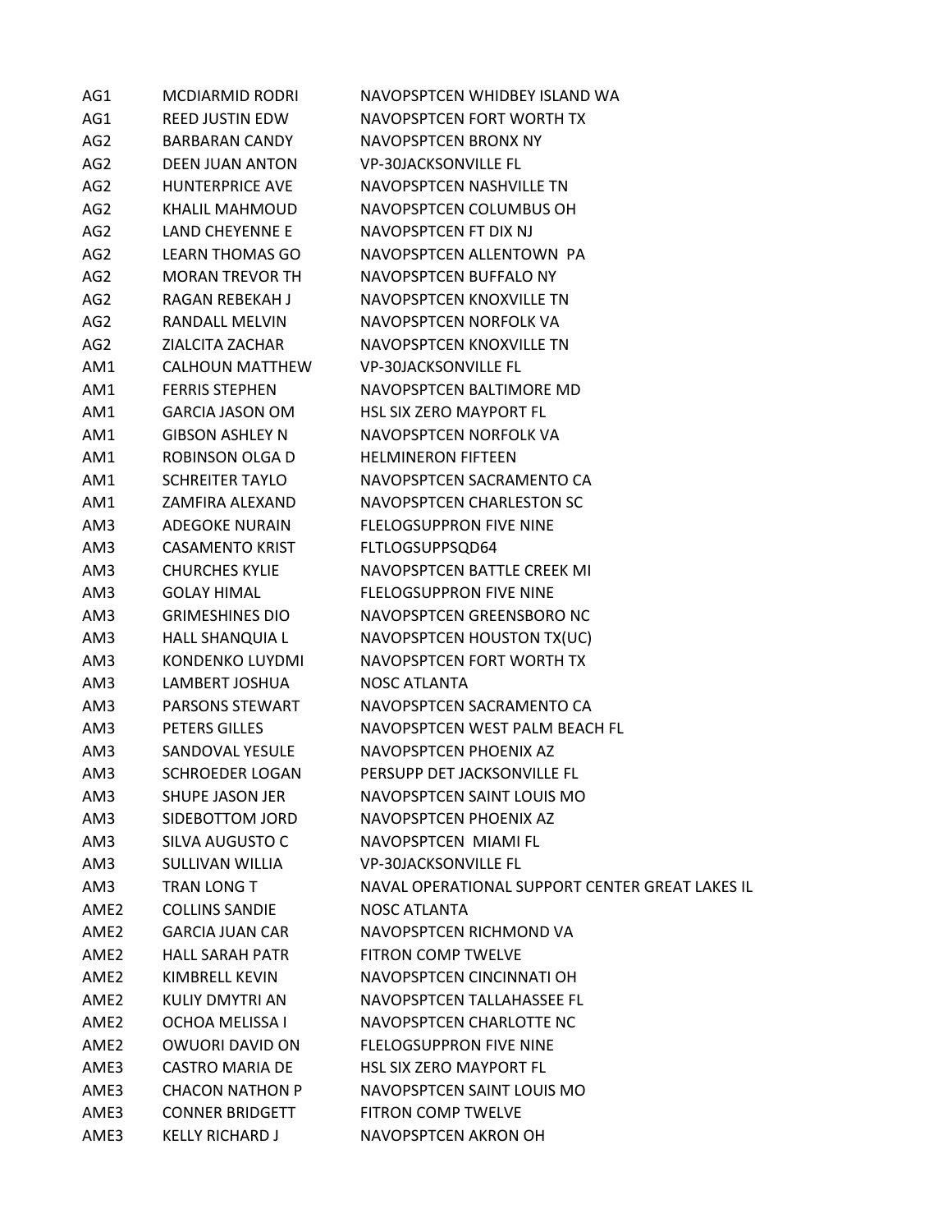| AG1              | <b>MCDIARMID RODRI</b> | NAVOPSPTCEN WHIDBEY ISLAND WA                   |
|------------------|------------------------|-------------------------------------------------|
| AG1              | <b>REED JUSTIN EDW</b> | NAVOPSPTCEN FORT WORTH TX                       |
| AG <sub>2</sub>  | <b>BARBARAN CANDY</b>  | NAVOPSPTCEN BRONX NY                            |
| AG <sub>2</sub>  | <b>DEEN JUAN ANTON</b> | <b>VP-30JACKSONVILLE FL</b>                     |
| AG <sub>2</sub>  | HUNTERPRICE AVE        | NAVOPSPTCEN NASHVILLE TN                        |
| AG <sub>2</sub>  | KHALIL MAHMOUD         | NAVOPSPTCEN COLUMBUS OH                         |
| AG <sub>2</sub>  | <b>LAND CHEYENNE E</b> | NAVOPSPTCEN FT DIX NJ                           |
| AG <sub>2</sub>  | LEARN THOMAS GO        | NAVOPSPTCEN ALLENTOWN PA                        |
| AG <sub>2</sub>  | <b>MORAN TREVOR TH</b> | NAVOPSPTCEN BUFFALO NY                          |
| AG <sub>2</sub>  | <b>RAGAN REBEKAH J</b> | NAVOPSPTCEN KNOXVILLE TN                        |
| AG <sub>2</sub>  | <b>RANDALL MELVIN</b>  | NAVOPSPTCEN NORFOLK VA                          |
| AG <sub>2</sub>  | ZIALCITA ZACHAR        | NAVOPSPTCEN KNOXVILLE TN                        |
| AM1              | CALHOUN MATTHEW        | <b>VP-30JACKSONVILLE FL</b>                     |
| AM1              | <b>FERRIS STEPHEN</b>  | NAVOPSPTCEN BALTIMORE MD                        |
| AM1              | <b>GARCIA JASON OM</b> | <b>HSL SIX ZERO MAYPORT FL</b>                  |
| AM1              | <b>GIBSON ASHLEY N</b> | NAVOPSPTCEN NORFOLK VA                          |
| AM1              | ROBINSON OLGA D        | <b>HELMINERON FIFTEEN</b>                       |
| AM1              | <b>SCHREITER TAYLO</b> | NAVOPSPTCEN SACRAMENTO CA                       |
| AM1              | ZAMFIRA ALEXAND        | NAVOPSPTCEN CHARLESTON SC                       |
| AM3              | ADEGOKE NURAIN         | <b>FLELOGSUPPRON FIVE NINE</b>                  |
| AM3              | <b>CASAMENTO KRIST</b> | FLTLOGSUPPSQD64                                 |
| AM3              | <b>CHURCHES KYLIE</b>  | NAVOPSPTCEN BATTLE CREEK MI                     |
| AM3              | <b>GOLAY HIMAL</b>     | <b>FLELOGSUPPRON FIVE NINE</b>                  |
| AM3              | <b>GRIMESHINES DIO</b> | NAVOPSPTCEN GREENSBORO NC                       |
| AM3              | HALL SHANQUIA L        | NAVOPSPTCEN HOUSTON TX(UC)                      |
| AM3              | KONDENKO LUYDMI        | NAVOPSPTCEN FORT WORTH TX                       |
| AM3              | LAMBERT JOSHUA         | <b>NOSC ATLANTA</b>                             |
| AM3              | PARSONS STEWART        | NAVOPSPTCEN SACRAMENTO CA                       |
| AM3              | PETERS GILLES          | NAVOPSPTCEN WEST PALM BEACH FL                  |
| AM3              | SANDOVAL YESULE        | NAVOPSPTCEN PHOENIX AZ                          |
| AM3              | <b>SCHROEDER LOGAN</b> | PERSUPP DET JACKSONVILLE FL                     |
| AM3              | <b>SHUPE JASON JER</b> | NAVOPSPTCEN SAINT LOUIS MO                      |
| AM3              | SIDEBOTTOM JORD        | NAVOPSPTCEN PHOENIX AZ                          |
| AM3              | SILVA AUGUSTO C        | NAVOPSPTCEN MIAMI FL                            |
| AM3              | SULLIVAN WILLIA        | <b>VP-30JACKSONVILLE FL</b>                     |
| AM3              | TRAN LONG T            | NAVAL OPERATIONAL SUPPORT CENTER GREAT LAKES IL |
| AME2             | <b>COLLINS SANDIE</b>  | <b>NOSC ATLANTA</b>                             |
| AME2             | <b>GARCIA JUAN CAR</b> | NAVOPSPTCEN RICHMOND VA                         |
| AME <sub>2</sub> | <b>HALL SARAH PATR</b> | <b>FITRON COMP TWELVE</b>                       |
| AME <sub>2</sub> | <b>KIMBRELL KEVIN</b>  | NAVOPSPTCEN CINCINNATI OH                       |
| AME <sub>2</sub> | KULIY DMYTRI AN        | NAVOPSPTCEN TALLAHASSEE FL                      |
| AME <sub>2</sub> | OCHOA MELISSA I        | NAVOPSPTCEN CHARLOTTE NC                        |
| AME2             | <b>OWUORI DAVID ON</b> | <b>FLELOGSUPPRON FIVE NINE</b>                  |
| AME3             | <b>CASTRO MARIA DE</b> | <b>HSL SIX ZERO MAYPORT FL</b>                  |
| AME3             | <b>CHACON NATHON P</b> | NAVOPSPTCEN SAINT LOUIS MO                      |
| AME3             | <b>CONNER BRIDGETT</b> | FITRON COMP TWELVE                              |
| AME3             | <b>KELLY RICHARD J</b> | NAVOPSPTCEN AKRON OH                            |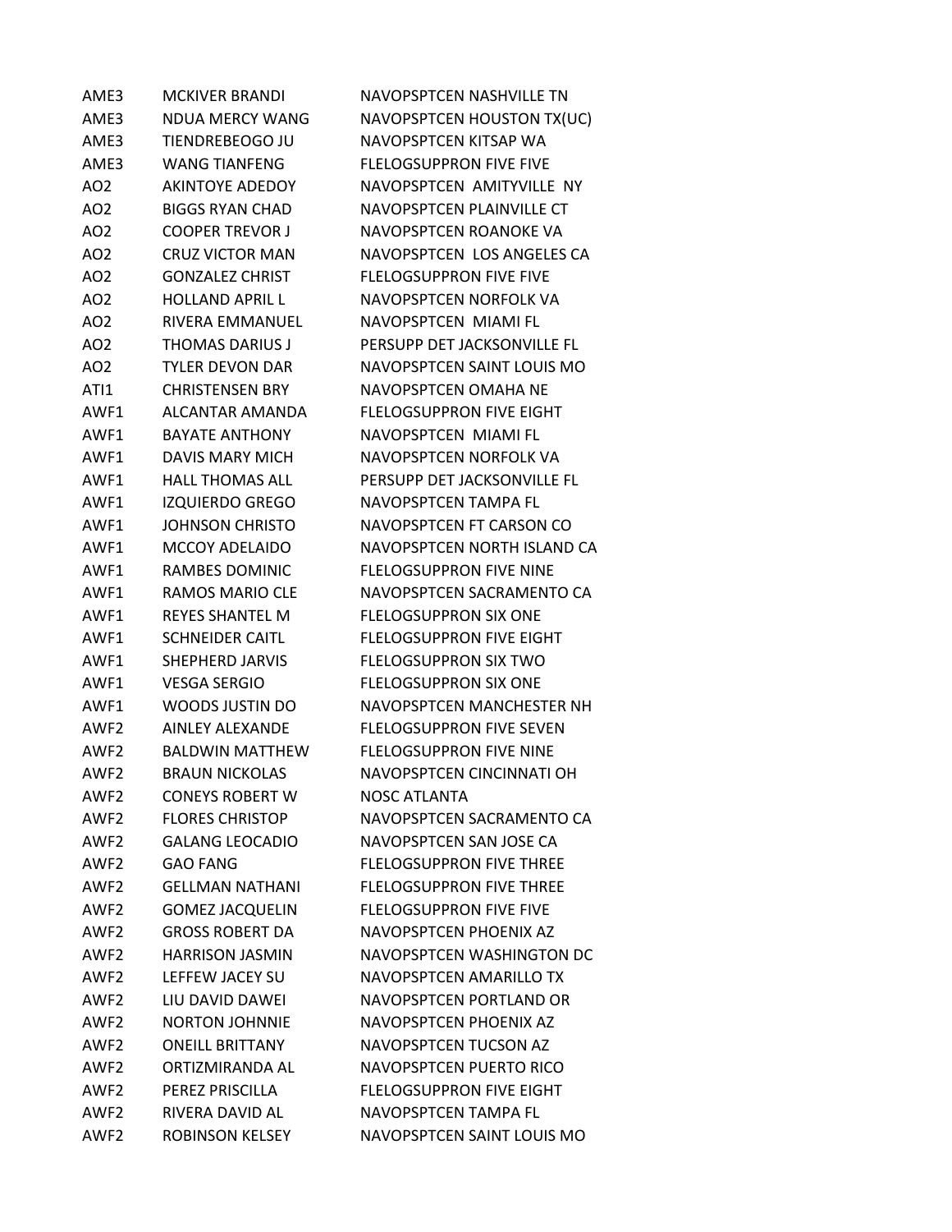| AME3             | <b>MCKIVER BRANDI</b>  | NAVOPSPTCEN NASHVILLE TN        |
|------------------|------------------------|---------------------------------|
| AME3             | <b>NDUA MERCY WANG</b> | NAVOPSPTCEN HOUSTON TX(UC)      |
| AME3             | TIENDREBEOGO JU        | NAVOPSPTCEN KITSAP WA           |
| AME3             | <b>WANG TIANFENG</b>   | <b>FLELOGSUPPRON FIVE FIVE</b>  |
| AO <sub>2</sub>  | <b>AKINTOYE ADEDOY</b> | NAVOPSPTCEN AMITYVILLE NY       |
| AO <sub>2</sub>  | <b>BIGGS RYAN CHAD</b> | NAVOPSPTCEN PLAINVILLE CT       |
| AO <sub>2</sub>  | <b>COOPER TREVOR J</b> | NAVOPSPTCEN ROANOKE VA          |
| AO <sub>2</sub>  | <b>CRUZ VICTOR MAN</b> | NAVOPSPTCEN LOS ANGELES CA      |
| AO <sub>2</sub>  | <b>GONZALEZ CHRIST</b> | <b>FLELOGSUPPRON FIVE FIVE</b>  |
| AO <sub>2</sub>  | <b>HOLLAND APRIL L</b> | NAVOPSPTCEN NORFOLK VA          |
| AO <sub>2</sub>  | <b>RIVERA EMMANUEL</b> | NAVOPSPTCEN MIAMI FL            |
| AO <sub>2</sub>  | THOMAS DARIUS J        | PERSUPP DET JACKSONVILLE FL     |
| AO <sub>2</sub>  | <b>TYLER DEVON DAR</b> | NAVOPSPTCEN SAINT LOUIS MO      |
| ATI1             | <b>CHRISTENSEN BRY</b> | NAVOPSPTCEN OMAHA NE            |
| AWF1             | ALCANTAR AMANDA        | <b>FLELOGSUPPRON FIVE EIGHT</b> |
| AWF1             | <b>BAYATE ANTHONY</b>  | NAVOPSPTCEN MIAMI FL            |
| AWF1             | DAVIS MARY MICH        | NAVOPSPTCEN NORFOLK VA          |
| AWF1             | <b>HALL THOMAS ALL</b> | PERSUPP DET JACKSONVILLE FL     |
| AWF1             | <b>IZQUIERDO GREGO</b> | NAVOPSPTCEN TAMPA FL            |
| AWF1             | <b>JOHNSON CHRISTO</b> | NAVOPSPTCEN FT CARSON CO        |
| AWF1             | <b>MCCOY ADELAIDO</b>  | NAVOPSPTCEN NORTH ISLAND CA     |
| AWF1             | RAMBES DOMINIC         | <b>FLELOGSUPPRON FIVE NINE</b>  |
| AWF1             | RAMOS MARIO CLE        | NAVOPSPTCEN SACRAMENTO CA       |
| AWF1             | <b>REYES SHANTEL M</b> | <b>FLELOGSUPPRON SIX ONE</b>    |
| AWF1             | <b>SCHNEIDER CAITL</b> | <b>FLELOGSUPPRON FIVE EIGHT</b> |
| AWF1             | <b>SHEPHERD JARVIS</b> | FLELOGSUPPRON SIX TWO           |
| AWF1             | <b>VESGA SERGIO</b>    | <b>FLELOGSUPPRON SIX ONE</b>    |
| AWF1             | WOODS JUSTIN DO        | NAVOPSPTCEN MANCHESTER NH       |
| AWF <sub>2</sub> | <b>AINLEY ALEXANDE</b> | <b>FLELOGSUPPRON FIVE SEVEN</b> |
| AWF2             | <b>BALDWIN MATTHEW</b> | <b>FLELOGSUPPRON FIVE NINE</b>  |
| AWF <sub>2</sub> | <b>BRAUN NICKOLAS</b>  | NAVOPSPTCEN CINCINNATI OH       |
| AWF <sub>2</sub> | <b>CONFYS ROBERT W</b> | <b>NOSC ATLANTA</b>             |
| AWF <sub>2</sub> | <b>FLORES CHRISTOP</b> | NAVOPSPTCEN SACRAMENTO CA       |
| AWF <sub>2</sub> | <b>GALANG LEOCADIO</b> | NAVOPSPTCEN SAN JOSE CA         |
| AWF <sub>2</sub> | <b>GAO FANG</b>        | <b>FLELOGSUPPRON FIVE THREE</b> |
| AWF <sub>2</sub> | <b>GFLLMAN NATHANI</b> | <b>FLELOGSUPPRON FIVE THREE</b> |
| AWF2             | <b>GOMEZ JACQUELIN</b> | <b>FLELOGSUPPRON FIVE FIVE</b>  |
| AWF2             | <b>GROSS ROBERT DA</b> | NAVOPSPTCEN PHOENIX AZ          |
| AWF <sub>2</sub> | <b>HARRISON JASMIN</b> | NAVOPSPTCEN WASHINGTON DC       |
| AWF <sub>2</sub> | LEFFEW JACEY SU        | NAVOPSPTCEN AMARILLO TX         |
| AWF2             | LIU DAVID DAWEI        | NAVOPSPTCEN PORTLAND OR         |
| AWF2             | <b>NORTON JOHNNIE</b>  | NAVOPSPTCEN PHOENIX AZ          |
| AWF <sub>2</sub> | <b>ONEILL BRITTANY</b> | NAVOPSPTCEN TUCSON AZ           |
| AWF2             | ORTIZMIRANDA AL        | NAVOPSPTCEN PUERTO RICO         |
| AWF <sub>2</sub> | PEREZ PRISCILLA        | <b>FLELOGSUPPRON FIVE EIGHT</b> |
| AWF <sub>2</sub> | RIVERA DAVID AL        | NAVOPSPTCEN TAMPA FL            |
| AWF <sub>2</sub> | <b>ROBINSON KELSEY</b> | NAVOPSPTCEN SAINT LOUIS MO      |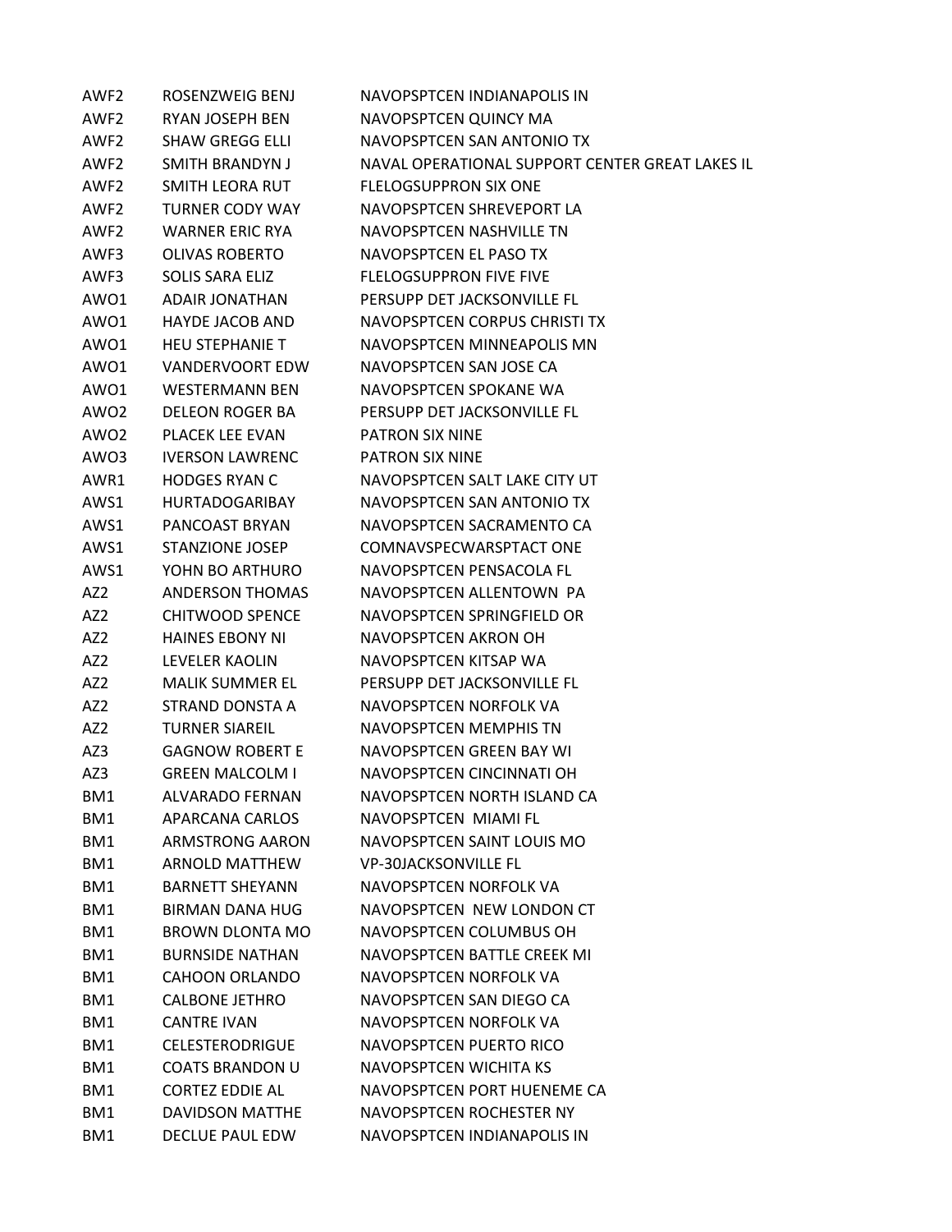| AWF <sub>2</sub> | ROSENZWEIG BENJ        | NAVOPSPTCEN INDIANAPOLIS IN                     |
|------------------|------------------------|-------------------------------------------------|
| AWF <sub>2</sub> | <b>RYAN JOSEPH BEN</b> | NAVOPSPTCEN QUINCY MA                           |
| AWF <sub>2</sub> | <b>SHAW GREGG ELLI</b> | NAVOPSPTCEN SAN ANTONIO TX                      |
| AWF2             | SMITH BRANDYN J        | NAVAL OPERATIONAL SUPPORT CENTER GREAT LAKES IL |
| AWF <sub>2</sub> | <b>SMITH LEORA RUT</b> | <b>FLELOGSUPPRON SIX ONE</b>                    |
| AWF2             | <b>TURNER CODY WAY</b> | NAVOPSPTCEN SHREVEPORT LA                       |
| AWF <sub>2</sub> | <b>WARNER ERIC RYA</b> | NAVOPSPTCEN NASHVILLE TN                        |
| AWF3             | <b>OLIVAS ROBERTO</b>  | NAVOPSPTCEN EL PASO TX                          |
| AWF3             | SOLIS SARA ELIZ        | <b>FLELOGSUPPRON FIVE FIVE</b>                  |
| AWO1             | <b>ADAIR JONATHAN</b>  | PERSUPP DET JACKSONVILLE FL                     |
| AWO1             | <b>HAYDE JACOB AND</b> | NAVOPSPTCEN CORPUS CHRISTI TX                   |
| AWO1             | <b>HEU STEPHANIE T</b> | NAVOPSPTCEN MINNEAPOLIS MN                      |
| AWO1             | <b>VANDERVOORT EDW</b> | NAVOPSPTCEN SAN JOSE CA                         |
| AWO1             | <b>WESTERMANN BEN</b>  | NAVOPSPTCEN SPOKANE WA                          |
| AWO <sub>2</sub> | <b>DELEON ROGER BA</b> | PERSUPP DET JACKSONVILLE FL                     |
| AWO <sub>2</sub> | <b>PLACEK LEE EVAN</b> | <b>PATRON SIX NINE</b>                          |
| AWO3             | <b>IVERSON LAWRENC</b> | PATRON SIX NINE                                 |
| AWR1             | <b>HODGES RYAN C</b>   | NAVOPSPTCEN SALT LAKE CITY UT                   |
| AWS1             | <b>HURTADOGARIBAY</b>  | NAVOPSPTCEN SAN ANTONIO TX                      |
| AWS1             | PANCOAST BRYAN         | NAVOPSPTCEN SACRAMENTO CA                       |
| AWS1             | <b>STANZIONE JOSEP</b> | COMNAVSPECWARSPTACT ONE                         |
| AWS1             | YOHN BO ARTHURO        | NAVOPSPTCEN PENSACOLA FL                        |
| AZ2              | <b>ANDERSON THOMAS</b> | NAVOPSPTCEN ALLENTOWN PA                        |
| AZ <sub>2</sub>  | <b>CHITWOOD SPENCE</b> | NAVOPSPTCEN SPRINGFIELD OR                      |
| AZ2              | <b>HAINES EBONY NI</b> | NAVOPSPTCEN AKRON OH                            |
| AZ <sub>2</sub>  | <b>LEVELER KAOLIN</b>  | NAVOPSPTCEN KITSAP WA                           |
| AZ <sub>2</sub>  | <b>MALIK SUMMER EL</b> | PERSUPP DET JACKSONVILLE FL                     |
| AZ <sub>2</sub>  | STRAND DONSTA A        | NAVOPSPTCEN NORFOLK VA                          |
| AZ <sub>2</sub>  | <b>TURNER SIAREIL</b>  | <b>NAVOPSPTCEN MEMPHIS TN</b>                   |
| AZ3              | <b>GAGNOW ROBERT E</b> | NAVOPSPTCEN GREEN BAY WI                        |
| AZ3              | <b>GREEN MALCOLM I</b> | NAVOPSPTCEN CINCINNATI OH                       |
| BM1              | <b>ALVARADO FERNAN</b> | NAVOPSPTCEN NORTH ISLAND CA                     |
| BM1              | APARCANA CARLOS        | NAVOPSPTCEN MIAMI FL                            |
| BM1              | ARMSTRONG AARON        | NAVOPSPTCEN SAINT LOUIS MO                      |
| BM1              | <b>ARNOLD MATTHEW</b>  | <b>VP-30JACKSONVILLE FL</b>                     |
| BM1              | <b>BARNETT SHEYANN</b> | NAVOPSPTCEN NORFOLK VA                          |
| BM1              | <b>BIRMAN DANA HUG</b> | NAVOPSPTCEN NEW LONDON CT                       |
| BM1              | BROWN DLONTA MO        | NAVOPSPTCEN COLUMBUS OH                         |
| BM1              | <b>BURNSIDE NATHAN</b> | NAVOPSPTCEN BATTLE CREEK MI                     |
| BM1              | <b>CAHOON ORLANDO</b>  | NAVOPSPTCEN NORFOLK VA                          |
| BM1              | <b>CALBONE JETHRO</b>  | NAVOPSPTCEN SAN DIEGO CA                        |
| BM1              | <b>CANTRE IVAN</b>     | NAVOPSPTCEN NORFOLK VA                          |
| BM1              | <b>CELESTERODRIGUE</b> | NAVOPSPTCEN PUERTO RICO                         |
| BM1              | <b>COATS BRANDON U</b> | NAVOPSPTCEN WICHITA KS                          |
| BM1              | <b>CORTEZ EDDIE AL</b> | NAVOPSPTCEN PORT HUENEME CA                     |
| BM1              | DAVIDSON MATTHE        | NAVOPSPTCEN ROCHESTER NY                        |
| BM1              | DECLUE PAUL EDW        | NAVOPSPTCEN INDIANAPOLIS IN                     |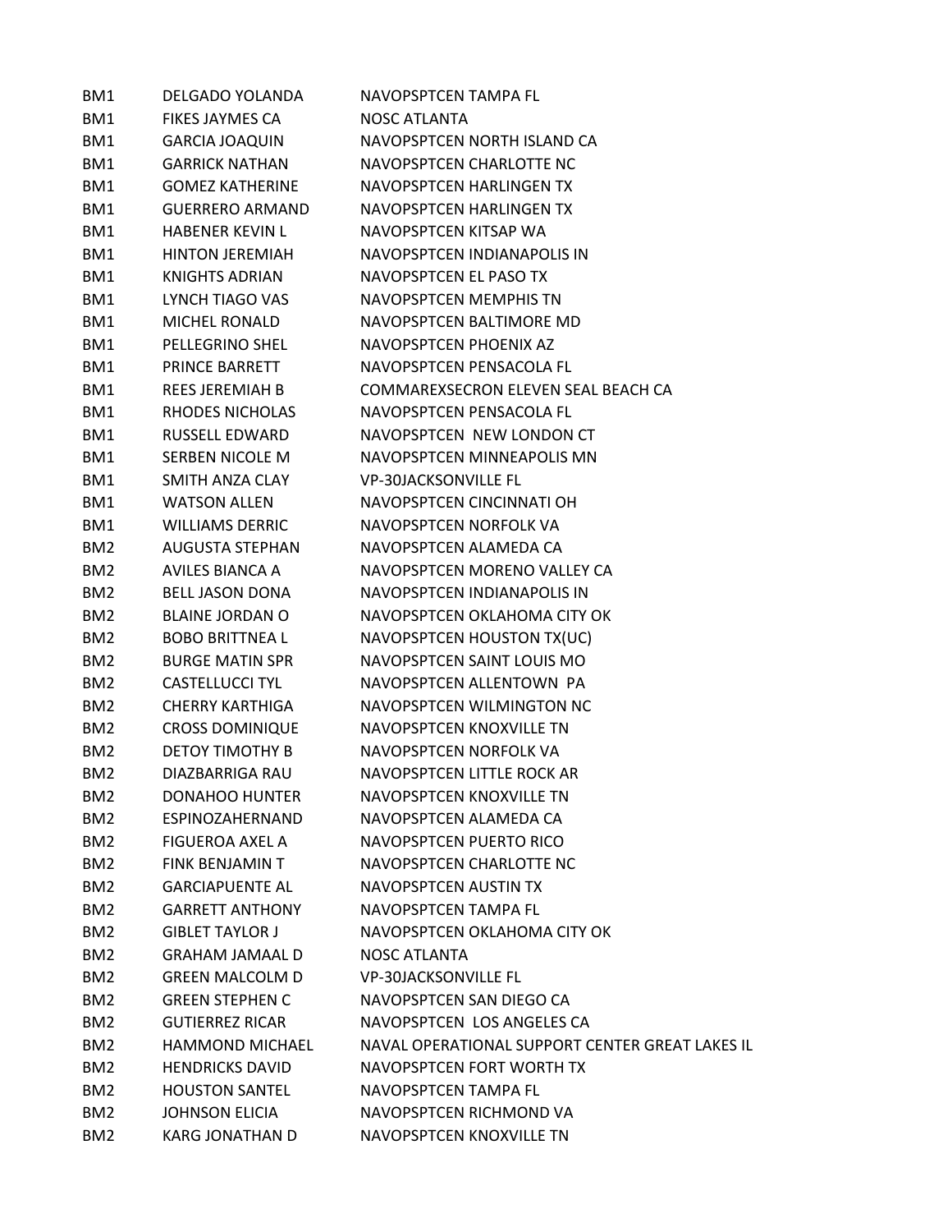| BM1             | <b>DELGADO YOLANDA</b> | NAVOPSPTCEN TAMPA FL                            |
|-----------------|------------------------|-------------------------------------------------|
| BM1             | <b>FIKES JAYMES CA</b> | <b>NOSC ATLANTA</b>                             |
| BM1             | <b>GARCIA JOAQUIN</b>  | NAVOPSPTCEN NORTH ISLAND CA                     |
| BM1             | <b>GARRICK NATHAN</b>  | NAVOPSPTCEN CHARLOTTE NC                        |
| BM1             | <b>GOMEZ KATHERINE</b> | NAVOPSPTCEN HARLINGEN TX                        |
| BM1             | <b>GUERRERO ARMAND</b> | NAVOPSPTCEN HARLINGEN TX                        |
| BM1             | <b>HABENER KEVIN L</b> | NAVOPSPTCEN KITSAP WA                           |
| BM1             | <b>HINTON JEREMIAH</b> | NAVOPSPTCEN INDIANAPOLIS IN                     |
| BM1             | KNIGHTS ADRIAN         | NAVOPSPTCEN EL PASO TX                          |
| BM1             | LYNCH TIAGO VAS        | NAVOPSPTCEN MEMPHIS TN                          |
| BM1             | <b>MICHEL RONALD</b>   | NAVOPSPTCEN BALTIMORE MD                        |
| BM1             | <b>PELLEGRINO SHEL</b> | NAVOPSPTCEN PHOENIX AZ                          |
| BM1             | <b>PRINCE BARRETT</b>  | NAVOPSPTCEN PENSACOLA FL                        |
| BM1             | <b>REES JEREMIAH B</b> | COMMAREXSECRON ELEVEN SEAL BEACH CA             |
| BM1             | RHODES NICHOLAS        | NAVOPSPTCEN PENSACOLA FL                        |
| BM1             | RUSSELL EDWARD         | NAVOPSPTCEN NEW LONDON CT                       |
| BM1             | SERBEN NICOLE M        | NAVOPSPTCEN MINNEAPOLIS MN                      |
| BM1             | SMITH ANZA CLAY        | <b>VP-30JACKSONVILLE FL</b>                     |
| BM1             | <b>WATSON ALLEN</b>    | NAVOPSPTCEN CINCINNATI OH                       |
| BM1             | <b>WILLIAMS DERRIC</b> | NAVOPSPTCEN NORFOLK VA                          |
| BM <sub>2</sub> | <b>AUGUSTA STEPHAN</b> | NAVOPSPTCEN ALAMEDA CA                          |
| BM <sub>2</sub> | AVILES BIANCA A        | NAVOPSPTCEN MORENO VALLEY CA                    |
| BM <sub>2</sub> | <b>BELL JASON DONA</b> | NAVOPSPTCEN INDIANAPOLIS IN                     |
| BM <sub>2</sub> | <b>BLAINE JORDAN O</b> | NAVOPSPTCEN OKLAHOMA CITY OK                    |
| BM <sub>2</sub> | <b>BOBO BRITTNEA L</b> | NAVOPSPTCEN HOUSTON TX(UC)                      |
| BM <sub>2</sub> | <b>BURGE MATIN SPR</b> | NAVOPSPTCEN SAINT LOUIS MO                      |
| BM <sub>2</sub> | CASTELLUCCI TYL        | NAVOPSPTCEN ALLENTOWN PA                        |
| BM <sub>2</sub> | <b>CHERRY KARTHIGA</b> | NAVOPSPTCEN WILMINGTON NC                       |
| BM <sub>2</sub> | <b>CROSS DOMINIQUE</b> | NAVOPSPTCEN KNOXVILLE TN                        |
| BM <sub>2</sub> | <b>DETOY TIMOTHY B</b> | NAVOPSPTCEN NORFOLK VA                          |
| BM <sub>2</sub> | DIAZBARRIGA RAU        | NAVOPSPTCEN LITTLE ROCK AR                      |
| BM <sub>2</sub> | <b>DONAHOO HUNTER</b>  | <b>NAVOPSPTCEN KNOXVILLE TN</b>                 |
| BM <sub>2</sub> | ESPINOZAHERNAND        | NAVOPSPTCEN ALAMEDA CA                          |
| BM <sub>2</sub> | <b>FIGUEROA AXEL A</b> | NAVOPSPTCEN PUERTO RICO                         |
| BM <sub>2</sub> | FINK BENJAMIN T        | NAVOPSPTCEN CHARLOTTE NC                        |
| BM <sub>2</sub> | <b>GARCIAPUENTE AL</b> | NAVOPSPTCEN AUSTIN TX                           |
| BM <sub>2</sub> | <b>GARRETT ANTHONY</b> | NAVOPSPTCEN TAMPA FL                            |
| BM <sub>2</sub> | <b>GIBLET TAYLOR J</b> | NAVOPSPTCEN OKLAHOMA CITY OK                    |
| BM <sub>2</sub> | <b>GRAHAM JAMAAL D</b> | <b>NOSC ATLANTA</b>                             |
| BM <sub>2</sub> | <b>GREEN MALCOLM D</b> | <b>VP-30JACKSONVILLE FL</b>                     |
| BM <sub>2</sub> | <b>GREEN STEPHEN C</b> | NAVOPSPTCEN SAN DIEGO CA                        |
| BM <sub>2</sub> | <b>GUTIERREZ RICAR</b> | NAVOPSPTCEN LOS ANGELES CA                      |
| BM <sub>2</sub> | <b>HAMMOND MICHAEL</b> | NAVAL OPERATIONAL SUPPORT CENTER GREAT LAKES IL |
| BM <sub>2</sub> | <b>HENDRICKS DAVID</b> | NAVOPSPTCEN FORT WORTH TX                       |
| BM <sub>2</sub> | <b>HOUSTON SANTEL</b>  | NAVOPSPTCEN TAMPA FL                            |
| BM <sub>2</sub> | <b>JOHNSON ELICIA</b>  | NAVOPSPTCEN RICHMOND VA                         |
| BM <sub>2</sub> | <b>KARG JONATHAN D</b> | NAVOPSPTCEN KNOXVILLE TN                        |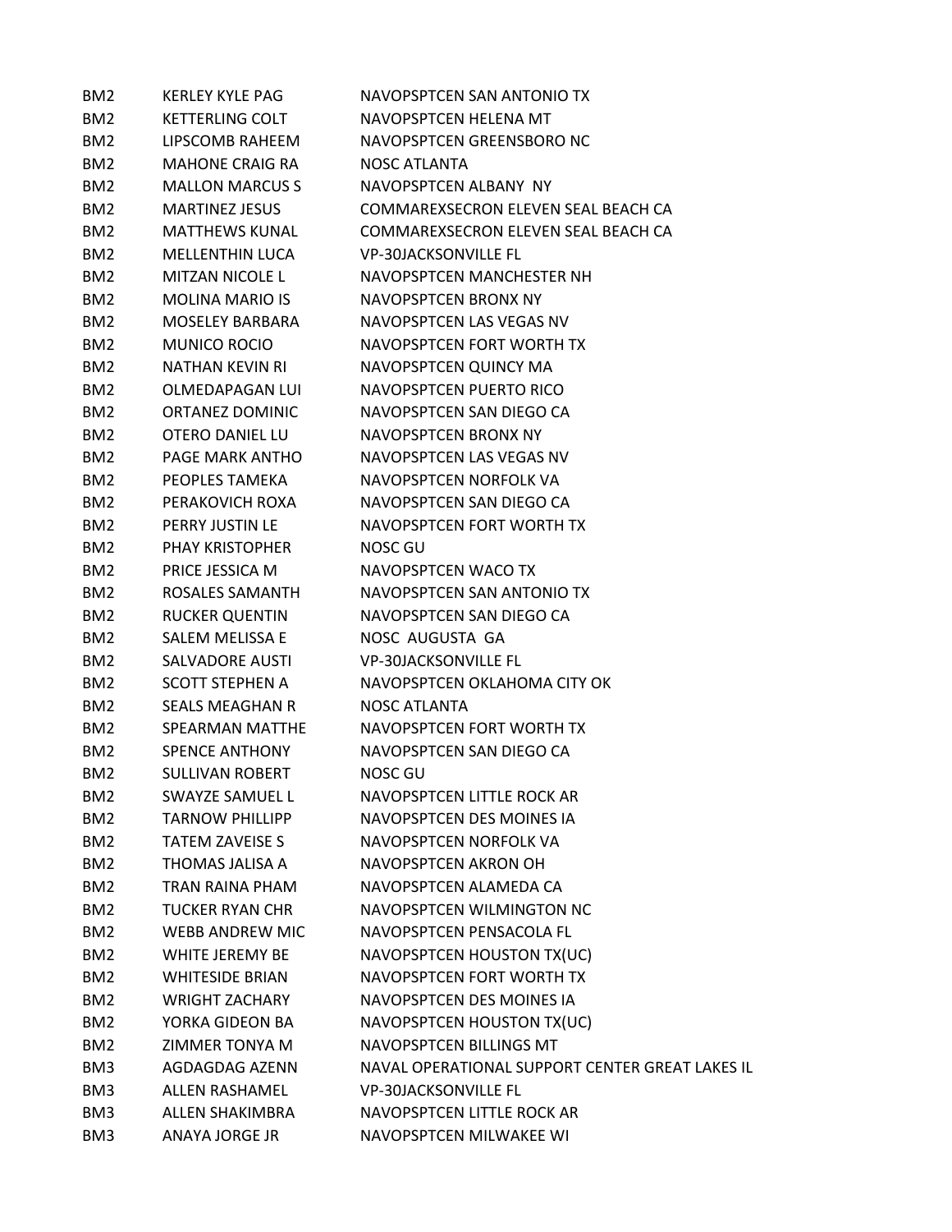| BM <sub>2</sub> | <b>KERLEY KYLE PAG</b> | NAVOPSPTCEN SAN ANTONIO TX                      |
|-----------------|------------------------|-------------------------------------------------|
| BM <sub>2</sub> | <b>KETTERLING COLT</b> | NAVOPSPTCEN HELENA MT                           |
| BM <sub>2</sub> | LIPSCOMB RAHEEM        | NAVOPSPTCEN GREENSBORO NC                       |
| BM <sub>2</sub> | <b>MAHONE CRAIG RA</b> | NOSC ATLANTA                                    |
| BM <sub>2</sub> | <b>MALLON MARCUS S</b> | NAVOPSPTCEN ALBANY NY                           |
| BM <sub>2</sub> | <b>MARTINEZ JESUS</b>  | COMMAREXSECRON ELEVEN SEAL BEACH CA             |
| BM <sub>2</sub> | <b>MATTHEWS KUNAL</b>  | COMMAREXSECRON ELEVEN SEAL BEACH CA             |
| BM <sub>2</sub> | <b>MELLENTHIN LUCA</b> | <b>VP-30JACKSONVILLE FL</b>                     |
| BM <sub>2</sub> | <b>MITZAN NICOLE L</b> | NAVOPSPTCEN MANCHESTER NH                       |
| BM <sub>2</sub> | <b>MOLINA MARIO IS</b> | NAVOPSPTCEN BRONX NY                            |
| BM <sub>2</sub> | MOSELEY BARBARA        | NAVOPSPTCEN LAS VEGAS NV                        |
| BM <sub>2</sub> | <b>MUNICO ROCIO</b>    | NAVOPSPTCEN FORT WORTH TX                       |
| BM <sub>2</sub> | NATHAN KEVIN RI        | NAVOPSPTCEN QUINCY MA                           |
| BM <sub>2</sub> | <b>OLMEDAPAGAN LUI</b> | NAVOPSPTCEN PUERTO RICO                         |
| BM <sub>2</sub> | <b>ORTANEZ DOMINIC</b> | NAVOPSPTCEN SAN DIEGO CA                        |
| BM <sub>2</sub> | <b>OTERO DANIEL LU</b> | NAVOPSPTCEN BRONX NY                            |
| BM <sub>2</sub> | PAGE MARK ANTHO        | NAVOPSPTCEN LAS VEGAS NV                        |
| BM <sub>2</sub> | PEOPLES TAMEKA         | NAVOPSPTCFN NORFOLK VA                          |
| BM <sub>2</sub> | PERAKOVICH ROXA        | NAVOPSPTCEN SAN DIEGO CA                        |
| BM <sub>2</sub> | PERRY JUSTIN LE        | NAVOPSPTCEN FORT WORTH TX                       |
| BM <sub>2</sub> | <b>PHAY KRISTOPHER</b> | NOSC GU                                         |
| BM <sub>2</sub> | PRICE JESSICA M        | NAVOPSPTCEN WACO TX                             |
| BM <sub>2</sub> | ROSALES SAMANTH        | NAVOPSPTCEN SAN ANTONIO TX                      |
| BM <sub>2</sub> | <b>RUCKER QUENTIN</b>  | NAVOPSPTCEN SAN DIEGO CA                        |
| BM <sub>2</sub> | SALEM MELISSA E        | NOSC AUGUSTA GA                                 |
| BM <sub>2</sub> | <b>SALVADORE AUSTI</b> | <b>VP-30JACKSONVILLE FL</b>                     |
| BM <sub>2</sub> | <b>SCOTT STEPHEN A</b> | NAVOPSPTCEN OKLAHOMA CITY OK                    |
| BM <sub>2</sub> | <b>SEALS MEAGHAN R</b> | <b>NOSC ATLANTA</b>                             |
| BM <sub>2</sub> | SPEARMAN MATTHE        | NAVOPSPTCEN FORT WORTH TX                       |
| BM <sub>2</sub> | <b>SPENCE ANTHONY</b>  | NAVOPSPTCEN SAN DIEGO CA                        |
| BM <sub>2</sub> | <b>SULLIVAN ROBERT</b> | NOSC GU                                         |
| BM <sub>2</sub> | <b>SWAYZE SAMUEL L</b> | NAVOPSPTCEN LITTLE ROCK AR                      |
| BM <sub>2</sub> | <b>TARNOW PHILLIPP</b> | NAVOPSPTCEN DES MOINES IA                       |
| BM <sub>2</sub> | <b>TATEM ZAVEISE S</b> | NAVOPSPTCEN NORFOLK VA                          |
| BM <sub>2</sub> | THOMAS JALISA A        | NAVOPSPTCEN AKRON OH                            |
| BM <sub>2</sub> | TRAN RAINA PHAM        | NAVOPSPTCEN ALAMEDA CA                          |
| BM <sub>2</sub> | <b>TUCKER RYAN CHR</b> | NAVOPSPTCEN WILMINGTON NC                       |
| BM <sub>2</sub> | WEBB ANDREW MIC        | NAVOPSPTCEN PENSACOLA FL                        |
| BM <sub>2</sub> | WHITE JEREMY BE        | NAVOPSPTCEN HOUSTON TX(UC)                      |
| BM <sub>2</sub> | <b>WHITESIDE BRIAN</b> | NAVOPSPTCEN FORT WORTH TX                       |
| BM <sub>2</sub> | <b>WRIGHT ZACHARY</b>  | NAVOPSPTCEN DES MOINES IA                       |
| BM <sub>2</sub> | YORKA GIDEON BA        | NAVOPSPTCEN HOUSTON TX(UC)                      |
| BM <sub>2</sub> | ZIMMER TONYA M         | NAVOPSPTCEN BILLINGS MT                         |
| BM3             | AGDAGDAG AZENN         | NAVAL OPERATIONAL SUPPORT CENTER GREAT LAKES IL |
| BM3             | <b>ALLEN RASHAMEL</b>  | <b>VP-30JACKSONVILLE FL</b>                     |
| BM3             | <b>ALLEN SHAKIMBRA</b> | NAVOPSPTCEN LITTLE ROCK AR                      |
| BM3             | ANAYA JORGE JR         | NAVOPSPTCEN MILWAKEE WI                         |
|                 |                        |                                                 |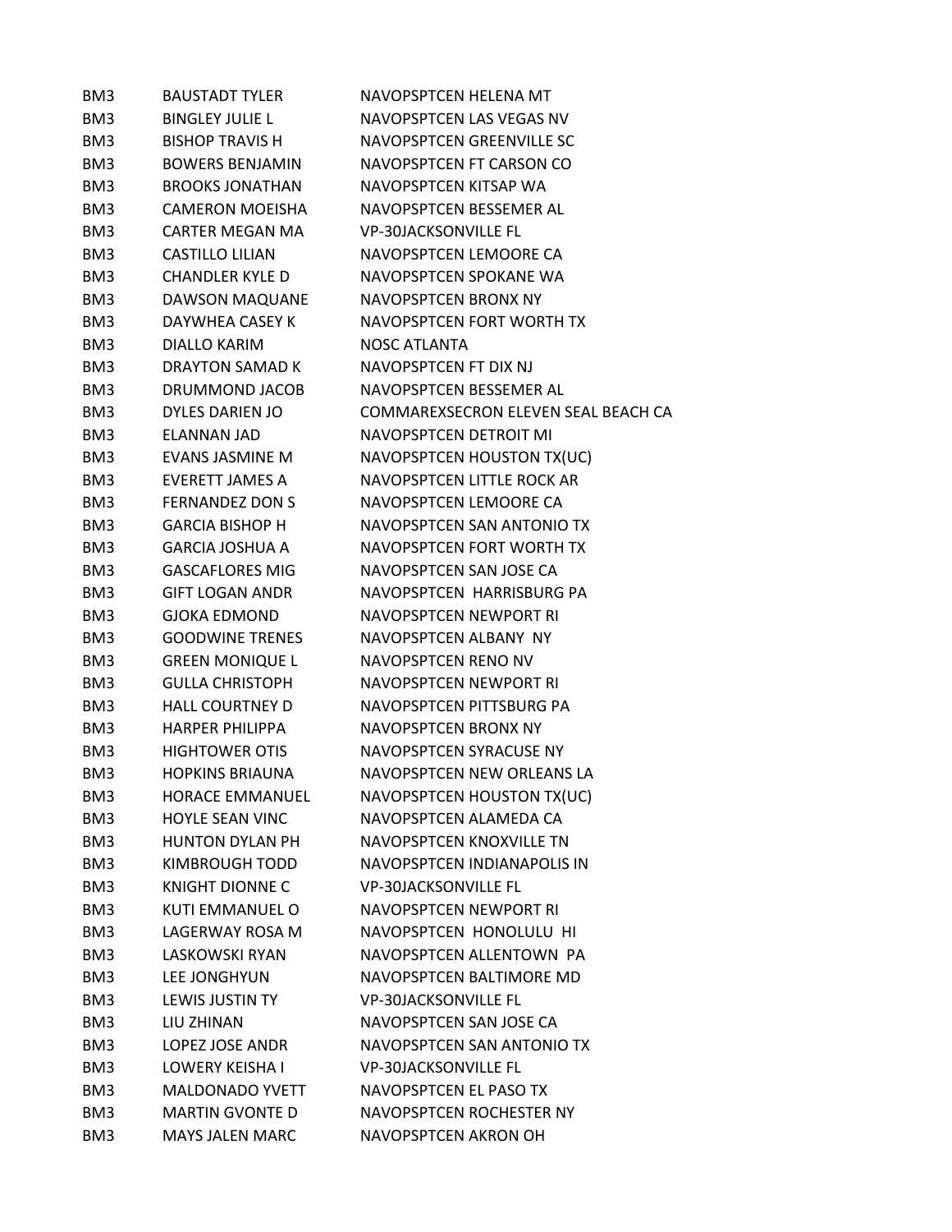| BM3             | <b>BAUSTADT TYLER</b>  | NAVOPSPTCEN HELENA MT               |
|-----------------|------------------------|-------------------------------------|
| BM3             | <b>BINGLEY JULIE L</b> | NAVOPSPTCEN LAS VEGAS NV            |
| BM3             | <b>BISHOP TRAVIS H</b> | NAVOPSPTCEN GREENVILLE SC           |
| BM3             | <b>BOWERS BENJAMIN</b> | NAVOPSPTCEN FT CARSON CO            |
| BM3             | <b>BROOKS JONATHAN</b> | NAVOPSPTCEN KITSAP WA               |
| BM3             | <b>CAMERON MOEISHA</b> | NAVOPSPTCEN BESSEMER AL             |
| BM3             | <b>CARTER MEGAN MA</b> | <b>VP-30JACKSONVILLE FL</b>         |
| BM3             | <b>CASTILLO LILIAN</b> | NAVOPSPTCEN LEMOORE CA              |
| BM3             | <b>CHANDLER KYLE D</b> | NAVOPSPTCEN SPOKANE WA              |
| BM3             | <b>DAWSON MAQUANE</b>  | NAVOPSPTCEN BRONX NY                |
| BM3             | DAYWHEA CASEY K        | NAVOPSPTCEN FORT WORTH TX           |
| BM3             | <b>DIALLO KARIM</b>    | NOSC ATLANTA                        |
| BM3             | DRAYTON SAMAD K        | NAVOPSPTCEN FT DIX NJ               |
| BM3             | DRUMMOND JACOB         | NAVOPSPTCEN BESSEMER AL             |
| BM3             | DYLES DARIEN JO        | COMMAREXSECRON ELEVEN SEAL BEACH CA |
| BM3             | ELANNAN JAD            | NAVOPSPTCEN DETROIT MI              |
| BM3             | <b>EVANS JASMINE M</b> | NAVOPSPTCEN HOUSTON TX(UC)          |
| BM3             | <b>EVERETT JAMES A</b> | NAVOPSPTCEN LITTLE ROCK AR          |
| BM3             | <b>FERNANDEZ DON S</b> | NAVOPSPTCEN LEMOORE CA              |
| BM3             | <b>GARCIA BISHOP H</b> | NAVOPSPTCEN SAN ANTONIO TX          |
| BM3             | <b>GARCIA JOSHUA A</b> | NAVOPSPTCEN FORT WORTH TX           |
| BM3             | <b>GASCAFLORES MIG</b> | NAVOPSPTCEN SAN JOSE CA             |
| BM3             | <b>GIFT LOGAN ANDR</b> | NAVOPSPTCEN HARRISBURG PA           |
| BM3             | <b>GJOKA EDMOND</b>    | NAVOPSPTCEN NEWPORT RI              |
| BM3             | <b>GOODWINE TRENES</b> | NAVOPSPTCEN ALBANY NY               |
| BM3             | <b>GREEN MONIQUE L</b> | NAVOPSPTCEN RENO NV                 |
| BM3             | <b>GULLA CHRISTOPH</b> | NAVOPSPTCEN NEWPORT RI              |
| BM3             | <b>HALL COURTNEY D</b> | NAVOPSPTCEN PITTSBURG PA            |
| BM3             | <b>HARPER PHILIPPA</b> | NAVOPSPTCEN BRONX NY                |
| BM3             | <b>HIGHTOWER OTIS</b>  | NAVOPSPTCEN SYRACUSE NY             |
| BM3             | <b>HOPKINS BRIAUNA</b> | NAVOPSPTCEN NEW ORLEANS LA          |
| BM3             | <b>HORACE EMMANUEL</b> | NAVOPSPTCEN HOUSTON TX(UC)          |
| BM <sub>3</sub> | <b>HOYLE SEAN VINC</b> | NAVOPSPTCEN ALAMEDA CA              |
| BM3             | <b>HUNTON DYLAN PH</b> | NAVOPSPTCEN KNOXVILLE TN            |
| BM3             | KIMBROUGH TODD         | NAVOPSPTCEN INDIANAPOLIS IN         |
| BM3             | <b>KNIGHT DIONNE C</b> | <b>VP-30JACKSONVILLE FL</b>         |
| BM3             | KUTI EMMANUEL O        | NAVOPSPTCEN NEWPORT RI              |
| BM3             | LAGERWAY ROSA M        | NAVOPSPTCEN HONOLULU HI             |
| BM3             | LASKOWSKI RYAN         | NAVOPSPTCEN ALLENTOWN PA            |
| BM3             | LEE JONGHYUN           | NAVOPSPTCEN BALTIMORE MD            |
| BM3             | LEWIS JUSTIN TY        | <b>VP-30JACKSONVILLE FL</b>         |
| BM3             | LIU ZHINAN             | NAVOPSPTCEN SAN JOSE CA             |
| BM3             | LOPEZ JOSE ANDR        | NAVOPSPTCEN SAN ANTONIO TX          |
| BM3             | LOWERY KEISHA I        | <b>VP-30JACKSONVILLE FL</b>         |
| BM3             | <b>MALDONADO YVETT</b> | NAVOPSPTCEN EL PASO TX              |
| BM3             | <b>MARTIN GVONTE D</b> | NAVOPSPTCEN ROCHESTER NY            |
| BM3             | <b>MAYS JALEN MARC</b> | NAVOPSPTCEN AKRON OH                |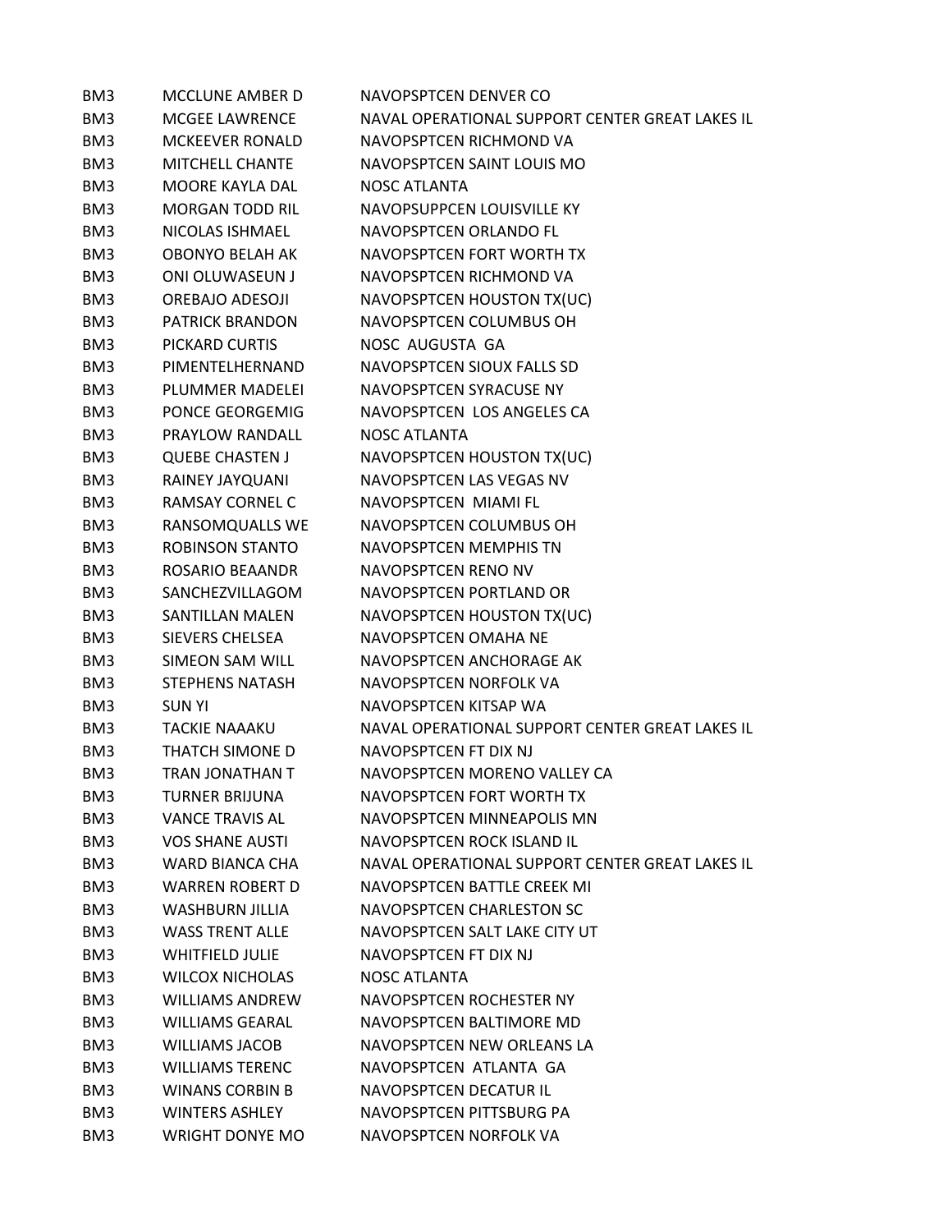| BM3 | <b>MCCLUNE AMBER D</b> | NAVOPSPTCEN DENVER CO                           |
|-----|------------------------|-------------------------------------------------|
| BM3 | <b>MCGEE LAWRENCE</b>  | NAVAL OPERATIONAL SUPPORT CENTER GREAT LAKES IL |
| BM3 | <b>MCKEEVER RONALD</b> | NAVOPSPTCEN RICHMOND VA                         |
| BM3 | MITCHELL CHANTE        | NAVOPSPTCEN SAINT LOUIS MO                      |
| BM3 | MOORE KAYLA DAL        | <b>NOSC ATLANTA</b>                             |
| BM3 | <b>MORGAN TODD RIL</b> | NAVOPSUPPCEN LOUISVILLE KY                      |
| BM3 | NICOLAS ISHMAEL        | NAVOPSPTCEN ORLANDO FL                          |
| BM3 | <b>OBONYO BELAH AK</b> | NAVOPSPTCEN FORT WORTH TX                       |
| BM3 | <b>ONI OLUWASEUN J</b> | NAVOPSPTCEN RICHMOND VA                         |
| BM3 | <b>OREBAJO ADESOJI</b> | NAVOPSPTCEN HOUSTON TX(UC)                      |
| BM3 | <b>PATRICK BRANDON</b> | NAVOPSPTCEN COLUMBUS OH                         |
| BM3 | PICKARD CURTIS         | NOSC AUGUSTA GA                                 |
| BM3 | PIMENTELHERNAND        | NAVOPSPTCEN SIOUX FALLS SD                      |
| BM3 | PLUMMER MADELEI        | NAVOPSPTCEN SYRACUSE NY                         |
| BM3 | PONCE GEORGEMIG        | NAVOPSPTCEN LOS ANGELES CA                      |
| BM3 | PRAYLOW RANDALL        | <b>NOSC ATLANTA</b>                             |
| BM3 | <b>QUEBE CHASTEN J</b> | NAVOPSPTCEN HOUSTON TX(UC)                      |
| BM3 | RAINEY JAYQUANI        | NAVOPSPTCEN LAS VEGAS NV                        |
| BM3 | <b>RAMSAY CORNEL C</b> | NAVOPSPTCEN MIAMI FL                            |
| BM3 | RANSOMQUALLS WE        | NAVOPSPTCEN COLUMBUS OH                         |
| BM3 | <b>ROBINSON STANTO</b> | NAVOPSPTCEN MEMPHIS TN                          |
| BM3 | <b>ROSARIO BEAANDR</b> | NAVOPSPTCEN RENO NV                             |
| BM3 | SANCHEZVILLAGOM        | NAVOPSPTCEN PORTLAND OR                         |
| BM3 | <b>SANTILLAN MALEN</b> | NAVOPSPTCEN HOUSTON TX(UC)                      |
| BM3 | SIEVERS CHELSEA        | NAVOPSPTCEN OMAHA NE                            |
| BM3 | <b>SIMEON SAM WILL</b> | NAVOPSPTCEN ANCHORAGE AK                        |
| BM3 | <b>STEPHENS NATASH</b> | NAVOPSPTCEN NORFOLK VA                          |
| BM3 | <b>SUNYI</b>           | NAVOPSPTCEN KITSAP WA                           |
| BM3 | <b>TACKIE NAAAKU</b>   | NAVAL OPERATIONAL SUPPORT CENTER GREAT LAKES IL |
| BM3 | THATCH SIMONE D        | NAVOPSPTCEN FT DIX NJ                           |
| BM3 | <b>TRAN JONATHAN T</b> | NAVOPSPTCEN MORENO VALLEY CA                    |
| BM3 | TURNER BRIJUNA         | NAVOPSPTCEN FORT WORTH TX                       |
| BM3 | <b>VANCE TRAVIS AL</b> | NAVOPSPTCEN MINNEAPOLIS MN                      |
| BM3 | <b>VOS SHANE AUSTI</b> | NAVOPSPTCEN ROCK ISLAND IL                      |
| BM3 | WARD BIANCA CHA        | NAVAL OPERATIONAL SUPPORT CENTER GREAT LAKES IL |
| BM3 | <b>WARREN ROBERT D</b> | NAVOPSPTCEN BATTLE CREEK MI                     |
| BM3 | <b>WASHBURN JILLIA</b> | NAVOPSPTCEN CHARLESTON SC                       |
| BM3 | <b>WASS TRENT ALLE</b> | NAVOPSPTCEN SALT LAKE CITY UT                   |
| BM3 | WHITFIELD JULIE        | NAVOPSPTCEN FT DIX NJ                           |
| BM3 | <b>WILCOX NICHOLAS</b> | <b>NOSC ATLANTA</b>                             |
| BM3 | <b>WILLIAMS ANDREW</b> | NAVOPSPTCEN ROCHESTER NY                        |
| BM3 | <b>WILLIAMS GEARAL</b> | NAVOPSPTCEN BALTIMORE MD                        |
| BM3 | WILLIAMS JACOB         | NAVOPSPTCEN NEW ORLEANS LA                      |
| BM3 | <b>WILLIAMS TERENC</b> | NAVOPSPTCEN ATLANTA GA                          |
| BM3 | <b>WINANS CORBIN B</b> | NAVOPSPTCEN DECATUR IL                          |
| BM3 | <b>WINTERS ASHLEY</b>  | NAVOPSPTCEN PITTSBURG PA                        |
| BM3 | <b>WRIGHT DONYE MO</b> | NAVOPSPTCEN NORFOLK VA                          |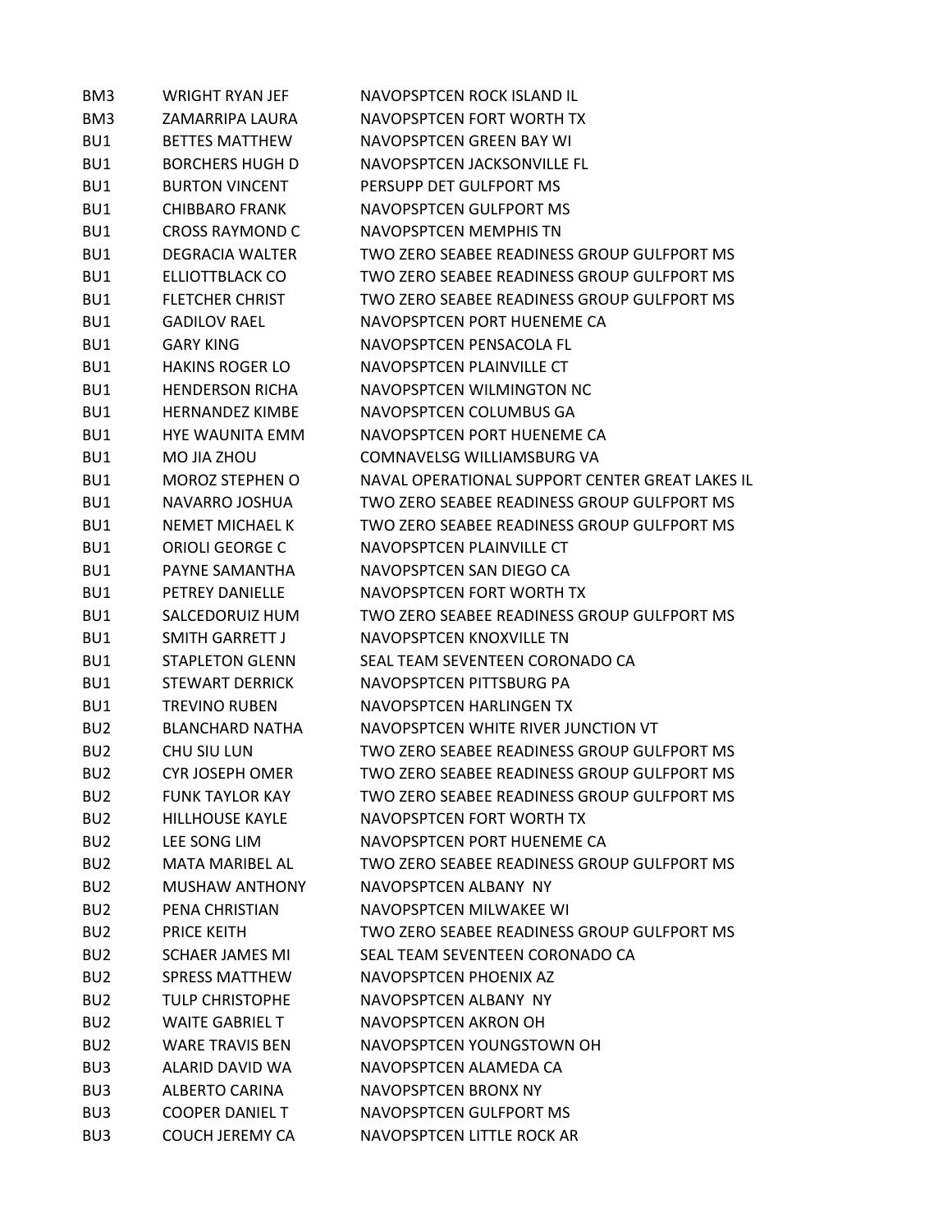| BM3             | <b>WRIGHT RYAN JEF</b> | <b>NAVOPSPTCEN ROCK ISLAND IL</b>               |
|-----------------|------------------------|-------------------------------------------------|
| BM3             | ZAMARRIPA LAURA        | NAVOPSPTCEN FORT WORTH TX                       |
| BU1             | <b>BETTES MATTHEW</b>  | NAVOPSPTCEN GREEN BAY WI                        |
| BU1             | <b>BORCHERS HUGH D</b> | NAVOPSPTCEN JACKSONVILLE FL                     |
| BU1             | <b>BURTON VINCENT</b>  | PERSUPP DET GULFPORT MS                         |
| BU1             | <b>CHIBBARO FRANK</b>  | NAVOPSPTCEN GULFPORT MS                         |
| BU1             | <b>CROSS RAYMOND C</b> | NAVOPSPTCEN MEMPHIS TN                          |
| BU1             | <b>DEGRACIA WALTER</b> | TWO ZERO SEABEE READINESS GROUP GULFPORT MS     |
| BU1             | ELLIOTTBLACK CO        | TWO ZERO SEABEE READINESS GROUP GULFPORT MS     |
| BU1             | <b>FLETCHER CHRIST</b> | TWO ZERO SEABEE READINESS GROUP GULFPORT MS     |
| BU1             | <b>GADILOV RAEL</b>    | NAVOPSPTCEN PORT HUENEME CA                     |
| BU1             | <b>GARY KING</b>       | NAVOPSPTCEN PENSACOLA FL                        |
| BU1             | <b>HAKINS ROGER LO</b> | NAVOPSPTCEN PLAINVILLE CT                       |
| BU1             | <b>HENDERSON RICHA</b> | NAVOPSPTCEN WILMINGTON NC                       |
| BU1             | <b>HERNANDEZ KIMBE</b> | NAVOPSPTCEN COLUMBUS GA                         |
| BU1             | <b>HYE WAUNITA EMM</b> | NAVOPSPTCEN PORT HUENEME CA                     |
| BU1             | MO JIA ZHOU            | COMNAVELSG WILLIAMSBURG VA                      |
| BU1             | <b>MOROZ STEPHEN O</b> | NAVAL OPERATIONAL SUPPORT CENTER GREAT LAKES IL |
| BU1             | NAVARRO JOSHUA         | TWO ZERO SEABEE READINESS GROUP GULFPORT MS     |
| BU1             | <b>NEMET MICHAEL K</b> | TWO ZERO SEABEE READINESS GROUP GULFPORT MS     |
| BU1             | <b>ORIOLI GEORGE C</b> | NAVOPSPTCEN PLAINVILLE CT                       |
| BU1             | PAYNE SAMANTHA         | NAVOPSPTCEN SAN DIEGO CA                        |
| BU1             | <b>PETREY DANIELLE</b> | NAVOPSPTCEN FORT WORTH TX                       |
| BU1             | SALCEDORUIZ HUM        | TWO ZERO SEABEE READINESS GROUP GULFPORT MS     |
| BU1             | <b>SMITH GARRETT J</b> | NAVOPSPTCEN KNOXVILLE TN                        |
| BU1             | <b>STAPLETON GLENN</b> | SEAL TEAM SEVENTEEN CORONADO CA                 |
| BU1             | <b>STEWART DERRICK</b> | NAVOPSPTCEN PITTSBURG PA                        |
| BU1             | <b>TREVINO RUBEN</b>   | NAVOPSPTCEN HARLINGEN TX                        |
| BU <sub>2</sub> | <b>BLANCHARD NATHA</b> | NAVOPSPTCEN WHITE RIVER JUNCTION VT             |
| BU <sub>2</sub> | CHU SIU LUN            | TWO ZERO SEABEE READINESS GROUP GULFPORT MS     |
| BU <sub>2</sub> | <b>CYR JOSEPH OMER</b> | TWO ZERO SEABEE READINESS GROUP GULFPORT MS     |
| BU <sub>2</sub> | <b>FUNK TAYLOR KAY</b> | TWO ZERO SEABEE READINESS GROUP GULFPORT MS     |
| BU <sub>2</sub> | <b>HILLHOUSE KAYLE</b> | NAVOPSPTCEN FORT WORTH TX                       |
| BU <sub>2</sub> | LEE SONG LIM           | NAVOPSPTCEN PORT HUENEME CA                     |
| BU <sub>2</sub> | MATA MARIBEL AL        | TWO ZERO SEABEE READINESS GROUP GULFPORT MS     |
| BU <sub>2</sub> | <b>MUSHAW ANTHONY</b>  | NAVOPSPTCEN ALBANY NY                           |
| BU <sub>2</sub> | PENA CHRISTIAN         | NAVOPSPTCEN MILWAKEE WI                         |
| BU <sub>2</sub> | <b>PRICE KEITH</b>     | TWO ZERO SEABEE READINESS GROUP GULFPORT MS     |
| BU <sub>2</sub> | <b>SCHAER JAMES MI</b> | SEAL TEAM SEVENTEEN CORONADO CA                 |
| BU <sub>2</sub> | <b>SPRESS MATTHEW</b>  | NAVOPSPTCEN PHOENIX AZ                          |
| BU <sub>2</sub> | <b>TULP CHRISTOPHE</b> | NAVOPSPTCEN ALBANY NY                           |
| BU <sub>2</sub> | <b>WAITE GABRIEL T</b> | NAVOPSPTCEN AKRON OH                            |
| BU <sub>2</sub> | <b>WARE TRAVIS BEN</b> | NAVOPSPTCEN YOUNGSTOWN OH                       |
| BU <sub>3</sub> | ALARID DAVID WA        | NAVOPSPTCEN ALAMEDA CA                          |
| BU <sub>3</sub> | ALBERTO CARINA         | NAVOPSPTCEN BRONX NY                            |
| BU <sub>3</sub> | <b>COOPER DANIEL T</b> | NAVOPSPTCEN GULFPORT MS                         |
| BU <sub>3</sub> | <b>COUCH JEREMY CA</b> | NAVOPSPTCEN LITTLE ROCK AR                      |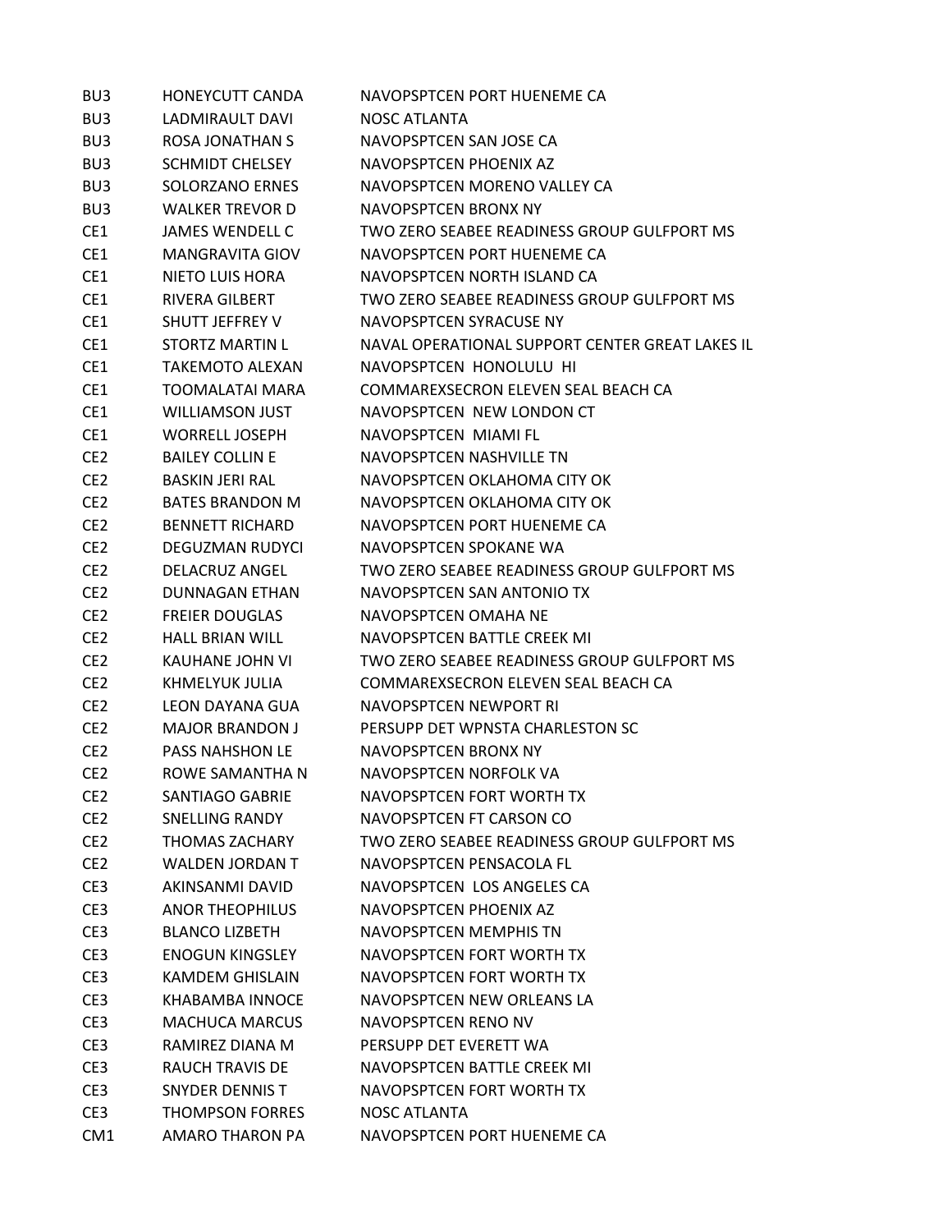| BU <sub>3</sub> | <b>HONEYCUTT CANDA</b> | NAVOPSPTCEN PORT HUENEME CA                     |
|-----------------|------------------------|-------------------------------------------------|
| BU <sub>3</sub> | LADMIRAULT DAVI        | NOSC ATLANTA                                    |
| BU <sub>3</sub> | <b>ROSA JONATHAN S</b> | NAVOPSPTCEN SAN JOSE CA                         |
| BU <sub>3</sub> | <b>SCHMIDT CHELSEY</b> | NAVOPSPTCEN PHOENIX AZ                          |
| BU <sub>3</sub> | SOLORZANO ERNES        | NAVOPSPTCEN MORENO VALLEY CA                    |
| BU <sub>3</sub> | <b>WALKER TREVOR D</b> | NAVOPSPTCEN BRONX NY                            |
| CE1             | <b>JAMES WENDELL C</b> | TWO ZERO SEABEE READINESS GROUP GULFPORT MS     |
| CE1             | <b>MANGRAVITA GIOV</b> | NAVOPSPTCEN PORT HUENEME CA                     |
| CE1             | NIETO LUIS HORA        | NAVOPSPTCEN NORTH ISLAND CA                     |
| CE1             | RIVERA GILBERT         | TWO ZERO SEABEE READINESS GROUP GULFPORT MS     |
| CE1             | SHUTT JEFFREY V        | NAVOPSPTCEN SYRACUSE NY                         |
| CE1             | STORTZ MARTIN L        | NAVAL OPERATIONAL SUPPORT CENTER GREAT LAKES IL |
| CE1             | <b>TAKEMOTO ALEXAN</b> | NAVOPSPTCEN HONOLULU HI                         |
| CE1             | <b>TOOMALATAI MARA</b> | COMMAREXSECRON ELEVEN SEAL BEACH CA             |
| CE1             | <b>WILLIAMSON JUST</b> | NAVOPSPTCEN NEW LONDON CT                       |
| CE1             | <b>WORRELL JOSEPH</b>  | NAVOPSPTCFN MIAMI FL                            |
| CE <sub>2</sub> | <b>BAILEY COLLIN E</b> | NAVOPSPTCEN NASHVILLE TN                        |
| CE <sub>2</sub> | <b>BASKIN JERI RAL</b> | NAVOPSPTCEN OKLAHOMA CITY OK                    |
| CE <sub>2</sub> | <b>BATES BRANDON M</b> | NAVOPSPTCEN OKLAHOMA CITY OK                    |
| CE <sub>2</sub> | <b>BENNETT RICHARD</b> | NAVOPSPTCEN PORT HUENEME CA                     |
| CE <sub>2</sub> | DEGUZMAN RUDYCI        | NAVOPSPTCEN SPOKANE WA                          |
| CE <sub>2</sub> | DELACRUZ ANGEL         | TWO ZERO SEABEE READINESS GROUP GULFPORT MS     |
| CE <sub>2</sub> | <b>DUNNAGAN ETHAN</b>  | NAVOPSPTCEN SAN ANTONIO TX                      |
| CE <sub>2</sub> | <b>FREIER DOUGLAS</b>  | NAVOPSPTCEN OMAHA NE                            |
| CE <sub>2</sub> | <b>HALL BRIAN WILL</b> | NAVOPSPTCEN BATTLE CREEK MI                     |
| CE <sub>2</sub> | KAUHANE JOHN VI        | TWO ZERO SEABEE READINESS GROUP GULFPORT MS     |
| CE <sub>2</sub> | KHMELYUK JULIA         | COMMAREXSECRON ELEVEN SEAL BEACH CA             |
| CE <sub>2</sub> | <b>LEON DAYANA GUA</b> | NAVOPSPTCEN NEWPORT RI                          |
| CE <sub>2</sub> | <b>MAJOR BRANDON J</b> | PERSUPP DET WPNSTA CHARLESTON SC                |
| CE <sub>2</sub> | <b>PASS NAHSHON LE</b> | NAVOPSPTCEN BRONX NY                            |
| CE <sub>2</sub> | ROWE SAMANTHA N        | NAVOPSPTCEN NORFOLK VA                          |
| CE <sub>2</sub> | <b>SANTIAGO GABRIE</b> | NAVOPSPTCEN FORT WORTH TX                       |
| CE <sub>2</sub> | SNELLING RANDY         | NAVOPSPTCEN FT CARSON CO                        |
| CE <sub>2</sub> | THOMAS ZACHARY         | TWO ZERO SEABEE READINESS GROUP GULFPORT MS     |
| CE <sub>2</sub> | <b>WALDEN JORDAN T</b> | NAVOPSPTCEN PENSACOLA FL                        |
| CE3             | AKINSANMI DAVID        | NAVOPSPTCEN LOS ANGELES CA                      |
| CE3             | <b>ANOR THEOPHILUS</b> | NAVOPSPTCEN PHOENIX AZ                          |
| CE3             | <b>BLANCO LIZBETH</b>  | NAVOPSPTCEN MEMPHIS TN                          |
| CE3             | <b>ENOGUN KINGSLEY</b> | NAVOPSPTCEN FORT WORTH TX                       |
| CE3             | <b>KAMDEM GHISLAIN</b> | NAVOPSPTCEN FORT WORTH TX                       |
| CE3             | KHABAMBA INNOCE        | NAVOPSPTCEN NEW ORLEANS LA                      |
| CE3             | <b>MACHUCA MARCUS</b>  | NAVOPSPTCEN RENO NV                             |
| CE3             | RAMIREZ DIANA M        | PERSUPP DET EVERETT WA                          |
| CE3             | RAUCH TRAVIS DE        | NAVOPSPTCEN BATTLE CREEK MI                     |
| CE3             | SNYDER DENNIS T        | NAVOPSPTCEN FORT WORTH TX                       |
| CE3             | <b>THOMPSON FORRES</b> | <b>NOSC ATLANTA</b>                             |
| CM <sub>1</sub> | AMARO THARON PA        | NAVOPSPTCEN PORT HUENEME CA                     |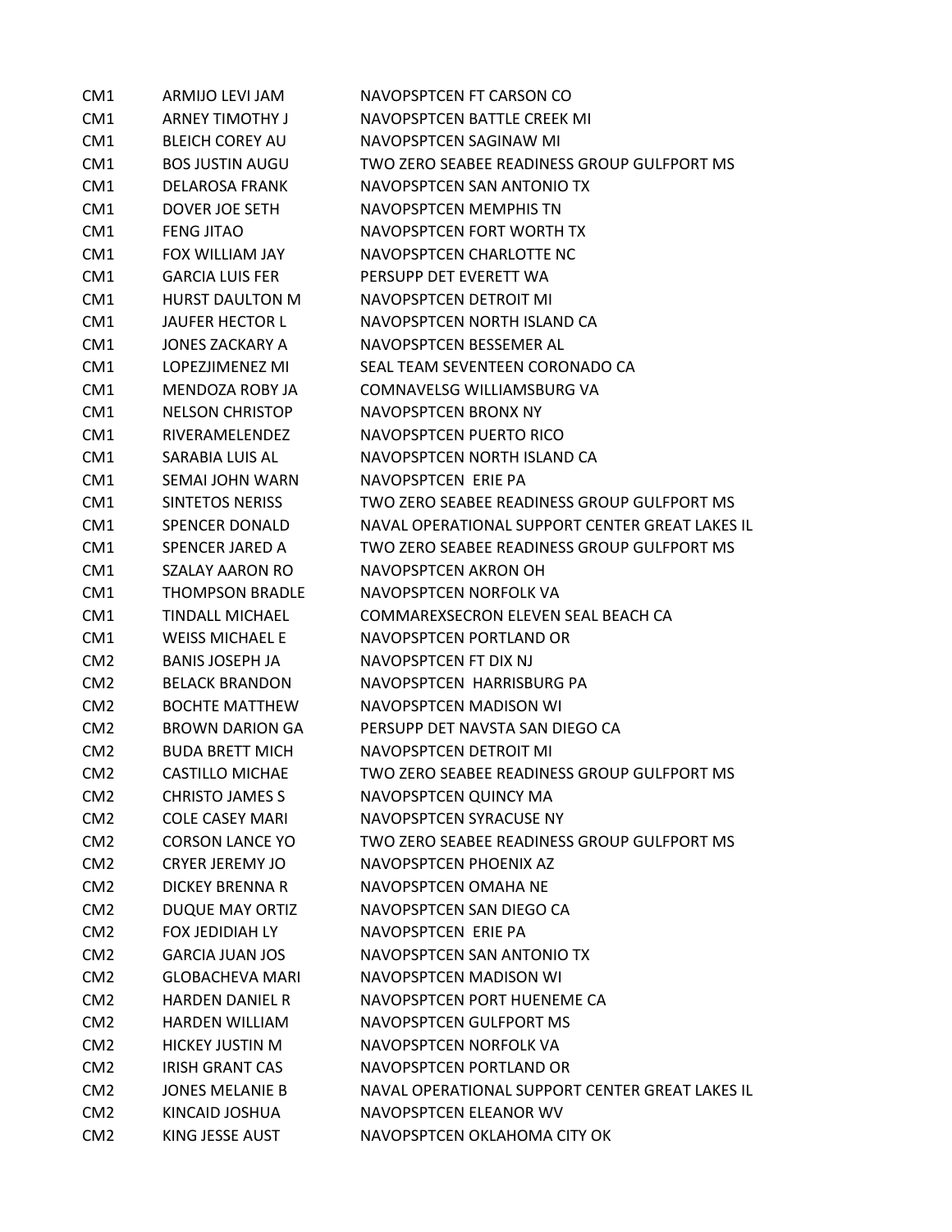| CM <sub>1</sub> | ARMIJO LEVI JAM        | NAVOPSPTCEN FT CARSON CO                               |
|-----------------|------------------------|--------------------------------------------------------|
| CM <sub>1</sub> | <b>ARNEY TIMOTHY J</b> | NAVOPSPTCEN BATTLE CREEK MI                            |
| CM <sub>1</sub> | <b>BLEICH COREY AU</b> | NAVOPSPTCEN SAGINAW MI                                 |
| CM <sub>1</sub> | <b>BOS JUSTIN AUGU</b> | TWO ZERO SEABEE READINESS GROUP GULFPORT MS            |
| CM <sub>1</sub> | <b>DELAROSA FRANK</b>  | NAVOPSPTCEN SAN ANTONIO TX                             |
| CM <sub>1</sub> | DOVER JOE SETH         | NAVOPSPTCEN MEMPHIS TN                                 |
| CM <sub>1</sub> | <b>FENG JITAO</b>      | NAVOPSPTCEN FORT WORTH TX                              |
| CM <sub>1</sub> | FOX WILLIAM JAY        | NAVOPSPTCEN CHARLOTTE NC                               |
| CM <sub>1</sub> | <b>GARCIA LUIS FER</b> | PERSUPP DET EVERETT WA                                 |
| CM <sub>1</sub> | <b>HURST DAULTON M</b> | NAVOPSPTCEN DETROIT MI                                 |
| CM <sub>1</sub> | <b>JAUFER HECTOR L</b> | NAVOPSPTCEN NORTH ISLAND CA                            |
| CM <sub>1</sub> | <b>JONES ZACKARY A</b> | NAVOPSPTCEN BESSEMER AL                                |
| CM <sub>1</sub> | LOPEZJIMENEZ MI        | SEAL TEAM SEVENTEEN CORONADO CA                        |
| CM <sub>1</sub> | MENDOZA ROBY JA        | COMNAVELSG WILLIAMSBURG VA                             |
| CM1             | <b>NELSON CHRISTOP</b> | NAVOPSPTCEN BRONX NY                                   |
| CM <sub>1</sub> | <b>RIVERAMELENDEZ</b>  | NAVOPSPTCEN PUERTO RICO                                |
| CM <sub>1</sub> | SARABIA LUIS AL        | NAVOPSPTCFN NORTH ISLAND CA                            |
| CM1             | SEMAI JOHN WARN        | NAVOPSPTCEN ERIE PA                                    |
| CM <sub>1</sub> | SINTETOS NERISS        | TWO ZERO SEABEE READINESS GROUP GULFPORT MS            |
| CM1             | <b>SPENCER DONALD</b>  | NAVAL OPERATIONAL SUPPORT CENTER GREAT LAKES IL        |
| CM <sub>1</sub> | <b>SPENCER JARED A</b> | TWO ZERO SEABEE READINESS GROUP GULFPORT MS            |
| CM <sub>1</sub> | <b>SZALAY AARON RO</b> | NAVOPSPTCEN AKRON OH                                   |
| CM <sub>1</sub> | <b>THOMPSON BRADLE</b> | NAVOPSPTCEN NORFOLK VA                                 |
| CM <sub>1</sub> | <b>TINDALL MICHAEL</b> | COMMAREXSECRON ELEVEN SEAL BEACH CA                    |
| CM <sub>1</sub> | <b>WEISS MICHAEL E</b> | NAVOPSPTCEN PORTLAND OR                                |
| CM <sub>2</sub> | <b>BANIS JOSEPH JA</b> | NAVOPSPTCEN FT DIX NJ                                  |
| CM <sub>2</sub> | <b>BELACK BRANDON</b>  | NAVOPSPTCEN HARRISBURG PA                              |
| CM <sub>2</sub> | <b>BOCHTE MATTHEW</b>  | NAVOPSPTCEN MADISON WI                                 |
| CM <sub>2</sub> | <b>BROWN DARION GA</b> | PERSUPP DET NAVSTA SAN DIEGO CA                        |
| CM2             | <b>BUDA BRETT MICH</b> | NAVOPSPTCEN DETROIT MI                                 |
| CM <sub>2</sub> | <b>CASTILLO MICHAE</b> | TWO ZERO SEABEE READINESS GROUP GULFPORT MS            |
| CM <sub>2</sub> | <b>CHRISTO JAMES S</b> | NAVOPSPTCEN QUINCY MA                                  |
| CM <sub>2</sub> | <b>COLE CASEY MARI</b> | NAVOPSPTCEN SYRACUSE NY                                |
| CM <sub>2</sub> | <b>CORSON LANCE YO</b> | TWO ZERO SEABEE READINESS GROUP GULFPORT MS            |
| CM <sub>2</sub> | <b>CRYER JEREMY JO</b> | NAVOPSPTCEN PHOENIX AZ                                 |
| CM <sub>2</sub> | <b>DICKEY BRENNA R</b> | NAVOPSPTCEN OMAHA NE                                   |
| CM <sub>2</sub> | <b>DUQUE MAY ORTIZ</b> | NAVOPSPTCEN SAN DIEGO CA                               |
| CM <sub>2</sub> | <b>FOX JEDIDIAH LY</b> | NAVOPSPTCEN ERIE PA                                    |
| CM <sub>2</sub> | <b>GARCIA JUAN JOS</b> | NAVOPSPTCEN SAN ANTONIO TX                             |
| CM <sub>2</sub> | <b>GLOBACHEVA MARI</b> | NAVOPSPTCEN MADISON WI                                 |
| CM <sub>2</sub> | <b>HARDEN DANIEL R</b> | NAVOPSPTCEN PORT HUENEME CA                            |
| CM <sub>2</sub> | <b>HARDEN WILLIAM</b>  | NAVOPSPTCEN GULFPORT MS                                |
| CM <sub>2</sub> | <b>HICKEY JUSTIN M</b> | NAVOPSPTCEN NORFOLK VA                                 |
| CM <sub>2</sub> | <b>IRISH GRANT CAS</b> | NAVOPSPTCEN PORTLAND OR                                |
| CM <sub>2</sub> | <b>JONES MELANIE B</b> | NAVAL OPERATIONAL SUPPORT CENTER GREAT LAKES IL        |
| CM <sub>2</sub> | KINCAID JOSHUA         | NAVOPSPTCEN ELEANOR WV<br>NAVOPSPTCEN OKLAHOMA CITY OK |
| CM <sub>2</sub> | KING JESSE AUST        |                                                        |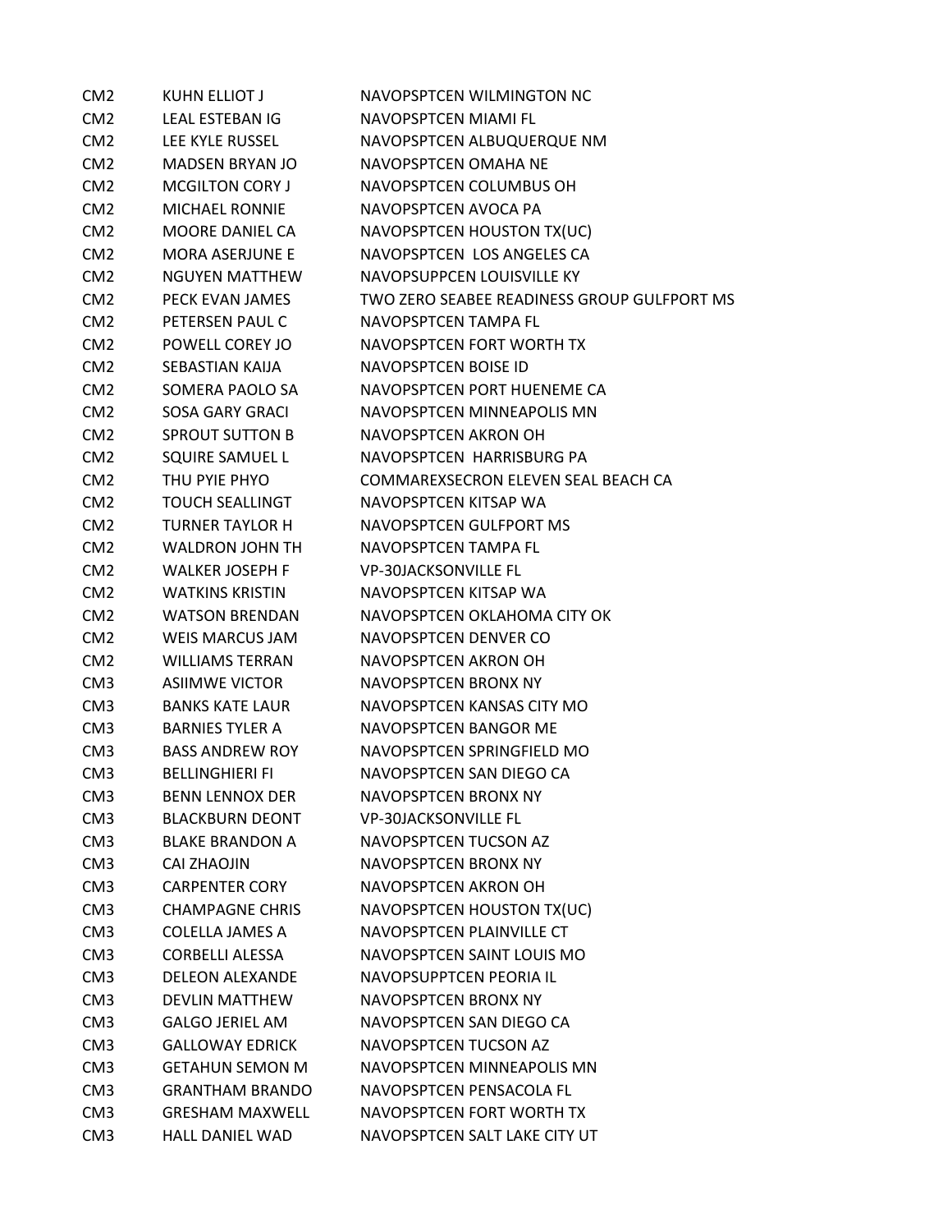| CM <sub>2</sub> | <b>KUHN ELLIOT J</b>   | NAVOPSPTCEN WILMINGTON NC                   |
|-----------------|------------------------|---------------------------------------------|
| CM <sub>2</sub> | LEAL ESTEBAN IG        | NAVOPSPTCEN MIAMI FL                        |
| CM <sub>2</sub> | LEE KYLE RUSSEL        | NAVOPSPTCEN ALBUQUERQUE NM                  |
| CM <sub>2</sub> | <b>MADSEN BRYAN JO</b> | NAVOPSPTCEN OMAHA NE                        |
| CM <sub>2</sub> | <b>MCGILTON CORY J</b> | NAVOPSPTCEN COLUMBUS OH                     |
| CM <sub>2</sub> | <b>MICHAEL RONNIE</b>  | NAVOPSPTCEN AVOCA PA                        |
| CM <sub>2</sub> | <b>MOORE DANIEL CA</b> | NAVOPSPTCEN HOUSTON TX(UC)                  |
| CM <sub>2</sub> | <b>MORA ASERJUNE E</b> | NAVOPSPTCEN LOS ANGELES CA                  |
| CM <sub>2</sub> | <b>NGUYEN MATTHEW</b>  | NAVOPSUPPCEN LOUISVILLE KY                  |
| CM <sub>2</sub> | PECK EVAN JAMES        | TWO ZERO SEABEE READINESS GROUP GULFPORT MS |
| CM <sub>2</sub> | PETERSEN PAUL C        | NAVOPSPTCEN TAMPA FL                        |
| CM <sub>2</sub> | POWELL COREY JO        | NAVOPSPTCEN FORT WORTH TX                   |
| CM <sub>2</sub> | SEBASTIAN KAIJA        | NAVOPSPTCEN BOISE ID                        |
| CM <sub>2</sub> | SOMERA PAOLO SA        | NAVOPSPTCEN PORT HUENEME CA                 |
| CM <sub>2</sub> | <b>SOSA GARY GRACI</b> | NAVOPSPTCEN MINNEAPOLIS MN                  |
| CM <sub>2</sub> | SPROUT SUTTON B        | NAVOPSPTCEN AKRON OH                        |
| CM <sub>2</sub> | SQUIRE SAMUEL L        | NAVOPSPTCEN HARRISBURG PA                   |
| CM <sub>2</sub> | THU PYIE PHYO          | COMMAREXSECRON ELEVEN SEAL BEACH CA         |
| CM <sub>2</sub> | <b>TOUCH SEALLINGT</b> | NAVOPSPTCEN KITSAP WA                       |
| CM <sub>2</sub> | <b>TURNER TAYLOR H</b> | NAVOPSPTCEN GULFPORT MS                     |
| CM <sub>2</sub> | WALDRON JOHN TH        | NAVOPSPTCEN TAMPA FL                        |
| CM <sub>2</sub> | <b>WALKER JOSEPH F</b> | <b>VP-30JACKSONVILLE FL</b>                 |
| CM <sub>2</sub> | <b>WATKINS KRISTIN</b> | NAVOPSPTCEN KITSAP WA                       |
| CM <sub>2</sub> | <b>WATSON BRENDAN</b>  | NAVOPSPTCEN OKLAHOMA CITY OK                |
| CM <sub>2</sub> | <b>WEIS MARCUS JAM</b> | NAVOPSPTCEN DENVER CO                       |
| CM <sub>2</sub> | <b>WILLIAMS TERRAN</b> | NAVOPSPTCEN AKRON OH                        |
| CM <sub>3</sub> | <b>ASIIMWE VICTOR</b>  | NAVOPSPTCEN BRONX NY                        |
| CM <sub>3</sub> | <b>BANKS KATE LAUR</b> | NAVOPSPTCEN KANSAS CITY MO                  |
| CM <sub>3</sub> | <b>BARNIES TYLER A</b> | NAVOPSPTCEN BANGOR ME                       |
| CM <sub>3</sub> | <b>BASS ANDREW ROY</b> | NAVOPSPTCEN SPRINGFIELD MO                  |
| CM <sub>3</sub> | <b>BELLINGHIERI FI</b> | NAVOPSPTCEN SAN DIEGO CA                    |
| CM <sub>3</sub> | <b>BENN LENNOX DER</b> | <b>NAVOPSPTCEN BRONX NY</b>                 |
| CM <sub>3</sub> | <b>BLACKBURN DEONT</b> | <b>VP-30JACKSONVILLE FL</b>                 |
| CM3             | <b>BLAKE BRANDON A</b> | NAVOPSPTCEN TUCSON AZ                       |
| CM <sub>3</sub> | CAI ZHAOJIN            | NAVOPSPTCEN BRONX NY                        |
| CM <sub>3</sub> | <b>CARPENTER CORY</b>  | NAVOPSPTCEN AKRON OH                        |
| CM <sub>3</sub> | <b>CHAMPAGNE CHRIS</b> | NAVOPSPTCEN HOUSTON TX(UC)                  |
| CM <sub>3</sub> | <b>COLELLA JAMES A</b> | NAVOPSPTCEN PLAINVILLE CT                   |
| CM <sub>3</sub> | <b>CORBELLI ALESSA</b> | NAVOPSPTCEN SAINT LOUIS MO                  |
| CM <sub>3</sub> | <b>DELEON ALEXANDE</b> | NAVOPSUPPTCEN PEORIA IL                     |
| CM <sub>3</sub> | <b>DEVLIN MATTHEW</b>  | NAVOPSPTCEN BRONX NY                        |
| CM <sub>3</sub> | <b>GALGO JERIEL AM</b> | NAVOPSPTCEN SAN DIEGO CA                    |
| CM <sub>3</sub> | <b>GALLOWAY EDRICK</b> | NAVOPSPTCEN TUCSON AZ                       |
| CM <sub>3</sub> | <b>GETAHUN SEMON M</b> | NAVOPSPTCEN MINNEAPOLIS MN                  |
| CM <sub>3</sub> | <b>GRANTHAM BRANDO</b> | NAVOPSPTCEN PENSACOLA FL                    |
| CM <sub>3</sub> | <b>GRESHAM MAXWELL</b> | NAVOPSPTCEN FORT WORTH TX                   |
| CM <sub>3</sub> | <b>HALL DANIEL WAD</b> | NAVOPSPTCEN SALT LAKE CITY UT               |
|                 |                        |                                             |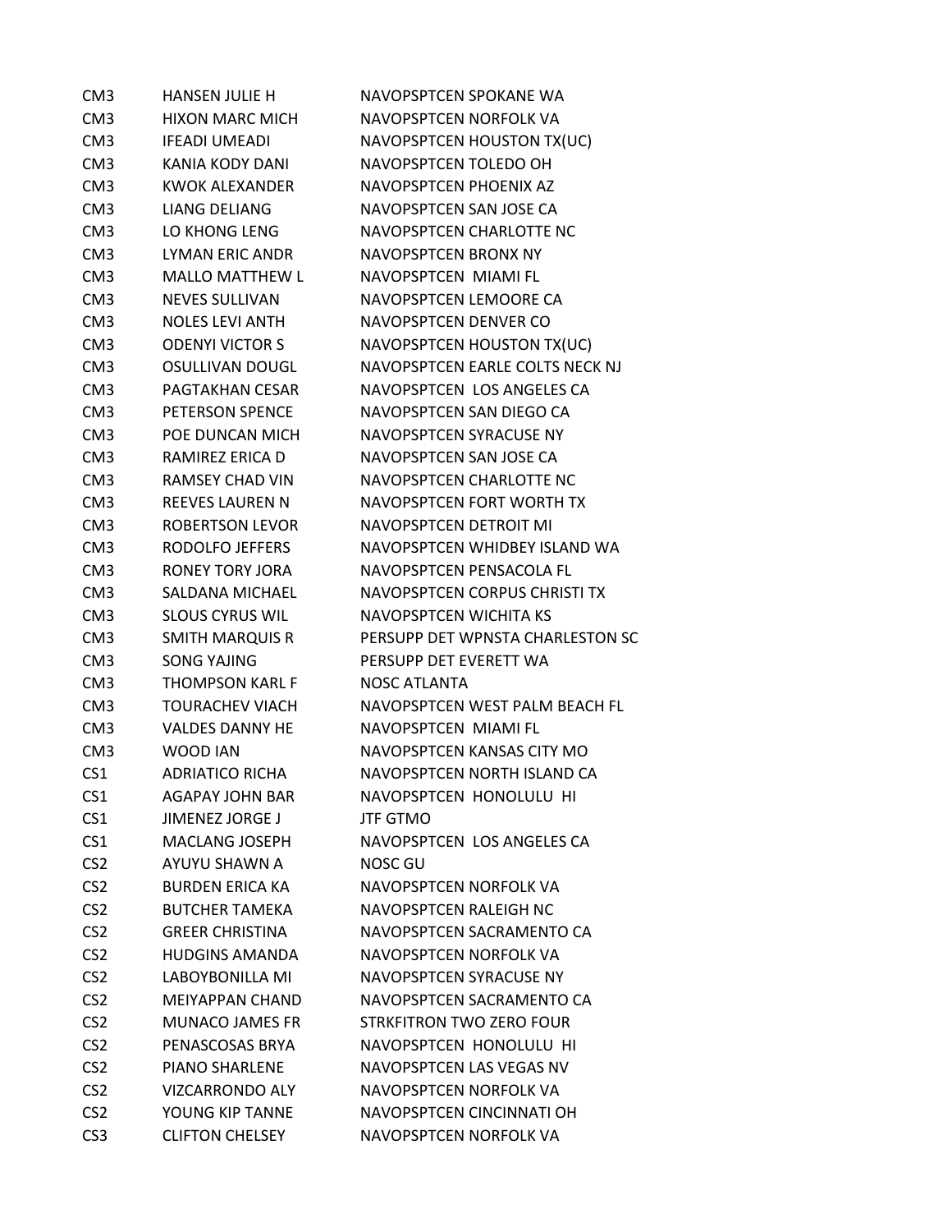| CM <sub>3</sub> | <b>HANSEN JULIE H</b>  | NAVOPSPTCEN SPOKANE WA           |
|-----------------|------------------------|----------------------------------|
| CM <sub>3</sub> | <b>HIXON MARC MICH</b> | NAVOPSPTCEN NORFOLK VA           |
| CM <sub>3</sub> | <b>IFEADI UMEADI</b>   | NAVOPSPTCEN HOUSTON TX(UC)       |
| CM <sub>3</sub> | KANIA KODY DANI        | NAVOPSPTCEN TOLEDO OH            |
| CM <sub>3</sub> | <b>KWOK ALEXANDER</b>  | NAVOPSPTCEN PHOENIX AZ           |
| CM <sub>3</sub> | <b>LIANG DELIANG</b>   | NAVOPSPTCEN SAN JOSE CA          |
| CM <sub>3</sub> | LO KHONG LENG          | NAVOPSPTCEN CHARLOTTE NC         |
| CM <sub>3</sub> | <b>LYMAN ERIC ANDR</b> | NAVOPSPTCEN BRONX NY             |
| CM <sub>3</sub> | <b>MALLO MATTHEW L</b> | NAVOPSPTCEN MIAMI FL             |
| CM <sub>3</sub> | <b>NEVES SULLIVAN</b>  | NAVOPSPTCEN LEMOORE CA           |
| CM <sub>3</sub> | <b>NOLES LEVI ANTH</b> | NAVOPSPTCEN DENVER CO            |
| CM <sub>3</sub> | <b>ODENYI VICTOR S</b> | NAVOPSPTCEN HOUSTON TX(UC)       |
| CM <sub>3</sub> | <b>OSULLIVAN DOUGL</b> | NAVOPSPTCEN EARLE COLTS NECK NJ  |
| CM <sub>3</sub> | PAGTAKHAN CESAR        | NAVOPSPTCEN LOS ANGELES CA       |
| CM <sub>3</sub> | PETERSON SPENCE        | NAVOPSPTCEN SAN DIEGO CA         |
| CM <sub>3</sub> | POE DUNCAN MICH        | NAVOPSPTCEN SYRACUSE NY          |
| CM <sub>3</sub> | RAMIREZ ERICA D        | NAVOPSPTCEN SAN JOSE CA          |
| CM <sub>3</sub> | <b>RAMSEY CHAD VIN</b> | NAVOPSPTCEN CHARLOTTE NC         |
| CM <sub>3</sub> | <b>REEVES LAUREN N</b> | NAVOPSPTCEN FORT WORTH TX        |
| CM <sub>3</sub> | <b>ROBERTSON LEVOR</b> | NAVOPSPTCEN DETROIT MI           |
| CM <sub>3</sub> | RODOLFO JEFFERS        | NAVOPSPTCEN WHIDBEY ISLAND WA    |
| CM <sub>3</sub> | <b>RONEY TORY JORA</b> | NAVOPSPTCEN PENSACOLA FL         |
| CM <sub>3</sub> | SALDANA MICHAEL        | NAVOPSPTCEN CORPUS CHRISTI TX    |
| CM <sub>3</sub> | <b>SLOUS CYRUS WIL</b> | <b>NAVOPSPTCEN WICHITA KS</b>    |
| CM <sub>3</sub> | <b>SMITH MARQUIS R</b> | PERSUPP DET WPNSTA CHARLESTON SC |
| CM <sub>3</sub> | <b>SONG YAJING</b>     | PERSUPP DET EVERETT WA           |
| CM <sub>3</sub> | <b>THOMPSON KARL F</b> | <b>NOSC ATLANTA</b>              |
| CM <sub>3</sub> | <b>TOURACHEV VIACH</b> | NAVOPSPTCEN WEST PALM BEACH FL   |
| CM <sub>3</sub> | <b>VALDES DANNY HE</b> | <b>NAVOPSPTCEN MIAMI FL</b>      |
| CM <sub>3</sub> | WOOD JAN               | NAVOPSPTCEN KANSAS CITY MO       |
| CS <sub>1</sub> | <b>ADRIATICO RICHA</b> | NAVOPSPTCEN NORTH ISLAND CA      |
| CS <sub>1</sub> | <b>AGAPAY JOHN BAR</b> | NAVOPSPTCEN HONOLULU HI          |
| CS <sub>1</sub> | <b>JIMENEZ JORGE J</b> | <b>JTF GTMO</b>                  |
| CS <sub>1</sub> | <b>MACLANG JOSEPH</b>  | NAVOPSPTCEN LOS ANGELES CA       |
| CS <sub>2</sub> | AYUYU SHAWN A          | NOSC GU                          |
| CS <sub>2</sub> | <b>BURDEN ERICA KA</b> | NAVOPSPTCEN NORFOLK VA           |
| CS <sub>2</sub> | <b>BUTCHER TAMEKA</b>  | NAVOPSPTCEN RALEIGH NC           |
| CS <sub>2</sub> | <b>GREER CHRISTINA</b> | NAVOPSPTCEN SACRAMENTO CA        |
| CS <sub>2</sub> | <b>HUDGINS AMANDA</b>  | NAVOPSPTCEN NORFOLK VA           |
| CS <sub>2</sub> | <b>LABOYBONILLA MI</b> | NAVOPSPTCEN SYRACUSE NY          |
| CS <sub>2</sub> | <b>MEIYAPPAN CHAND</b> | NAVOPSPTCEN SACRAMENTO CA        |
| CS <sub>2</sub> | <b>MUNACO JAMES FR</b> | STRKFITRON TWO ZERO FOUR         |
| CS <sub>2</sub> | PENASCOSAS BRYA        | NAVOPSPTCEN HONOLULU HI          |
| CS <sub>2</sub> | <b>PIANO SHARLENE</b>  | NAVOPSPTCEN LAS VEGAS NV         |
| CS <sub>2</sub> | VIZCARRONDO ALY        | NAVOPSPTCEN NORFOLK VA           |
| CS <sub>2</sub> | YOUNG KIP TANNE        | NAVOPSPTCEN CINCINNATI OH        |
| CS <sub>3</sub> | <b>CLIFTON CHELSEY</b> | NAVOPSPTCEN NORFOLK VA           |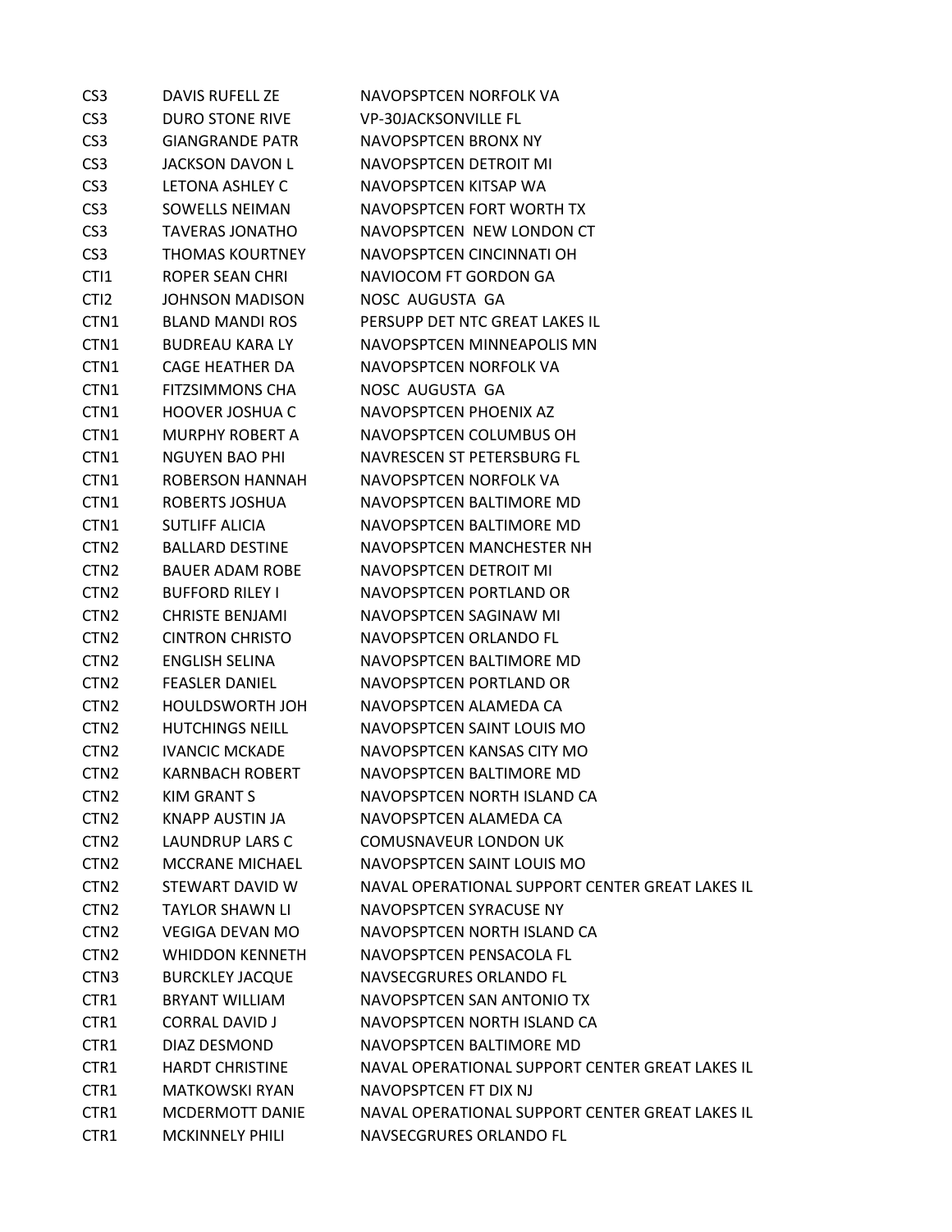| CS <sub>3</sub>  | DAVIS RUFELL ZE        | NAVOPSPTCEN NORFOLK VA                          |
|------------------|------------------------|-------------------------------------------------|
| CS <sub>3</sub>  | <b>DURO STONE RIVE</b> | <b>VP-30JACKSONVILLE FL</b>                     |
| CS <sub>3</sub>  | <b>GIANGRANDE PATR</b> | NAVOPSPTCEN BRONX NY                            |
| CS <sub>3</sub>  | <b>JACKSON DAVON L</b> | NAVOPSPTCEN DETROIT MI                          |
| CS <sub>3</sub>  | LETONA ASHLEY C        | NAVOPSPTCEN KITSAP WA                           |
| CS <sub>3</sub>  | <b>SOWELLS NEIMAN</b>  | NAVOPSPTCEN FORT WORTH TX                       |
| CS <sub>3</sub>  | <b>TAVERAS JONATHO</b> | NAVOPSPTCEN NEW LONDON CT                       |
| CS <sub>3</sub>  | <b>THOMAS KOURTNEY</b> | NAVOPSPTCEN CINCINNATI OH                       |
| CT <sub>1</sub>  | ROPER SEAN CHRI        | NAVIOCOM FT GORDON GA                           |
| CTI <sub>2</sub> | <b>JOHNSON MADISON</b> | NOSC AUGUSTA GA                                 |
| CTN1             | <b>BLAND MANDI ROS</b> | PERSUPP DET NTC GREAT LAKES IL                  |
| CTN <sub>1</sub> | <b>BUDREAU KARA LY</b> | NAVOPSPTCEN MINNEAPOLIS MN                      |
| CTN1             | CAGE HEATHER DA        | NAVOPSPTCEN NORFOLK VA                          |
| CTN <sub>1</sub> | <b>FITZSIMMONS CHA</b> | NOSC AUGUSTA GA                                 |
| CTN1             | <b>HOOVER JOSHUA C</b> | NAVOPSPTCEN PHOENIX AZ                          |
| CTN1             | <b>MURPHY ROBERT A</b> | NAVOPSPTCEN COLUMBUS OH                         |
| CTN <sub>1</sub> | <b>NGUYEN BAO PHI</b>  | NAVRESCEN ST PETERSBURG FL                      |
| CTN1             | <b>ROBERSON HANNAH</b> | NAVOPSPTCEN NORFOLK VA                          |
| CTN <sub>1</sub> | ROBERTS JOSHUA         | NAVOPSPTCEN BALTIMORE MD                        |
| CTN1             | <b>SUTLIFF ALICIA</b>  | NAVOPSPTCEN BALTIMORE MD                        |
| CTN <sub>2</sub> | <b>BALLARD DESTINE</b> | NAVOPSPTCEN MANCHESTER NH                       |
| CTN <sub>2</sub> | <b>BAUER ADAM ROBE</b> | NAVOPSPTCEN DETROIT MI                          |
| CTN <sub>2</sub> | <b>BUFFORD RILEY I</b> | NAVOPSPTCEN PORTLAND OR                         |
| CTN <sub>2</sub> | <b>CHRISTE BENJAMI</b> | NAVOPSPTCEN SAGINAW MI                          |
| CTN <sub>2</sub> | <b>CINTRON CHRISTO</b> | NAVOPSPTCEN ORLANDO FL                          |
| CTN <sub>2</sub> | <b>ENGLISH SELINA</b>  | NAVOPSPTCEN BALTIMORE MD                        |
| CTN <sub>2</sub> | <b>FEASLER DANIEL</b>  | NAVOPSPTCEN PORTLAND OR                         |
| CTN <sub>2</sub> | HOULDSWORTH JOH        | NAVOPSPTCEN ALAMEDA CA                          |
| CTN <sub>2</sub> | <b>HUTCHINGS NEILL</b> | NAVOPSPTCEN SAINT LOUIS MO                      |
| CTN <sub>2</sub> | <b>IVANCIC MCKADE</b>  | NAVOPSPTCEN KANSAS CITY MO                      |
| CTN <sub>2</sub> | <b>KARNBACH ROBERT</b> | NAVOPSPTCEN BALTIMORE MD                        |
| CTN <sub>2</sub> | <b>KIM GRANT S</b>     | NAVOPSPTCEN NORTH ISLAND CA                     |
| CTN <sub>2</sub> | KNAPP AUSTIN JA        | NAVOPSPTCEN ALAMEDA CA                          |
| CTN <sub>2</sub> | LAUNDRUP LARS C        | <b>COMUSNAVEUR LONDON UK</b>                    |
| CTN <sub>2</sub> | <b>MCCRANE MICHAEL</b> | NAVOPSPTCEN SAINT LOUIS MO                      |
| CTN <sub>2</sub> | STEWART DAVID W        | NAVAL OPERATIONAL SUPPORT CENTER GREAT LAKES IL |
| CTN <sub>2</sub> | <b>TAYLOR SHAWN LI</b> | NAVOPSPTCEN SYRACUSE NY                         |
| CTN <sub>2</sub> | VEGIGA DEVAN MO        | NAVOPSPTCEN NORTH ISLAND CA                     |
| CTN <sub>2</sub> | <b>WHIDDON KENNETH</b> | NAVOPSPTCEN PENSACOLA FL                        |
| CTN <sub>3</sub> | <b>BURCKLEY JACQUE</b> | NAVSECGRURES ORLANDO FL                         |
| CTR1             | <b>BRYANT WILLIAM</b>  | NAVOPSPTCEN SAN ANTONIO TX                      |
| CTR1             | <b>CORRAL DAVID J</b>  | NAVOPSPTCEN NORTH ISLAND CA                     |
| CTR1             | DIAZ DESMOND           | NAVOPSPTCEN BALTIMORE MD                        |
| CTR1             | <b>HARDT CHRISTINE</b> | NAVAL OPERATIONAL SUPPORT CENTER GREAT LAKES IL |
| CTR1             | <b>MATKOWSKI RYAN</b>  | NAVOPSPTCEN FT DIX NJ                           |
| CTR1             | <b>MCDERMOTT DANIE</b> | NAVAL OPERATIONAL SUPPORT CENTER GREAT LAKES IL |
| CTR1             | <b>MCKINNELY PHILI</b> | NAVSECGRURES ORLANDO FL                         |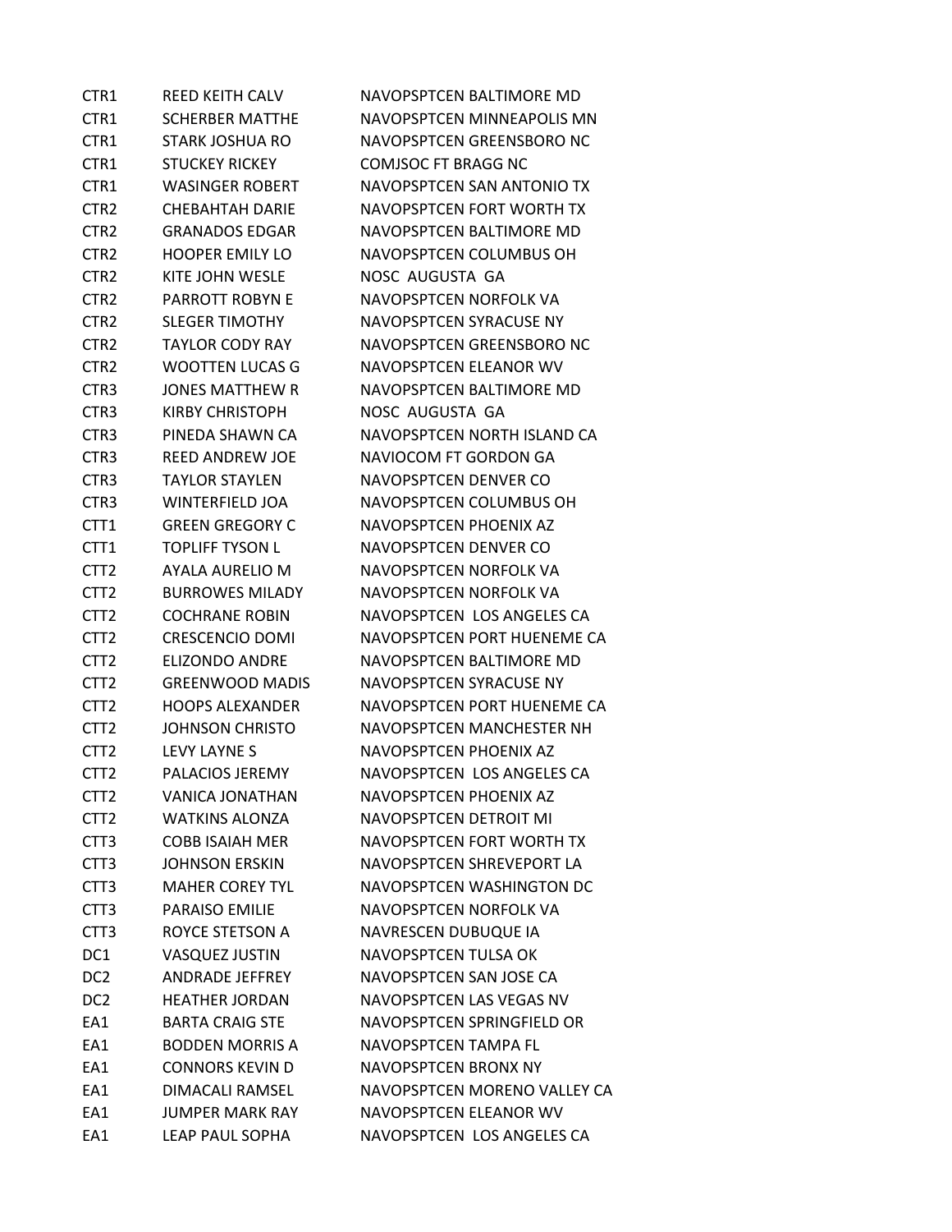| CTR1             | <b>REED KEITH CALV</b> | NAVOPSPTCEN BALTIMORE MD     |
|------------------|------------------------|------------------------------|
| CTR <sub>1</sub> | <b>SCHERBER MATTHE</b> | NAVOPSPTCEN MINNEAPOLIS MN   |
| CTR <sub>1</sub> | STARK JOSHUA RO        | NAVOPSPTCEN GREENSBORO NC    |
| CTR1             | <b>STUCKEY RICKEY</b>  | <b>COMJSOC FT BRAGG NC</b>   |
| CTR1             | <b>WASINGER ROBERT</b> | NAVOPSPTCEN SAN ANTONIO TX   |
| CTR <sub>2</sub> | CHEBAHTAH DARIE        | NAVOPSPTCEN FORT WORTH TX    |
| CTR <sub>2</sub> | GRANADOS EDGAR         | NAVOPSPTCEN BALTIMORE MD     |
| CTR <sub>2</sub> | <b>HOOPER EMILY LO</b> | NAVOPSPTCEN COLUMBUS OH      |
| CTR <sub>2</sub> | KITE JOHN WESLE        | NOSC AUGUSTA GA              |
| CTR <sub>2</sub> | PARROTT ROBYN E        | NAVOPSPTCEN NORFOLK VA       |
| CTR <sub>2</sub> | <b>SLEGER TIMOTHY</b>  | NAVOPSPTCEN SYRACUSE NY      |
| CTR <sub>2</sub> | <b>TAYLOR CODY RAY</b> | NAVOPSPTCEN GREENSBORO NC    |
| CTR <sub>2</sub> | <b>WOOTTEN LUCAS G</b> | NAVOPSPTCEN ELEANOR WV       |
| CTR <sub>3</sub> | <b>JONES MATTHEW R</b> | NAVOPSPTCEN BALTIMORE MD     |
| CTR <sub>3</sub> | <b>KIRBY CHRISTOPH</b> | NOSC AUGUSTA GA              |
| CTR <sub>3</sub> | PINEDA SHAWN CA        | NAVOPSPTCEN NORTH ISLAND CA  |
| CTR <sub>3</sub> | <b>REED ANDREW JOE</b> | NAVIOCOM FT GORDON GA        |
| CTR <sub>3</sub> | <b>TAYLOR STAYLEN</b>  | NAVOPSPTCEN DENVER CO        |
| CTR <sub>3</sub> | WINTERFIELD JOA        | NAVOPSPTCEN COLUMBUS OH      |
| CTT <sub>1</sub> | <b>GREEN GREGORY C</b> | NAVOPSPTCEN PHOENIX AZ       |
| CTT <sub>1</sub> | <b>TOPLIFF TYSON L</b> | NAVOPSPTCEN DENVER CO        |
| CTT <sub>2</sub> | AYALA AURELIO M        | NAVOPSPTCEN NORFOLK VA       |
| CTT2             | <b>BURROWES MILADY</b> | NAVOPSPTCEN NORFOLK VA       |
| CTT <sub>2</sub> | <b>COCHRANE ROBIN</b>  | NAVOPSPTCEN LOS ANGELES CA   |
| CTT <sub>2</sub> | <b>CRESCENCIO DOMI</b> | NAVOPSPTCEN PORT HUENEME CA  |
| CTT <sub>2</sub> | <b>ELIZONDO ANDRE</b>  | NAVOPSPTCEN BALTIMORE MD     |
| CTT <sub>2</sub> | <b>GREENWOOD MADIS</b> | NAVOPSPTCEN SYRACUSE NY      |
| CTT <sub>2</sub> | <b>HOOPS ALEXANDER</b> | NAVOPSPTCEN PORT HUENEME CA  |
| CTT <sub>2</sub> | <b>JOHNSON CHRISTO</b> | NAVOPSPTCEN MANCHESTER NH    |
| CTT <sub>2</sub> | LEVY LAYNE S           | NAVOPSPTCEN PHOENIX AZ       |
| CTT <sub>2</sub> | <b>PALACIOS JEREMY</b> | NAVOPSPTCEN LOS ANGELES CA   |
| CTT <sub>2</sub> | <b>VANICA JONATHAN</b> | NAVOPSPTCEN PHOENIX AZ       |
| CTT <sub>2</sub> | <b>WATKINS ALONZA</b>  | NAVOPSPTCEN DETROIT MI       |
| CTT3             | <b>COBB ISAIAH MER</b> | NAVOPSPTCEN FORT WORTH TX    |
| CTT <sub>3</sub> | <b>JOHNSON ERSKIN</b>  | NAVOPSPTCEN SHREVEPORT LA    |
| CTT <sub>3</sub> | <b>MAHER COREY TYL</b> | NAVOPSPTCEN WASHINGTON DC    |
| CTT <sub>3</sub> | <b>PARAISO EMILIE</b>  | NAVOPSPTCEN NORFOLK VA       |
| CTT3             | ROYCE STETSON A        | NAVRESCEN DUBUQUE IA         |
| DC1              | VASQUEZ JUSTIN         | NAVOPSPTCEN TULSA OK         |
| DC <sub>2</sub>  | <b>ANDRADE JEFFREY</b> | NAVOPSPTCEN SAN JOSE CA      |
| DC <sub>2</sub>  | <b>HEATHER JORDAN</b>  | NAVOPSPTCEN LAS VEGAS NV     |
| EA1              | <b>BARTA CRAIG STE</b> | NAVOPSPTCEN SPRINGFIELD OR   |
| EA1              | <b>BODDEN MORRIS A</b> | NAVOPSPTCEN TAMPA FL         |
| EA1              | <b>CONNORS KEVIN D</b> | NAVOPSPTCEN BRONX NY         |
| EA1              | DIMACALI RAMSEL        | NAVOPSPTCEN MORENO VALLEY CA |
| EA1              | <b>JUMPER MARK RAY</b> | NAVOPSPTCEN ELEANOR WV       |
| EA1              | LEAP PAUL SOPHA        | NAVOPSPTCEN LOS ANGELES CA   |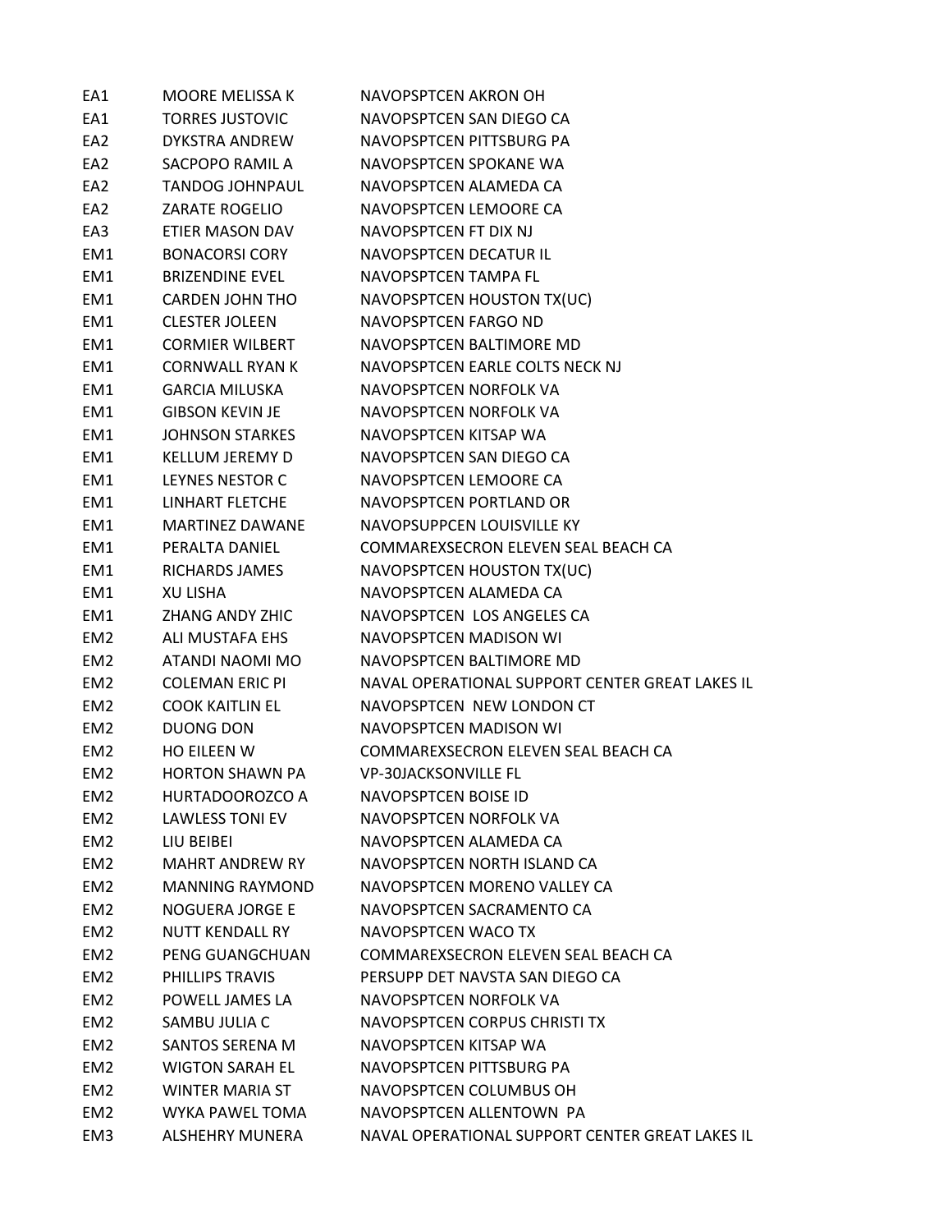| EA1             | <b>MOORE MELISSA K</b> | <b>NAVOPSPTCEN AKRON OH</b>                     |
|-----------------|------------------------|-------------------------------------------------|
| EA1             | <b>TORRES JUSTOVIC</b> | NAVOPSPTCEN SAN DIEGO CA                        |
| EA2             | DYKSTRA ANDREW         | NAVOPSPTCEN PITTSBURG PA                        |
| EA2             | SACPOPO RAMIL A        | NAVOPSPTCEN SPOKANE WA                          |
| EA2             | <b>TANDOG JOHNPAUL</b> | NAVOPSPTCEN ALAMEDA CA                          |
| EA2             | <b>ZARATE ROGELIO</b>  | NAVOPSPTCEN LEMOORE CA                          |
| EA3             | ETIER MASON DAV        | NAVOPSPTCEN FT DIX NJ                           |
| EM1             | <b>BONACORSI CORY</b>  | NAVOPSPTCEN DECATUR IL                          |
| EM1             | <b>BRIZENDINE EVEL</b> | NAVOPSPTCEN TAMPA FL                            |
| EM1             | <b>CARDEN JOHN THO</b> | NAVOPSPTCEN HOUSTON TX(UC)                      |
| EM1             | <b>CLESTER JOLEEN</b>  | NAVOPSPTCEN FARGO ND                            |
| EM1             | <b>CORMIER WILBERT</b> | NAVOPSPTCEN BALTIMORE MD                        |
| EM1             | <b>CORNWALL RYAN K</b> | NAVOPSPTCEN EARLE COLTS NECK NJ                 |
| EM1             | <b>GARCIA MILUSKA</b>  | NAVOPSPTCEN NORFOLK VA                          |
| EM1             | <b>GIBSON KEVIN JE</b> | NAVOPSPTCEN NORFOLK VA                          |
| EM1             | <b>JOHNSON STARKES</b> | NAVOPSPTCEN KITSAP WA                           |
| EM1             | <b>KELLUM JEREMY D</b> | NAVOPSPTCEN SAN DIEGO CA                        |
| EM1             | LEYNES NESTOR C        | NAVOPSPTCEN LEMOORE CA                          |
| EM1             | LINHART FLETCHE        | NAVOPSPTCEN PORTLAND OR                         |
| EM1             | <b>MARTINEZ DAWANE</b> | NAVOPSUPPCEN LOUISVILLE KY                      |
| EM1             | PERALTA DANIEL         | COMMAREXSECRON ELEVEN SEAL BEACH CA             |
| EM1             | RICHARDS JAMES         | NAVOPSPTCEN HOUSTON TX(UC)                      |
| EM1             | XU LISHA               | NAVOPSPTCEN ALAMEDA CA                          |
| EM1             | ZHANG ANDY ZHIC        | NAVOPSPTCEN LOS ANGELES CA                      |
| EM <sub>2</sub> | ALI MUSTAFA EHS        | NAVOPSPTCEN MADISON WI                          |
| EM <sub>2</sub> | ATANDI NAOMI MO        | NAVOPSPTCEN BALTIMORE MD                        |
| EM2             | <b>COLEMAN ERIC PI</b> | NAVAL OPERATIONAL SUPPORT CENTER GREAT LAKES IL |
| EM <sub>2</sub> | <b>COOK KAITLIN EL</b> | NAVOPSPTCEN NEW LONDON CT                       |
| EM <sub>2</sub> | <b>DUONG DON</b>       | NAVOPSPTCEN MADISON WI                          |
| EM <sub>2</sub> | <b>HO EILEEN W</b>     | COMMAREXSECRON ELEVEN SEAL BEACH CA             |
| EM <sub>2</sub> | <b>HORTON SHAWN PA</b> | <b>VP-30JACKSONVILLE FL</b>                     |
| EM <sub>2</sub> | HURTADOOROZCO A        | NAVOPSPTCEN BOISE ID                            |
| EM <sub>2</sub> | <b>LAWLESS TONI EV</b> | NAVOPSPTCEN NORFOLK VA                          |
| EM <sub>2</sub> | LIU BEIBEI             | NAVOPSPTCEN ALAMEDA CA                          |
| EM <sub>2</sub> | <b>MAHRT ANDREW RY</b> | NAVOPSPTCEN NORTH ISLAND CA                     |
| EM <sub>2</sub> | <b>MANNING RAYMOND</b> | NAVOPSPTCEN MORENO VALLEY CA                    |
| EM <sub>2</sub> | <b>NOGUERA JORGE E</b> | NAVOPSPTCEN SACRAMENTO CA                       |
| EM <sub>2</sub> | <b>NUTT KENDALL RY</b> | NAVOPSPTCEN WACO TX                             |
| EM <sub>2</sub> | PENG GUANGCHUAN        | COMMAREXSECRON ELEVEN SEAL BEACH CA             |
| EM <sub>2</sub> | PHILLIPS TRAVIS        | PERSUPP DET NAVSTA SAN DIEGO CA                 |
| EM <sub>2</sub> | POWELL JAMES LA        | NAVOPSPTCEN NORFOLK VA                          |
| EM <sub>2</sub> | SAMBU JULIA C          | NAVOPSPTCEN CORPUS CHRISTI TX                   |
| EM <sub>2</sub> | SANTOS SERENA M        | NAVOPSPTCEN KITSAP WA                           |
| EM <sub>2</sub> | <b>WIGTON SARAH EL</b> | NAVOPSPTCEN PITTSBURG PA                        |
| EM <sub>2</sub> | <b>WINTER MARIA ST</b> | NAVOPSPTCEN COLUMBUS OH                         |
| EM <sub>2</sub> | WYKA PAWEL TOMA        | NAVOPSPTCEN ALLENTOWN PA                        |
| EM3             | ALSHEHRY MUNERA        | NAVAL OPERATIONAL SUPPORT CENTER GREAT LAKES IL |
|                 |                        |                                                 |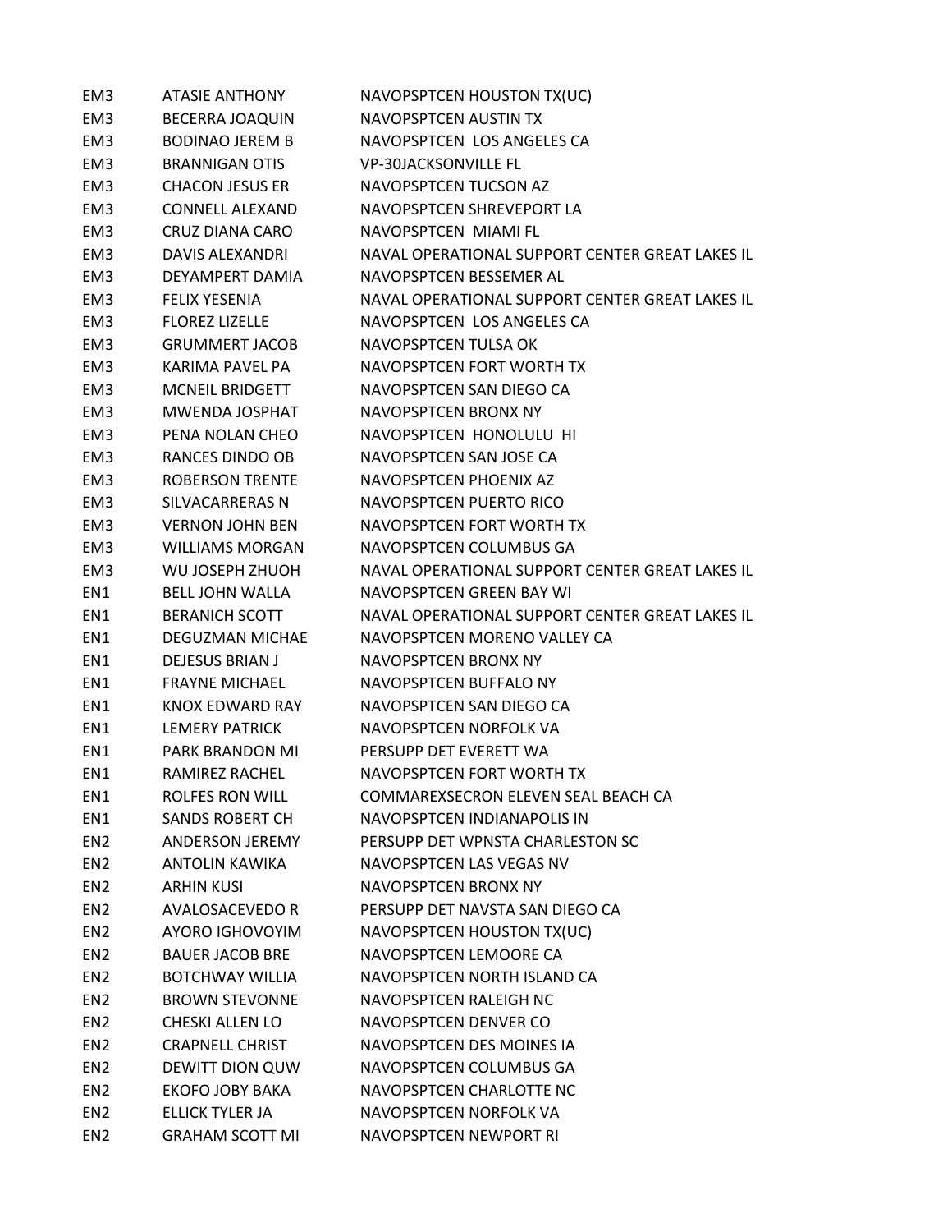| EM <sub>3</sub> | <b>ATASIE ANTHONY</b>  | NAVOPSPTCEN HOUSTON TX(UC)                      |
|-----------------|------------------------|-------------------------------------------------|
| EM <sub>3</sub> | <b>BECERRA JOAQUIN</b> | NAVOPSPTCEN AUSTIN TX                           |
| EM3             | <b>BODINAO JEREM B</b> | NAVOPSPTCEN LOS ANGELES CA                      |
| EM3             | <b>BRANNIGAN OTIS</b>  | <b>VP-30JACKSONVILLE FL</b>                     |
| EM3             | <b>CHACON JESUS ER</b> | NAVOPSPTCEN TUCSON AZ                           |
| EM3             | <b>CONNELL ALEXAND</b> | NAVOPSPTCEN SHREVEPORT LA                       |
| EM3             | CRUZ DIANA CARO        | NAVOPSPTCEN MIAMI FL                            |
| EM <sub>3</sub> | DAVIS ALEXANDRI        | NAVAL OPERATIONAL SUPPORT CENTER GREAT LAKES IL |
| EM3             | DEYAMPERT DAMIA        | NAVOPSPTCEN BESSEMER AL                         |
| EM <sub>3</sub> | <b>FELIX YESENIA</b>   | NAVAL OPERATIONAL SUPPORT CENTER GREAT LAKES IL |
| EM3             | <b>FLOREZ LIZELLE</b>  | NAVOPSPTCEN LOS ANGELES CA                      |
| EM3             | <b>GRUMMERT JACOB</b>  | NAVOPSPTCEN TULSA OK                            |
| EM3             | KARIMA PAVEL PA        | NAVOPSPTCEN FORT WORTH TX                       |
| EM3             | <b>MCNEIL BRIDGETT</b> | NAVOPSPTCEN SAN DIEGO CA                        |
| EM <sub>3</sub> | <b>MWENDA JOSPHAT</b>  | NAVOPSPTCEN BRONX NY                            |
| EM3             | PENA NOLAN CHEO        | NAVOPSPTCEN HONOLULU HI                         |
| EM3             | RANCES DINDO OB        | NAVOPSPTCEN SAN JOSE CA                         |
| EM3             | <b>ROBERSON TRENTE</b> | NAVOPSPTCEN PHOENIX AZ                          |
| EM3             | SILVACARRERAS N        | NAVOPSPTCEN PUERTO RICO                         |
| EM3             | <b>VERNON JOHN BEN</b> | NAVOPSPTCEN FORT WORTH TX                       |
| EM3             | <b>WILLIAMS MORGAN</b> | NAVOPSPTCEN COLUMBUS GA                         |
| EM3             | WU JOSEPH ZHUOH        | NAVAL OPERATIONAL SUPPORT CENTER GREAT LAKES IL |
| EN1             | <b>BELL JOHN WALLA</b> | NAVOPSPTCEN GREEN BAY WI                        |
| EN1             | <b>BERANICH SCOTT</b>  | NAVAL OPERATIONAL SUPPORT CENTER GREAT LAKES IL |
| EN1             | <b>DEGUZMAN MICHAE</b> | NAVOPSPTCEN MORENO VALLEY CA                    |
| EN1             | <b>DEJESUS BRIAN J</b> | NAVOPSPTCEN BRONX NY                            |
| EN1             | <b>FRAYNE MICHAEL</b>  | NAVOPSPTCEN BUFFALO NY                          |
| EN1             | KNOX EDWARD RAY        | NAVOPSPTCEN SAN DIEGO CA                        |
| EN1             | <b>LEMERY PATRICK</b>  | NAVOPSPTCEN NORFOLK VA                          |
| EN1             | PARK BRANDON MI        | PERSUPP DET EVERETT WA                          |
| EN1             | RAMIREZ RACHEL         | NAVOPSPTCEN FORT WORTH TX                       |
| EN1             | <b>ROLFES RON WILL</b> | COMMAREXSECRON ELEVEN SEAL BEACH CA             |
| EN1             | <b>SANDS ROBERT CH</b> | NAVOPSPTCEN INDIANAPOLIS IN                     |
| EN <sub>2</sub> | ANDERSON JEREMY        | PERSUPP DET WPNSTA CHARLESTON SC                |
| EN <sub>2</sub> | ANTOLIN KAWIKA         | NAVOPSPTCEN LAS VEGAS NV                        |
| EN <sub>2</sub> | <b>ARHIN KUSI</b>      | NAVOPSPTCEN BRONX NY                            |
| EN <sub>2</sub> | AVALOSACEVEDO R        | PERSUPP DET NAVSTA SAN DIEGO CA                 |
| EN <sub>2</sub> | AYORO IGHOVOYIM        | NAVOPSPTCEN HOUSTON TX(UC)                      |
| EN <sub>2</sub> | <b>BAUER JACOB BRE</b> | NAVOPSPTCEN LEMOORE CA                          |
| EN <sub>2</sub> | <b>BOTCHWAY WILLIA</b> | NAVOPSPTCEN NORTH ISLAND CA                     |
| EN <sub>2</sub> | <b>BROWN STEVONNE</b>  | NAVOPSPTCEN RALEIGH NC                          |
| EN <sub>2</sub> | <b>CHESKI ALLEN LO</b> | NAVOPSPTCEN DENVER CO                           |
| EN <sub>2</sub> | <b>CRAPNELL CHRIST</b> | NAVOPSPTCEN DES MOINES IA                       |
| EN <sub>2</sub> | DEWITT DION QUW        | NAVOPSPTCEN COLUMBUS GA                         |
| EN <sub>2</sub> | EKOFO JOBY BAKA        | NAVOPSPTCEN CHARLOTTE NC                        |
| EN <sub>2</sub> | ELLICK TYLER JA        | NAVOPSPTCEN NORFOLK VA                          |
| EN <sub>2</sub> | <b>GRAHAM SCOTT MI</b> | NAVOPSPTCEN NEWPORT RI                          |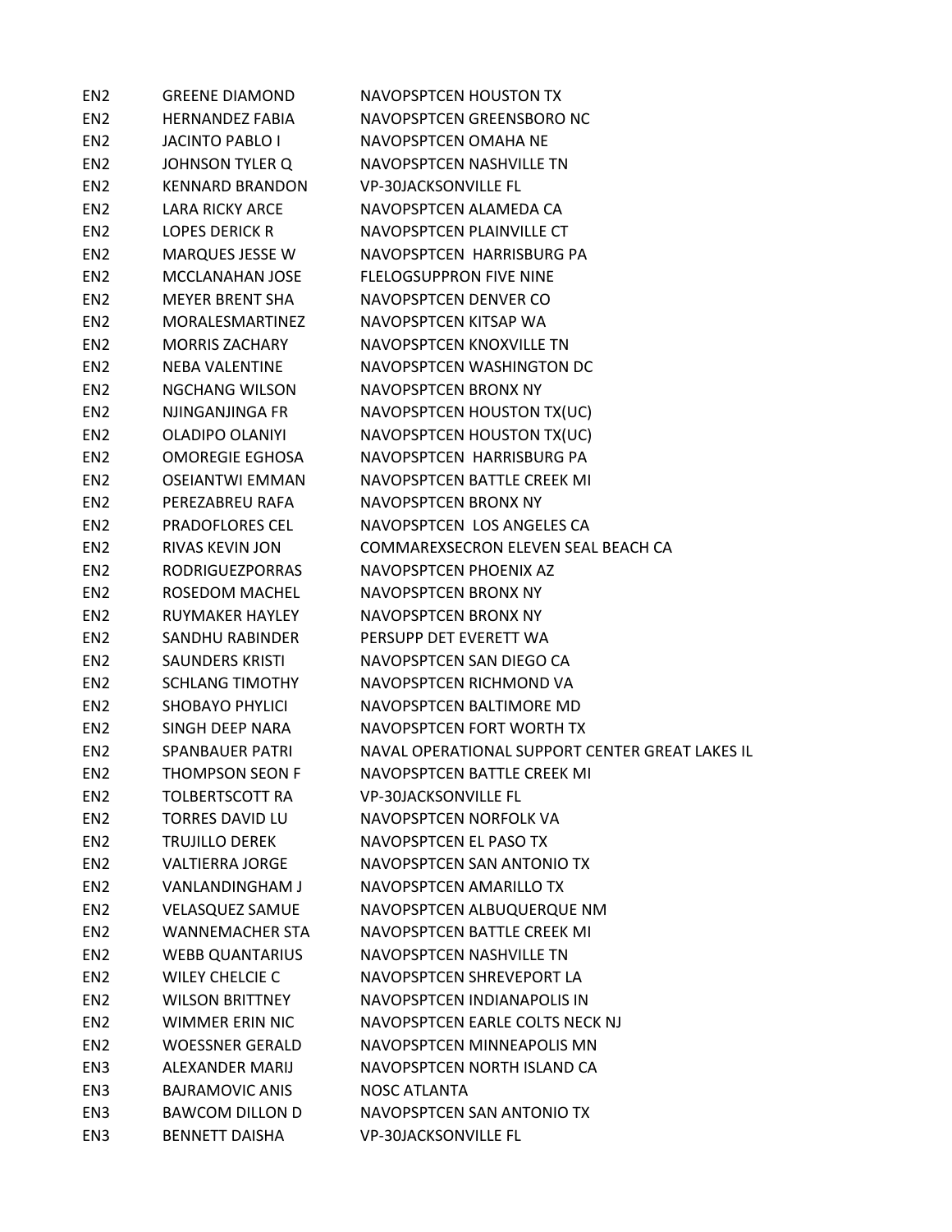| EN <sub>2</sub> | <b>GREENE DIAMOND</b>  | <b>NAVOPSPTCEN HOUSTON TX</b>                   |
|-----------------|------------------------|-------------------------------------------------|
| EN <sub>2</sub> | <b>HERNANDEZ FABIA</b> | NAVOPSPTCEN GREENSBORO NC                       |
| EN <sub>2</sub> | <b>JACINTO PABLO I</b> | NAVOPSPTCEN OMAHA NE                            |
| EN <sub>2</sub> | <b>JOHNSON TYLER Q</b> | NAVOPSPTCEN NASHVILLE TN                        |
| EN <sub>2</sub> | <b>KENNARD BRANDON</b> | <b>VP-30JACKSONVILLE FL</b>                     |
| EN <sub>2</sub> | <b>LARA RICKY ARCE</b> | NAVOPSPTCEN ALAMEDA CA                          |
| EN <sub>2</sub> | <b>LOPES DERICK R</b>  | NAVOPSPTCEN PLAINVILLE CT                       |
| EN <sub>2</sub> | <b>MARQUES JESSE W</b> | NAVOPSPTCEN HARRISBURG PA                       |
| EN <sub>2</sub> | MCCLANAHAN JOSE        | <b>FLELOGSUPPRON FIVE NINE</b>                  |
| EN <sub>2</sub> | <b>MEYER BRENT SHA</b> | NAVOPSPTCEN DENVER CO                           |
| EN <sub>2</sub> | <b>MORALESMARTINEZ</b> | NAVOPSPTCEN KITSAP WA                           |
| EN <sub>2</sub> | <b>MORRIS ZACHARY</b>  | NAVOPSPTCEN KNOXVILLE TN                        |
| EN <sub>2</sub> | <b>NEBA VALENTINE</b>  | NAVOPSPTCEN WASHINGTON DC                       |
| EN <sub>2</sub> | <b>NGCHANG WILSON</b>  | NAVOPSPTCEN BRONX NY                            |
| EN <sub>2</sub> | NJINGANJINGA FR        | NAVOPSPTCEN HOUSTON TX(UC)                      |
| EN <sub>2</sub> | <b>OLADIPO OLANIYI</b> | NAVOPSPTCEN HOUSTON TX(UC)                      |
| EN <sub>2</sub> | <b>OMOREGIE EGHOSA</b> | NAVOPSPTCEN HARRISBURG PA                       |
| EN <sub>2</sub> | <b>OSEIANTWI EMMAN</b> | NAVOPSPTCEN BATTLE CREEK MI                     |
| EN <sub>2</sub> | PEREZABREU RAFA        | NAVOPSPTCEN BRONX NY                            |
| EN <sub>2</sub> | <b>PRADOFLORES CEL</b> | NAVOPSPTCEN LOS ANGELES CA                      |
| EN <sub>2</sub> | <b>RIVAS KEVIN JON</b> | COMMAREXSECRON ELEVEN SEAL BEACH CA             |
| EN <sub>2</sub> | <b>RODRIGUEZPORRAS</b> | NAVOPSPTCEN PHOENIX AZ                          |
| EN <sub>2</sub> | ROSEDOM MACHEL         | NAVOPSPTCEN BRONX NY                            |
| EN <sub>2</sub> | RUYMAKER HAYLEY        | NAVOPSPTCEN BRONX NY                            |
| EN <sub>2</sub> | SANDHU RABINDER        | PERSUPP DET EVERETT WA                          |
| EN <sub>2</sub> | <b>SAUNDERS KRISTI</b> | NAVOPSPTCEN SAN DIEGO CA                        |
| EN <sub>2</sub> | <b>SCHLANG TIMOTHY</b> | NAVOPSPTCEN RICHMOND VA                         |
| EN <sub>2</sub> | <b>SHOBAYO PHYLICI</b> | NAVOPSPTCEN BALTIMORE MD                        |
| EN <sub>2</sub> | SINGH DEEP NARA        | NAVOPSPTCEN FORT WORTH TX                       |
| EN <sub>2</sub> | <b>SPANBAUER PATRI</b> | NAVAL OPERATIONAL SUPPORT CENTER GREAT LAKES IL |
| EN <sub>2</sub> | <b>THOMPSON SEON F</b> | NAVOPSPTCEN BATTLE CREEK MI                     |
| EN <sub>2</sub> | <b>TOLBERTSCOTT RA</b> | <b>VP-30JACKSONVILLE FL</b>                     |
| EN <sub>2</sub> | <b>TORRES DAVID LU</b> | NAVOPSPTCEN NORFOLK VA                          |
| EN <sub>2</sub> | <b>TRUJILLO DEREK</b>  | NAVOPSPTCEN EL PASO TX                          |
| EN <sub>2</sub> | <b>VALTIERRA JORGE</b> | NAVOPSPTCEN SAN ANTONIO TX                      |
| EN <sub>2</sub> | VANLANDINGHAM J        | NAVOPSPTCEN AMARILLO TX                         |
| EN <sub>2</sub> | <b>VELASQUEZ SAMUE</b> | NAVOPSPTCEN ALBUQUERQUE NM                      |
| EN <sub>2</sub> | <b>WANNEMACHER STA</b> | NAVOPSPTCEN BATTLE CREEK MI                     |
| EN <sub>2</sub> | <b>WEBB QUANTARIUS</b> | NAVOPSPTCEN NASHVILLE TN                        |
| EN <sub>2</sub> | <b>WILEY CHELCIE C</b> | NAVOPSPTCEN SHREVEPORT LA                       |
| EN <sub>2</sub> | <b>WILSON BRITTNEY</b> | NAVOPSPTCEN INDIANAPOLIS IN                     |
| EN <sub>2</sub> | <b>WIMMER ERIN NIC</b> | NAVOPSPTCEN EARLE COLTS NECK NJ                 |
| EN <sub>2</sub> | <b>WOESSNER GERALD</b> | NAVOPSPTCEN MINNEAPOLIS MN                      |
| EN3             | ALEXANDER MARIJ        | NAVOPSPTCEN NORTH ISLAND CA                     |
| EN3             | <b>BAJRAMOVIC ANIS</b> | <b>NOSC ATLANTA</b>                             |
| EN <sub>3</sub> | <b>BAWCOM DILLON D</b> | NAVOPSPTCEN SAN ANTONIO TX                      |
| EN <sub>3</sub> | <b>BENNETT DAISHA</b>  | <b>VP-30JACKSONVILLE FL</b>                     |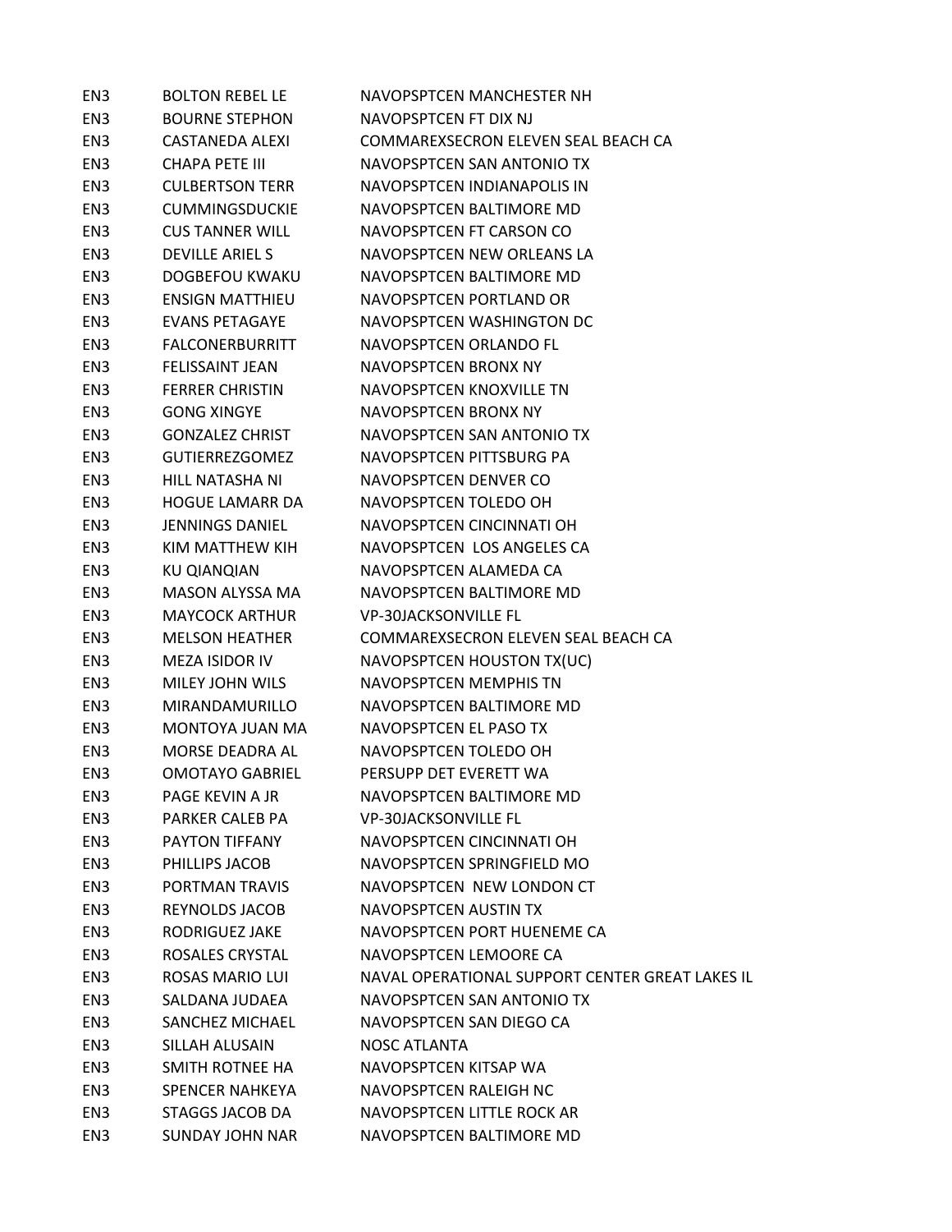| EN <sub>3</sub> | <b>BOLTON REBEL LE</b> | NAVOPSPTCEN MANCHESTER NH                       |
|-----------------|------------------------|-------------------------------------------------|
| EN <sub>3</sub> | <b>BOURNE STEPHON</b>  | NAVOPSPTCFN FT DIX NJ                           |
| EN <sub>3</sub> | CASTANEDA ALEXI        | COMMAREXSECRON ELEVEN SEAL BEACH CA             |
| EN3             | CHAPA PETE III         | NAVOPSPTCEN SAN ANTONIO TX                      |
| EN <sub>3</sub> | <b>CULBERTSON TERR</b> | NAVOPSPTCEN INDIANAPOLIS IN                     |
| EN3             | <b>CUMMINGSDUCKIE</b>  | NAVOPSPTCEN BALTIMORE MD                        |
| EN3             | <b>CUS TANNER WILL</b> | NAVOPSPTCEN FT CARSON CO                        |
| EN3             | <b>DEVILLE ARIELS</b>  | NAVOPSPTCEN NEW ORLEANS LA                      |
| EN3             | DOGBEFOU KWAKU         | NAVOPSPTCEN BALTIMORE MD                        |
| EN3             | <b>ENSIGN MATTHIEU</b> | NAVOPSPTCFN PORTLAND OR                         |
| EN3             | <b>EVANS PETAGAYE</b>  | NAVOPSPTCEN WASHINGTON DC                       |
| EN3             | FALCONERBURRITT        | NAVOPSPTCEN ORLANDO FL                          |
| EN3             | FELISSAINT JEAN        | NAVOPSPTCEN BRONX NY                            |
| EN <sub>3</sub> | <b>FERRER CHRISTIN</b> | NAVOPSPTCEN KNOXVILLE TN                        |
| EN <sub>3</sub> | <b>GONG XINGYE</b>     | NAVOPSPTCEN BRONX NY                            |
| EN3             | <b>GONZALEZ CHRIST</b> | NAVOPSPTCEN SAN ANTONIO TX                      |
| EN3             | GUTIERREZGOMEZ         | NAVOPSPTCEN PITTSBURG PA                        |
| EN3             | HILL NATASHA NI        | NAVOPSPTCEN DENVER CO                           |
| EN <sub>3</sub> | <b>HOGUE LAMARR DA</b> | NAVOPSPTCEN TOLEDO OH                           |
| EN3             | <b>JENNINGS DANIEL</b> | NAVOPSPTCEN CINCINNATI OH                       |
| EN <sub>3</sub> | KIM MATTHEW KIH        | NAVOPSPTCEN LOS ANGELES CA                      |
| EN3             | KU QIANQIAN            | NAVOPSPTCEN ALAMEDA CA                          |
| EN <sub>3</sub> | MASON ALYSSA MA        | NAVOPSPTCEN BALTIMORE MD                        |
| EN <sub>3</sub> | <b>MAYCOCK ARTHUR</b>  | <b>VP-30JACKSONVILLE FL</b>                     |
| EN3             | <b>MELSON HEATHER</b>  | COMMAREXSECRON ELEVEN SEAL BEACH CA             |
| EN <sub>3</sub> | <b>MEZA ISIDOR IV</b>  | NAVOPSPTCEN HOUSTON TX(UC)                      |
| EN3             | MILEY JOHN WILS        | NAVOPSPTCEN MEMPHIS TN                          |
| EN <sub>3</sub> | MIRANDAMURILLO         | NAVOPSPTCEN BALTIMORE MD                        |
| EN3             | MONTOYA JUAN MA        | NAVOPSPTCEN EL PASO TX                          |
| EN <sub>3</sub> | MORSE DEADRA AL        | NAVOPSPTCEN TOLEDO OH                           |
| EN <sub>3</sub> | <b>OMOTAYO GABRIEL</b> | PERSUPP DET EVERETT WA                          |
| EN <sub>3</sub> | PAGE KEVIN A JR        | NAVOPSPTCEN BALTIMORE MD                        |
| EN <sub>3</sub> | PARKER CALEB PA        | <b>VP-30JACKSONVILLE FL</b>                     |
| EN <sub>3</sub> | PAYTON TIFFANY         | NAVOPSPTCEN CINCINNATI OH                       |
| EN3             | PHILLIPS JACOB         | NAVOPSPTCEN SPRINGFIELD MO                      |
| EN <sub>3</sub> | PORTMAN TRAVIS         | NAVOPSPTCEN NEW LONDON CT                       |
| EN <sub>3</sub> | REYNOLDS JACOB         | <b>NAVOPSPTCEN AUSTIN TX</b>                    |
| EN3             | RODRIGUEZ JAKE         | NAVOPSPTCEN PORT HUENEME CA                     |
| EN3             | ROSALES CRYSTAL        | NAVOPSPTCEN LEMOORE CA                          |
| EN <sub>3</sub> | <b>ROSAS MARIO LUI</b> | NAVAL OPERATIONAL SUPPORT CENTER GREAT LAKES IL |
| EN <sub>3</sub> | SALDANA JUDAEA         | NAVOPSPTCEN SAN ANTONIO TX                      |
| EN <sub>3</sub> | SANCHEZ MICHAEL        | NAVOPSPTCEN SAN DIEGO CA                        |
| EN3             | SILLAH ALUSAIN         | <b>NOSC ATLANTA</b>                             |
| EN3             | SMITH ROTNEE HA        | NAVOPSPTCEN KITSAP WA                           |
| EN <sub>3</sub> | <b>SPENCER NAHKEYA</b> | NAVOPSPTCEN RALEIGH NC                          |
| EN <sub>3</sub> | STAGGS JACOB DA        | NAVOPSPTCEN LITTLE ROCK AR                      |
| EN <sub>3</sub> | <b>SUNDAY JOHN NAR</b> | NAVOPSPTCEN BALTIMORE MD                        |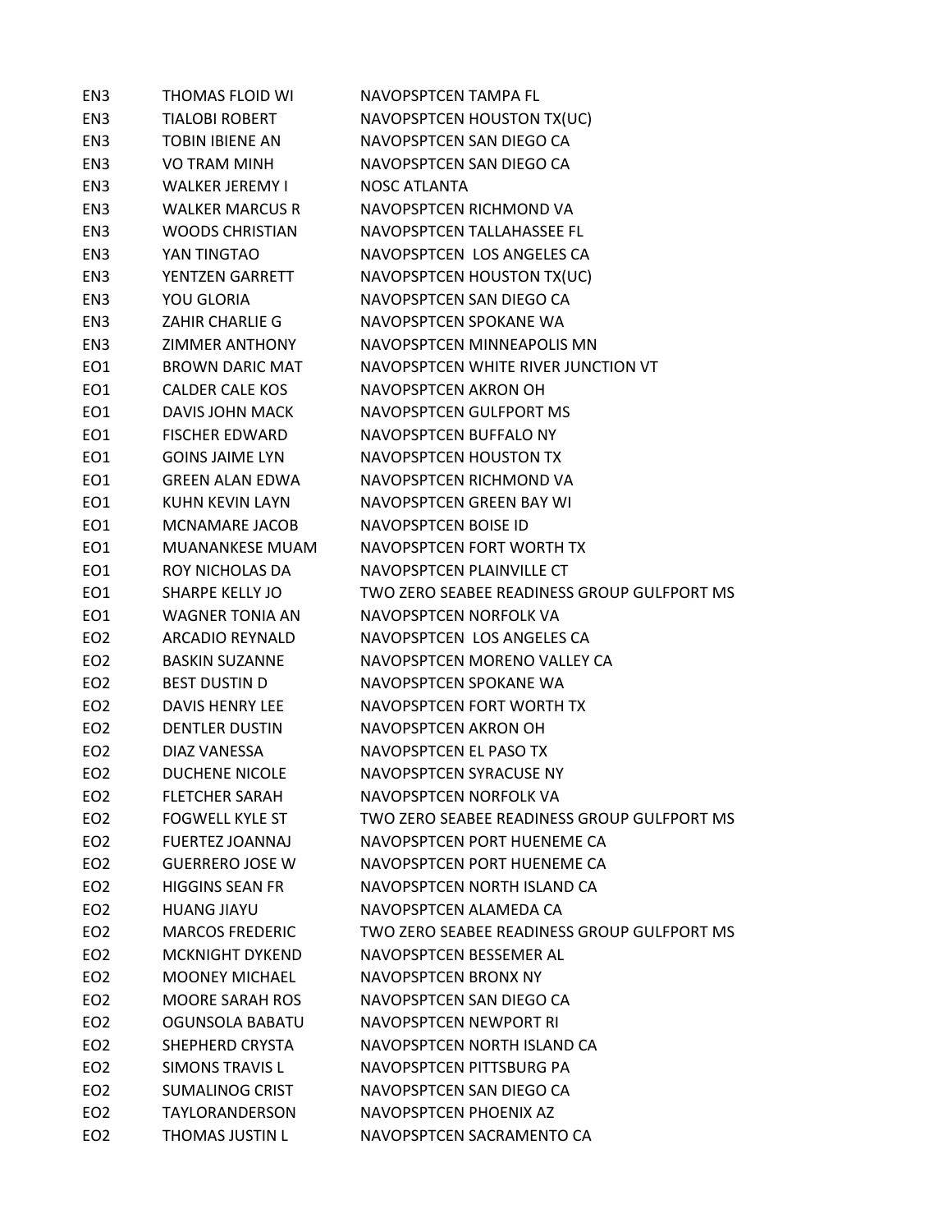| EN <sub>3</sub> | THOMAS FLOID WI        | NAVOPSPTCEN TAMPA FL                        |
|-----------------|------------------------|---------------------------------------------|
| EN <sub>3</sub> | <b>TIALOBI ROBERT</b>  | NAVOPSPTCEN HOUSTON TX(UC)                  |
| EN3             | TOBIN IBIENE AN        | NAVOPSPTCEN SAN DIEGO CA                    |
| EN3             | VO TRAM MINH           | NAVOPSPTCEN SAN DIEGO CA                    |
| EN3             | <b>WALKER JEREMY I</b> | <b>NOSC ATLANTA</b>                         |
| EN3             | <b>WALKER MARCUS R</b> | NAVOPSPTCEN RICHMOND VA                     |
| EN3             | <b>WOODS CHRISTIAN</b> | NAVOPSPTCEN TALLAHASSEE FL                  |
| EN3             | YAN TINGTAO            | NAVOPSPTCEN LOS ANGELES CA                  |
| EN3             | YENTZEN GARRETT        | NAVOPSPTCEN HOUSTON TX(UC)                  |
| EN3             | YOU GLORIA             | NAVOPSPTCEN SAN DIEGO CA                    |
| EN3             | ZAHIR CHARLIE G        | NAVOPSPTCEN SPOKANE WA                      |
| EN3             | ZIMMER ANTHONY         | NAVOPSPTCEN MINNEAPOLIS MN                  |
| EO1             | BROWN DARIC MAT        | NAVOPSPTCEN WHITE RIVER JUNCTION VT         |
| EO1             | <b>CALDER CALE KOS</b> | NAVOPSPTCEN AKRON OH                        |
| EO1             | DAVIS JOHN MACK        | NAVOPSPTCEN GULFPORT MS                     |
| EO1             | <b>FISCHER EDWARD</b>  | NAVOPSPTCEN BUFFALO NY                      |
| EO1             | <b>GOINS JAIME LYN</b> | NAVOPSPTCEN HOUSTON TX                      |
| EO1             | <b>GREEN ALAN EDWA</b> | NAVOPSPTCEN RICHMOND VA                     |
| EO1             | KUHN KEVIN LAYN        | NAVOPSPTCEN GREEN BAY WI                    |
| EO1             | MCNAMARE JACOB         | NAVOPSPTCEN BOISE ID                        |
| EO1             | MUANANKESE MUAM        | NAVOPSPTCEN FORT WORTH TX                   |
| EO1             | ROY NICHOLAS DA        | NAVOPSPTCEN PLAINVILLE CT                   |
| EO1             | SHARPE KELLY JO        | TWO ZERO SEABEE READINESS GROUP GULFPORT MS |
| EO1             | WAGNER TONIA AN        | NAVOPSPTCEN NORFOLK VA                      |
| EO <sub>2</sub> | ARCADIO REYNALD        | NAVOPSPTCEN LOS ANGELES CA                  |
| EO <sub>2</sub> | <b>BASKIN SUZANNE</b>  | NAVOPSPTCEN MORENO VALLEY CA                |
| EO <sub>2</sub> | <b>BEST DUSTIN D</b>   | NAVOPSPTCEN SPOKANE WA                      |
| EO <sub>2</sub> | DAVIS HENRY LEE        | NAVOPSPTCEN FORT WORTH TX                   |
| EO <sub>2</sub> | <b>DENTLER DUSTIN</b>  | NAVOPSPTCEN AKRON OH                        |
| EO <sub>2</sub> | DIAZ VANESSA           | NAVOPSPTCEN EL PASO TX                      |
| EO <sub>2</sub> | <b>DUCHENE NICOLE</b>  | NAVOPSPTCEN SYRACUSE NY                     |
| EO <sub>2</sub> | <b>FLETCHER SARAH</b>  | NAVOPSPTCEN NORFOLK VA                      |
| EO <sub>2</sub> | <b>FOGWELL KYLE ST</b> | TWO ZERO SEABEE READINESS GROUP GULFPORT MS |
| EO <sub>2</sub> | <b>FUERTEZ JOANNAJ</b> | NAVOPSPTCEN PORT HUENEME CA                 |
| EO <sub>2</sub> | <b>GUERRERO JOSE W</b> | NAVOPSPTCEN PORT HUENEME CA                 |
| EO <sub>2</sub> | <b>HIGGINS SEAN FR</b> | NAVOPSPTCEN NORTH ISLAND CA                 |
| EO <sub>2</sub> | <b>HUANG JIAYU</b>     | NAVOPSPTCEN ALAMEDA CA                      |
| EO <sub>2</sub> | <b>MARCOS FREDERIC</b> | TWO ZERO SEABEE READINESS GROUP GULFPORT MS |
| EO <sub>2</sub> | <b>MCKNIGHT DYKEND</b> | NAVOPSPTCEN BESSEMER AL                     |
| EO <sub>2</sub> | <b>MOONEY MICHAEL</b>  | NAVOPSPTCEN BRONX NY                        |
| EO <sub>2</sub> | <b>MOORE SARAH ROS</b> | NAVOPSPTCEN SAN DIEGO CA                    |
| EO <sub>2</sub> | OGUNSOLA BABATU        | NAVOPSPTCEN NEWPORT RI                      |
| EO <sub>2</sub> | SHEPHERD CRYSTA        | NAVOPSPTCEN NORTH ISLAND CA                 |
| EO <sub>2</sub> | <b>SIMONS TRAVIS L</b> | NAVOPSPTCEN PITTSBURG PA                    |
| EO <sub>2</sub> | <b>SUMALINOG CRIST</b> | NAVOPSPTCEN SAN DIEGO CA                    |
| EO <sub>2</sub> | <b>TAYLORANDERSON</b>  | NAVOPSPTCEN PHOENIX AZ                      |
| EO <sub>2</sub> | THOMAS JUSTIN L        | NAVOPSPTCEN SACRAMENTO CA                   |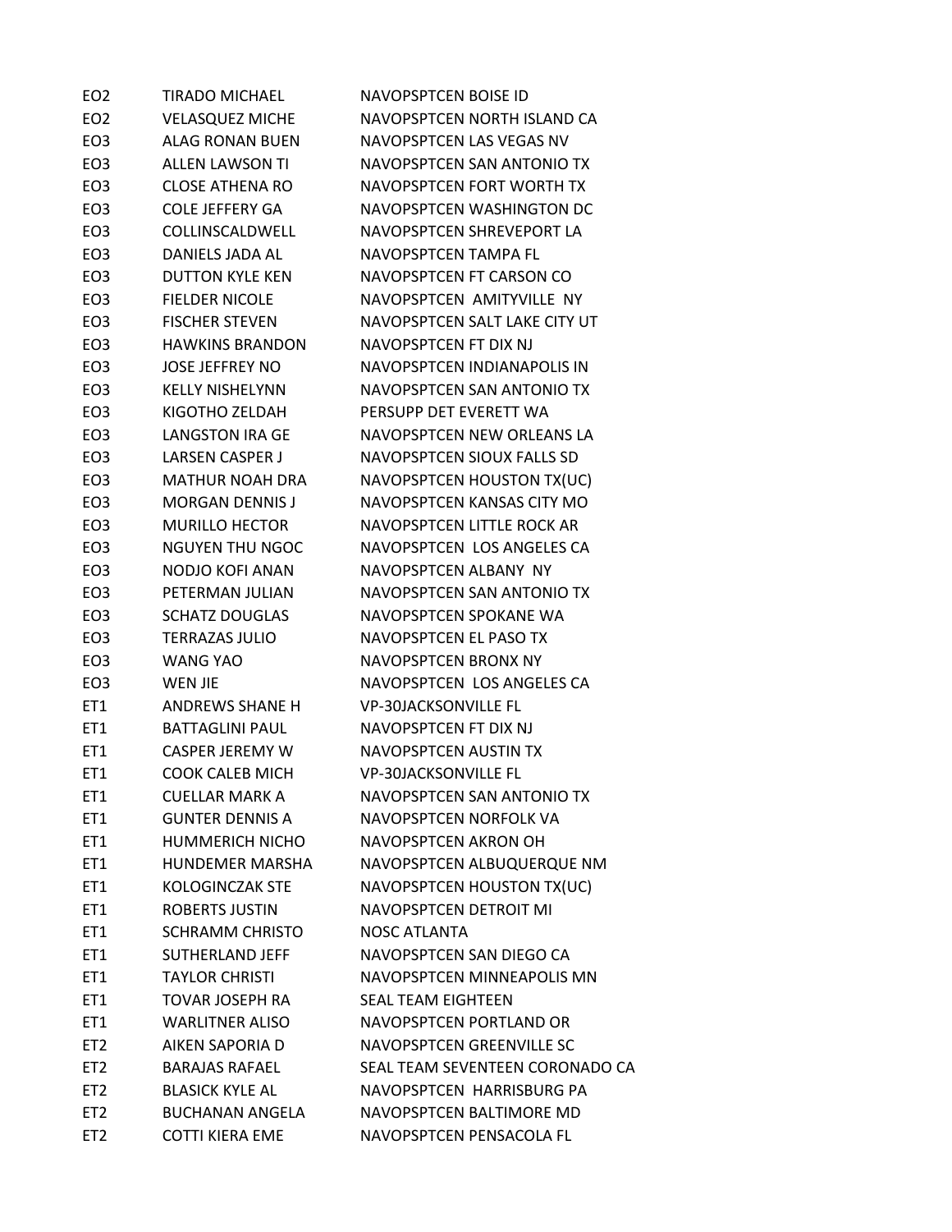| EO <sub>2</sub> | <b>TIRADO MICHAEL</b>  | <b>NAVOPSPTCEN BOISE ID</b>     |
|-----------------|------------------------|---------------------------------|
| EO <sub>2</sub> | <b>VELASQUEZ MICHE</b> | NAVOPSPTCEN NORTH ISLAND CA     |
| EO <sub>3</sub> | <b>ALAG RONAN BUEN</b> | NAVOPSPTCEN LAS VEGAS NV        |
| EO <sub>3</sub> | <b>ALLEN LAWSON TI</b> | NAVOPSPTCEN SAN ANTONIO TX      |
| EO <sub>3</sub> | <b>CLOSE ATHENA RO</b> | NAVOPSPTCEN FORT WORTH TX       |
| EO <sub>3</sub> | <b>COLE JEFFERY GA</b> | NAVOPSPTCEN WASHINGTON DC       |
| EO <sub>3</sub> | COLLINSCALDWELL        | NAVOPSPTCEN SHREVEPORT LA       |
| EO <sub>3</sub> | DANIELS JADA AL        | NAVOPSPTCEN TAMPA FL            |
| EO <sub>3</sub> | <b>DUTTON KYLE KEN</b> | NAVOPSPTCEN FT CARSON CO        |
| EO <sub>3</sub> | <b>FIELDER NICOLE</b>  | NAVOPSPTCEN AMITYVILLE NY       |
| EO <sub>3</sub> | <b>FISCHER STEVEN</b>  | NAVOPSPTCEN SALT LAKE CITY UT   |
| EO <sub>3</sub> | <b>HAWKINS BRANDON</b> | NAVOPSPTCEN FT DIX NJ           |
| EO <sub>3</sub> | <b>JOSE JEFFREY NO</b> | NAVOPSPTCEN INDIANAPOLIS IN     |
| EO <sub>3</sub> | <b>KELLY NISHELYNN</b> | NAVOPSPTCEN SAN ANTONIO TX      |
| EO <sub>3</sub> | KIGOTHO ZELDAH         | PERSUPP DET EVERETT WA          |
| EO <sub>3</sub> | LANGSTON IRA GE        | NAVOPSPTCEN NEW ORLEANS LA      |
| EO <sub>3</sub> | <b>LARSEN CASPER J</b> | NAVOPSPTCEN SIOUX FALLS SD      |
| EO <sub>3</sub> | <b>MATHUR NOAH DRA</b> | NAVOPSPTCEN HOUSTON TX(UC)      |
| EO <sub>3</sub> | <b>MORGAN DENNIS J</b> | NAVOPSPTCEN KANSAS CITY MO      |
| EO <sub>3</sub> | <b>MURILLO HECTOR</b>  | NAVOPSPTCEN LITTLE ROCK AR      |
| EO <sub>3</sub> | <b>NGUYEN THU NGOC</b> | NAVOPSPTCEN LOS ANGELES CA      |
| EO <sub>3</sub> | NODJO KOFI ANAN        | NAVOPSPTCEN ALBANY NY           |
| EO <sub>3</sub> | PETERMAN JULIAN        | NAVOPSPTCEN SAN ANTONIO TX      |
| EO <sub>3</sub> | <b>SCHATZ DOUGLAS</b>  | NAVOPSPTCEN SPOKANE WA          |
| EO <sub>3</sub> | <b>TERRAZAS JULIO</b>  | NAVOPSPTCEN EL PASO TX          |
| EO <sub>3</sub> | <b>WANG YAO</b>        | <b>NAVOPSPTCEN BRONX NY</b>     |
| EO <sub>3</sub> | WEN JIE                | NAVOPSPTCEN LOS ANGELES CA      |
| ET1             | ANDREWS SHANE H        | <b>VP-30JACKSONVILLE FL</b>     |
| ET1             | <b>BATTAGLINI PAUL</b> | NAVOPSPTCEN FT DIX NJ           |
| ET1             | <b>CASPER JEREMY W</b> | <b>NAVOPSPTCEN AUSTIN TX</b>    |
| ET <sub>1</sub> | <b>COOK CALEB MICH</b> | <b>VP-30JACKSONVILLE FL</b>     |
| ET1             | <b>CUELLAR MARK A</b>  | NAVOPSPTCEN SAN ANTONIO TX      |
| ET1             | <b>GUNTER DENNIS A</b> | NAVOPSPTCEN NORFOLK VA          |
| ET1             | <b>HUMMERICH NICHO</b> | NAVOPSPTCEN AKRON OH            |
| ET1             | <b>HUNDEMER MARSHA</b> | NAVOPSPTCEN ALBUQUERQUE NM      |
| ET1             | <b>KOLOGINCZAK STE</b> | NAVOPSPTCEN HOUSTON TX(UC)      |
| ET1             | <b>ROBERTS JUSTIN</b>  | NAVOPSPTCEN DETROIT MI          |
| ET1             | <b>SCHRAMM CHRISTO</b> | <b>NOSC ATLANTA</b>             |
| ET1             | SUTHERLAND JEFF        | NAVOPSPTCEN SAN DIEGO CA        |
| ET1             | <b>TAYLOR CHRISTI</b>  | NAVOPSPTCEN MINNEAPOLIS MN      |
| ET1             | <b>TOVAR JOSEPH RA</b> | <b>SEAL TEAM EIGHTEEN</b>       |
| ET1             | <b>WARLITNER ALISO</b> | NAVOPSPTCEN PORTLAND OR         |
| ET <sub>2</sub> | AIKEN SAPORIA D        | NAVOPSPTCEN GREENVILLE SC       |
| ET <sub>2</sub> | <b>BARAJAS RAFAEL</b>  | SEAL TEAM SEVENTEEN CORONADO CA |
| ET <sub>2</sub> | <b>BLASICK KYLE AL</b> | NAVOPSPTCEN HARRISBURG PA       |
| ET <sub>2</sub> | <b>BUCHANAN ANGELA</b> | NAVOPSPTCEN BALTIMORE MD        |
| ET <sub>2</sub> | <b>COTTI KIERA EME</b> | NAVOPSPTCEN PENSACOLA FL        |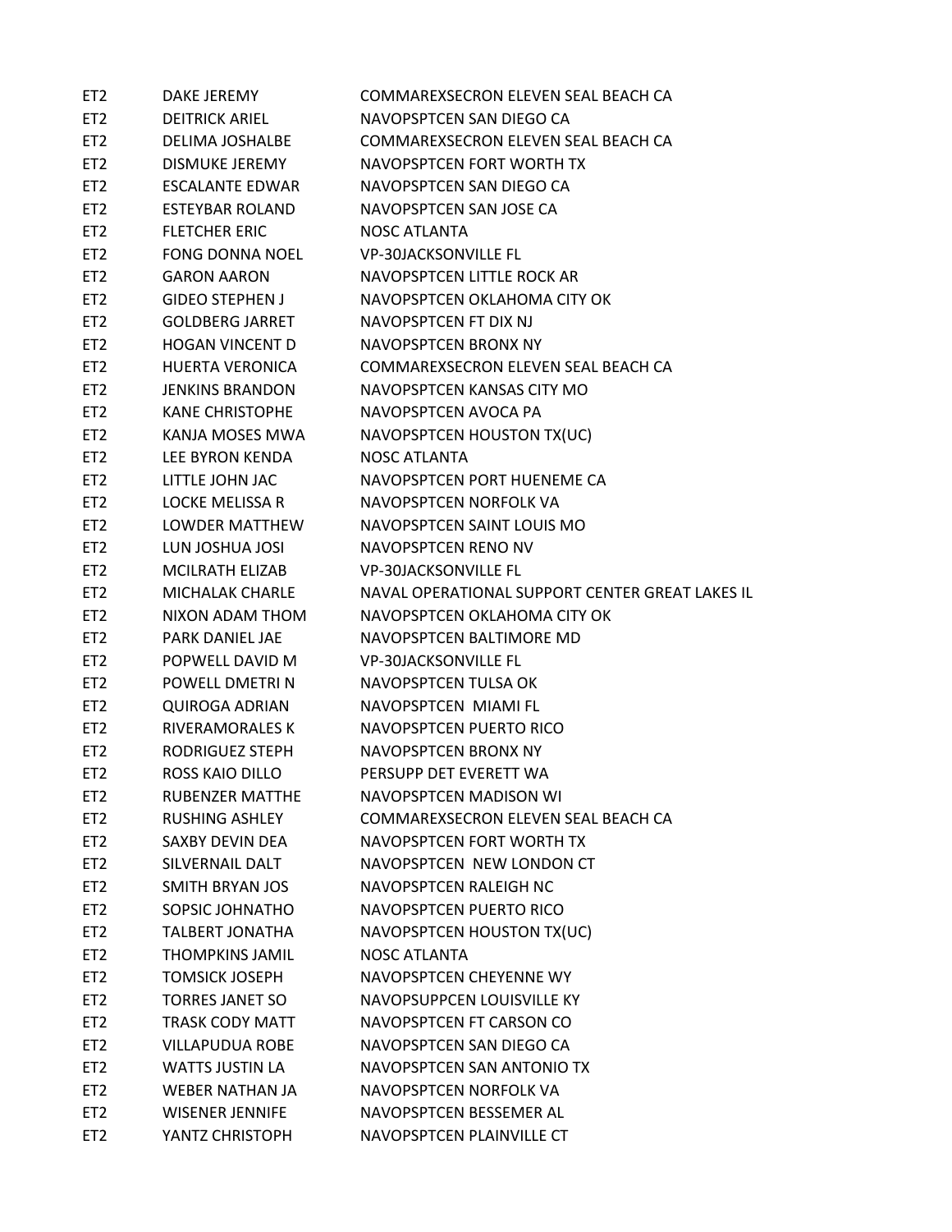| ET <sub>2</sub> | DAKE JEREMY            | COMMAREXSECRON ELEVEN SEAL BEACH CA             |
|-----------------|------------------------|-------------------------------------------------|
| ET <sub>2</sub> | <b>DEITRICK ARIEL</b>  | NAVOPSPTCEN SAN DIEGO CA                        |
| ET <sub>2</sub> | DELIMA JOSHALBE        | COMMAREXSECRON ELEVEN SEAL BEACH CA             |
| ET <sub>2</sub> | <b>DISMUKE JEREMY</b>  | NAVOPSPTCEN FORT WORTH TX                       |
| ET <sub>2</sub> | ESCALANTE EDWAR        | NAVOPSPTCEN SAN DIEGO CA                        |
| ET <sub>2</sub> | ESTEYBAR ROLAND        | NAVOPSPTCEN SAN JOSE CA                         |
| ET <sub>2</sub> | <b>FLETCHER ERIC</b>   | NOSC ATLANTA                                    |
| ET <sub>2</sub> | FONG DONNA NOEL        | <b>VP-30JACKSONVILLE FL</b>                     |
| ET <sub>2</sub> | <b>GARON AARON</b>     | NAVOPSPTCEN LITTLE ROCK AR                      |
| ET <sub>2</sub> | <b>GIDEO STEPHEN J</b> | NAVOPSPTCEN OKLAHOMA CITY OK                    |
| ET <sub>2</sub> | <b>GOLDBERG JARRET</b> | NAVOPSPTCEN FT DIX NJ                           |
| ET <sub>2</sub> | HOGAN VINCENT D        | NAVOPSPTCEN BRONX NY                            |
| ET <sub>2</sub> | HUERTA VERONICA        | COMMAREXSECRON ELEVEN SEAL BEACH CA             |
| ET <sub>2</sub> | JENKINS BRANDON        | NAVOPSPTCEN KANSAS CITY MO                      |
| ET <sub>2</sub> | <b>KANE CHRISTOPHE</b> | NAVOPSPTCEN AVOCA PA                            |
| ET <sub>2</sub> | KANJA MOSES MWA        | NAVOPSPTCEN HOUSTON TX(UC)                      |
| ET <sub>2</sub> | LEE BYRON KENDA        | NOSC ATLANTA                                    |
| ET <sub>2</sub> | LITTLE JOHN JAC        | NAVOPSPTCEN PORT HUENEME CA                     |
| ET <sub>2</sub> | LOCKE MELISSA R        | NAVOPSPTCEN NORFOLK VA                          |
| ET <sub>2</sub> | LOWDER MATTHEW         | NAVOPSPTCEN SAINT LOUIS MO                      |
| ET <sub>2</sub> | LUN JOSHUA JOSI        | NAVOPSPTCEN RENO NV                             |
| ET <sub>2</sub> | MCILRATH ELIZAB        | <b>VP-30JACKSONVILLE FL</b>                     |
| ET <sub>2</sub> | MICHALAK CHARLE        | NAVAL OPERATIONAL SUPPORT CENTER GREAT LAKES IL |
| ET <sub>2</sub> | NIXON ADAM THOM        | NAVOPSPTCEN OKLAHOMA CITY OK                    |
| ET <sub>2</sub> | PARK DANIEL JAE        | NAVOPSPTCEN BALTIMORE MD                        |
| ET <sub>2</sub> | POPWELL DAVID M        | <b>VP-30JACKSONVILLE FL</b>                     |
| ET <sub>2</sub> | POWELL DMETRI N        | NAVOPSPTCEN TULSA OK                            |
| ET <sub>2</sub> | <b>QUIROGA ADRIAN</b>  | NAVOPSPTCEN MIAMI FL                            |
| ET <sub>2</sub> | <b>RIVERAMORALES K</b> | NAVOPSPTCEN PUERTO RICO                         |
| ET <sub>2</sub> | RODRIGUEZ STEPH        | NAVOPSPTCEN BRONX NY                            |
| ET <sub>2</sub> | ROSS KAIO DILLO        | PERSUPP DET EVERETT WA                          |
| ET <sub>2</sub> | <b>RUBENZER MATTHE</b> | NAVOPSPTCEN MADISON WI                          |
| ET <sub>2</sub> | <b>RUSHING ASHLEY</b>  | COMMAREXSECRON ELEVEN SEAL BEACH CA             |
| ET <sub>2</sub> | SAXBY DEVIN DEA        | NAVOPSPTCEN FORT WORTH TX                       |
| ET <sub>2</sub> | SILVERNAIL DALT        | NAVOPSPTCEN NEW LONDON CT                       |
| ET <sub>2</sub> | <b>SMITH BRYAN JOS</b> | NAVOPSPTCEN RALEIGH NC                          |
| ET <sub>2</sub> | SOPSIC JOHNATHO        | NAVOPSPTCEN PUERTO RICO                         |
| ET <sub>2</sub> | <b>TALBERT JONATHA</b> | NAVOPSPTCEN HOUSTON TX(UC)                      |
| ET <sub>2</sub> | <b>THOMPKINS JAMIL</b> | <b>NOSC ATLANTA</b>                             |
| ET <sub>2</sub> | <b>TOMSICK JOSEPH</b>  | NAVOPSPTCEN CHEYENNE WY                         |
| ET <sub>2</sub> | <b>TORRES JANET SO</b> | NAVOPSUPPCEN LOUISVILLE KY                      |
| ET <sub>2</sub> | <b>TRASK CODY MATT</b> | NAVOPSPTCEN FT CARSON CO                        |
| ET <sub>2</sub> | <b>VILLAPUDUA ROBE</b> | NAVOPSPTCEN SAN DIEGO CA                        |
| ET <sub>2</sub> | <b>WATTS JUSTIN LA</b> | NAVOPSPTCEN SAN ANTONIO TX                      |
| ET <sub>2</sub> | <b>WEBER NATHAN JA</b> | NAVOPSPTCEN NORFOLK VA                          |
| ET <sub>2</sub> | <b>WISENER JENNIFE</b> | NAVOPSPTCEN BESSEMER AL                         |
| ET <sub>2</sub> | YANTZ CHRISTOPH        | NAVOPSPTCEN PLAINVILLE CT                       |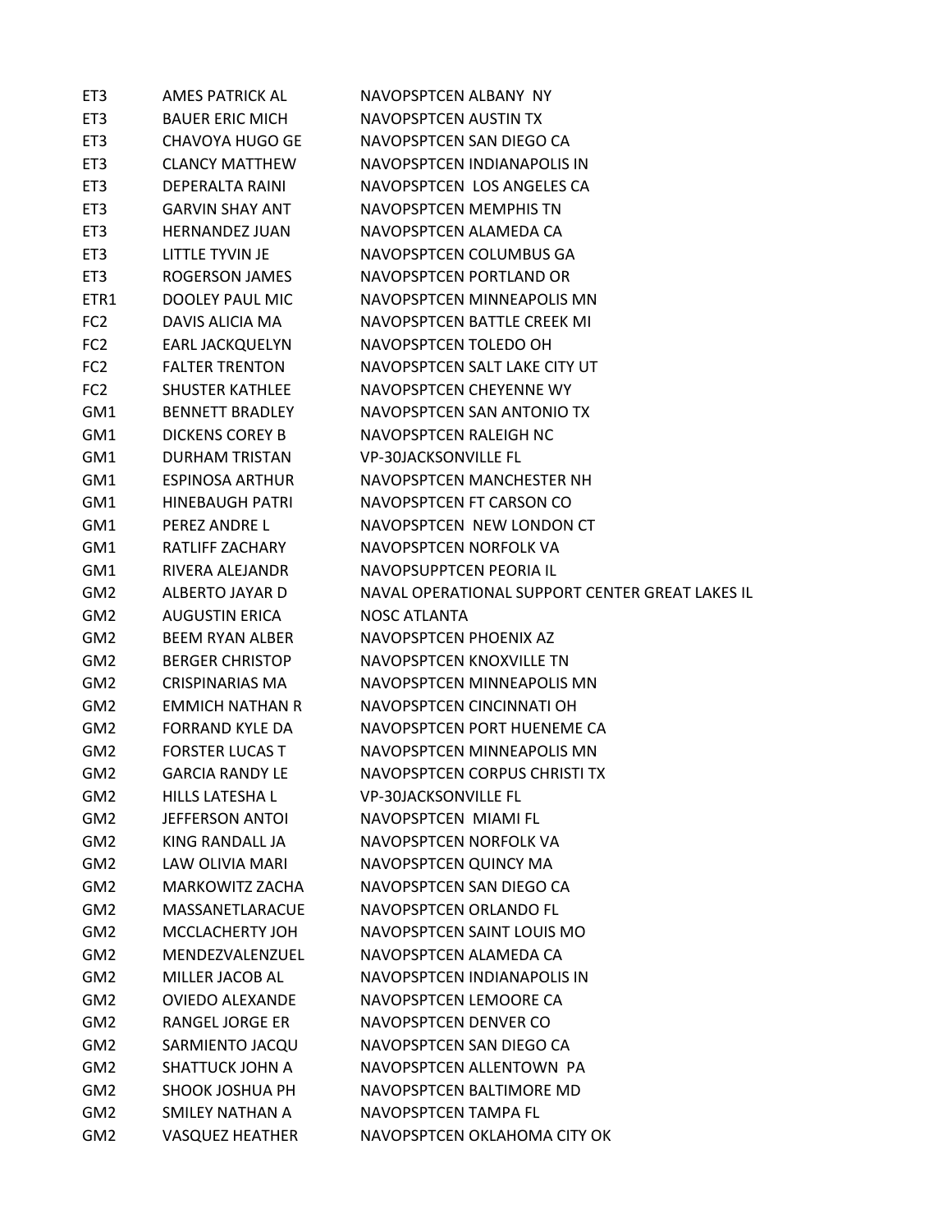| ET <sub>3</sub>                    | <b>AMES PATRICK AL</b>                           | NAVOPSPTCEN ALBANY NY                                |
|------------------------------------|--------------------------------------------------|------------------------------------------------------|
| ET3                                | <b>BAUER ERIC MICH</b>                           | NAVOPSPTCEN AUSTIN TX                                |
| ET3                                | CHAVOYA HUGO GE                                  | NAVOPSPTCEN SAN DIEGO CA                             |
| ET3                                | CLANCY MATTHEW                                   | NAVOPSPTCEN INDIANAPOLIS IN                          |
| ET3                                | DEPERALTA RAINI                                  | NAVOPSPTCEN LOS ANGELES CA                           |
| ET3                                | <b>GARVIN SHAY ANT</b>                           | NAVOPSPTCEN MEMPHIS TN                               |
| ET3                                | HERNANDEZ JUAN                                   | NAVOPSPTCEN ALAMEDA CA                               |
| ET3                                | LITTLE TYVIN JE                                  | NAVOPSPTCEN COLUMBUS GA                              |
| ET3                                | ROGERSON JAMES                                   | NAVOPSPTCEN PORTLAND OR                              |
| ETR1                               | DOOLEY PAUL MIC                                  | NAVOPSPTCEN MINNEAPOLIS MN                           |
| FC <sub>2</sub>                    | DAVIS ALICIA MA                                  | NAVOPSPTCEN BATTLE CREEK MI                          |
| FC <sub>2</sub>                    | EARL JACKQUELYN                                  | NAVOPSPTCEN TOLEDO OH                                |
| FC <sub>2</sub>                    | <b>FALTER TRENTON</b>                            | NAVOPSPTCEN SALT LAKE CITY UT                        |
| FC <sub>2</sub>                    | <b>SHUSTER KATHLEE</b>                           | NAVOPSPTCEN CHEYENNE WY                              |
| GM1                                | <b>BENNETT BRADLEY</b>                           | NAVOPSPTCEN SAN ANTONIO TX                           |
| GM1                                | DICKENS COREY B                                  | NAVOPSPTCEN RALEIGH NC                               |
| GM1                                | DURHAM TRISTAN                                   | <b>VP-30JACKSONVILLE FL</b>                          |
| GM1                                | <b>ESPINOSA ARTHUR</b>                           | NAVOPSPTCEN MANCHESTER NH                            |
| GM1                                | <b>HINEBAUGH PATRI</b>                           | NAVOPSPTCEN FT CARSON CO                             |
| GM1                                | PEREZ ANDRE L                                    | NAVOPSPTCEN NEW LONDON CT                            |
| GM1                                | RATLIFF ZACHARY                                  | NAVOPSPTCEN NORFOLK VA                               |
| GM1                                | RIVERA ALEJANDR                                  | NAVOPSUPPTCEN PEORIA IL                              |
| GM2                                | ALBERTO JAYAR D                                  | NAVAL OPERATIONAL SUPPORT CENTER GREAT LAKES IL      |
| GM <sub>2</sub>                    | <b>AUGUSTIN ERICA</b>                            | <b>NOSC ATLANTA</b>                                  |
| GM2                                | <b>BEEM RYAN ALBER</b>                           | NAVOPSPTCEN PHOENIX AZ                               |
| GM <sub>2</sub>                    | <b>BERGER CHRISTOP</b>                           | NAVOPSPTCEN KNOXVILLE TN                             |
| GM <sub>2</sub>                    | CRISPINARIAS MA                                  | NAVOPSPTCEN MINNEAPOLIS MN                           |
| GM <sub>2</sub>                    | <b>FMMICH NATHAN R</b>                           | NAVOPSPTCEN CINCINNATI OH                            |
| GM <sub>2</sub>                    | <b>FORRAND KYLE DA</b>                           | NAVOPSPTCEN PORT HUENEME CA                          |
| GM2                                | <b>FORSTER LUCAS T</b>                           | NAVOPSPTCEN MINNEAPOLIS MN                           |
| GM <sub>2</sub>                    | <b>GARCIA RANDY LF</b>                           | NAVOPSPTCEN CORPUS CHRISTI TX                        |
| GM <sub>2</sub>                    | <b>HILLS LATESHAL</b>                            | <b>VP-30JACKSONVILLE FL</b>                          |
| GM <sub>2</sub>                    | <b>JEFFERSON ANTOI</b>                           | NAVOPSPTCEN MIAMI FL                                 |
| GM <sub>2</sub>                    | KING RANDALL JA                                  | NAVOPSPTCEN NORFOLK VA                               |
| GM <sub>2</sub>                    | LAW OLIVIA MARI                                  | NAVOPSPTCEN QUINCY MA                                |
| GM <sub>2</sub>                    | <b>MARKOWITZ ZACHA</b>                           | NAVOPSPTCEN SAN DIEGO CA                             |
| GM <sub>2</sub>                    | <b>MASSANETLARACUE</b>                           | NAVOPSPTCEN ORLANDO FL                               |
| GM <sub>2</sub>                    | MCCLACHERTY JOH                                  | NAVOPSPTCEN SAINT LOUIS MO                           |
| GM <sub>2</sub>                    | MENDEZVALENZUEL                                  | NAVOPSPTCEN ALAMEDA CA                               |
| GM <sub>2</sub>                    | MILLER JACOB AL                                  | NAVOPSPTCEN INDIANAPOLIS IN                          |
| GM <sub>2</sub>                    | <b>OVIEDO ALEXANDE</b>                           | NAVOPSPTCEN LEMOORE CA                               |
| GM <sub>2</sub>                    | <b>RANGEL JORGE ER</b>                           | NAVOPSPTCEN DENVER CO                                |
| GM <sub>2</sub>                    | SARMIENTO JACQU                                  | NAVOPSPTCEN SAN DIEGO CA                             |
| GM <sub>2</sub>                    | <b>SHATTUCK JOHN A</b>                           | NAVOPSPTCEN ALLENTOWN PA                             |
| GM <sub>2</sub>                    |                                                  | NAVOPSPTCEN BALTIMORE MD                             |
|                                    | <b>SHOOK JOSHUA PH</b>                           |                                                      |
| GM <sub>2</sub><br>GM <sub>2</sub> | <b>SMILEY NATHAN A</b><br><b>VASQUEZ HEATHER</b> | NAVOPSPTCEN TAMPA FL<br>NAVOPSPTCEN OKLAHOMA CITY OK |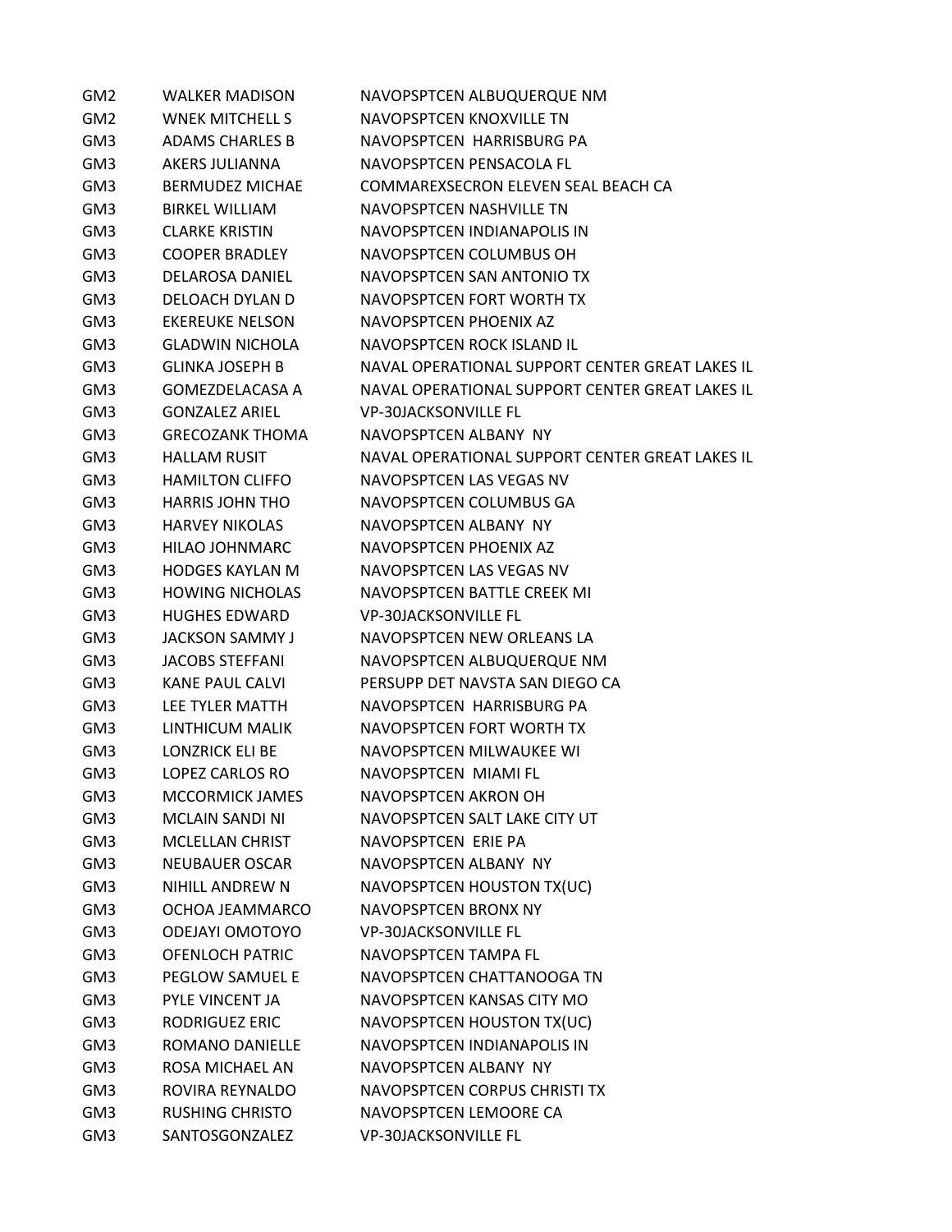| GM <sub>2</sub> | <b>WALKER MADISON</b>  | NAVOPSPTCEN ALBUQUERQUE NM                      |
|-----------------|------------------------|-------------------------------------------------|
| GM <sub>2</sub> | <b>WNEK MITCHELL S</b> | NAVOPSPTCEN KNOXVILLE TN                        |
| GM3             | ADAMS CHARLES B        | NAVOPSPTCEN HARRISBURG PA                       |
| GM3             | AKERS JULIANNA         | NAVOPSPTCEN PENSACOLA FL                        |
| GM3             | <b>BERMUDEZ MICHAE</b> | COMMAREXSECRON ELEVEN SEAL BEACH CA             |
| GM3             | <b>BIRKEL WILLIAM</b>  | NAVOPSPTCEN NASHVILLE TN                        |
| GM3             | <b>CLARKE KRISTIN</b>  | NAVOPSPTCEN INDIANAPOLIS IN                     |
| GM3             | <b>COOPER BRADLEY</b>  | NAVOPSPTCEN COLUMBUS OH                         |
| GM3             | DELAROSA DANIEL        | NAVOPSPTCEN SAN ANTONIO TX                      |
| GM3             | DELOACH DYLAN D        | NAVOPSPTCEN FORT WORTH TX                       |
| GM3             | <b>EKEREUKE NELSON</b> | NAVOPSPTCEN PHOENIX AZ                          |
| GM3             | <b>GLADWIN NICHOLA</b> | NAVOPSPTCEN ROCK ISLAND IL                      |
| GM3             | <b>GLINKA JOSEPH B</b> | NAVAL OPERATIONAL SUPPORT CENTER GREAT LAKES IL |
| GM3             | <b>GOMEZDELACASA A</b> | NAVAL OPERATIONAL SUPPORT CENTER GREAT LAKES IL |
| GM3             | <b>GONZALEZ ARIEL</b>  | <b>VP-30JACKSONVILLE FL</b>                     |
| GM3             | <b>GRECOZANK THOMA</b> | NAVOPSPTCEN ALBANY NY                           |
| GM3             | <b>HALLAM RUSIT</b>    | NAVAL OPERATIONAL SUPPORT CENTER GREAT LAKES IL |
| GM3             | <b>HAMILTON CLIFFO</b> | NAVOPSPTCEN LAS VEGAS NV                        |
| GM3             | <b>HARRIS JOHN THO</b> | NAVOPSPTCEN COLUMBUS GA                         |
| GM3             | <b>HARVEY NIKOLAS</b>  | NAVOPSPTCEN ALBANY NY                           |
| GM3             | HILAO JOHNMARC         | NAVOPSPTCEN PHOENIX AZ                          |
| GM3             | <b>HODGES KAYLAN M</b> | NAVOPSPTCEN LAS VEGAS NV                        |
| GM3             | <b>HOWING NICHOLAS</b> | NAVOPSPTCEN BATTLE CREEK MI                     |
| GM3             | <b>HUGHES EDWARD</b>   | <b>VP-30JACKSONVILLE FL</b>                     |
| GM3             | <b>JACKSON SAMMY J</b> | NAVOPSPTCEN NEW ORLEANS LA                      |
| GM3             | <b>JACOBS STEFFANI</b> | NAVOPSPTCEN ALBUQUERQUE NM                      |
| GM3             | KANE PAUL CALVI        | PERSUPP DET NAVSTA SAN DIEGO CA                 |
| GM3             | LEE TYLER MATTH        | NAVOPSPTCEN HARRISBURG PA                       |
| GM3             | LINTHICUM MALIK        | NAVOPSPTCEN FORT WORTH TX                       |
| GM3             | <b>LONZRICK ELI BE</b> | NAVOPSPTCEN MILWAUKEE WI                        |
| GM3             | <b>LOPEZ CARLOS RO</b> | NAVOPSPTCEN MIAMI FL                            |
| GM3             | <b>MCCORMICK JAMES</b> | NAVOPSPTCEN AKRON OH                            |
| GM3             | <b>MCLAIN SANDI NI</b> | NAVOPSPTCEN SALT LAKE CITY UT                   |
| GM3             | <b>MCLELLAN CHRIST</b> | NAVOPSPTCEN ERIE PA                             |
| GM3             | NEUBAUER OSCAR         | NAVOPSPTCEN ALBANY NY                           |
| GM3             | NIHILL ANDREW N        | NAVOPSPTCEN HOUSTON TX(UC)                      |
| GM3             | OCHOA JEAMMARCO        | <b>NAVOPSPTCEN BRONX NY</b>                     |
| GM3             | <b>ODEJAYI OMOTOYO</b> | <b>VP-30JACKSONVILLE FL</b>                     |
| GM3             | <b>OFENLOCH PATRIC</b> | NAVOPSPTCEN TAMPA FL                            |
| GM3             | <b>PEGLOW SAMUEL E</b> | NAVOPSPTCEN CHATTANOOGA TN                      |
| GM3             | PYLE VINCENT JA        | NAVOPSPTCEN KANSAS CITY MO                      |
| GM3             | RODRIGUEZ ERIC         | NAVOPSPTCEN HOUSTON TX(UC)                      |
| GM3             | ROMANO DANIELLE        | NAVOPSPTCEN INDIANAPOLIS IN                     |
| GM3             | ROSA MICHAEL AN        | NAVOPSPTCEN ALBANY NY                           |
| GM3             | ROVIRA REYNALDO        | NAVOPSPTCEN CORPUS CHRISTI TX                   |
| GM3             | <b>RUSHING CHRISTO</b> | NAVOPSPTCEN LEMOORE CA                          |
| GM3             | SANTOSGONZALEZ         | <b>VP-30JACKSONVILLE FL</b>                     |
|                 |                        |                                                 |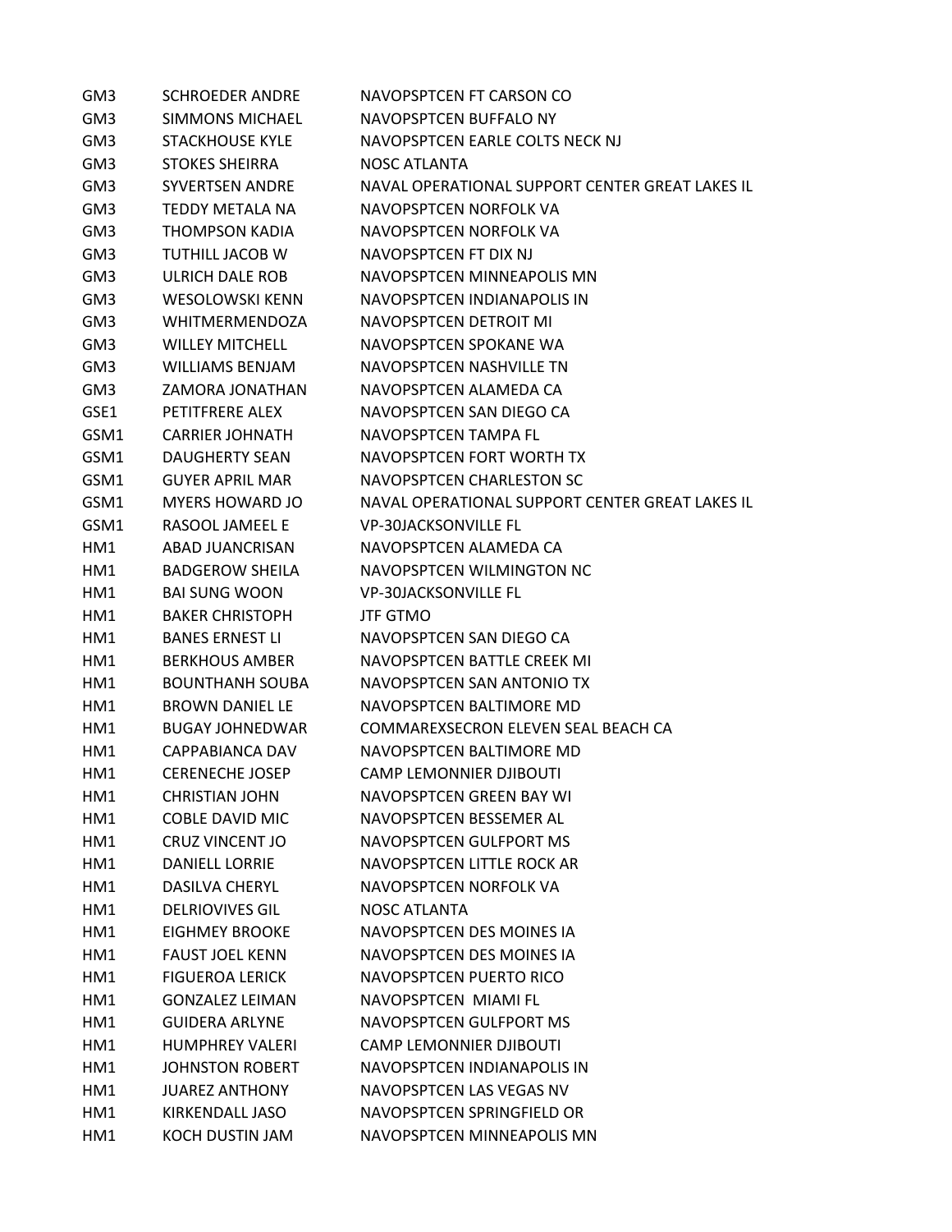| GM3  | <b>SCHROEDER ANDRE</b> | NAVOPSPTCEN FT CARSON CO                        |
|------|------------------------|-------------------------------------------------|
| GM3  | <b>SIMMONS MICHAEL</b> | NAVOPSPTCEN BUFFALO NY                          |
| GM3  | <b>STACKHOUSE KYLE</b> | NAVOPSPTCEN EARLE COLTS NECK NJ                 |
| GM3  | <b>STOKES SHEIRRA</b>  | NOSC ATLANTA                                    |
| GM3  | <b>SYVERTSEN ANDRE</b> | NAVAL OPERATIONAL SUPPORT CENTER GREAT LAKES IL |
| GM3  | <b>TEDDY METALA NA</b> | NAVOPSPTCEN NORFOLK VA                          |
| GM3  | <b>THOMPSON KADIA</b>  | NAVOPSPTCEN NORFOLK VA                          |
| GM3  | <b>TUTHILL JACOB W</b> | NAVOPSPTCEN FT DIX NJ                           |
| GM3  | ULRICH DALE ROB        | NAVOPSPTCEN MINNEAPOLIS MN                      |
| GM3  | <b>WESOLOWSKI KENN</b> | NAVOPSPTCEN INDIANAPOLIS IN                     |
| GM3  | <b>WHITMERMENDOZA</b>  | NAVOPSPTCEN DETROIT MI                          |
| GM3  | <b>WILLEY MITCHELL</b> | NAVOPSPTCEN SPOKANE WA                          |
| GM3  | <b>WILLIAMS BENJAM</b> | NAVOPSPTCEN NASHVILLE TN                        |
| GM3  | ZAMORA JONATHAN        | NAVOPSPTCEN ALAMEDA CA                          |
| GSE1 | PETITFRERE ALEX        | NAVOPSPTCEN SAN DIEGO CA                        |
| GSM1 | <b>CARRIFR JOHNATH</b> | NAVOPSPTCEN TAMPA FL                            |
| GSM1 | <b>DAUGHERTY SEAN</b>  | NAVOPSPTCEN FORT WORTH TX                       |
| GSM1 | <b>GUYER APRIL MAR</b> | NAVOPSPTCEN CHARLESTON SC                       |
| GSM1 | <b>MYERS HOWARD JO</b> | NAVAL OPERATIONAL SUPPORT CENTER GREAT LAKES IL |
| GSM1 | <b>RASOOL JAMEEL E</b> | <b>VP-30JACKSONVILLE FL</b>                     |
| HM1  | ABAD JUANCRISAN        | NAVOPSPTCEN ALAMEDA CA                          |
| HM1  | <b>BADGEROW SHEILA</b> | NAVOPSPTCEN WILMINGTON NC                       |
| HM1  | <b>BAI SUNG WOON</b>   | <b>VP-30JACKSONVILLE FL</b>                     |
| HM1  | <b>BAKER CHRISTOPH</b> | <b>JTF GTMO</b>                                 |
| HM1  | <b>BANES ERNEST LI</b> | NAVOPSPTCEN SAN DIEGO CA                        |
| HM1  | <b>BERKHOUS AMBER</b>  | NAVOPSPTCEN BATTLE CREEK MI                     |
| HM1  | <b>BOUNTHANH SOUBA</b> | NAVOPSPTCEN SAN ANTONIO TX                      |
| HM1  | <b>BROWN DANIEL LE</b> | NAVOPSPTCEN BALTIMORE MD                        |
| HM1  | <b>BUGAY JOHNEDWAR</b> | COMMAREXSECRON ELEVEN SEAL BEACH CA             |
| HM1  | CAPPABIANCA DAV        | NAVOPSPTCEN BALTIMORE MD                        |
| HM1  | <b>CERENECHE JOSEP</b> | <b>CAMP LEMONNIFR DJIBOUTI</b>                  |
| HM1  | <b>CHRISTIAN JOHN</b>  | NAVOPSPTCEN GREEN BAY WI                        |
| HM1  | <b>COBLE DAVID MIC</b> | NAVOPSPTCEN BESSEMER AL                         |
| HM1  | <b>CRUZ VINCENT JO</b> | NAVOPSPTCEN GULFPORT MS                         |
| HM1  | <b>DANIELL LORRIE</b>  | NAVOPSPTCEN LITTLE ROCK AR                      |
| HM1  | <b>DASILVA CHERYL</b>  | NAVOPSPTCEN NORFOLK VA                          |
| HM1  | <b>DELRIOVIVES GIL</b> | <b>NOSC ATLANTA</b>                             |
| HM1  | EIGHMEY BROOKE         | NAVOPSPTCEN DES MOINES IA                       |
| HM1  | <b>FAUST JOEL KENN</b> | NAVOPSPTCEN DES MOINES IA                       |
| HM1  | <b>FIGUEROA LERICK</b> | NAVOPSPTCEN PUERTO RICO                         |
| HM1  | <b>GONZALEZ LEIMAN</b> | NAVOPSPTCEN MIAMI FL                            |
| HM1  | <b>GUIDERA ARLYNE</b>  | NAVOPSPTCEN GULFPORT MS                         |
| HM1  | <b>HUMPHREY VALERI</b> | <b>CAMP LEMONNIER DJIBOUTI</b>                  |
| HM1  | <b>JOHNSTON ROBERT</b> | NAVOPSPTCEN INDIANAPOLIS IN                     |
| HM1  | <b>JUAREZ ANTHONY</b>  | NAVOPSPTCEN LAS VEGAS NV                        |
| HM1  | KIRKENDALL JASO        | NAVOPSPTCEN SPRINGFIELD OR                      |
| HM1  | KOCH DUSTIN JAM        | NAVOPSPTCEN MINNEAPOLIS MN                      |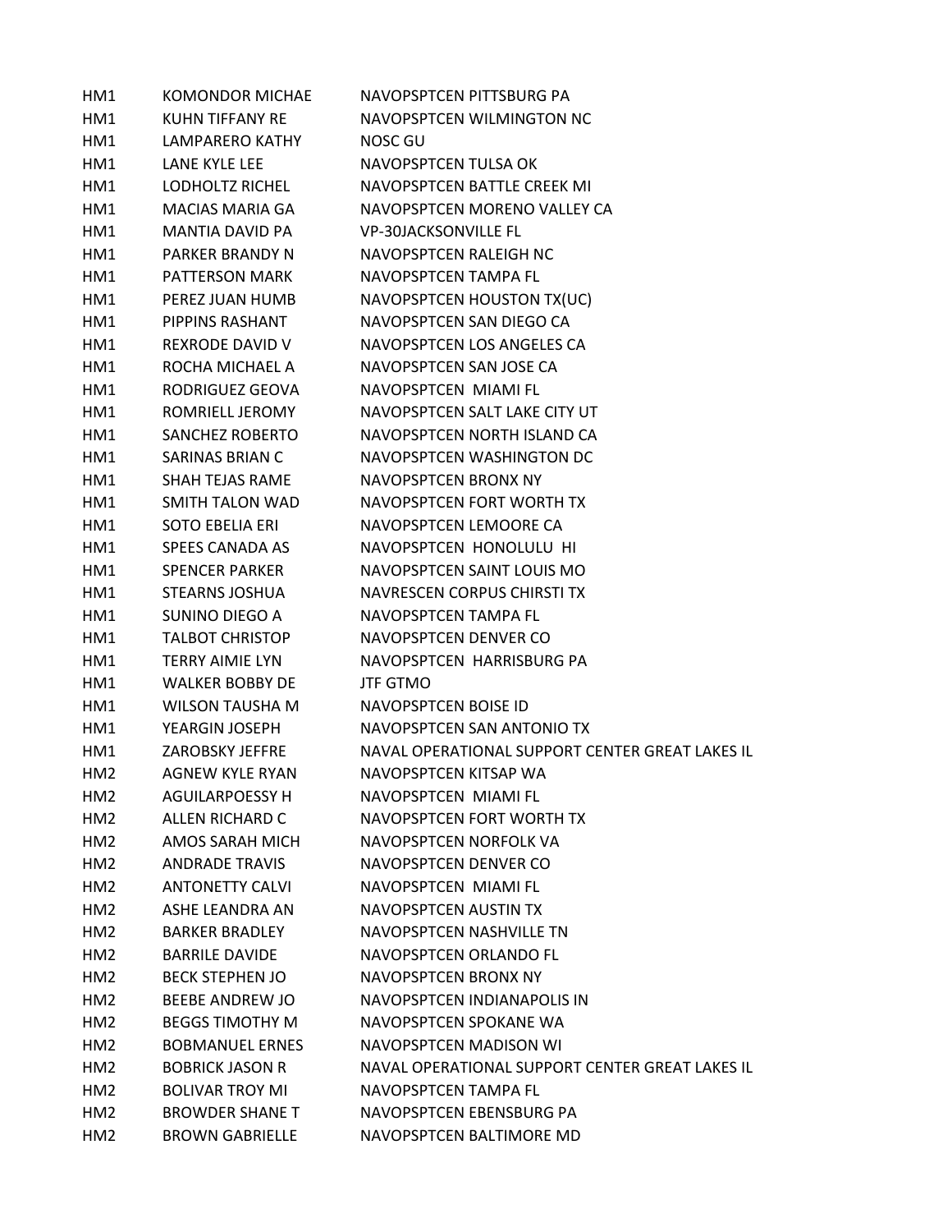| HM1             | <b>KOMONDOR MICHAE</b> | NAVOPSPTCEN PITTSBURG PA                        |
|-----------------|------------------------|-------------------------------------------------|
| HM1             | KUHN TIFFANY RE        | NAVOPSPTCEN WILMINGTON NC                       |
| HM1             | <b>LAMPARERO KATHY</b> | NOSC GU                                         |
| HM1             | LANE KYLE LEE          | NAVOPSPTCEN TULSA OK                            |
| HM1             | LODHOLTZ RICHEL        | NAVOPSPTCEN BATTLE CREEK MI                     |
| HM1             | <b>MACIAS MARIA GA</b> | NAVOPSPTCEN MORENO VALLEY CA                    |
| HM1             | <b>MANTIA DAVID PA</b> | <b>VP-30JACKSONVILLE FL</b>                     |
| HM1             | PARKER BRANDY N        | NAVOPSPTCEN RALEIGH NC                          |
| HM1             | <b>PATTERSON MARK</b>  | NAVOPSPTCEN TAMPA FL                            |
| HM1             | PEREZ JUAN HUMB        | NAVOPSPTCEN HOUSTON TX(UC)                      |
| HM1             | PIPPINS RASHANT        | NAVOPSPTCEN SAN DIEGO CA                        |
| HM1             | REXRODE DAVID V        | NAVOPSPTCEN LOS ANGELES CA                      |
| HM1             | ROCHA MICHAEL A        | NAVOPSPTCEN SAN JOSE CA                         |
| HM1             | RODRIGUEZ GEOVA        | NAVOPSPTCEN MIAMI FL                            |
| HM1             | ROMRIELL JEROMY        | NAVOPSPTCEN SALT LAKE CITY UT                   |
| HM1             | SANCHEZ ROBERTO        | NAVOPSPTCEN NORTH ISLAND CA                     |
| HM1             | <b>SARINAS BRIAN C</b> | NAVOPSPTCEN WASHINGTON DC                       |
| HM1             | <b>SHAH TEJAS RAME</b> | NAVOPSPTCEN BRONX NY                            |
| HM1             | SMITH TALON WAD        | NAVOPSPTCEN FORT WORTH TX                       |
| HM1             | <b>SOTO EBELIA ERI</b> | NAVOPSPTCEN LEMOORE CA                          |
| HM1             | SPEES CANADA AS        | NAVOPSPTCEN HONOLULU HI                         |
| HM1             | <b>SPENCER PARKER</b>  | NAVOPSPTCEN SAINT LOUIS MO                      |
| HM1             | STEARNS JOSHUA         | NAVRESCEN CORPUS CHIRSTI TX                     |
| HM1             | SUNINO DIEGO A         | NAVOPSPTCEN TAMPA FL                            |
| HM1             | <b>TALBOT CHRISTOP</b> | NAVOPSPTCEN DENVER CO                           |
| HM1             | <b>TERRY AIMIE LYN</b> | NAVOPSPTCEN HARRISBURG PA                       |
| HM1             | <b>WALKER BOBBY DE</b> | <b>JTF GTMO</b>                                 |
| HM1             | <b>WILSON TAUSHA M</b> | NAVOPSPTCEN BOISE ID                            |
| HM1             | YEARGIN JOSEPH         | NAVOPSPTCEN SAN ANTONIO TX                      |
| HM1             | ZAROBSKY JEFFRE        | NAVAL OPERATIONAL SUPPORT CENTER GREAT LAKES IL |
| HM <sub>2</sub> | AGNEW KYLE RYAN        | NAVOPSPTCEN KITSAP WA                           |
| HM2             | <b>AGUILARPOESSY H</b> | NAVOPSPTCEN MIAMI FL                            |
| HM <sub>2</sub> | ALLEN RICHARD C        | NAVOPSPTCEN FORT WORTH TX                       |
| HM <sub>2</sub> | AMOS SARAH MICH        | NAVOPSPTCEN NORFOLK VA                          |
| HM <sub>2</sub> | <b>ANDRADE TRAVIS</b>  | NAVOPSPTCEN DENVER CO                           |
| HM <sub>2</sub> | <b>ANTONETTY CALVI</b> | NAVOPSPTCEN MIAMI FL                            |
| HM2             | ASHE LEANDRA AN        | NAVOPSPTCEN AUSTIN TX                           |
| HM2             | <b>BARKER BRADLEY</b>  | NAVOPSPTCEN NASHVILLE TN                        |
| HM <sub>2</sub> | <b>BARRILE DAVIDE</b>  | NAVOPSPTCEN ORLANDO FL                          |
| HM <sub>2</sub> | <b>BECK STEPHEN JO</b> | NAVOPSPTCEN BRONX NY                            |
| HM <sub>2</sub> | BEEBE ANDREW JO        | NAVOPSPTCEN INDIANAPOLIS IN                     |
| HM2             | <b>BEGGS TIMOTHY M</b> | NAVOPSPTCEN SPOKANE WA                          |
| HM <sub>2</sub> | <b>BOBMANUEL ERNES</b> | NAVOPSPTCEN MADISON WI                          |
| HM <sub>2</sub> | <b>BOBRICK JASON R</b> | NAVAL OPERATIONAL SUPPORT CENTER GREAT LAKES IL |
| HM <sub>2</sub> | <b>BOLIVAR TROY MI</b> | NAVOPSPTCEN TAMPA FL                            |
| HM <sub>2</sub> | <b>BROWDER SHANE T</b> | NAVOPSPTCEN EBENSBURG PA                        |
| HM <sub>2</sub> | <b>BROWN GABRIELLE</b> | NAVOPSPTCEN BALTIMORE MD                        |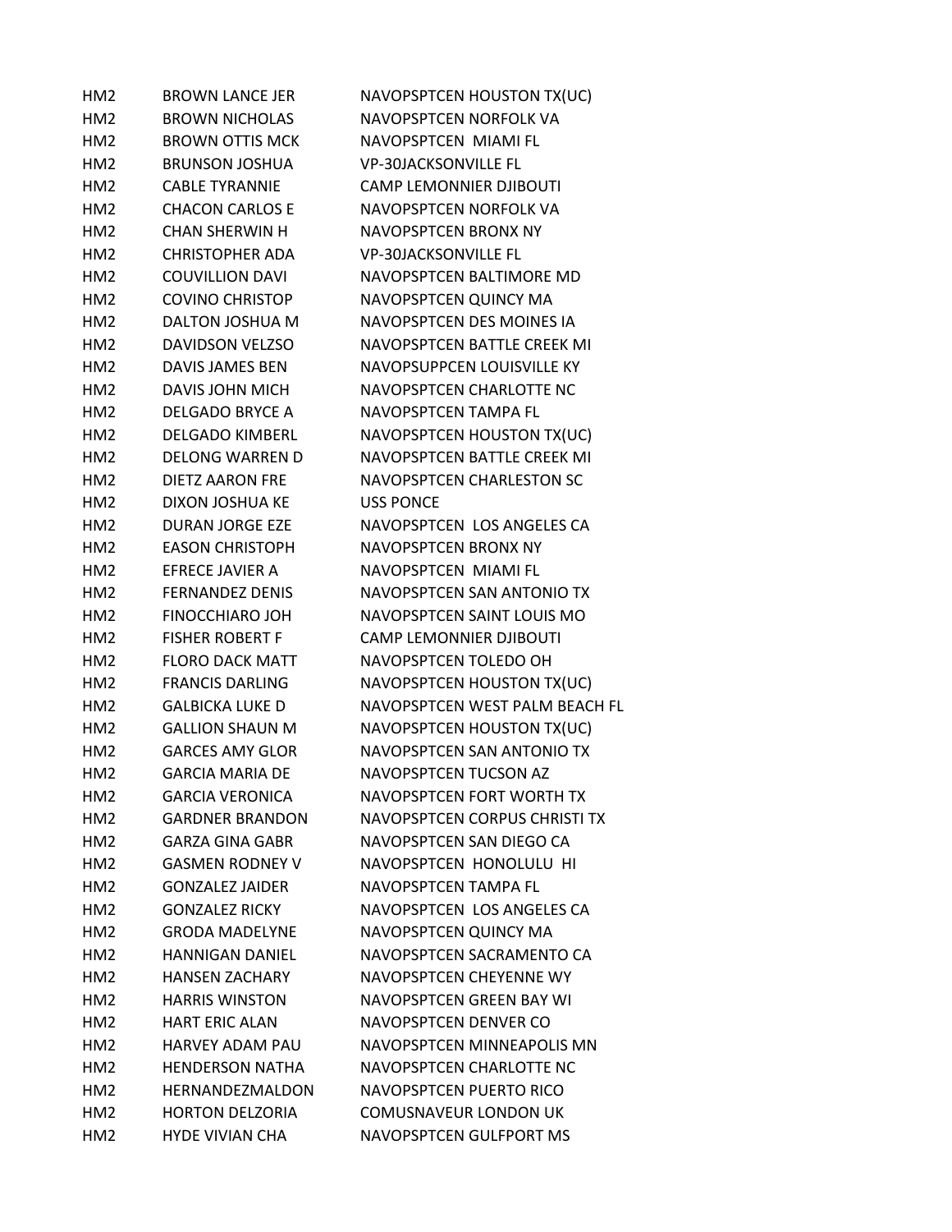| HM <sub>2</sub> | <b>BROWN LANCE JER</b> | NAVOPSPTCEN HOUSTON TX(UC)       |
|-----------------|------------------------|----------------------------------|
| HM <sub>2</sub> | <b>BROWN NICHOLAS</b>  | NAVOPSPTCEN NORFOLK VA           |
| HM <sub>2</sub> | <b>BROWN OTTIS MCK</b> | NAVOPSPTCEN MIAMI FL             |
| HM <sub>2</sub> | <b>BRUNSON JOSHUA</b>  | <b>VP-30JACKSONVILLE FL</b>      |
| HM <sub>2</sub> | <b>CABLE TYRANNIE</b>  | <b>CAMP LEMONNIER DJIBOUTI</b>   |
| HM2             | <b>CHACON CARLOS E</b> | NAVOPSPTCEN NORFOLK VA           |
| HM <sub>2</sub> | <b>CHAN SHERWIN H</b>  | NAVOPSPTCEN BRONX NY             |
| HM <sub>2</sub> | <b>CHRISTOPHER ADA</b> | <b>VP-30JACKSONVILLE FL</b>      |
| HM <sub>2</sub> | <b>COUVILLION DAVI</b> | NAVOPSPTCEN BALTIMORE MD         |
| HM <sub>2</sub> | <b>COVINO CHRISTOP</b> | NAVOPSPTCEN QUINCY MA            |
| HM <sub>2</sub> | DALTON JOSHUA M        | NAVOPSPTCEN DES MOINES IA        |
| HM2             | <b>DAVIDSON VELZSO</b> | NAVOPSPTCEN BATTLE CREEK MI      |
| HM <sub>2</sub> | DAVIS JAMES BEN        | NAVOPSUPPCEN LOUISVILLE KY       |
| HM <sub>2</sub> | <b>DAVIS JOHN MICH</b> | NAVOPSPTCEN CHARLOTTE NC         |
| HM <sub>2</sub> | <b>DELGADO BRYCE A</b> | NAVOPSPTCEN TAMPA FL             |
| HM <sub>2</sub> | <b>DELGADO KIMBERL</b> | NAVOPSPTCEN HOUSTON TX(UC)       |
| HM <sub>2</sub> | <b>DELONG WARREN D</b> | NAVOPSPTCEN BATTLE CREEK MI      |
| HM <sub>2</sub> | <b>DIETZ AARON FRE</b> | <b>NAVOPSPTCEN CHARLESTON SC</b> |
| HM <sub>2</sub> | DIXON JOSHUA KE        | <b>USS PONCE</b>                 |
| HM <sub>2</sub> | <b>DURAN JORGE EZE</b> | NAVOPSPTCEN LOS ANGELES CA       |
| HM <sub>2</sub> | <b>EASON CHRISTOPH</b> | NAVOPSPTCEN BRONX NY             |
| HM <sub>2</sub> | <b>EFRECE JAVIER A</b> | NAVOPSPTCEN MIAMI FL             |
| HM <sub>2</sub> | <b>FERNANDEZ DENIS</b> | NAVOPSPTCEN SAN ANTONIO TX       |
| HM <sub>2</sub> | <b>FINOCCHIARO JOH</b> | NAVOPSPTCEN SAINT LOUIS MO       |
| HM2             | <b>FISHER ROBERT F</b> | <b>CAMP LEMONNIER DJIBOUTI</b>   |
| HM <sub>2</sub> | <b>FLORO DACK MATT</b> | NAVOPSPTCEN TOLEDO OH            |
| HM <sub>2</sub> | <b>FRANCIS DARLING</b> | NAVOPSPTCEN HOUSTON TX(UC)       |
| HM <sub>2</sub> | <b>GALBICKA LUKE D</b> | NAVOPSPTCEN WEST PALM BEACH FL   |
| HM <sub>2</sub> | <b>GALLION SHAUN M</b> | NAVOPSPTCEN HOUSTON TX(UC)       |
| HM <sub>2</sub> | <b>GARCES AMY GLOR</b> | NAVOPSPTCEN SAN ANTONIO TX       |
| HM <sub>2</sub> | <b>GARCIA MARIA DF</b> | NAVOPSPTCEN TUCSON AZ            |
| HM <sub>2</sub> | <b>GARCIA VERONICA</b> | NAVOPSPTCEN FORT WORTH TX        |
| HM2             | <b>GARDNER BRANDON</b> | NAVOPSPTCEN CORPUS CHRISTI TX    |
| HM <sub>2</sub> | <b>GARZA GINA GABR</b> | NAVOPSPTCEN SAN DIEGO CA         |
| HM <sub>2</sub> | <b>GASMEN RODNEY V</b> | NAVOPSPTCEN HONOLULU HI          |
| HM <sub>2</sub> | <b>GONZALEZ JAIDER</b> | NAVOPSPTCEN TAMPA FL             |
| HM2             | <b>GONZALEZ RICKY</b>  | NAVOPSPTCEN LOS ANGELES CA       |
| HM <sub>2</sub> | <b>GRODA MADELYNE</b>  | <b>NAVOPSPTCEN QUINCY MA</b>     |
| HM <sub>2</sub> | <b>HANNIGAN DANIEL</b> | NAVOPSPTCEN SACRAMENTO CA        |
| HM <sub>2</sub> | <b>HANSEN ZACHARY</b>  | NAVOPSPTCEN CHEYENNE WY          |
| HM <sub>2</sub> | <b>HARRIS WINSTON</b>  | <b>NAVOPSPTCEN GREEN BAY WI</b>  |
| HM <sub>2</sub> | <b>HART ERIC ALAN</b>  | NAVOPSPTCEN DENVER CO            |
| HM <sub>2</sub> | <b>HARVEY ADAM PAU</b> | NAVOPSPTCEN MINNEAPOLIS MN       |
| HM2             | <b>HENDERSON NATHA</b> | NAVOPSPTCEN CHARLOTTE NC         |
| HM <sub>2</sub> | HERNANDEZMALDON        | NAVOPSPTCEN PUERTO RICO          |
| HM <sub>2</sub> | <b>HORTON DELZORIA</b> | <b>COMUSNAVEUR LONDON UK</b>     |
| HM <sub>2</sub> | <b>HYDE VIVIAN CHA</b> | NAVOPSPTCEN GULFPORT MS          |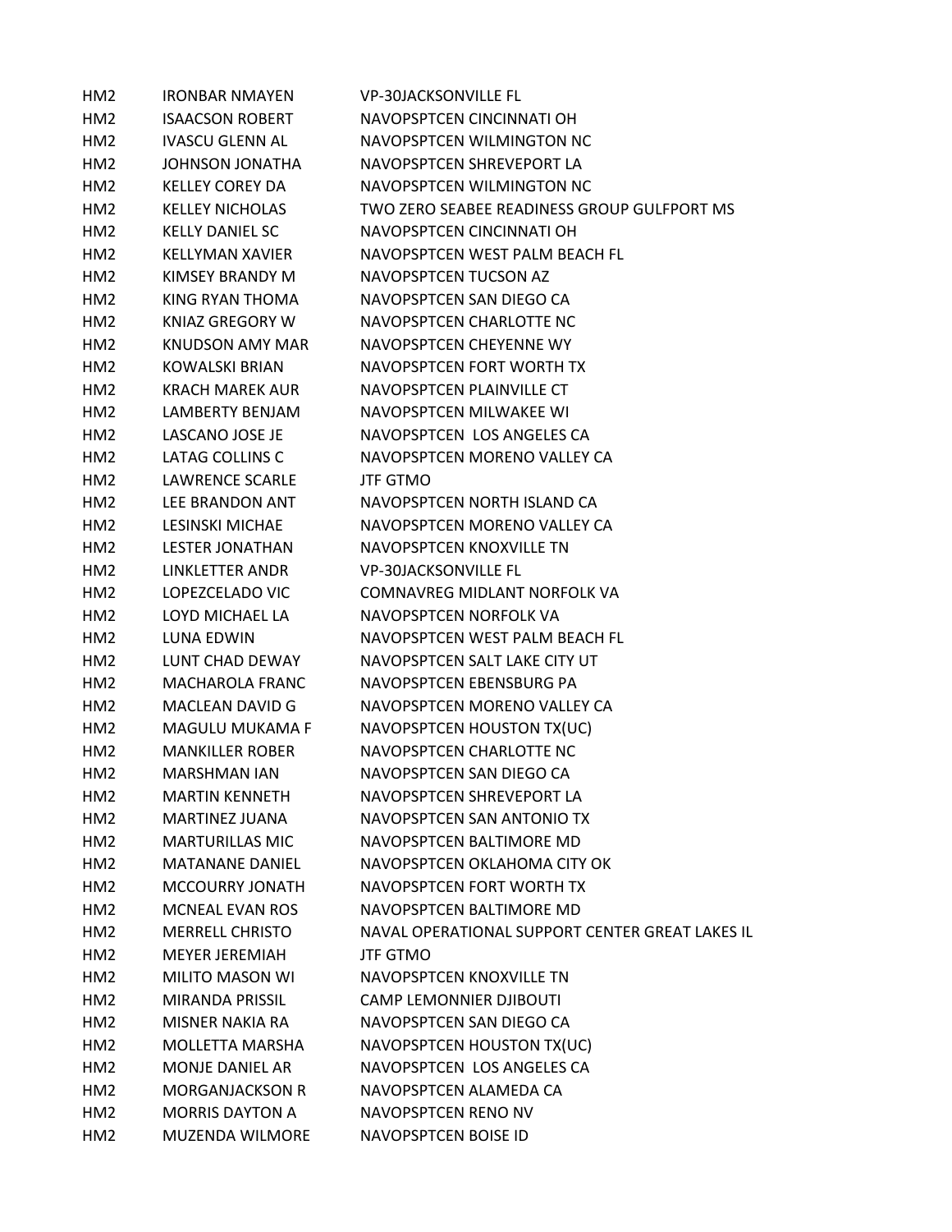| HM <sub>2</sub> | <b>IRONBAR NMAYEN</b>  | <b>VP-30JACKSONVILLE FL</b>                     |
|-----------------|------------------------|-------------------------------------------------|
| HM2             | <b>ISAACSON ROBERT</b> | NAVOPSPTCEN CINCINNATI OH                       |
| HM <sub>2</sub> | <b>IVASCU GLENN AL</b> | NAVOPSPTCEN WILMINGTON NC                       |
| HM2             | JOHNSON JONATHA        | NAVOPSPTCEN SHREVEPORT LA                       |
| HM <sub>2</sub> | <b>KELLEY COREY DA</b> | NAVOPSPTCFN WILMINGTON NC                       |
| HM <sub>2</sub> | <b>KELLEY NICHOLAS</b> | TWO ZERO SEABEE READINESS GROUP GULFPORT MS     |
| HM <sub>2</sub> | <b>KELLY DANIEL SC</b> | NAVOPSPTCEN CINCINNATI OH                       |
| HM2             | <b>KELLYMAN XAVIER</b> | NAVOPSPTCEN WEST PALM BEACH FL                  |
| HM2             | KIMSEY BRANDY M        | NAVOPSPTCEN TUCSON AZ                           |
| HM <sub>2</sub> | KING RYAN THOMA        | NAVOPSPTCEN SAN DIEGO CA                        |
| HM <sub>2</sub> | <b>KNIAZ GREGORY W</b> | NAVOPSPTCEN CHARLOTTE NC                        |
| HM <sub>2</sub> | KNUDSON AMY MAR        | NAVOPSPTCEN CHEYENNE WY                         |
| HM <sub>2</sub> | KOWALSKI BRIAN         | NAVOPSPTCEN FORT WORTH TX                       |
| HM <sub>2</sub> | <b>KRACH MAREK AUR</b> | NAVOPSPTCEN PLAINVILLE CT                       |
| HM <sub>2</sub> | LAMBERTY BENJAM        | NAVOPSPTCEN MILWAKEE WI                         |
| HM <sub>2</sub> | LASCANO JOSE JE        | NAVOPSPTCEN LOS ANGELES CA                      |
| HM2             | LATAG COLLINS C        | NAVOPSPTCEN MORENO VALLEY CA                    |
| HM <sub>2</sub> | LAWRENCE SCARLE        | <b>JTF GTMO</b>                                 |
| HM <sub>2</sub> | LEE BRANDON ANT        | NAVOPSPTCEN NORTH ISLAND CA                     |
| HM <sub>2</sub> | <b>LESINSKI MICHAE</b> | NAVOPSPTCEN MORENO VALLEY CA                    |
| HM <sub>2</sub> | <b>LESTER JONATHAN</b> | NAVOPSPTCEN KNOXVILLE TN                        |
| HM <sub>2</sub> | LINKLETTER ANDR        | <b>VP-30JACKSONVILLE FL</b>                     |
| HM2             | LOPEZCELADO VIC        | COMNAVREG MIDLANT NORFOLK VA                    |
| HM <sub>2</sub> | LOYD MICHAEL LA        | NAVOPSPTCEN NORFOLK VA                          |
| HM <sub>2</sub> | LUNA EDWIN             | NAVOPSPTCEN WEST PALM BEACH FL                  |
| HM <sub>2</sub> | LUNT CHAD DEWAY        | NAVOPSPTCEN SALT LAKE CITY UT                   |
| HM <sub>2</sub> | <b>MACHAROLA FRANC</b> | NAVOPSPTCEN EBENSBURG PA                        |
| HM <sub>2</sub> | <b>MACLEAN DAVID G</b> | NAVOPSPTCEN MORENO VALLEY CA                    |
| HM2             | MAGULU MUKAMA F        | NAVOPSPTCEN HOUSTON TX(UC)                      |
| HM <sub>2</sub> | <b>MANKILLER ROBER</b> | NAVOPSPTCEN CHARLOTTE NC                        |
| HM <sub>2</sub> | <b>MARSHMAN IAN</b>    | NAVOPSPTCEN SAN DIEGO CA                        |
| HM <sub>2</sub> | <b>MARTIN KENNETH</b>  | NAVOPSPTCEN SHREVEPORT LA                       |
| HM <sub>2</sub> | <b>MARTINEZ JUANA</b>  | NAVOPSPTCEN SAN ANTONIO TX                      |
| HM <sub>2</sub> | <b>MARTURILLAS MIC</b> | NAVOPSPTCEN BALTIMORE MD                        |
| HM <sub>2</sub> | <b>MATANANE DANIEL</b> | NAVOPSPTCEN OKLAHOMA CITY OK                    |
| HM <sub>2</sub> | <b>MCCOURRY JONATH</b> | NAVOPSPTCEN FORT WORTH TX                       |
| HM <sub>2</sub> | <b>MCNEAL EVAN ROS</b> | NAVOPSPTCEN BALTIMORE MD                        |
| HM <sub>2</sub> | <b>MERRELL CHRISTO</b> | NAVAL OPERATIONAL SUPPORT CENTER GREAT LAKES IL |
| HM <sub>2</sub> | <b>MEYER JEREMIAH</b>  | <b>JTF GTMO</b>                                 |
| HM <sub>2</sub> | <b>MILITO MASON WI</b> | NAVOPSPTCEN KNOXVILLE TN                        |
| HM2             | MIRANDA PRISSIL        | <b>CAMP LEMONNIER DJIBOUTI</b>                  |
| HM2             | MISNER NAKIA RA        | NAVOPSPTCEN SAN DIEGO CA                        |
| HM2             | MOLLETTA MARSHA        | NAVOPSPTCEN HOUSTON TX(UC)                      |
| HM <sub>2</sub> | MONJE DANIEL AR        | NAVOPSPTCEN LOS ANGELES CA                      |
| HM <sub>2</sub> | <b>MORGANJACKSON R</b> | NAVOPSPTCEN ALAMEDA CA                          |
| HM <sub>2</sub> | <b>MORRIS DAYTON A</b> | NAVOPSPTCEN RENO NV                             |
| HM <sub>2</sub> | MUZENDA WILMORE        | NAVOPSPTCEN BOISE ID                            |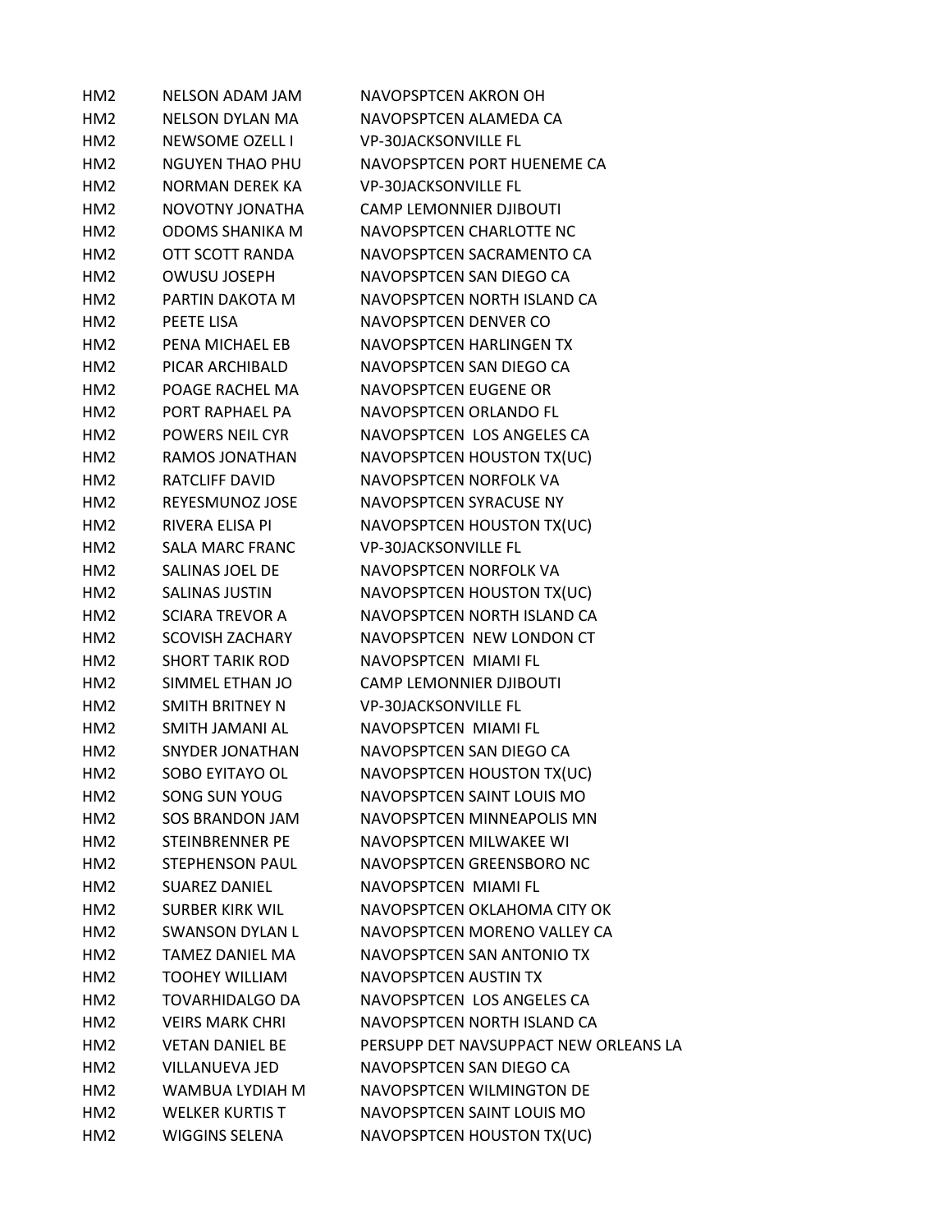| HM <sub>2</sub> | <b>NELSON ADAM JAM</b> | <b>NAVOPSPTCEN AKRON OH</b>           |
|-----------------|------------------------|---------------------------------------|
| HM <sub>2</sub> | <b>NELSON DYLAN MA</b> | NAVOPSPTCEN ALAMEDA CA                |
| HM2             | NEWSOME OZELL I        | <b>VP-30JACKSONVILLE FL</b>           |
| HM2             | <b>NGUYEN THAO PHU</b> | NAVOPSPTCEN PORT HUENEME CA           |
| HM2             | <b>NORMAN DEREK KA</b> | <b>VP-30JACKSONVILLE FL</b>           |
| HM <sub>2</sub> | NOVOTNY JONATHA        | <b>CAMP LEMONNIER DJIBOUTI</b>        |
| HM <sub>2</sub> | <b>ODOMS SHANIKA M</b> | NAVOPSPTCEN CHARLOTTE NC              |
| HM2             | OTT SCOTT RANDA        | NAVOPSPTCEN SACRAMENTO CA             |
| HM2             | <b>OWUSU JOSEPH</b>    | NAVOPSPTCEN SAN DIEGO CA              |
| HM <sub>2</sub> | PARTIN DAKOTA M        | NAVOPSPTCEN NORTH ISLAND CA           |
| HM2             | PEETE LISA             | NAVOPSPTCEN DENVER CO                 |
| HM2             | PENA MICHAEL EB        | NAVOPSPTCEN HARLINGEN TX              |
| HM2             | PICAR ARCHIBALD        | NAVOPSPTCEN SAN DIEGO CA              |
| HM <sub>2</sub> | POAGE RACHEL MA        | NAVOPSPTCEN EUGENE OR                 |
| HM <sub>2</sub> | PORT RAPHAEL PA        | NAVOPSPTCEN ORLANDO FL                |
| HM2             | <b>POWERS NEIL CYR</b> | NAVOPSPTCEN LOS ANGELES CA            |
| HM2             | RAMOS JONATHAN         | NAVOPSPTCEN HOUSTON TX(UC)            |
| HM2             | RATCLIFF DAVID         | NAVOPSPTCEN NORFOLK VA                |
| HM2             | REYESMUNOZ JOSE        | NAVOPSPTCEN SYRACUSE NY               |
| HM <sub>2</sub> | RIVERA ELISA PI        | NAVOPSPTCEN HOUSTON TX(UC)            |
| HM2             | <b>SALA MARC FRANC</b> | <b>VP-30JACKSONVILLE FL</b>           |
| HM2             | SALINAS JOEL DE        | NAVOPSPTCEN NORFOLK VA                |
| HM2             | SALINAS JUSTIN         | NAVOPSPTCEN HOUSTON TX(UC)            |
| HM2             | <b>SCIARA TREVOR A</b> | NAVOPSPTCEN NORTH ISLAND CA           |
| HM2             | <b>SCOVISH ZACHARY</b> | NAVOPSPTCEN NEW LONDON CT             |
| HM <sub>2</sub> | <b>SHORT TARIK ROD</b> | NAVOPSPTCEN MIAMI FL                  |
| HM2             | SIMMEL ETHAN JO        | <b>CAMP LEMONNIER DJIBOUTI</b>        |
| HM2             | SMITH BRITNEY N        | <b>VP-30JACKSONVILLE FL</b>           |
| HM2             | SMITH JAMANI AL        | NAVOPSPTCEN MIAMI FL                  |
| HM2             | SNYDER JONATHAN        | NAVOPSPTCEN SAN DIEGO CA              |
| HM <sub>2</sub> | SOBO EYITAYO OL        | NAVOPSPTCEN HOUSTON TX(UC)            |
| HM <sub>2</sub> | SONG SUN YOUG          | NAVOPSPTCEN SAINT LOUIS MO            |
| HM2             | <b>SOS BRANDON JAM</b> | NAVOPSPTCEN MINNEAPOLIS MN            |
| HM2             | STEINBRENNER PE        | NAVOPSPTCEN MILWAKEE WI               |
| HM2             | <b>STEPHENSON PAUL</b> | NAVOPSPTCEN GREENSBORO NC             |
| HM <sub>2</sub> | <b>SUAREZ DANIEL</b>   | NAVOPSPTCEN MIAMI FL                  |
| HM <sub>2</sub> | <b>SURBER KIRK WIL</b> | NAVOPSPTCEN OKLAHOMA CITY OK          |
| HM <sub>2</sub> | SWANSON DYLAN L        | NAVOPSPTCEN MORENO VALLEY CA          |
| HM2             | TAMEZ DANIEL MA        | NAVOPSPTCEN SAN ANTONIO TX            |
| HM2             | <b>TOOHEY WILLIAM</b>  | NAVOPSPTCEN AUSTIN TX                 |
| HM2             | <b>TOVARHIDALGO DA</b> | NAVOPSPTCEN LOS ANGELES CA            |
| HM <sub>2</sub> | <b>VEIRS MARK CHRI</b> | NAVOPSPTCEN NORTH ISLAND CA           |
| HM2             | <b>VETAN DANIEL BE</b> | PERSUPP DET NAVSUPPACT NEW ORLEANS LA |
| HM <sub>2</sub> | <b>VILLANUEVA JED</b>  | NAVOPSPTCEN SAN DIEGO CA              |
| HM <sub>2</sub> | WAMBUA LYDIAH M        | NAVOPSPTCEN WILMINGTON DE             |
| HM <sub>2</sub> | <b>WELKER KURTIS T</b> | NAVOPSPTCEN SAINT LOUIS MO            |
| HM <sub>2</sub> | <b>WIGGINS SELENA</b>  | NAVOPSPTCEN HOUSTON TX(UC)            |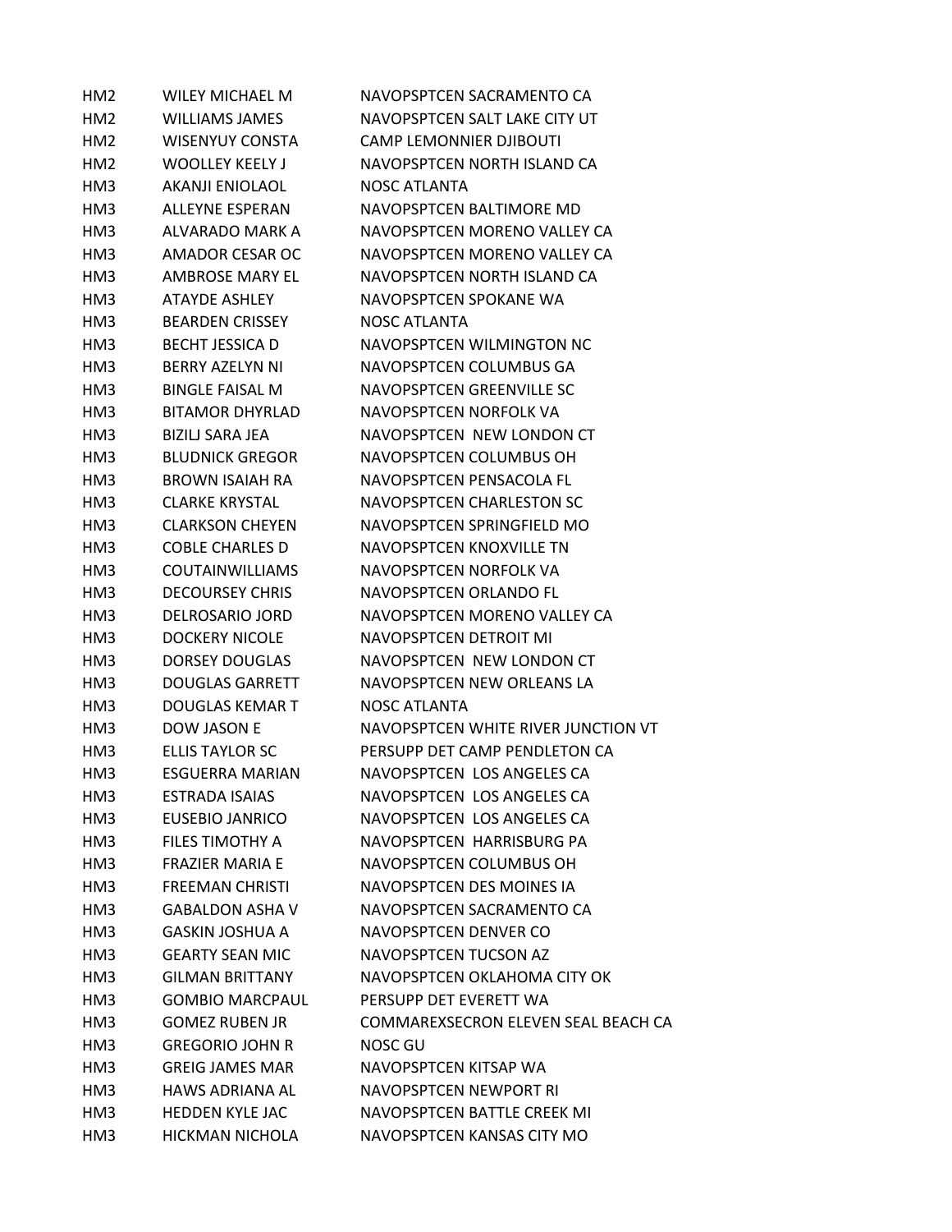| HM <sub>2</sub> | <b>WILEY MICHAEL M</b> | NAVOPSPTCEN SACRAMENTO CA           |
|-----------------|------------------------|-------------------------------------|
| HM <sub>2</sub> | <b>WILLIAMS JAMES</b>  | NAVOPSPTCEN SALT LAKE CITY UT       |
| HM <sub>2</sub> | <b>WISENYUY CONSTA</b> | <b>CAMP LEMONNIER DJIBOUTI</b>      |
| HM <sub>2</sub> | <b>WOOLLEY KEELY J</b> | NAVOPSPTCEN NORTH ISLAND CA         |
| HM3             | <b>AKANJI ENIOLAOL</b> | <b>NOSC ATLANTA</b>                 |
| HM3             | <b>ALLEYNE ESPERAN</b> | NAVOPSPTCEN BALTIMORE MD            |
| HM3             | ALVARADO MARK A        | NAVOPSPTCEN MORENO VALLEY CA        |
| HM3             | AMADOR CESAR OC        | NAVOPSPTCEN MORENO VALLEY CA        |
| HM3             | AMBROSE MARY EL        | NAVOPSPTCEN NORTH ISLAND CA         |
| HM3             | <b>ATAYDE ASHLEY</b>   | NAVOPSPTCEN SPOKANE WA              |
| HM3             | <b>BEARDEN CRISSEY</b> | <b>NOSC ATLANTA</b>                 |
| HM3             | <b>BECHT JESSICA D</b> | NAVOPSPTCEN WILMINGTON NC           |
| HM3             | <b>BERRY AZELYN NI</b> | NAVOPSPTCEN COLUMBUS GA             |
| HM3             | <b>BINGLE FAISAL M</b> | NAVOPSPTCEN GREENVILLE SC           |
| HM3             | <b>BITAMOR DHYRLAD</b> | NAVOPSPTCEN NORFOLK VA              |
| HM3             | BIZILJ SARA JEA        | NAVOPSPTCEN NEW LONDON CT           |
| HM3             | <b>BLUDNICK GREGOR</b> | NAVOPSPTCEN COLUMBUS OH             |
| HM3             | BROWN ISAIAH RA        | NAVOPSPTCEN PENSACOLA FL            |
| HM3             | <b>CLARKE KRYSTAL</b>  | NAVOPSPTCEN CHARLESTON SC           |
| HM3             | <b>CLARKSON CHEYEN</b> | NAVOPSPTCEN SPRINGFIELD MO          |
| HM3             | COBLE CHARLES D        | NAVOPSPTCEN KNOXVILLE TN            |
| HM3             | <b>COUTAINWILLIAMS</b> | NAVOPSPTCEN NORFOLK VA              |
| HM3             | <b>DECOURSEY CHRIS</b> | NAVOPSPTCEN ORLANDO FL              |
| HM3             | <b>DELROSARIO JORD</b> | NAVOPSPTCEN MORENO VALLEY CA        |
| HM3             | <b>DOCKERY NICOLE</b>  | NAVOPSPTCEN DETROIT MI              |
| HM3             | <b>DORSEY DOUGLAS</b>  | NAVOPSPTCEN NEW LONDON CT           |
| HM3             | <b>DOUGLAS GARRETT</b> | NAVOPSPTCEN NEW ORLEANS LA          |
| HM3             | <b>DOUGLAS KEMAR T</b> | NOSC ATLANTA                        |
| HM3             | <b>DOW JASON E</b>     | NAVOPSPTCEN WHITE RIVER JUNCTION VT |
| HM3             | ELLIS TAYLOR SC        | PERSUPP DET CAMP PENDLETON CA       |
| HM3             | ESGUERRA MARIAN        | NAVOPSPTCEN LOS ANGELES CA          |
| HM <sub>3</sub> | <b>ESTRADA ISAIAS</b>  | NAVOPSPTCEN LOS ANGELES CA          |
| HM3             | <b>EUSEBIO JANRICO</b> | NAVOPSPTCEN LOS ANGELES CA          |
| HM3             | FILES TIMOTHY A        | NAVOPSPTCEN HARRISBURG PA           |
| HM3             | <b>FRAZIER MARIA E</b> | NAVOPSPTCEN COLUMBUS OH             |
| HM3             | <b>FREEMAN CHRISTI</b> | NAVOPSPTCEN DES MOINES IA           |
| HM3             | <b>GABALDON ASHA V</b> | NAVOPSPTCEN SACRAMENTO CA           |
| HM3             | GASKIN JOSHUA A        | NAVOPSPTCEN DENVER CO               |
| HM3             | <b>GEARTY SEAN MIC</b> | NAVOPSPTCEN TUCSON AZ               |
| HM3             | <b>GILMAN BRITTANY</b> | NAVOPSPTCEN OKLAHOMA CITY OK        |
| HM3             | <b>GOMBIO MARCPAUL</b> | PERSUPP DET EVERETT WA              |
| HM3             | <b>GOMEZ RUBEN JR</b>  | COMMAREXSECRON ELEVEN SEAL BEACH CA |
| HM3             | <b>GREGORIO JOHN R</b> | <b>NOSC GU</b>                      |
| HM3             | <b>GREIG JAMES MAR</b> | NAVOPSPTCEN KITSAP WA               |
| HM3             | <b>HAWS ADRIANA AL</b> | NAVOPSPTCEN NEWPORT RI              |
| HM3             | <b>HEDDEN KYLE JAC</b> | NAVOPSPTCEN BATTLE CREEK MI         |
| HM3             | HICKMAN NICHOLA        | NAVOPSPTCEN KANSAS CITY MO          |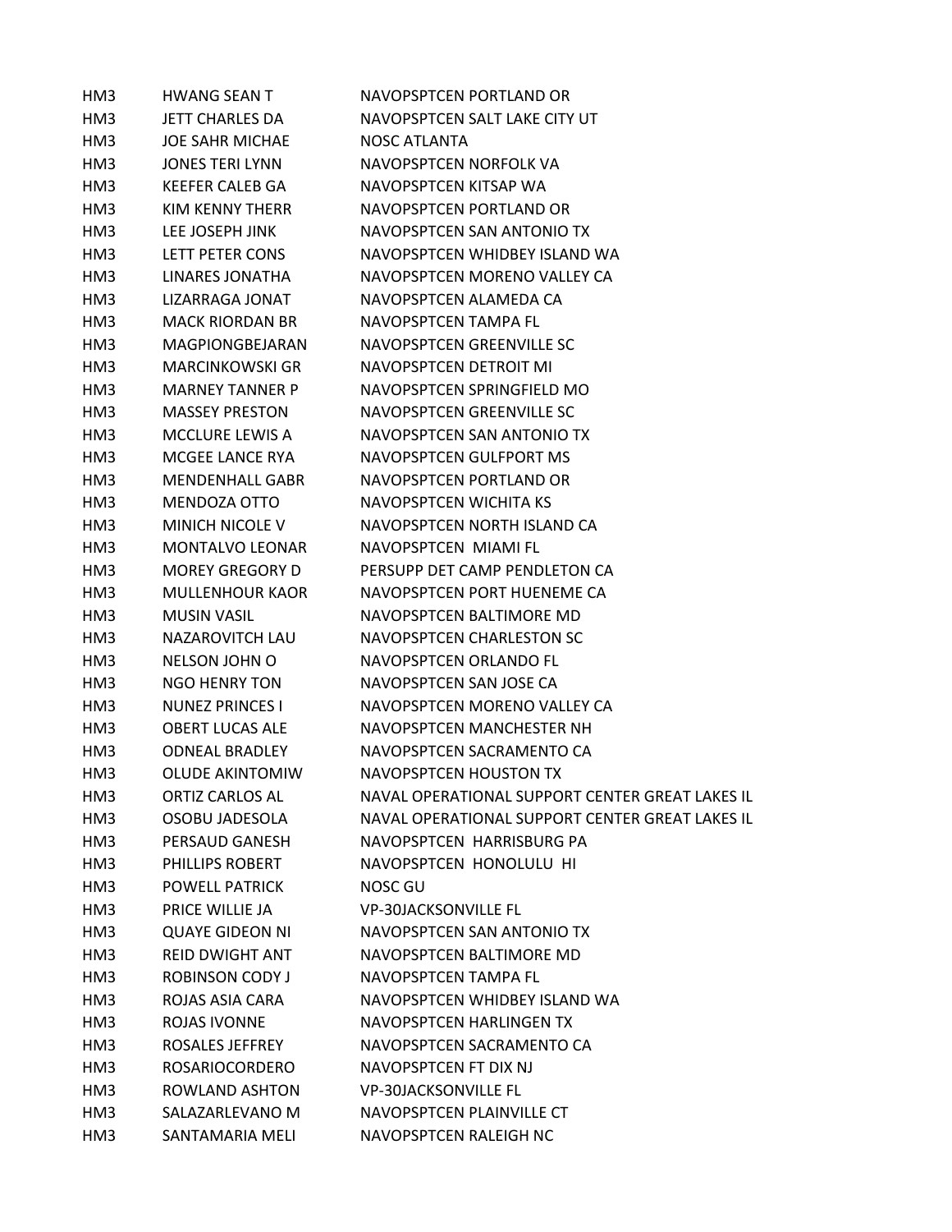| HM3             | <b>HWANG SEAN T</b>    | NAVOPSPTCEN PORTLAND OR                         |
|-----------------|------------------------|-------------------------------------------------|
| HM3             | JETT CHARLES DA        | NAVOPSPTCEN SALT LAKE CITY UT                   |
| HM3             | <b>JOE SAHR MICHAE</b> | <b>NOSC ATLANTA</b>                             |
| HM3             | <b>JONES TERI LYNN</b> | NAVOPSPTCEN NORFOLK VA                          |
| HM3             | <b>KEEFER CALEB GA</b> | NAVOPSPTCEN KITSAP WA                           |
| HM3             | KIM KENNY THERR        | NAVOPSPTCEN PORTLAND OR                         |
| HM3             | LEE JOSEPH JINK        | NAVOPSPTCEN SAN ANTONIO TX                      |
| HM3             | LETT PETER CONS        | NAVOPSPTCEN WHIDBEY ISLAND WA                   |
| HM3             | LINARES JONATHA        | NAVOPSPTCEN MORENO VALLEY CA                    |
| HM3             | LIZARRAGA JONAT        | NAVOPSPTCEN ALAMEDA CA                          |
| HM3             | <b>MACK RIORDAN BR</b> | NAVOPSPTCEN TAMPA FL                            |
| HM <sub>3</sub> | MAGPIONGBEJARAN        | NAVOPSPTCEN GREENVILLE SC                       |
| HM3             | <b>MARCINKOWSKI GR</b> | NAVOPSPTCEN DETROIT MI                          |
| HM3             | <b>MARNEY TANNER P</b> | NAVOPSPTCEN SPRINGFIELD MO                      |
| HM3             | <b>MASSEY PRESTON</b>  | NAVOPSPTCEN GREENVILLE SC                       |
| HM3             | <b>MCCLURE LEWIS A</b> | NAVOPSPTCEN SAN ANTONIO TX                      |
| HM3             | MCGEE LANCE RYA        | NAVOPSPTCEN GULFPORT MS                         |
| HM3             | <b>MENDENHALL GABR</b> | NAVOPSPTCEN PORTLAND OR                         |
| HM3             | MENDOZA OTTO           | NAVOPSPTCEN WICHITA KS                          |
| HM3             | <b>MINICH NICOLE V</b> | NAVOPSPTCEN NORTH ISLAND CA                     |
| HM3             | <b>MONTALVO LEONAR</b> | NAVOPSPTCEN MIAMI FL                            |
| HM3             | <b>MOREY GREGORY D</b> | PERSUPP DET CAMP PENDLETON CA                   |
| HM3             | <b>MULLENHOUR KAOR</b> | NAVOPSPTCEN PORT HUENEME CA                     |
| HM3             | <b>MUSIN VASIL</b>     | NAVOPSPTCEN BALTIMORE MD                        |
| HM3             | <b>NAZAROVITCH LAU</b> | NAVOPSPTCEN CHARLESTON SC                       |
| HM3             | <b>NELSON JOHN O</b>   | NAVOPSPTCEN ORLANDO FL                          |
| HM3             | NGO HENRY TON          | NAVOPSPTCEN SAN JOSE CA                         |
| HM3             | <b>NUNEZ PRINCES I</b> | NAVOPSPTCEN MORENO VALLEY CA                    |
| HM3             | <b>OBERT LUCAS ALE</b> | NAVOPSPTCEN MANCHESTER NH                       |
| HM3             | <b>ODNEAL BRADLEY</b>  | NAVOPSPTCEN SACRAMENTO CA                       |
| HM3             | <b>OLUDE AKINTOMIW</b> | NAVOPSPTCEN HOUSTON TX                          |
| HM3             | <b>ORTIZ CARLOS AL</b> | NAVAL OPERATIONAL SUPPORT CENTER GREAT LAKES IL |
| HM3             | <b>OSOBU JADESOLA</b>  | NAVAL OPERATIONAL SUPPORT CENTER GREAT LAKES IL |
| HM <sub>3</sub> | PERSAUD GANESH         | NAVOPSPTCEN HARRISBURG PA                       |
| HM <sub>3</sub> | PHILLIPS ROBERT        | NAVOPSPTCEN HONOLULU HI                         |
| HM3             | <b>POWELL PATRICK</b>  | <b>NOSC GU</b>                                  |
| HM3             | PRICE WILLIE JA        | <b>VP-30JACKSONVILLE FL</b>                     |
| HM3             | <b>QUAYE GIDEON NI</b> | NAVOPSPTCEN SAN ANTONIO TX                      |
| HM3             | <b>REID DWIGHT ANT</b> | NAVOPSPTCEN BALTIMORE MD                        |
| HM3             | <b>ROBINSON CODY J</b> | NAVOPSPTCEN TAMPA FL                            |
| HM3             | ROJAS ASIA CARA        | NAVOPSPTCEN WHIDBEY ISLAND WA                   |
| HM3             | <b>ROJAS IVONNE</b>    | NAVOPSPTCEN HARLINGEN TX                        |
| HM3             | ROSALES JEFFREY        | NAVOPSPTCEN SACRAMENTO CA                       |
| HM3             | <b>ROSARIOCORDERO</b>  | NAVOPSPTCEN FT DIX NJ                           |
| HM3             | ROWLAND ASHTON         | <b>VP-30JACKSONVILLE FL</b>                     |
| HM3             | SALAZARLEVANO M        | NAVOPSPTCEN PLAINVILLE CT                       |
| HM <sub>3</sub> | SANTAMARIA MELI        | NAVOPSPTCEN RALEIGH NC                          |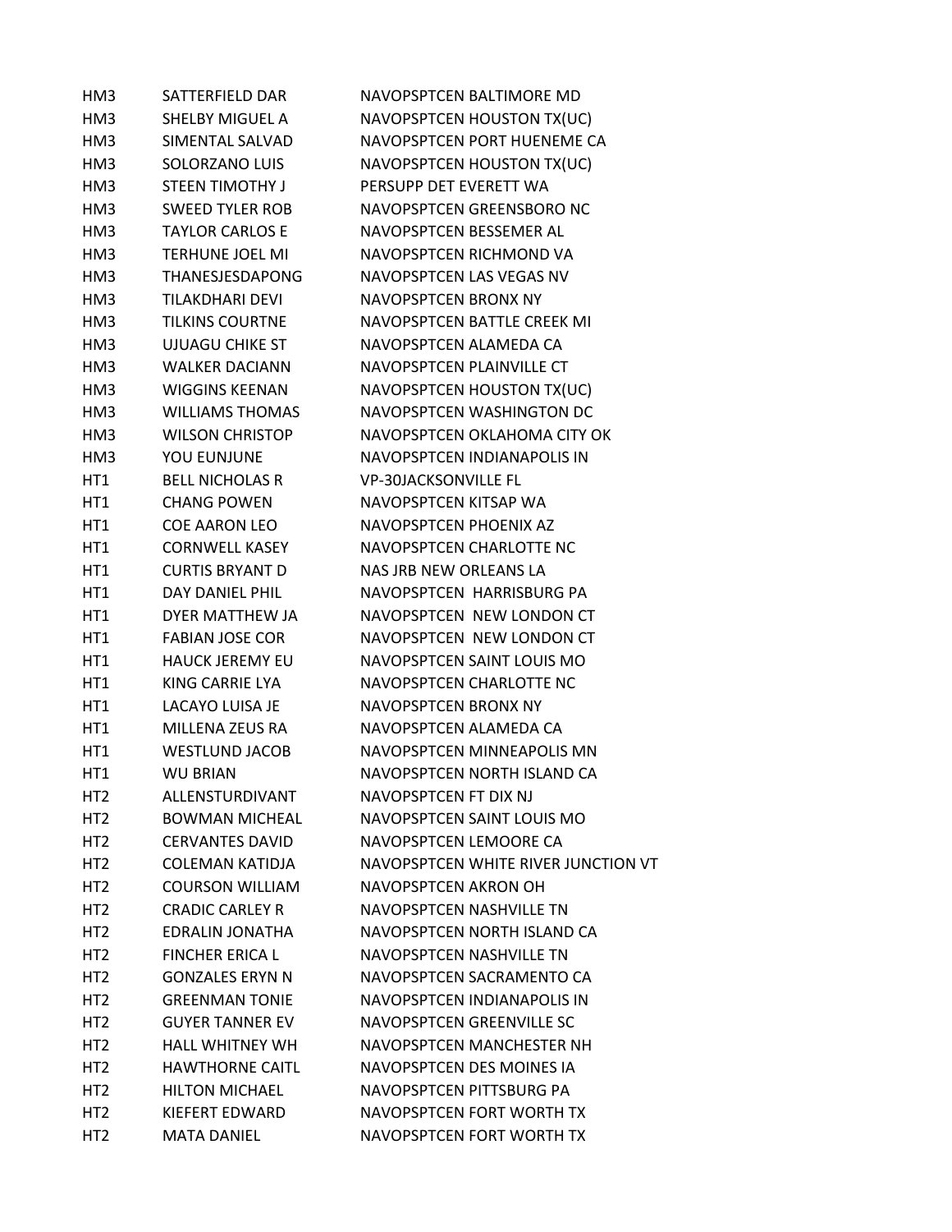| HM3             | SATTERFIELD DAR        | NAVOPSPTCEN BALTIMORE MD            |
|-----------------|------------------------|-------------------------------------|
| HM3             | SHELBY MIGUEL A        | NAVOPSPTCEN HOUSTON TX(UC)          |
| HM3             | SIMENTAL SALVAD        | NAVOPSPTCEN PORT HUENEME CA         |
| HM3             | SOLORZANO LUIS         | NAVOPSPTCEN HOUSTON TX(UC)          |
| HM3             | <b>STEEN TIMOTHY J</b> | PERSUPP DET EVERETT WA              |
| HM3             | <b>SWEED TYLER ROB</b> | NAVOPSPTCEN GREENSBORO NC           |
| HM3             | <b>TAYLOR CARLOS E</b> | NAVOPSPTCEN BESSEMER AL             |
| HM3             | <b>TERHUNE JOEL MI</b> | NAVOPSPTCEN RICHMOND VA             |
| HM3             | THANESJESDAPONG        | NAVOPSPTCEN LAS VEGAS NV            |
| HM3             | <b>TILAKDHARI DEVI</b> | NAVOPSPTCEN BRONX NY                |
| HM3             | <b>TILKINS COURTNE</b> | NAVOPSPTCEN BATTLE CREEK MI         |
| HM3             | <b>UJUAGU CHIKE ST</b> | NAVOPSPTCEN ALAMEDA CA              |
| HM3             | <b>WALKER DACIANN</b>  | NAVOPSPTCEN PLAINVILLE CT           |
| HM3             | <b>WIGGINS KEENAN</b>  | NAVOPSPTCEN HOUSTON TX(UC)          |
| HM3             | <b>WILLIAMS THOMAS</b> | NAVOPSPTCEN WASHINGTON DC           |
| HM3             | <b>WILSON CHRISTOP</b> | NAVOPSPTCEN OKLAHOMA CITY OK        |
| HM3             | YOU EUNJUNE            | NAVOPSPTCEN INDIANAPOLIS IN         |
| HT1             | <b>BELL NICHOLAS R</b> | <b>VP-30JACKSONVILLE FL</b>         |
| HT1             | <b>CHANG POWEN</b>     | NAVOPSPTCEN KITSAP WA               |
| HT <sub>1</sub> | <b>COE AARON LEO</b>   | NAVOPSPTCEN PHOENIX AZ              |
| HT1             | <b>CORNWELL KASEY</b>  | NAVOPSPTCEN CHARLOTTE NC            |
| HT1             | <b>CURTIS BRYANT D</b> | NAS JRB NEW ORLEANS LA              |
| HT1             | DAY DANIEL PHIL        | NAVOPSPTCEN HARRISBURG PA           |
| HT1             | DYER MATTHEW JA        | NAVOPSPTCEN NEW LONDON CT           |
| HT1             | <b>FABIAN JOSE COR</b> | NAVOPSPTCEN NEW LONDON CT           |
| HT1             | <b>HAUCK JEREMY EU</b> | NAVOPSPTCEN SAINT LOUIS MO          |
| HT1             | KING CARRIE LYA        | NAVOPSPTCEN CHARLOTTE NC            |
| HT1             | <b>LACAYO LUISA JE</b> | NAVOPSPTCEN BRONX NY                |
| HT1             | MILLENA ZEUS RA        | NAVOPSPTCEN ALAMEDA CA              |
| HT1             | <b>WESTLUND JACOB</b>  | NAVOPSPTCEN MINNEAPOLIS MN          |
| HT1             | <b>WU BRIAN</b>        | NAVOPSPTCEN NORTH ISLAND CA         |
| HT <sub>2</sub> | ALLENSTURDIVANT        | NAVOPSPTCEN FT DIX NJ               |
| HT <sub>2</sub> | <b>BOWMAN MICHEAL</b>  | NAVOPSPTCEN SAINT LOUIS MO          |
| HT <sub>2</sub> | <b>CERVANTES DAVID</b> | NAVOPSPTCEN LEMOORE CA              |
| HT <sub>2</sub> | <b>COLEMAN KATIDJA</b> | NAVOPSPTCEN WHITE RIVER JUNCTION VT |
| HT <sub>2</sub> | <b>COURSON WILLIAM</b> | NAVOPSPTCEN AKRON OH                |
| HT <sub>2</sub> | <b>CRADIC CARLEY R</b> | NAVOPSPTCFN NASHVILLF TN            |
| HT <sub>2</sub> | EDRALIN JONATHA        | NAVOPSPTCEN NORTH ISLAND CA         |
| HT <sub>2</sub> | <b>FINCHER ERICA L</b> | NAVOPSPTCEN NASHVILLE TN            |
| HT <sub>2</sub> | <b>GONZALES ERYN N</b> | NAVOPSPTCEN SACRAMENTO CA           |
| HT <sub>2</sub> | <b>GREENMAN TONIE</b>  | NAVOPSPTCEN INDIANAPOLIS IN         |
| HT <sub>2</sub> | <b>GUYER TANNER EV</b> | NAVOPSPTCEN GREENVILLE SC           |
| HT <sub>2</sub> | <b>HALL WHITNEY WH</b> | NAVOPSPTCEN MANCHESTER NH           |
| HT <sub>2</sub> | <b>HAWTHORNE CAITL</b> | NAVOPSPTCEN DES MOINES IA           |
| HT <sub>2</sub> | <b>HILTON MICHAEL</b>  | NAVOPSPTCEN PITTSBURG PA            |
| HT <sub>2</sub> | KIEFERT EDWARD         | NAVOPSPTCEN FORT WORTH TX           |
| HT <sub>2</sub> | <b>MATA DANIEL</b>     | NAVOPSPTCEN FORT WORTH TX           |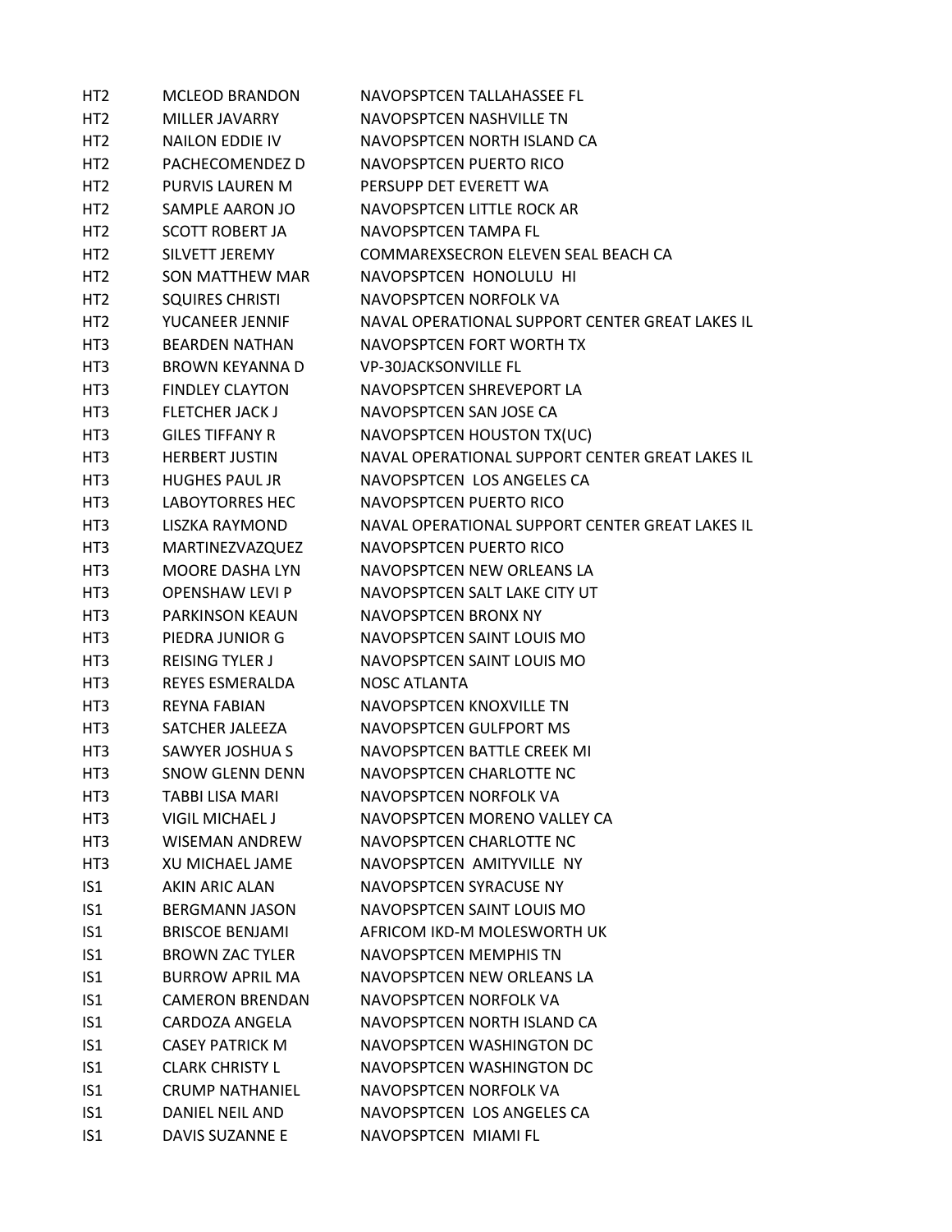| HT <sub>2</sub> | <b>MCLEOD BRANDON</b>  | NAVOPSPTCEN TALLAHASSEE FL                      |
|-----------------|------------------------|-------------------------------------------------|
| HT <sub>2</sub> | MILLER JAVARRY         | NAVOPSPTCEN NASHVILLE TN                        |
| HT <sub>2</sub> | <b>NAILON EDDIE IV</b> | NAVOPSPTCFN NORTH ISLAND CA                     |
| HT <sub>2</sub> | PACHECOMENDEZ D        | NAVOPSPTCEN PUERTO RICO                         |
| HT <sub>2</sub> | <b>PURVIS LAUREN M</b> | PERSUPP DET EVERETT WA                          |
| HT <sub>2</sub> | SAMPLE AARON JO        | NAVOPSPTCEN LITTLE ROCK AR                      |
| HT <sub>2</sub> | <b>SCOTT ROBERT JA</b> | NAVOPSPTCEN TAMPA FL                            |
| HT <sub>2</sub> | SILVETT JEREMY         | COMMAREXSECRON ELEVEN SEAL BEACH CA             |
| HT <sub>2</sub> | <b>SON MATTHEW MAR</b> | NAVOPSPTCEN HONOLULU HI                         |
| HT <sub>2</sub> | <b>SQUIRES CHRISTI</b> | NAVOPSPTCEN NORFOLK VA                          |
| HT <sub>2</sub> | YUCANEER JENNIF        | NAVAL OPERATIONAL SUPPORT CENTER GREAT LAKES IL |
| HT3             | <b>BEARDEN NATHAN</b>  | NAVOPSPTCEN FORT WORTH TX                       |
| HT3             | <b>BROWN KEYANNA D</b> | <b>VP-30JACKSONVILLE FL</b>                     |
| HT <sub>3</sub> | <b>FINDLEY CLAYTON</b> | NAVOPSPTCEN SHREVEPORT LA                       |
| HT <sub>3</sub> | <b>FLETCHER JACK J</b> | NAVOPSPTCEN SAN JOSE CA                         |
| HT3             | <b>GILES TIFFANY R</b> | NAVOPSPTCEN HOUSTON TX(UC)                      |
| HT3             | <b>HERBERT JUSTIN</b>  | NAVAL OPERATIONAL SUPPORT CENTER GREAT LAKES IL |
| HT3             | <b>HUGHES PAUL JR</b>  | NAVOPSPTCEN LOS ANGELES CA                      |
| HT3             | <b>LABOYTORRES HEC</b> | NAVOPSPTCEN PUERTO RICO                         |
| HT3             | <b>LISZKA RAYMOND</b>  | NAVAL OPERATIONAL SUPPORT CENTER GREAT LAKES IL |
| HT3             | MARTINEZVAZQUEZ        | NAVOPSPTCEN PUERTO RICO                         |
| HT <sub>3</sub> | <b>MOORE DASHA LYN</b> | NAVOPSPTCEN NEW ORLEANS LA                      |
| HT3             | <b>OPENSHAW LEVI P</b> | NAVOPSPTCEN SALT LAKE CITY UT                   |
| HT3             | <b>PARKINSON KEAUN</b> | NAVOPSPTCEN BRONX NY                            |
| HT3             | PIEDRA JUNIOR G        | NAVOPSPTCEN SAINT LOUIS MO                      |
| HT3             | <b>REISING TYLER J</b> | NAVOPSPTCEN SAINT LOUIS MO                      |
| HT <sub>3</sub> | REYES ESMERALDA        | <b>NOSC ATLANTA</b>                             |
| HT3             | <b>REYNA FABIAN</b>    | NAVOPSPTCEN KNOXVILLE TN                        |
| HT3             | SATCHER JALEEZA        | NAVOPSPTCEN GULFPORT MS                         |
| HT3             | SAWYER JOSHUA S        | NAVOPSPTCEN BATTLE CREEK MI                     |
| HT3             | <b>SNOW GLENN DENN</b> | NAVOPSPTCEN CHARLOTTE NC                        |
| HT3             | <b>TABBI LISA MARI</b> | NAVOPSPTCEN NORFOLK VA                          |
| HT3             | <b>VIGIL MICHAEL J</b> | NAVOPSPTCEN MORENO VALLEY CA                    |
| HT3             | WISEMAN ANDREW         | NAVOPSPTCEN CHARLOTTE NC                        |
| HT3             | XU MICHAEL JAME        | NAVOPSPTCEN AMITYVILLE NY                       |
| IS <sub>1</sub> | <b>AKIN ARIC ALAN</b>  | NAVOPSPTCEN SYRACUSE NY                         |
| IS <sub>1</sub> | <b>BERGMANN JASON</b>  | NAVOPSPTCEN SAINT LOUIS MO                      |
| IS1             | <b>BRISCOE BENJAMI</b> | AFRICOM IKD-M MOLESWORTH UK                     |
| IS <sub>1</sub> | <b>BROWN ZAC TYLER</b> | <b>NAVOPSPTCEN MEMPHIS TN</b>                   |
| IS1             | <b>BURROW APRIL MA</b> | NAVOPSPTCEN NEW ORLEANS LA                      |
| IS <sub>1</sub> | <b>CAMERON BRENDAN</b> | NAVOPSPTCEN NORFOLK VA                          |
| IS1             | CARDOZA ANGELA         | NAVOPSPTCEN NORTH ISLAND CA                     |
| IS <sub>1</sub> | <b>CASEY PATRICK M</b> | NAVOPSPTCEN WASHINGTON DC                       |
| IS <sub>1</sub> | <b>CLARK CHRISTY L</b> | NAVOPSPTCEN WASHINGTON DC                       |
| IS1             | <b>CRUMP NATHANIEL</b> | NAVOPSPTCEN NORFOLK VA                          |
| IS1             | DANIEL NEIL AND        | NAVOPSPTCEN LOS ANGELES CA                      |
| IS1             | DAVIS SUZANNE E        | NAVOPSPTCEN MIAMI FL                            |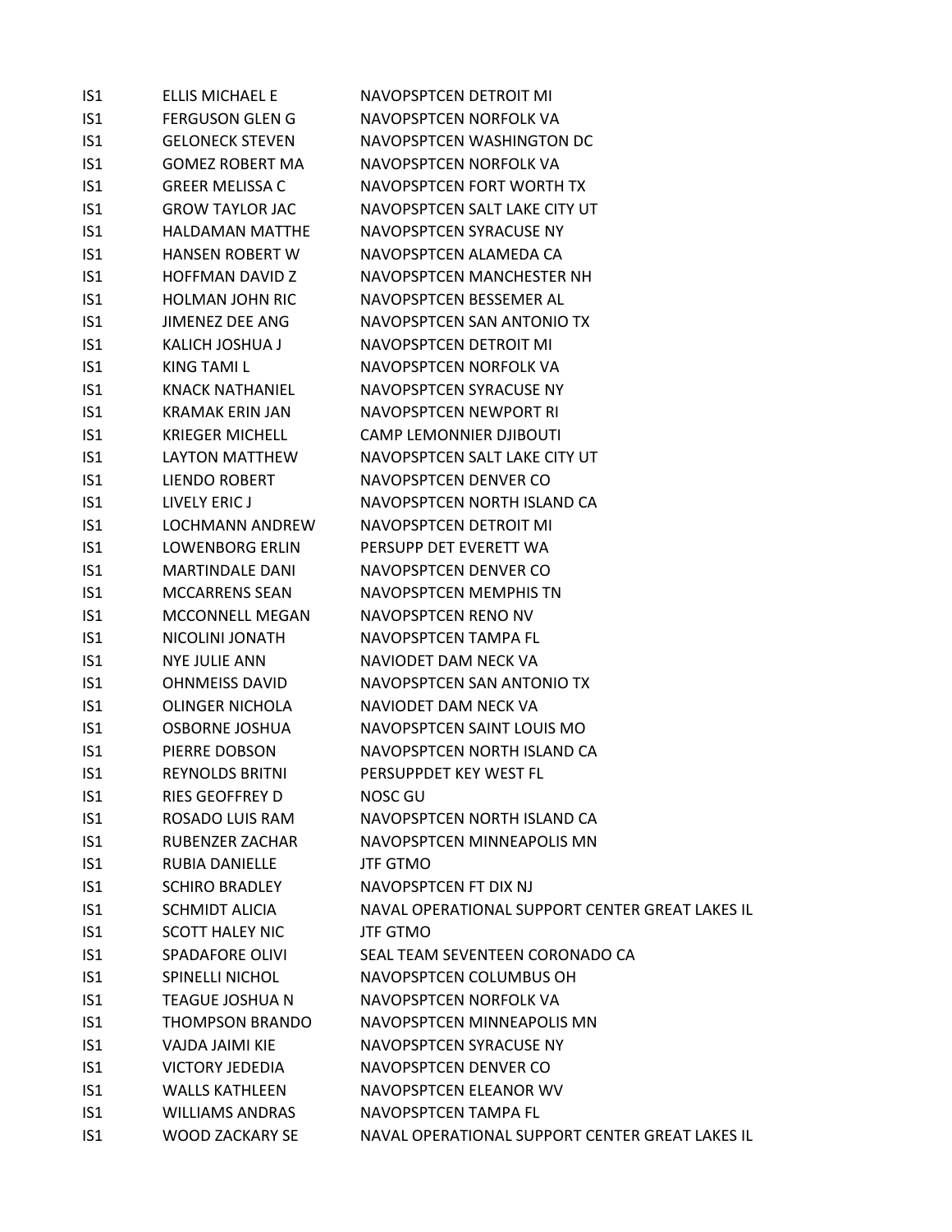| IS1             | <b>ELLIS MICHAEL E</b> | NAVOPSPTCEN DETROIT MI                          |
|-----------------|------------------------|-------------------------------------------------|
| IS <sub>1</sub> | <b>FERGUSON GLEN G</b> | NAVOPSPTCEN NORFOLK VA                          |
| IS <sub>1</sub> | <b>GELONECK STEVEN</b> | NAVOPSPTCEN WASHINGTON DC                       |
| IS <sub>1</sub> | <b>GOMEZ ROBERT MA</b> | NAVOPSPTCEN NORFOLK VA                          |
| IS <sub>1</sub> | <b>GREER MELISSA C</b> | NAVOPSPTCEN FORT WORTH TX                       |
| IS <sub>1</sub> | <b>GROW TAYLOR JAC</b> | NAVOPSPTCEN SALT LAKE CITY UT                   |
| IS <sub>1</sub> | HALDAMAN MATTHE        | NAVOPSPTCEN SYRACUSE NY                         |
| IS1             | <b>HANSEN ROBERT W</b> | NAVOPSPTCEN ALAMEDA CA                          |
| IS1             | <b>HOFFMAN DAVID Z</b> | NAVOPSPTCEN MANCHESTER NH                       |
| IS <sub>1</sub> | <b>HOLMAN JOHN RIC</b> | NAVOPSPTCEN BESSEMER AL                         |
| IS <sub>1</sub> | JIMENEZ DEE ANG        | NAVOPSPTCEN SAN ANTONIO TX                      |
| IS <sub>1</sub> | KALICH JOSHUA J        | NAVOPSPTCEN DETROIT MI                          |
| IS1             | KING TAMI L            | NAVOPSPTCEN NORFOLK VA                          |
| IS <sub>1</sub> | <b>KNACK NATHANIEL</b> | NAVOPSPTCEN SYRACUSE NY                         |
| IS <sub>1</sub> | <b>KRAMAK ERIN JAN</b> | NAVOPSPTCEN NEWPORT RI                          |
| IS <sub>1</sub> | <b>KRIEGER MICHELL</b> | <b>CAMP LEMONNIER DJIBOUTI</b>                  |
| IS1             | <b>LAYTON MATTHEW</b>  | NAVOPSPTCEN SALT LAKE CITY UT                   |
| IS1             | LIENDO ROBERT          | NAVOPSPTCEN DENVER CO                           |
| IS <sub>1</sub> | LIVELY ERIC J          | NAVOPSPTCEN NORTH ISLAND CA                     |
| IS <sub>1</sub> | <b>LOCHMANN ANDREW</b> | NAVOPSPTCEN DETROIT MI                          |
| IS <sub>1</sub> | <b>LOWENBORG ERLIN</b> | PERSUPP DET EVERETT WA                          |
| IS <sub>1</sub> | <b>MARTINDALE DANI</b> | NAVOPSPTCEN DENVER CO                           |
| IS <sub>1</sub> | <b>MCCARRENS SEAN</b>  | NAVOPSPTCEN MEMPHIS TN                          |
| IS <sub>1</sub> | <b>MCCONNELL MEGAN</b> | NAVOPSPTCEN RENO NV                             |
| IS <sub>1</sub> | NICOLINI JONATH        | NAVOPSPTCEN TAMPA FL                            |
| IS <sub>1</sub> | <b>NYE JULIE ANN</b>   | NAVIODET DAM NECK VA                            |
| IS1             | <b>OHNMEISS DAVID</b>  | NAVOPSPTCEN SAN ANTONIO TX                      |
| IS <sub>1</sub> | <b>OLINGER NICHOLA</b> | NAVIODET DAM NECK VA                            |
| IS <sub>1</sub> | <b>OSBORNE JOSHUA</b>  | NAVOPSPTCEN SAINT LOUIS MO                      |
| IS1             | PIERRE DOBSON          | NAVOPSPTCEN NORTH ISLAND CA                     |
| IS <sub>1</sub> | <b>REYNOLDS BRITNI</b> | PERSUPPDET KEY WEST FL                          |
| IS1             | <b>RIES GEOFFREY D</b> | <b>NOSC GU</b>                                  |
| IS1             | ROSADO LUIS RAM        | NAVOPSPTCEN NORTH ISLAND CA                     |
| IS1             | RUBENZER ZACHAR        | NAVOPSPTCEN MINNEAPOLIS MN                      |
| IS1             | <b>RUBIA DANIELLE</b>  | <b>JTF GTMO</b>                                 |
| IS <sub>1</sub> | <b>SCHIRO BRADLEY</b>  | NAVOPSPTCEN FT DIX NJ                           |
| IS <sub>1</sub> | <b>SCHMIDT ALICIA</b>  | NAVAL OPERATIONAL SUPPORT CENTER GREAT LAKES IL |
| IS1             | <b>SCOTT HALEY NIC</b> | <b>JTF GTMO</b>                                 |
| IS <sub>1</sub> | <b>SPADAFORE OLIVI</b> | SEAL TEAM SEVENTEEN CORONADO CA                 |
| IS <sub>1</sub> | <b>SPINELLI NICHOL</b> | NAVOPSPTCEN COLUMBUS OH                         |
| IS <sub>1</sub> | TEAGUE JOSHUA N        | NAVOPSPTCEN NORFOLK VA                          |
| IS <sub>1</sub> | <b>THOMPSON BRANDO</b> | NAVOPSPTCEN MINNEAPOLIS MN                      |
| IS1             | VAJDA JAIMI KIE        | NAVOPSPTCEN SYRACUSE NY                         |
| IS1             | <b>VICTORY JEDEDIA</b> | NAVOPSPTCEN DENVER CO                           |
| IS <sub>1</sub> | <b>WALLS KATHLEEN</b>  | NAVOPSPTCEN ELEANOR WV                          |
| IS1             | <b>WILLIAMS ANDRAS</b> | NAVOPSPTCEN TAMPA FL                            |
| IS <sub>1</sub> | WOOD ZACKARY SE        | NAVAL OPERATIONAL SUPPORT CENTER GREAT LAKES IL |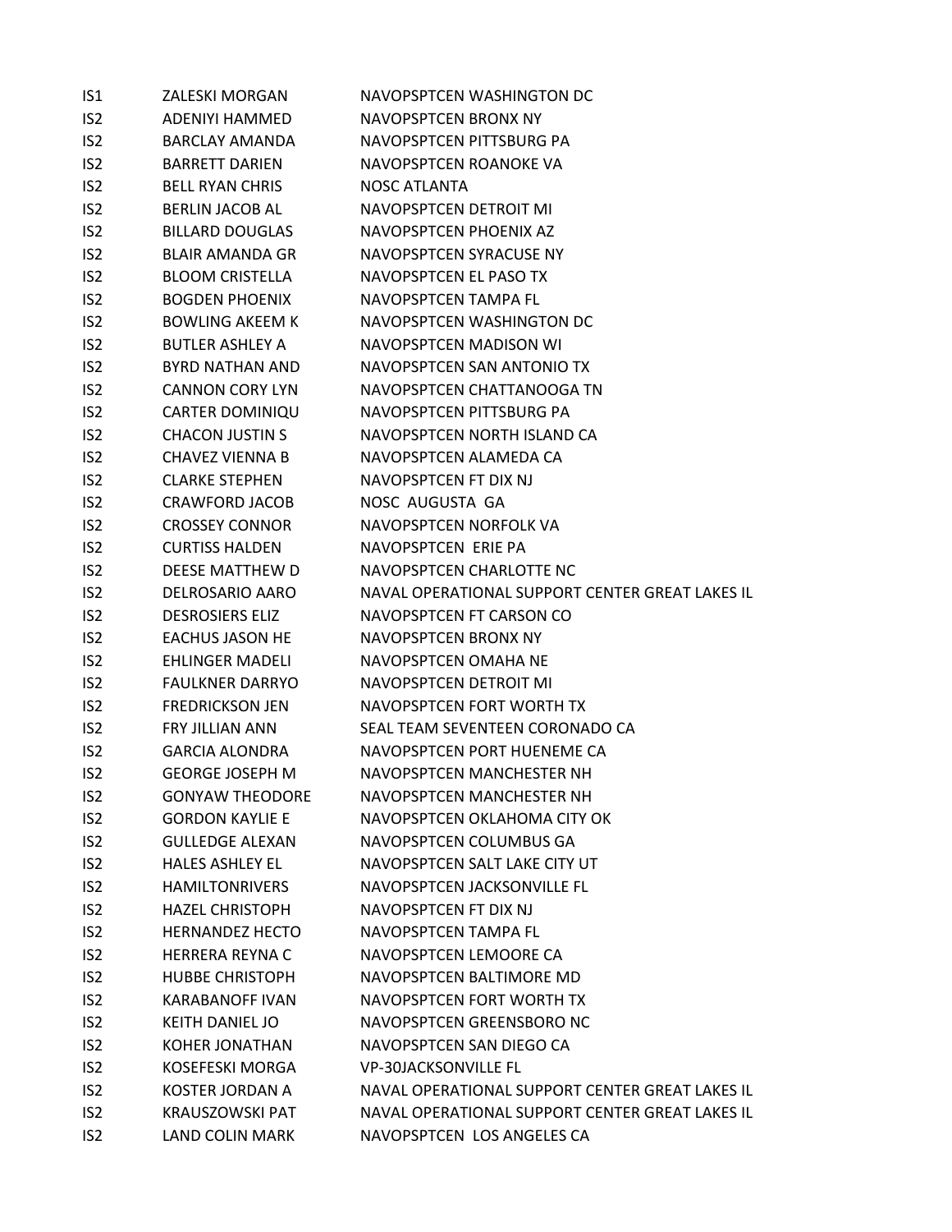| IS1             | ZALESKI MORGAN         | NAVOPSPTCEN WASHINGTON DC                       |
|-----------------|------------------------|-------------------------------------------------|
| IS <sub>2</sub> | ADENIYI HAMMED         | NAVOPSPTCEN BRONX NY                            |
| IS <sub>2</sub> | <b>BARCLAY AMANDA</b>  | NAVOPSPTCEN PITTSBURG PA                        |
| IS <sub>2</sub> | <b>BARRETT DARIEN</b>  | NAVOPSPTCEN ROANOKE VA                          |
| IS <sub>2</sub> | <b>BELL RYAN CHRIS</b> | NOSC ATLANTA                                    |
| IS <sub>2</sub> | <b>BERLIN JACOB AL</b> | NAVOPSPTCEN DETROIT MI                          |
| IS <sub>2</sub> | <b>BILLARD DOUGLAS</b> | NAVOPSPTCEN PHOENIX AZ                          |
| IS <sub>2</sub> | <b>BLAIR AMANDA GR</b> | NAVOPSPTCEN SYRACUSE NY                         |
| IS <sub>2</sub> | <b>BLOOM CRISTELLA</b> | NAVOPSPTCEN EL PASO TX                          |
| IS <sub>2</sub> | <b>BOGDEN PHOENIX</b>  | NAVOPSPTCEN TAMPA FL                            |
| IS <sub>2</sub> | <b>BOWLING AKEEM K</b> | NAVOPSPTCEN WASHINGTON DC                       |
| IS <sub>2</sub> | <b>BUTLER ASHLEY A</b> | NAVOPSPTCEN MADISON WI                          |
| IS <sub>2</sub> | BYRD NATHAN AND        | NAVOPSPTCEN SAN ANTONIO TX                      |
| IS <sub>2</sub> | <b>CANNON CORY LYN</b> | NAVOPSPTCEN CHATTANOOGA TN                      |
| IS <sub>2</sub> | <b>CARTER DOMINIQU</b> | NAVOPSPTCEN PITTSBURG PA                        |
| IS <sub>2</sub> | <b>CHACON JUSTIN S</b> | NAVOPSPTCEN NORTH ISLAND CA                     |
| IS <sub>2</sub> | CHAVEZ VIENNA B        | NAVOPSPTCEN ALAMEDA CA                          |
| IS <sub>2</sub> | <b>CLARKE STEPHEN</b>  | NAVOPSPTCEN FT DIX NJ                           |
| IS <sub>2</sub> | CRAWFORD JACOB         | NOSC AUGUSTA GA                                 |
| IS <sub>2</sub> | <b>CROSSEY CONNOR</b>  | NAVOPSPTCEN NORFOLK VA                          |
| IS <sub>2</sub> | <b>CURTISS HALDEN</b>  | NAVOPSPTCEN ERIE PA                             |
| IS <sub>2</sub> | DEESE MATTHEW D        | NAVOPSPTCEN CHARLOTTE NC                        |
| IS <sub>2</sub> | DELROSARIO AARO        | NAVAL OPERATIONAL SUPPORT CENTER GREAT LAKES IL |
| IS <sub>2</sub> | <b>DESROSIERS ELIZ</b> | NAVOPSPTCEN FT CARSON CO                        |
| IS <sub>2</sub> | <b>EACHUS JASON HE</b> | NAVOPSPTCEN BRONX NY                            |
| IS <sub>2</sub> | <b>EHLINGER MADELI</b> | NAVOPSPTCEN OMAHA NE                            |
| IS <sub>2</sub> | <b>FAULKNER DARRYO</b> | NAVOPSPTCEN DETROIT MI                          |
| IS <sub>2</sub> | <b>FREDRICKSON JEN</b> | NAVOPSPTCEN FORT WORTH TX                       |
| IS <sub>2</sub> | <b>FRY JILLIAN ANN</b> | SEAL TEAM SEVENTEEN CORONADO CA                 |
| IS <sub>2</sub> | GARCIA ALONDRA         | NAVOPSPTCEN PORT HUENEME CA                     |
| IS <sub>2</sub> | <b>GEORGE JOSEPH M</b> | NAVOPSPTCEN MANCHESTER NH                       |
| IS <sub>2</sub> | <b>GONYAW THEODORE</b> | NAVOPSPTCEN MANCHESTER NH                       |
| IS <sub>2</sub> | <b>GORDON KAYLIE E</b> | NAVOPSPTCEN OKLAHOMA CITY OK                    |
| IS <sub>2</sub> | <b>GULLEDGE ALEXAN</b> | NAVOPSPTCEN COLUMBUS GA                         |
| IS <sub>2</sub> | <b>HALES ASHLEY EL</b> | NAVOPSPTCEN SALT LAKE CITY UT                   |
| IS <sub>2</sub> | <b>HAMILTONRIVERS</b>  | NAVOPSPTCEN JACKSONVILLE FL                     |
| IS <sub>2</sub> | <b>HAZEL CHRISTOPH</b> | NAVOPSPTCEN FT DIX NJ                           |
| IS <sub>2</sub> | <b>HERNANDEZ HECTO</b> | NAVOPSPTCEN TAMPA FL                            |
| IS <sub>2</sub> | <b>HERRERA REYNA C</b> | NAVOPSPTCEN LEMOORE CA                          |
| IS <sub>2</sub> | <b>HUBBE CHRISTOPH</b> | NAVOPSPTCEN BALTIMORE MD                        |
| IS <sub>2</sub> | <b>KARABANOFF IVAN</b> | NAVOPSPTCEN FORT WORTH TX                       |
| IS <sub>2</sub> | <b>KEITH DANIEL JO</b> | NAVOPSPTCEN GREENSBORO NC                       |
| IS <sub>2</sub> | <b>KOHER JONATHAN</b>  | NAVOPSPTCEN SAN DIEGO CA                        |
| IS <sub>2</sub> | <b>KOSEFESKI MORGA</b> | <b>VP-30JACKSONVILLE FL</b>                     |
| IS <sub>2</sub> | <b>KOSTER JORDAN A</b> | NAVAL OPERATIONAL SUPPORT CENTER GREAT LAKES IL |
| IS <sub>2</sub> | <b>KRAUSZOWSKI PAT</b> | NAVAL OPERATIONAL SUPPORT CENTER GREAT LAKES IL |
| IS <sub>2</sub> | <b>LAND COLIN MARK</b> | NAVOPSPTCEN LOS ANGELES CA                      |
|                 |                        |                                                 |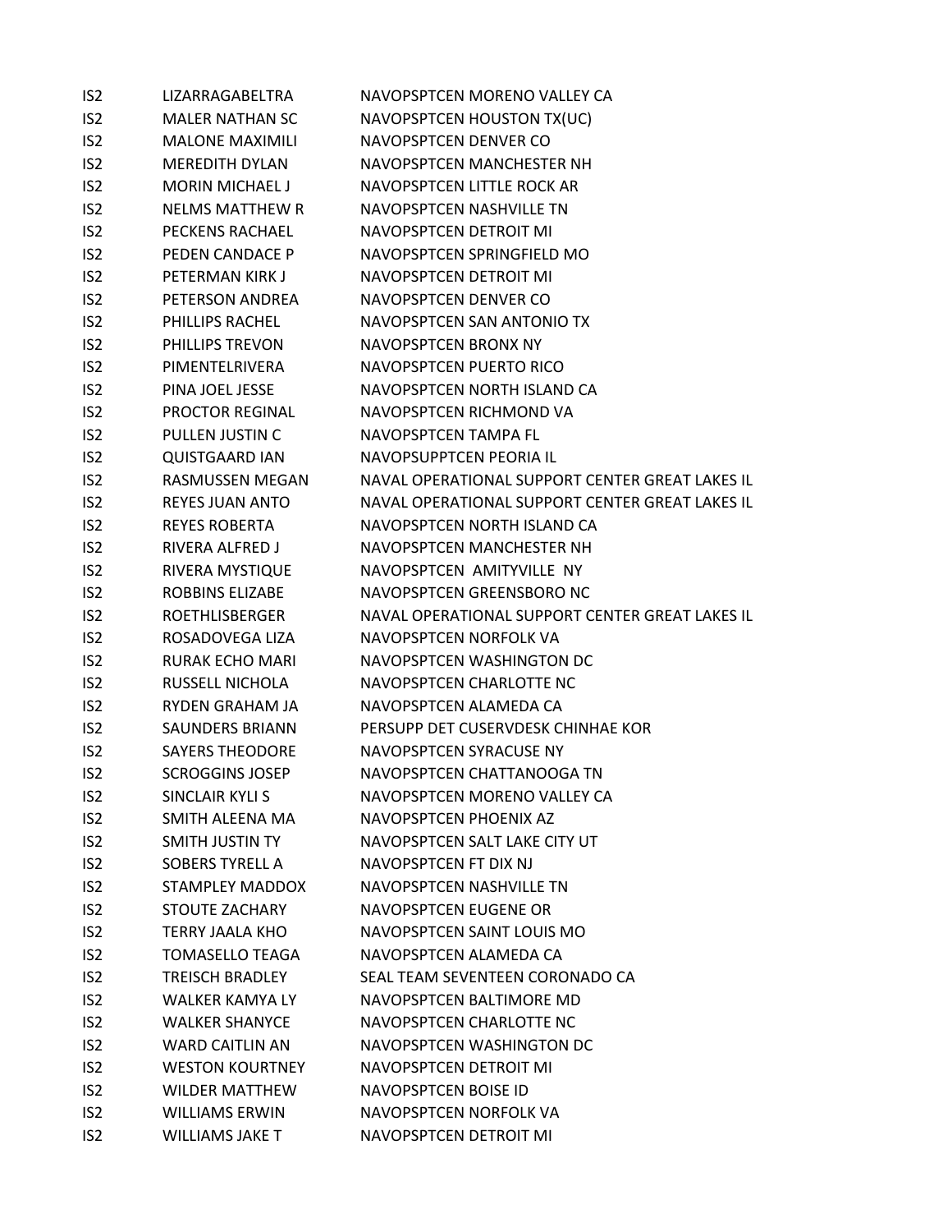| IS <sub>2</sub> | LIZARRAGABELTRA        | NAVOPSPTCEN MORENO VALLEY CA                    |
|-----------------|------------------------|-------------------------------------------------|
| IS <sub>2</sub> | <b>MALER NATHAN SC</b> | NAVOPSPTCEN HOUSTON TX(UC)                      |
| IS <sub>2</sub> | <b>MALONE MAXIMILI</b> | NAVOPSPTCEN DENVER CO                           |
| IS <sub>2</sub> | <b>MEREDITH DYLAN</b>  | NAVOPSPTCEN MANCHESTER NH                       |
| IS <sub>2</sub> | <b>MORIN MICHAEL J</b> | NAVOPSPTCEN LITTLE ROCK AR                      |
| IS <sub>2</sub> | <b>NELMS MATTHEW R</b> | NAVOPSPTCEN NASHVILLE TN                        |
| IS <sub>2</sub> | <b>PECKENS RACHAEL</b> | NAVOPSPTCEN DETROIT MI                          |
| IS <sub>2</sub> | PEDEN CANDACE P        | NAVOPSPTCEN SPRINGFIELD MO                      |
| IS <sub>2</sub> | PETERMAN KIRK J        | NAVOPSPTCEN DETROIT MI                          |
| IS <sub>2</sub> | PETERSON ANDREA        | NAVOPSPTCEN DENVER CO                           |
| IS <sub>2</sub> | PHILLIPS RACHEL        | NAVOPSPTCEN SAN ANTONIO TX                      |
| IS <sub>2</sub> | <b>PHILLIPS TREVON</b> | NAVOPSPTCEN BRONX NY                            |
| IS <sub>2</sub> | PIMENTELRIVERA         | NAVOPSPTCEN PUERTO RICO                         |
| IS <sub>2</sub> | PINA JOEL JESSE        | NAVOPSPTCEN NORTH ISLAND CA                     |
| IS <sub>2</sub> | <b>PROCTOR REGINAL</b> | NAVOPSPTCEN RICHMOND VA                         |
| IS <sub>2</sub> | PULLEN JUSTIN C        | NAVOPSPTCEN TAMPA FL                            |
| IS <sub>2</sub> | <b>QUISTGAARD IAN</b>  | NAVOPSUPPTCEN PEORIA IL                         |
| IS <sub>2</sub> | RASMUSSEN MEGAN        | NAVAL OPERATIONAL SUPPORT CENTER GREAT LAKES IL |
| IS <sub>2</sub> | <b>REYES JUAN ANTO</b> | NAVAL OPERATIONAL SUPPORT CENTER GREAT LAKES IL |
| IS <sub>2</sub> | <b>REYES ROBERTA</b>   | NAVOPSPTCEN NORTH ISLAND CA                     |
| IS <sub>2</sub> | RIVERA ALFRED J        | NAVOPSPTCEN MANCHESTER NH                       |
| IS <sub>2</sub> | RIVERA MYSTIQUE        | NAVOPSPTCEN AMITYVILLE NY                       |
| IS <sub>2</sub> | ROBBINS ELIZABE        | NAVOPSPTCEN GREENSBORO NC                       |
| IS <sub>2</sub> | <b>ROETHLISBERGER</b>  | NAVAL OPERATIONAL SUPPORT CENTER GREAT LAKES IL |
| IS <sub>2</sub> | ROSADOVEGA LIZA        | NAVOPSPTCEN NORFOLK VA                          |
| IS <sub>2</sub> | <b>RURAK ECHO MARI</b> | NAVOPSPTCEN WASHINGTON DC                       |
| IS <sub>2</sub> | RUSSELL NICHOLA        | NAVOPSPTCEN CHARLOTTE NC                        |
| IS <sub>2</sub> | RYDEN GRAHAM JA        | NAVOPSPTCEN ALAMEDA CA                          |
| IS <sub>2</sub> | SAUNDERS BRIANN        | PERSUPP DET CUSERVDESK CHINHAE KOR              |
| IS <sub>2</sub> | <b>SAYERS THEODORE</b> | NAVOPSPTCEN SYRACUSE NY                         |
| IS <sub>2</sub> | <b>SCROGGINS JOSEP</b> | NAVOPSPTCEN CHATTANOOGA TN                      |
| IS <sub>2</sub> | SINCLAIR KYLI S        | NAVOPSPTCEN MORENO VALLEY CA                    |
| IS <sub>2</sub> | SMITH ALEENA MA        | NAVOPSPTCEN PHOENIX AZ                          |
| IS <sub>2</sub> | SMITH JUSTIN TY        | NAVOPSPTCEN SALT LAKE CITY UT                   |
| IS <sub>2</sub> | <b>SOBERS TYRELL A</b> | NAVOPSPTCEN FT DIX NJ                           |
| IS <sub>2</sub> | STAMPLEY MADDOX        | NAVOPSPTCEN NASHVILLE TN                        |
| IS <sub>2</sub> | STOUTE ZACHARY         | NAVOPSPTCEN EUGENE OR                           |
| IS <sub>2</sub> | <b>TERRY JAALA KHO</b> | NAVOPSPTCEN SAINT LOUIS MO                      |
| IS <sub>2</sub> | <b>TOMASELLO TEAGA</b> | NAVOPSPTCEN ALAMEDA CA                          |
| IS <sub>2</sub> | <b>TREISCH BRADLEY</b> | SEAL TEAM SEVENTEEN CORONADO CA                 |
| IS <sub>2</sub> | <b>WALKER KAMYA LY</b> | NAVOPSPTCEN BALTIMORE MD                        |
| IS <sub>2</sub> | <b>WALKER SHANYCE</b>  | NAVOPSPTCEN CHARLOTTE NC                        |
| IS <sub>2</sub> | <b>WARD CAITLIN AN</b> | NAVOPSPTCEN WASHINGTON DC                       |
| IS <sub>2</sub> | <b>WESTON KOURTNEY</b> | NAVOPSPTCEN DETROIT MI                          |
| IS <sub>2</sub> | <b>WILDER MATTHEW</b>  | NAVOPSPTCEN BOISE ID                            |
| IS <sub>2</sub> | <b>WILLIAMS ERWIN</b>  | NAVOPSPTCEN NORFOLK VA                          |
| IS <sub>2</sub> | <b>WILLIAMS JAKE T</b> | NAVOPSPTCEN DETROIT MI                          |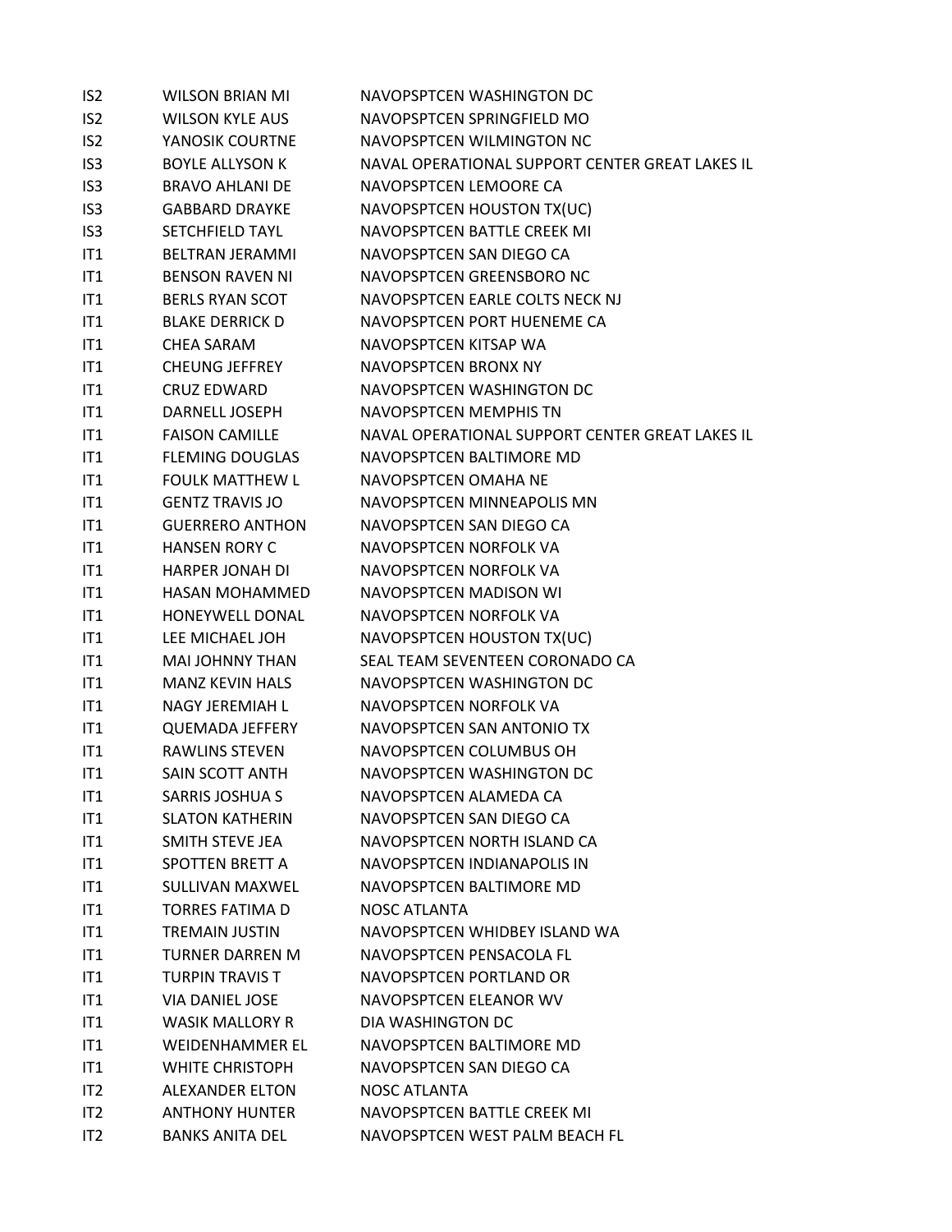| IS <sub>2</sub> | <b>WILSON BRIAN MI</b> | NAVOPSPTCEN WASHINGTON DC                       |
|-----------------|------------------------|-------------------------------------------------|
| IS <sub>2</sub> | <b>WILSON KYLE AUS</b> | NAVOPSPTCEN SPRINGFIELD MO                      |
| IS <sub>2</sub> | YANOSIK COURTNE        | NAVOPSPTCEN WILMINGTON NC                       |
| IS <sub>3</sub> | <b>BOYLE ALLYSON K</b> | NAVAL OPERATIONAL SUPPORT CENTER GREAT LAKES IL |
| IS <sub>3</sub> | <b>BRAVO AHLANI DE</b> | NAVOPSPTCEN LEMOORE CA                          |
| IS <sub>3</sub> | <b>GABBARD DRAYKE</b>  | NAVOPSPTCEN HOUSTON TX(UC)                      |
| IS <sub>3</sub> | SETCHFIELD TAYL        | NAVOPSPTCEN BATTLE CREEK MI                     |
| IT1             | <b>BELTRAN JERAMMI</b> | NAVOPSPTCEN SAN DIEGO CA                        |
| IT1             | <b>BENSON RAVEN NI</b> | NAVOPSPTCEN GREENSBORO NC                       |
| IT1             | <b>BERLS RYAN SCOT</b> | NAVOPSPTCEN EARLE COLTS NECK NJ                 |
| IT1             | <b>BLAKE DERRICK D</b> | NAVOPSPTCEN PORT HUENEME CA                     |
| IT1             | <b>CHEA SARAM</b>      | NAVOPSPTCEN KITSAP WA                           |
| IT1             | <b>CHEUNG JEFFREY</b>  | NAVOPSPTCEN BRONX NY                            |
| IT1             | <b>CRUZ EDWARD</b>     | NAVOPSPTCEN WASHINGTON DC                       |
| IT1             | DARNELL JOSEPH         | NAVOPSPTCEN MEMPHIS TN                          |
| IT1             | <b>FAISON CAMILLE</b>  | NAVAL OPERATIONAL SUPPORT CENTER GREAT LAKES IL |
| IT1             | <b>FLEMING DOUGLAS</b> | NAVOPSPTCEN BALTIMORE MD                        |
| IT1             | <b>FOULK MATTHEW L</b> | NAVOPSPTCFN OMAHA NF                            |
| IT1             | <b>GENTZ TRAVIS JO</b> | NAVOPSPTCEN MINNEAPOLIS MN                      |
| IT1             | <b>GUERRERO ANTHON</b> | NAVOPSPTCEN SAN DIEGO CA                        |
| IT1             | <b>HANSEN RORY C</b>   | NAVOPSPTCEN NORFOLK VA                          |
| IT1             | <b>HARPER JONAH DI</b> | NAVOPSPTCEN NORFOLK VA                          |
| IT1             | HASAN MOHAMMED         | NAVOPSPTCEN MADISON WI                          |
| IT1             | HONEYWELL DONAL        | NAVOPSPTCEN NORFOLK VA                          |
| IT1             | LEE MICHAEL JOH        | NAVOPSPTCEN HOUSTON TX(UC)                      |
| IT1             | MAI JOHNNY THAN        | SEAL TEAM SEVENTEEN CORONADO CA                 |
| IT1             | <b>MANZ KEVIN HALS</b> | NAVOPSPTCEN WASHINGTON DC                       |
| IT1             | NAGY JEREMIAH L        | NAVOPSPTCEN NORFOLK VA                          |
| IT1             | <b>QUEMADA JEFFERY</b> | NAVOPSPTCEN SAN ANTONIO TX                      |
| IT1             | <b>RAWLINS STEVEN</b>  | NAVOPSPTCEN COLUMBUS OH                         |
| IT1             | SAIN SCOTT ANTH        | NAVOPSPTCEN WASHINGTON DC                       |
| IT1             | <b>SARRIS JOSHUA S</b> | NAVOPSPTCEN ALAMEDA CA                          |
| IT1             | <b>SLATON KATHERIN</b> | NAVOPSPTCEN SAN DIEGO CA                        |
| IT1             | SMITH STEVE JEA        | NAVOPSPTCEN NORTH ISLAND CA                     |
| IT1             | SPOTTEN BRETT A        | NAVOPSPTCEN INDIANAPOLIS IN                     |
| IT1             | SULLIVAN MAXWEL        | NAVOPSPTCEN BALTIMORE MD                        |
| IT1             | <b>TORRES FATIMA D</b> | <b>NOSC ATLANTA</b>                             |
| IT1             | <b>TREMAIN JUSTIN</b>  | NAVOPSPTCEN WHIDBEY ISLAND WA                   |
| IT1             | <b>TURNER DARREN M</b> | NAVOPSPTCEN PENSACOLA FL                        |
| IT1             | <b>TURPIN TRAVIS T</b> | NAVOPSPTCEN PORTLAND OR                         |
| IT1             | VIA DANIEL JOSE        | NAVOPSPTCEN ELEANOR WV                          |
| IT1             | <b>WASIK MALLORY R</b> | DIA WASHINGTON DC                               |
| IT1             | <b>WEIDENHAMMER EL</b> | NAVOPSPTCEN BALTIMORE MD                        |
| IT1             | <b>WHITE CHRISTOPH</b> | NAVOPSPTCEN SAN DIEGO CA                        |
| IT2             | <b>ALEXANDER ELTON</b> | <b>NOSC ATLANTA</b>                             |
| IT2             | <b>ANTHONY HUNTER</b>  | NAVOPSPTCEN BATTLE CREEK MI                     |
| IT2             | <b>BANKS ANITA DEL</b> | NAVOPSPTCEN WEST PALM BEACH FL                  |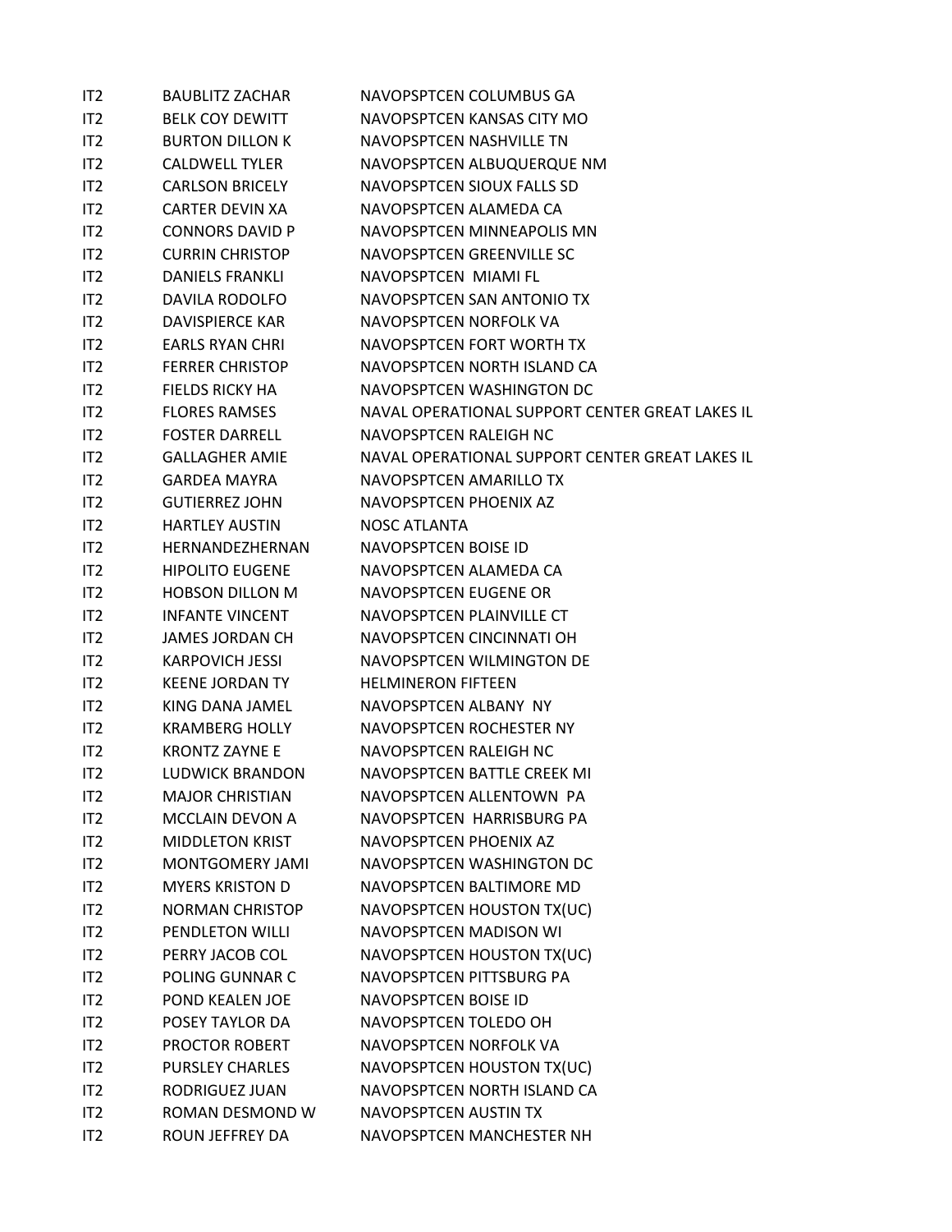| IT <sub>2</sub> | <b>BAUBLITZ ZACHAR</b> | NAVOPSPTCEN COLUMBUS GA                         |
|-----------------|------------------------|-------------------------------------------------|
| IT <sub>2</sub> | <b>BELK COY DEWITT</b> | NAVOPSPTCEN KANSAS CITY MO                      |
| IT2             | <b>BURTON DILLON K</b> | NAVOPSPTCEN NASHVILLE TN                        |
| IT2             | <b>CALDWELL TYLER</b>  | NAVOPSPTCEN ALBUQUERQUE NM                      |
| IT2             | <b>CARLSON BRICELY</b> | NAVOPSPTCEN SIOUX FALLS SD                      |
| IT2             | <b>CARTER DEVIN XA</b> | NAVOPSPTCEN ALAMEDA CA                          |
| IT2             | <b>CONNORS DAVID P</b> | NAVOPSPTCEN MINNEAPOLIS MN                      |
| IT2             | <b>CURRIN CHRISTOP</b> | NAVOPSPTCEN GREENVILLE SC                       |
| IT2             | <b>DANIELS FRANKLI</b> | NAVOPSPTCEN MIAMI FL                            |
| IT <sub>2</sub> | <b>DAVILA RODOLFO</b>  | NAVOPSPTCEN SAN ANTONIO TX                      |
| IT2             | <b>DAVISPIERCE KAR</b> | NAVOPSPTCEN NORFOLK VA                          |
| IT2             | <b>EARLS RYAN CHRI</b> | NAVOPSPTCEN FORT WORTH TX                       |
| IT2             | <b>FERRER CHRISTOP</b> | NAVOPSPTCEN NORTH ISLAND CA                     |
| IT2             | <b>FIELDS RICKY HA</b> | NAVOPSPTCEN WASHINGTON DC                       |
| IT <sub>2</sub> | <b>FLORES RAMSES</b>   | NAVAL OPERATIONAL SUPPORT CENTER GREAT LAKES IL |
| IT2             | <b>FOSTER DARRELL</b>  | NAVOPSPTCEN RALEIGH NC                          |
| IT2             | <b>GALLAGHER AMIE</b>  | NAVAL OPERATIONAL SUPPORT CENTER GREAT LAKES IL |
| IT2             | <b>GARDEA MAYRA</b>    | NAVOPSPTCEN AMARILLO TX                         |
| IT2             | <b>GUTIERREZ JOHN</b>  | NAVOPSPTCEN PHOENIX AZ                          |
| IT2             | <b>HARTLEY AUSTIN</b>  | <b>NOSC ATLANTA</b>                             |
| IT2             | HERNANDEZHERNAN        | NAVOPSPTCEN BOISE ID                            |
| IT2             | <b>HIPOLITO EUGENE</b> | NAVOPSPTCEN ALAMEDA CA                          |
| IT2             | <b>HOBSON DILLON M</b> | NAVOPSPTCEN EUGENE OR                           |
| IT2             | <b>INFANTE VINCENT</b> | NAVOPSPTCEN PLAINVILLE CT                       |
| IT2             | <b>JAMES JORDAN CH</b> | NAVOPSPTCEN CINCINNATI OH                       |
| IT2             | <b>KARPOVICH JESSI</b> | NAVOPSPTCEN WILMINGTON DE                       |
| IT2             | <b>KEENE JORDAN TY</b> | <b>HELMINERON FIFTEEN</b>                       |
| IT <sub>2</sub> | KING DANA JAMEL        | NAVOPSPTCEN ALBANY NY                           |
| IT <sub>2</sub> | <b>KRAMBERG HOLLY</b>  | NAVOPSPTCEN ROCHESTER NY                        |
| IT2             | <b>KRONTZ ZAYNE E</b>  | NAVOPSPTCEN RALEIGH NC                          |
| IT <sub>2</sub> | <b>LUDWICK BRANDON</b> | NAVOPSPTCEN BATTLE CREEK MI                     |
| IT2             | <b>MAJOR CHRISTIAN</b> | NAVOPSPTCEN ALLENTOWN PA                        |
| IT2             | <b>MCCLAIN DEVON A</b> | NAVOPSPTCEN HARRISBURG PA                       |
| IT <sub>2</sub> | <b>MIDDLETON KRIST</b> | NAVOPSPTCEN PHOENIX AZ                          |
| IT2             | MONTGOMERY JAMI        | NAVOPSPTCEN WASHINGTON DC                       |
| IT <sub>2</sub> | <b>MYERS KRISTON D</b> | NAVOPSPTCEN BALTIMORE MD                        |
| IT2             | <b>NORMAN CHRISTOP</b> | NAVOPSPTCEN HOUSTON TX(UC)                      |
| IT2             | PENDLETON WILLI        | NAVOPSPTCEN MADISON WI                          |
| IT2             | PERRY JACOB COL        | NAVOPSPTCEN HOUSTON TX(UC)                      |
| IT <sub>2</sub> | POLING GUNNAR C        | NAVOPSPTCEN PITTSBURG PA                        |
| IT <sub>2</sub> | POND KEALEN JOE        | NAVOPSPTCEN BOISE ID                            |
| IT2             | POSEY TAYLOR DA        | NAVOPSPTCEN TOLEDO OH                           |
| IT <sub>2</sub> | PROCTOR ROBERT         | NAVOPSPTCEN NORFOLK VA                          |
| IT2             | <b>PURSLEY CHARLES</b> | NAVOPSPTCEN HOUSTON TX(UC)                      |
| IT <sub>2</sub> | RODRIGUEZ JUAN         | NAVOPSPTCEN NORTH ISLAND CA                     |
| IT <sub>2</sub> | ROMAN DESMOND W        | NAVOPSPTCEN AUSTIN TX                           |
| IT <sub>2</sub> | ROUN JEFFREY DA        | NAVOPSPTCEN MANCHESTER NH                       |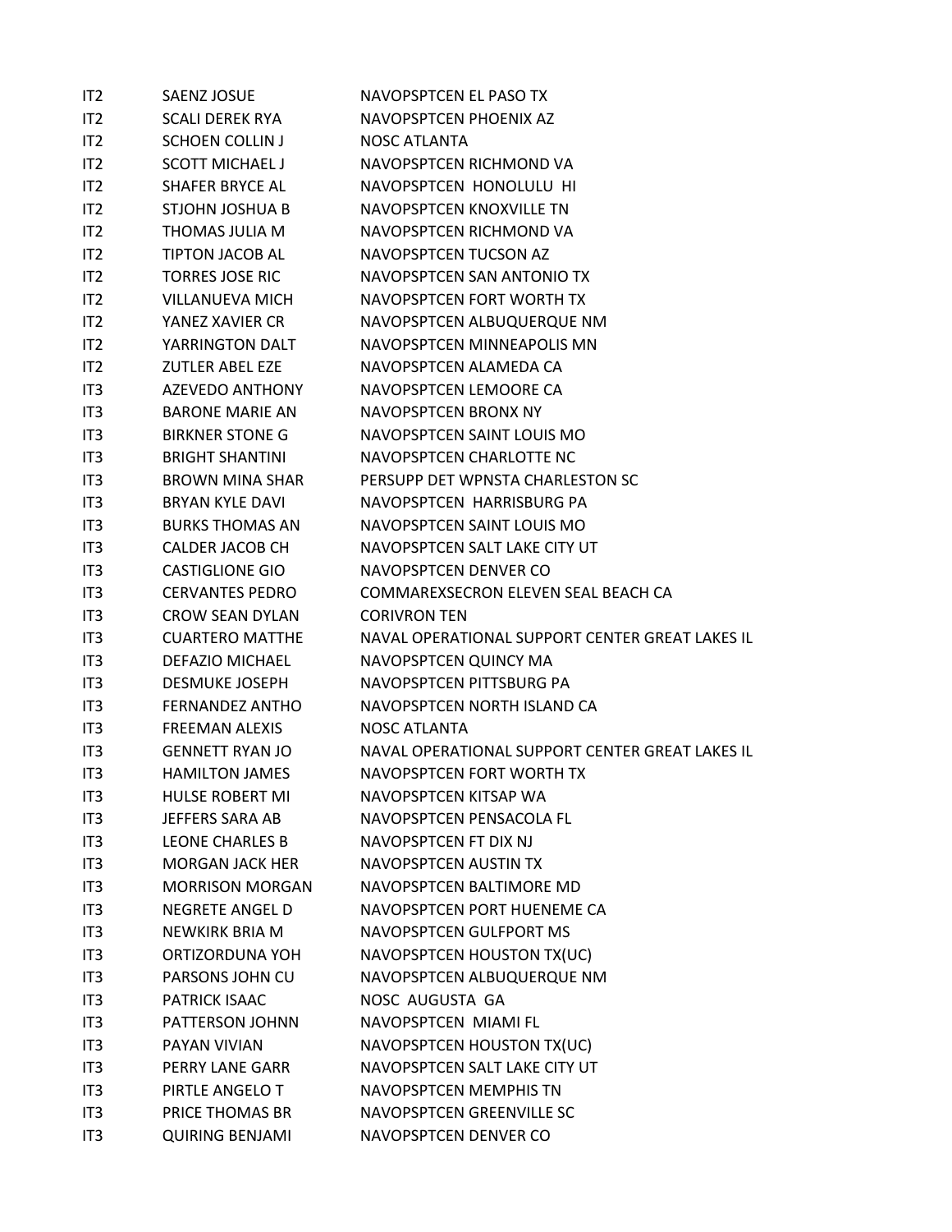| IT <sub>2</sub> | <b>SAENZ JOSUE</b>     | NAVOPSPTCEN EL PASO TX                          |
|-----------------|------------------------|-------------------------------------------------|
| IT <sub>2</sub> | <b>SCALI DEREK RYA</b> | NAVOPSPTCEN PHOENIX AZ                          |
| IT <sub>2</sub> | <b>SCHOEN COLLIN J</b> | NOSC ATLANTA                                    |
| IT <sub>2</sub> | <b>SCOTT MICHAEL J</b> | NAVOPSPTCEN RICHMOND VA                         |
| IT <sub>2</sub> | <b>SHAFER BRYCE AL</b> | NAVOPSPTCEN HONOLULU HI                         |
| IT <sub>2</sub> | STJOHN JOSHUA B        | NAVOPSPTCEN KNOXVILLE TN                        |
| IT2             | THOMAS JULIA M         | NAVOPSPTCEN RICHMOND VA                         |
| IT <sub>2</sub> | TIPTON JACOB AL        | NAVOPSPTCEN TUCSON AZ                           |
| IT <sub>2</sub> | <b>TORRES JOSE RIC</b> | NAVOPSPTCEN SAN ANTONIO TX                      |
| IT <sub>2</sub> | <b>VILLANUEVA MICH</b> | NAVOPSPTCEN FORT WORTH TX                       |
| IT <sub>2</sub> | YANEZ XAVIER CR        | NAVOPSPTCEN ALBUQUERQUE NM                      |
| IT <sub>2</sub> | YARRINGTON DALT        | NAVOPSPTCEN MINNEAPOLIS MN                      |
| IT <sub>2</sub> | <b>ZUTLER ABEL EZE</b> | NAVOPSPTCEN ALAMEDA CA                          |
| IT <sub>3</sub> | <b>AZEVEDO ANTHONY</b> | NAVOPSPTCEN LEMOORE CA                          |
| IT <sub>3</sub> | <b>BARONE MARIE AN</b> | NAVOPSPTCEN BRONX NY                            |
| IT <sub>3</sub> | <b>BIRKNER STONE G</b> | NAVOPSPTCEN SAINT LOUIS MO                      |
| IT <sub>3</sub> | <b>BRIGHT SHANTINI</b> | NAVOPSPTCEN CHARLOTTE NC                        |
| IT <sub>3</sub> | <b>BROWN MINA SHAR</b> | PERSUPP DET WPNSTA CHARLESTON SC                |
| IT <sub>3</sub> | <b>BRYAN KYLE DAVI</b> | NAVOPSPTCEN HARRISBURG PA                       |
| IT <sub>3</sub> | <b>BURKS THOMAS AN</b> | NAVOPSPTCEN SAINT LOUIS MO                      |
| IT <sub>3</sub> | <b>CALDER JACOB CH</b> | NAVOPSPTCEN SALT LAKE CITY UT                   |
| IT3             | <b>CASTIGLIONE GIO</b> | NAVOPSPTCEN DENVER CO                           |
| IT <sub>3</sub> | <b>CERVANTES PEDRO</b> | COMMAREXSECRON ELEVEN SEAL BEACH CA             |
| IT <sub>3</sub> | <b>CROW SEAN DYLAN</b> | <b>CORIVRON TEN</b>                             |
| IT <sub>3</sub> | <b>CUARTERO MATTHE</b> | NAVAL OPERATIONAL SUPPORT CENTER GREAT LAKES IL |
| IT <sub>3</sub> | <b>DEFAZIO MICHAEL</b> | NAVOPSPTCEN QUINCY MA                           |
| IT <sub>3</sub> | <b>DESMUKE JOSEPH</b>  | NAVOPSPTCEN PITTSBURG PA                        |
| IT <sub>3</sub> | <b>FERNANDEZ ANTHO</b> | NAVOPSPTCEN NORTH ISLAND CA                     |
| IT <sub>3</sub> | <b>FREEMAN ALEXIS</b>  | <b>NOSC ATLANTA</b>                             |
| IT <sub>3</sub> | <b>GENNETT RYAN JO</b> | NAVAL OPERATIONAL SUPPORT CENTER GREAT LAKES IL |
| IT <sub>3</sub> | <b>HAMILTON JAMES</b>  | NAVOPSPTCEN FORT WORTH TX                       |
| IT3             | <b>HULSE ROBERT MI</b> | NAVOPSPTCEN KITSAP WA                           |
| IT <sub>3</sub> | JEFFERS SARA AB        | NAVOPSPTCEN PENSACOLA FL                        |
| IT <sub>3</sub> | LEONE CHARLES B        | NAVOPSPTCEN FT DIX NJ                           |
| IT <sub>3</sub> | <b>MORGAN JACK HER</b> | NAVOPSPTCEN AUSTIN TX                           |
| IT3             | <b>MORRISON MORGAN</b> | NAVOPSPTCEN BALTIMORE MD                        |
| IT <sub>3</sub> | <b>NEGRETE ANGEL D</b> | NAVOPSPTCEN PORT HUENEME CA                     |
| IT <sub>3</sub> | NEWKIRK BRIA M         | NAVOPSPTCEN GULFPORT MS                         |
| IT <sub>3</sub> | ORTIZORDUNA YOH        | NAVOPSPTCEN HOUSTON TX(UC)                      |
| IT <sub>3</sub> | PARSONS JOHN CU        | NAVOPSPTCEN ALBUQUERQUE NM                      |
| IT <sub>3</sub> | PATRICK ISAAC          | NOSC AUGUSTA GA                                 |
| IT3             | PATTERSON JOHNN        | NAVOPSPTCEN MIAMI FL                            |
| IT <sub>3</sub> | PAYAN VIVIAN           | NAVOPSPTCEN HOUSTON TX(UC)                      |
| IT <sub>3</sub> | PERRY LANE GARR        | NAVOPSPTCEN SALT LAKE CITY UT                   |
| IT <sub>3</sub> | PIRTLE ANGELO T        | NAVOPSPTCEN MEMPHIS TN                          |
| IT3             | PRICE THOMAS BR        | NAVOPSPTCEN GREENVILLE SC                       |
| IT <sub>3</sub> | <b>QUIRING BENJAMI</b> | NAVOPSPTCEN DENVER CO                           |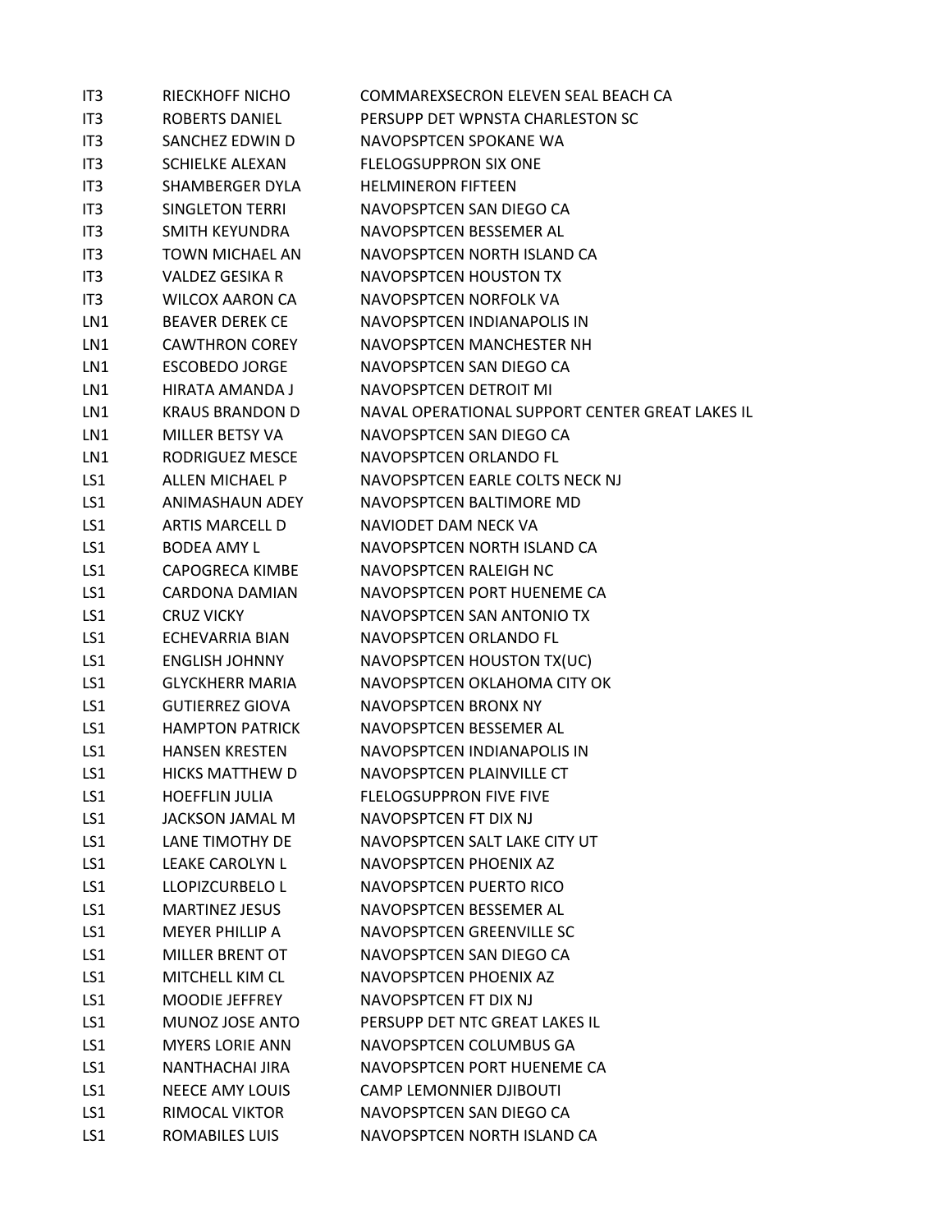| IT3             | RIECKHOFF NICHO        | COMMAREXSECRON ELEVEN SEAL BEACH CA             |
|-----------------|------------------------|-------------------------------------------------|
| IT <sub>3</sub> | <b>ROBERTS DANIEL</b>  | PERSUPP DET WPNSTA CHARLESTON SC                |
| IT <sub>3</sub> | SANCHEZ EDWIN D        | NAVOPSPTCEN SPOKANE WA                          |
| IT3             | <b>SCHIELKE ALEXAN</b> | <b>FLELOGSUPPRON SIX ONE</b>                    |
| IT <sub>3</sub> | SHAMBERGER DYLA        | <b>HELMINERON FIFTEEN</b>                       |
| IT <sub>3</sub> | <b>SINGLETON TERRI</b> | NAVOPSPTCEN SAN DIEGO CA                        |
| IT <sub>3</sub> | SMITH KEYUNDRA         | NAVOPSPTCEN BESSEMER AL                         |
| IT <sub>3</sub> | <b>TOWN MICHAEL AN</b> | NAVOPSPTCEN NORTH ISLAND CA                     |
| IT3             | <b>VALDEZ GESIKA R</b> | <b>NAVOPSPTCEN HOUSTON TX</b>                   |
| IT <sub>3</sub> | <b>WILCOX AARON CA</b> | NAVOPSPTCEN NORFOLK VA                          |
| LN1             | <b>BEAVER DEREK CE</b> | NAVOPSPTCEN INDIANAPOLIS IN                     |
| LN1             | CAWTHRON COREY         | NAVOPSPTCEN MANCHESTER NH                       |
| LN1             | <b>ESCOBEDO JORGE</b>  | NAVOPSPTCEN SAN DIEGO CA                        |
| LN1             | HIRATA AMANDA J        | NAVOPSPTCEN DETROIT MI                          |
| LN1             | <b>KRAUS BRANDON D</b> | NAVAL OPERATIONAL SUPPORT CENTER GREAT LAKES IL |
| LN1             | MILLER BETSY VA        | NAVOPSPTCEN SAN DIEGO CA                        |
| LN1             | RODRIGUEZ MESCE        | NAVOPSPTCEN ORLANDO FL                          |
| LS1             | ALLEN MICHAEL P        | NAVOPSPTCEN EARLE COLTS NECK NJ                 |
| LS1             | ANIMASHAUN ADEY        | NAVOPSPTCEN BALTIMORE MD                        |
| LS1             | <b>ARTIS MARCELL D</b> | NAVIODET DAM NECK VA                            |
| LS1             | <b>BODEA AMY L</b>     | NAVOPSPTCEN NORTH ISLAND CA                     |
| LS1             | <b>CAPOGRECA KIMBE</b> | NAVOPSPTCEN RALEIGH NC                          |
| LS1             | CARDONA DAMIAN         | NAVOPSPTCEN PORT HUENEME CA                     |
| LS1             | <b>CRUZ VICKY</b>      | NAVOPSPTCEN SAN ANTONIO TX                      |
| LS1             | ECHEVARRIA BIAN        | NAVOPSPTCEN ORLANDO FL                          |
| LS1             | <b>ENGLISH JOHNNY</b>  | NAVOPSPTCEN HOUSTON TX(UC)                      |
| LS1             | <b>GLYCKHERR MARIA</b> | NAVOPSPTCEN OKLAHOMA CITY OK                    |
| LS1             | <b>GUTIERREZ GIOVA</b> | NAVOPSPTCEN BRONX NY                            |
| LS1             | <b>HAMPTON PATRICK</b> | NAVOPSPTCEN BESSEMER AL                         |
| LS1             | HANSEN KRESTEN         | NAVOPSPTCEN INDIANAPOLIS IN                     |
| LS1             | HICKS MATTHEW D        | NAVOPSPTCEN PLAINVILLE CT                       |
| LS1             | <b>HOEFFLIN JULIA</b>  | <b>FLELOGSUPPRON FIVE FIVE</b>                  |
| LS1             | <b>JACKSON JAMAL M</b> | NAVOPSPTCEN FT DIX NJ                           |
| LS1             | LANE TIMOTHY DE        | NAVOPSPTCEN SALT LAKE CITY UT                   |
| LS1             | LEAKE CAROLYN L        | NAVOPSPTCEN PHOENIX AZ                          |
| LS1             | LLOPIZCURBELO L        | NAVOPSPTCEN PUERTO RICO                         |
| LS1             | <b>MARTINEZ JESUS</b>  | NAVOPSPTCEN BESSEMER AL                         |
| LS1             | <b>MEYER PHILLIP A</b> | NAVOPSPTCEN GREENVILLE SC                       |
| LS1             | <b>MILLER BRENT OT</b> | NAVOPSPTCEN SAN DIEGO CA                        |
| LS1             | MITCHELL KIM CL        | NAVOPSPTCEN PHOENIX AZ                          |
| LS1             | MOODIE JEFFREY         | NAVOPSPTCEN FT DIX NJ                           |
| LS1             | MUNOZ JOSE ANTO        | PERSUPP DET NTC GREAT LAKES IL                  |
| LS1             | <b>MYERS LORIE ANN</b> | NAVOPSPTCEN COLUMBUS GA                         |
| LS1             | NANTHACHAI JIRA        | NAVOPSPTCEN PORT HUENEME CA                     |
| LS1             | <b>NEECE AMY LOUIS</b> | <b>CAMP LEMONNIER DJIBOUTI</b>                  |
| LS1             | RIMOCAL VIKTOR         | NAVOPSPTCEN SAN DIEGO CA                        |
| LS1             | ROMABILES LUIS         | NAVOPSPTCEN NORTH ISLAND CA                     |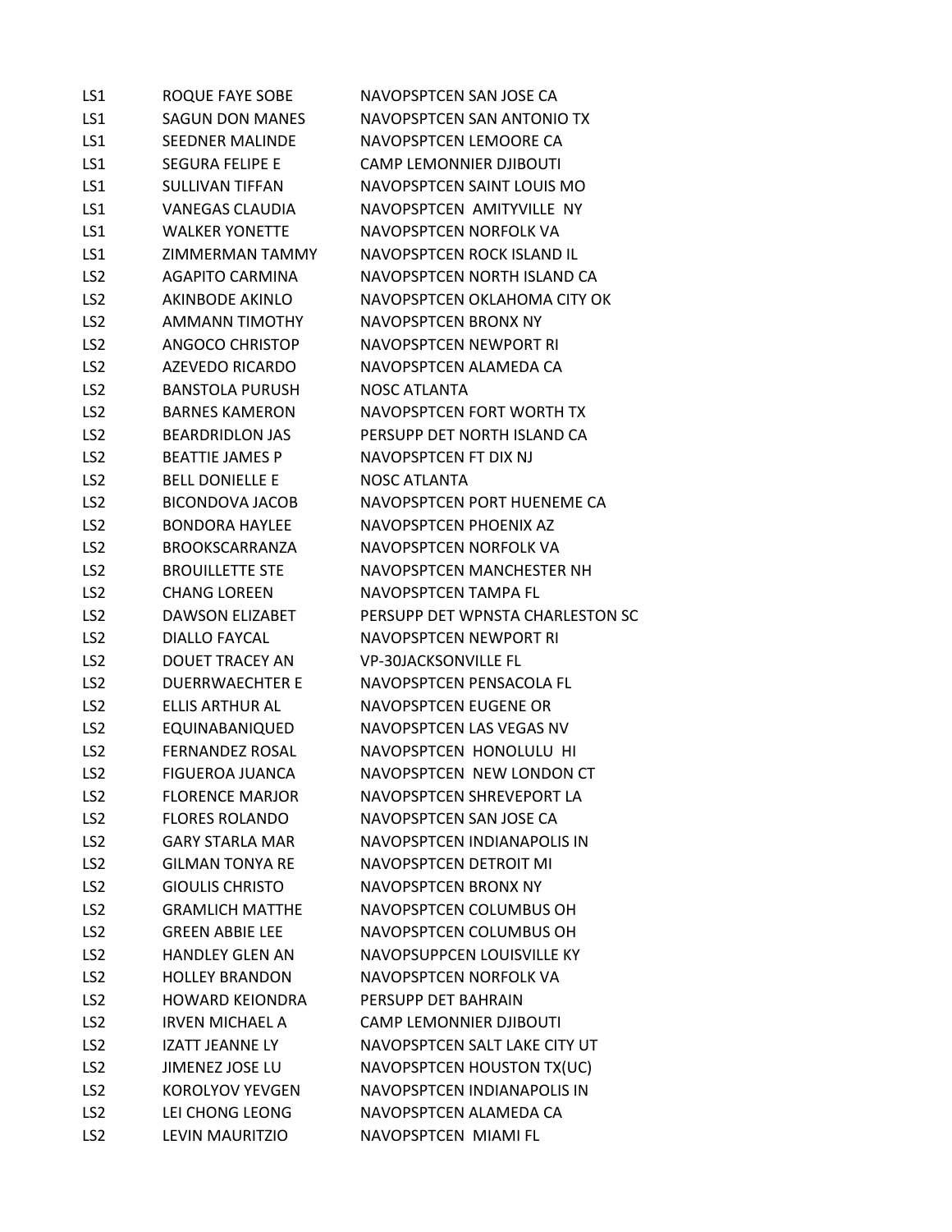| LS1             | <b>ROQUE FAYE SOBE</b> | NAVOPSPTCEN SAN JOSE CA          |
|-----------------|------------------------|----------------------------------|
| LS1             | <b>SAGUN DON MANES</b> | NAVOPSPTCEN SAN ANTONIO TX       |
| LS1             | <b>SEEDNER MALINDE</b> | NAVOPSPTCEN LEMOORE CA           |
| LS1             | <b>SEGURA FELIPE E</b> | <b>CAMP LEMONNIER DJIBOUTI</b>   |
| LS1             | <b>SULLIVAN TIFFAN</b> | NAVOPSPTCEN SAINT LOUIS MO       |
| LS1             | <b>VANEGAS CLAUDIA</b> | NAVOPSPTCEN AMITYVILLE NY        |
| LS1             | <b>WALKER YONETTE</b>  | NAVOPSPTCEN NORFOLK VA           |
| LS1             | ZIMMERMAN TAMMY        | NAVOPSPTCEN ROCK ISLAND IL       |
| LS <sub>2</sub> | <b>AGAPITO CARMINA</b> | NAVOPSPTCEN NORTH ISLAND CA      |
| LS <sub>2</sub> | <b>AKINBODE AKINLO</b> | NAVOPSPTCEN OKLAHOMA CITY OK     |
| LS <sub>2</sub> | <b>AMMANN TIMOTHY</b>  | <b>NAVOPSPTCEN BRONX NY</b>      |
| LS <sub>2</sub> | ANGOCO CHRISTOP        | NAVOPSPTCEN NEWPORT RI           |
| LS <sub>2</sub> | AZEVEDO RICARDO        | NAVOPSPTCEN ALAMEDA CA           |
| LS <sub>2</sub> | <b>BANSTOLA PURUSH</b> | <b>NOSC ATLANTA</b>              |
| LS <sub>2</sub> | <b>BARNES KAMERON</b>  | NAVOPSPTCEN FORT WORTH TX        |
| LS <sub>2</sub> | <b>BEARDRIDLON JAS</b> | PERSUPP DET NORTH ISLAND CA      |
| LS <sub>2</sub> | <b>BEATTIE JAMES P</b> | NAVOPSPTCEN FT DIX NJ            |
| LS <sub>2</sub> | <b>BELL DONIELLE E</b> | <b>NOSC ATLANTA</b>              |
| LS <sub>2</sub> | <b>BICONDOVA JACOB</b> | NAVOPSPTCEN PORT HUENEME CA      |
| LS <sub>2</sub> | <b>BONDORA HAYLEE</b>  | NAVOPSPTCEN PHOENIX AZ           |
| LS <sub>2</sub> | <b>BROOKSCARRANZA</b>  | NAVOPSPTCEN NORFOLK VA           |
| LS <sub>2</sub> | <b>BROUILLETTE STE</b> | NAVOPSPTCEN MANCHESTER NH        |
| LS <sub>2</sub> | <b>CHANG LOREEN</b>    | NAVOPSPTCEN TAMPA FL             |
| LS <sub>2</sub> | <b>DAWSON ELIZABET</b> | PERSUPP DET WPNSTA CHARLESTON SC |
| LS <sub>2</sub> | <b>DIALLO FAYCAL</b>   | NAVOPSPTCEN NEWPORT RI           |
| LS <sub>2</sub> | DOUET TRACEY AN        | <b>VP-30JACKSONVILLE FL</b>      |
| LS <sub>2</sub> | <b>DUERRWAECHTER E</b> | NAVOPSPTCEN PENSACOLA FL         |
| LS <sub>2</sub> | <b>ELLIS ARTHUR AL</b> | NAVOPSPTCEN EUGENE OR            |
| LS <sub>2</sub> | EQUINABANIQUED         | NAVOPSPTCEN LAS VEGAS NV         |
| LS <sub>2</sub> | <b>FERNANDEZ ROSAL</b> | NAVOPSPTCEN HONOLULU HI          |
| LS <sub>2</sub> | <b>FIGUEROA JUANCA</b> | NAVOPSPTCEN NEW LONDON CT        |
| LS <sub>2</sub> | <b>FLORENCE MARJOR</b> | NAVOPSPTCEN SHREVEPORT LA        |
| LS <sub>2</sub> | <b>FLORES ROLANDO</b>  | NAVOPSPTCEN SAN JOSE CA          |
| LS <sub>2</sub> | <b>GARY STARLA MAR</b> | NAVOPSPTCEN INDIANAPOLIS IN      |
| LS <sub>2</sub> | <b>GILMAN TONYA RE</b> | NAVOPSPTCEN DETROIT MI           |
| LS <sub>2</sub> | <b>GIOULIS CHRISTO</b> | <b>NAVOPSPTCEN BRONX NY</b>      |
| LS <sub>2</sub> | <b>GRAMLICH MATTHE</b> | NAVOPSPTCEN COLUMBUS OH          |
| LS <sub>2</sub> | <b>GREEN ABBIE LEE</b> | NAVOPSPTCEN COLUMBUS OH          |
| LS <sub>2</sub> | <b>HANDLEY GLEN AN</b> | NAVOPSUPPCEN LOUISVILLE KY       |
| LS <sub>2</sub> | <b>HOLLEY BRANDON</b>  | NAVOPSPTCEN NORFOLK VA           |
| LS <sub>2</sub> | <b>HOWARD KEIONDRA</b> | PERSUPP DET BAHRAIN              |
| LS <sub>2</sub> | <b>IRVEN MICHAEL A</b> | <b>CAMP LEMONNIER DJIBOUTI</b>   |
| LS <sub>2</sub> | <b>IZATT JEANNE LY</b> | NAVOPSPTCEN SALT LAKE CITY UT    |
| LS <sub>2</sub> | JIMENEZ JOSE LU        | NAVOPSPTCEN HOUSTON TX(UC)       |
| LS <sub>2</sub> | <b>KOROLYOV YEVGEN</b> | NAVOPSPTCEN INDIANAPOLIS IN      |
| LS <sub>2</sub> | LEI CHONG LEONG        | NAVOPSPTCEN ALAMEDA CA           |
| LS <sub>2</sub> | LEVIN MAURITZIO        | NAVOPSPTCEN MIAMI FL             |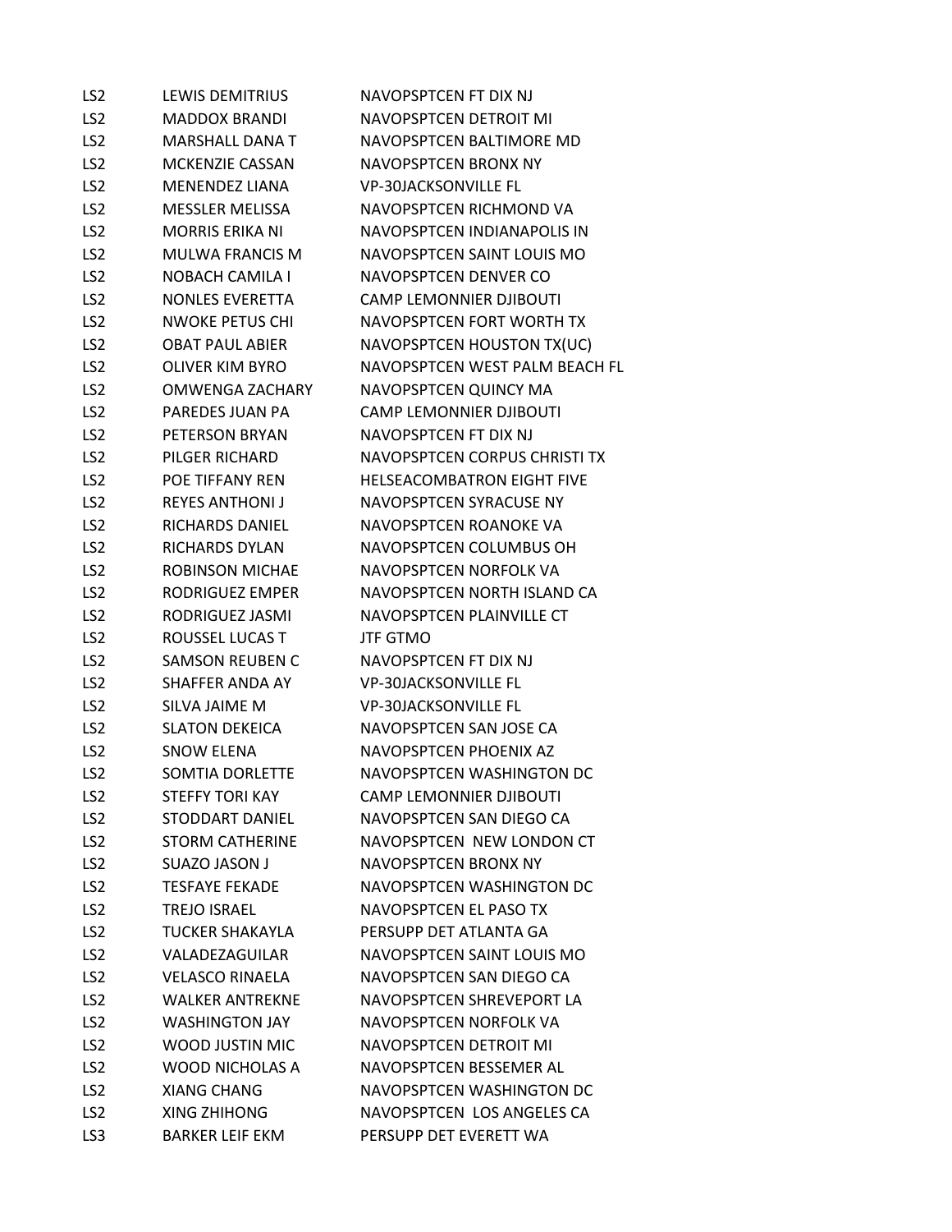| LS <sub>2</sub> | <b>LEWIS DEMITRIUS</b> | NAVOPSPTCEN FT DIX NJ             |
|-----------------|------------------------|-----------------------------------|
| LS <sub>2</sub> | <b>MADDOX BRANDI</b>   | NAVOPSPTCEN DETROIT MI            |
| LS <sub>2</sub> | <b>MARSHALL DANA T</b> | NAVOPSPTCEN BALTIMORE MD          |
| LS <sub>2</sub> | <b>MCKENZIE CASSAN</b> | NAVOPSPTCEN BRONX NY              |
| LS <sub>2</sub> | <b>MENENDEZ LIANA</b>  | <b>VP-30JACKSONVILLE FL</b>       |
| LS <sub>2</sub> | <b>MESSLER MELISSA</b> | NAVOPSPTCEN RICHMOND VA           |
| LS <sub>2</sub> | <b>MORRIS ERIKA NI</b> | NAVOPSPTCEN INDIANAPOLIS IN       |
| LS <sub>2</sub> | MULWA FRANCIS M        | NAVOPSPTCEN SAINT LOUIS MO        |
| LS <sub>2</sub> | <b>NOBACH CAMILA I</b> | NAVOPSPTCEN DENVER CO             |
| LS <sub>2</sub> | <b>NONLES EVERETTA</b> | <b>CAMP LEMONNIER DJIBOUTI</b>    |
| LS <sub>2</sub> | <b>NWOKE PETUS CHI</b> | NAVOPSPTCEN FORT WORTH TX         |
| LS <sub>2</sub> | <b>OBAT PAUL ABIER</b> | NAVOPSPTCEN HOUSTON TX(UC)        |
| LS <sub>2</sub> | <b>OLIVER KIM BYRO</b> | NAVOPSPTCEN WEST PALM BEACH FL    |
| LS <sub>2</sub> | <b>OMWENGA ZACHARY</b> | NAVOPSPTCEN QUINCY MA             |
| LS <sub>2</sub> | <b>PAREDES JUAN PA</b> | <b>CAMP LEMONNIER DJIBOUTI</b>    |
| LS <sub>2</sub> | PETERSON BRYAN         | NAVOPSPTCEN FT DIX NJ             |
| LS <sub>2</sub> | PILGER RICHARD         | NAVOPSPTCEN CORPUS CHRISTI TX     |
| LS <sub>2</sub> | POF TIFFANY RFN        | <b>HELSEACOMBATRON EIGHT FIVE</b> |
| LS <sub>2</sub> | <b>REYES ANTHONI J</b> | NAVOPSPTCEN SYRACUSE NY           |
| LS <sub>2</sub> | RICHARDS DANIEL        | NAVOPSPTCEN ROANOKE VA            |
| LS <sub>2</sub> | RICHARDS DYLAN         | NAVOPSPTCEN COLUMBUS OH           |
| LS <sub>2</sub> | <b>ROBINSON MICHAE</b> | NAVOPSPTCEN NORFOLK VA            |
| LS <sub>2</sub> | RODRIGUEZ EMPER        | NAVOPSPTCEN NORTH ISLAND CA       |
| LS <sub>2</sub> | RODRIGUEZ JASMI        | NAVOPSPTCEN PLAINVILLE CT         |
| LS <sub>2</sub> | ROUSSEL LUCAS T        | <b>JTF GTMO</b>                   |
| LS <sub>2</sub> | <b>SAMSON REUBEN C</b> | NAVOPSPTCEN FT DIX NJ             |
| LS <sub>2</sub> | SHAFFER ANDA AY        | <b>VP-30JACKSONVILLE FL</b>       |
| LS <sub>2</sub> | SILVA JAIME M          | <b>VP-30JACKSONVILLE FL</b>       |
| LS <sub>2</sub> | <b>SLATON DEKEICA</b>  | NAVOPSPTCEN SAN JOSE CA           |
| LS <sub>2</sub> | <b>SNOW ELENA</b>      | NAVOPSPTCEN PHOENIX AZ            |
| LS <sub>2</sub> | SOMTIA DORLETTE        | NAVOPSPTCEN WASHINGTON DC         |
| LS <sub>2</sub> | <b>STEFFY TORI KAY</b> | <b>CAMP LEMONNIER DJIBOUTI</b>    |
| LS <sub>2</sub> | <b>STODDART DANIEL</b> | NAVOPSPTCEN SAN DIEGO CA          |
| LS <sub>2</sub> | <b>STORM CATHERINE</b> | NAVOPSPTCEN NEW LONDON CT         |
| LS <sub>2</sub> | <b>SUAZO JASON J</b>   | NAVOPSPTCEN BRONX NY              |
| LS <sub>2</sub> | <b>TESFAYE FEKADE</b>  | NAVOPSPTCEN WASHINGTON DC         |
| LS <sub>2</sub> | <b>TREJO ISRAEL</b>    | NAVOPSPTCEN EL PASO TX            |
| LS <sub>2</sub> | TUCKER SHAKAYLA        | PERSUPP DET ATLANTA GA            |
| LS <sub>2</sub> | VALADEZAGUILAR         | NAVOPSPTCEN SAINT LOUIS MO        |
| LS <sub>2</sub> | <b>VELASCO RINAELA</b> | NAVOPSPTCEN SAN DIEGO CA          |
| LS <sub>2</sub> | <b>WALKER ANTREKNE</b> | NAVOPSPTCEN SHREVEPORT LA         |
| LS <sub>2</sub> | <b>WASHINGTON JAY</b>  | NAVOPSPTCEN NORFOLK VA            |
| LS <sub>2</sub> | WOOD JUSTIN MIC        | NAVOPSPTCEN DETROIT MI            |
| LS <sub>2</sub> | <b>WOOD NICHOLAS A</b> | NAVOPSPTCEN BESSEMER AL           |
| LS <sub>2</sub> | <b>XIANG CHANG</b>     | NAVOPSPTCEN WASHINGTON DC         |
| LS <sub>2</sub> | <b>XING ZHIHONG</b>    | NAVOPSPTCEN LOS ANGELES CA        |
| LS3             | <b>BARKER LEIF EKM</b> | PERSUPP DET EVERETT WA            |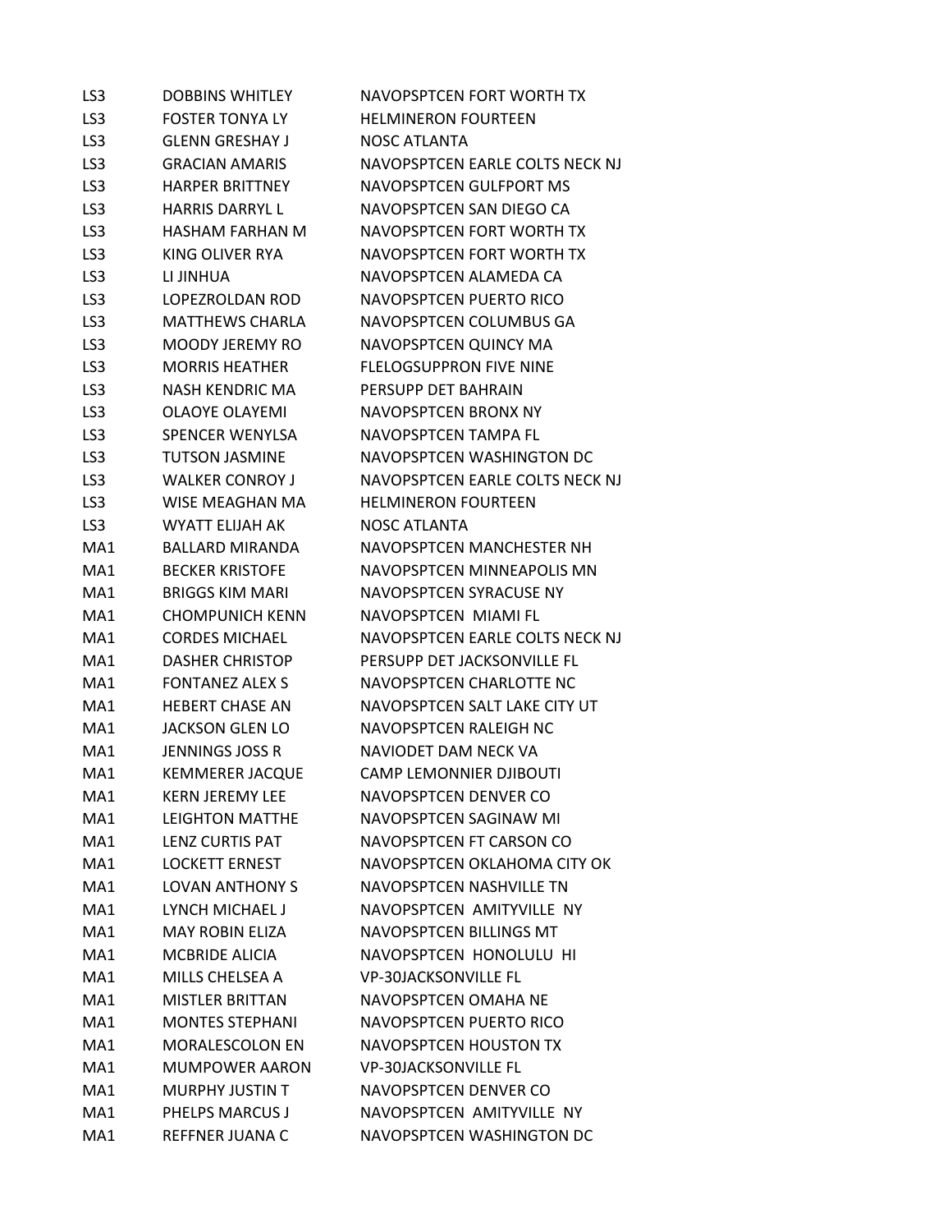| LS3             | <b>DOBBINS WHITLEY</b> | NAVOPSPTCEN FORT WORTH TX       |
|-----------------|------------------------|---------------------------------|
| LS <sub>3</sub> | <b>FOSTER TONYALY</b>  | <b>HELMINERON FOURTEEN</b>      |
| LS3             | <b>GLENN GRESHAY J</b> | <b>NOSC ATLANTA</b>             |
| LS3             | <b>GRACIAN AMARIS</b>  | NAVOPSPTCEN EARLE COLTS NECK NJ |
| LS <sub>3</sub> | <b>HARPER BRITTNEY</b> | <b>NAVOPSPTCEN GULFPORT MS</b>  |
| LS3             | <b>HARRIS DARRYL L</b> | NAVOPSPTCEN SAN DIEGO CA        |
| LS3             | HASHAM FARHAN M        | NAVOPSPTCEN FORT WORTH TX       |
| LS <sub>3</sub> | KING OLIVER RYA        | NAVOPSPTCEN FORT WORTH TX       |
| LS3             | LI JINHUA              | NAVOPSPTCEN ALAMEDA CA          |
| LS <sub>3</sub> | LOPEZROLDAN ROD        | NAVOPSPTCEN PUERTO RICO         |
| LS <sub>3</sub> | <b>MATTHEWS CHARLA</b> | NAVOPSPTCEN COLUMBUS GA         |
| LS3             | <b>MOODY JEREMY RO</b> | NAVOPSPTCEN QUINCY MA           |
| LS <sub>3</sub> | <b>MORRIS HEATHER</b>  | <b>FLELOGSUPPRON FIVE NINE</b>  |
| LS <sub>3</sub> | <b>NASH KENDRIC MA</b> | PERSUPP DET BAHRAIN             |
| LS <sub>3</sub> | <b>OLAOYE OLAYEMI</b>  | <b>NAVOPSPTCEN BRONX NY</b>     |
| LS3             | SPENCER WENYLSA        | NAVOPSPTCEN TAMPA FL            |
| LS3             | <b>TUTSON JASMINE</b>  | NAVOPSPTCEN WASHINGTON DC       |
| LS <sub>3</sub> | <b>WALKER CONROY J</b> | NAVOPSPTCEN EARLE COLTS NECK NJ |
| LS3             | WISE MEAGHAN MA        | <b>HELMINERON FOURTEEN</b>      |
| LS <sub>3</sub> | WYATT ELIJAH AK        | <b>NOSC ATLANTA</b>             |
| MA1             | BALLARD MIRANDA        | NAVOPSPTCEN MANCHESTER NH       |
| MA1             | <b>BECKER KRISTOFE</b> | NAVOPSPTCEN MINNEAPOLIS MN      |
| MA1             | <b>BRIGGS KIM MARI</b> | NAVOPSPTCEN SYRACUSE NY         |
| MA1             | <b>CHOMPUNICH KENN</b> | NAVOPSPTCEN MIAMI FL            |
| MA1             | <b>CORDES MICHAEL</b>  | NAVOPSPTCEN EARLE COLTS NECK NJ |
| MA1             | <b>DASHER CHRISTOP</b> | PERSUPP DET JACKSONVILLE FL     |
| MA1             | <b>FONTANEZ ALEX S</b> | NAVOPSPTCEN CHARLOTTE NC        |
| MA1             | <b>HEBERT CHASE AN</b> | NAVOPSPTCEN SALT LAKE CITY UT   |
| MA1             | <b>JACKSON GLEN LO</b> | NAVOPSPTCEN RALEIGH NC          |
| MA1             | <b>JENNINGS JOSS R</b> | NAVIODET DAM NECK VA            |
| MA1             | <b>KEMMERER JACQUE</b> | <b>CAMP LEMONNIER DJIBOUTI</b>  |
| MA1             | <b>KERN JEREMY LEE</b> | NAVOPSPTCEN DENVER CO           |
| MA1             | <b>LEIGHTON MATTHE</b> | NAVOPSPTCEN SAGINAW MI          |
| MA1             | LENZ CURTIS PAT        | NAVOPSPTCEN FT CARSON CO        |
| MA1             | <b>LOCKETT ERNEST</b>  | NAVOPSPTCEN OKLAHOMA CITY OK    |
| MA1             | <b>LOVAN ANTHONY S</b> | NAVOPSPTCEN NASHVILLE TN        |
| MA1             | LYNCH MICHAFL J        | NAVOPSPTCEN AMITYVILLE NY       |
| MA1             | <b>MAY ROBIN FLIZA</b> | <b>NAVOPSPTCEN BILLINGS MT</b>  |
| MA1             | <b>MCBRIDE ALICIA</b>  | NAVOPSPTCEN HONOLULU HI         |
| MA1             | MILLS CHELSEA A        | <b>VP-30JACKSONVILLE FL</b>     |
| MA1             | <b>MISTLER BRITTAN</b> | NAVOPSPTCEN OMAHA NE            |
| MA1             | <b>MONTES STEPHANI</b> | NAVOPSPTCEN PUERTO RICO         |
| MA1             | <b>MORALESCOLON EN</b> | NAVOPSPTCEN HOUSTON TX          |
| MA1             | <b>MUMPOWER AARON</b>  | <b>VP-30JACKSONVILLE FL</b>     |
| MA1             | <b>MURPHY JUSTIN T</b> | NAVOPSPTCEN DENVER CO           |
| MA1             | PHELPS MARCUS J        | NAVOPSPTCEN AMITYVILLE NY       |
| MA1             | <b>REFFNER JUANA C</b> | NAVOPSPTCEN WASHINGTON DC       |
|                 |                        |                                 |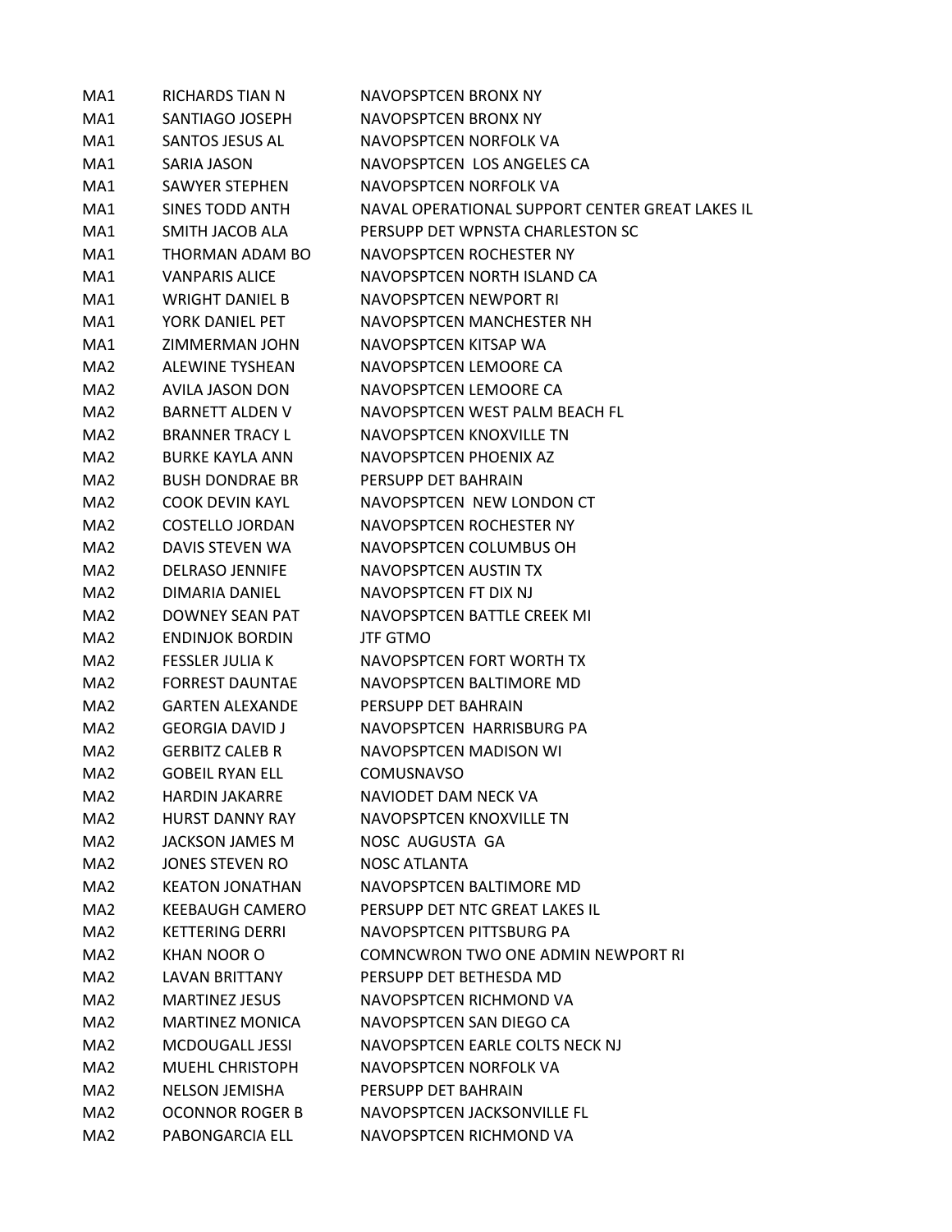| MA1             | <b>RICHARDS TIAN N</b> | NAVOPSPTCEN BRONX NY                            |
|-----------------|------------------------|-------------------------------------------------|
| MA1             | SANTIAGO JOSEPH        | NAVOPSPTCEN BRONX NY                            |
| MA1             | SANTOS JESUS AL        | NAVOPSPTCEN NORFOLK VA                          |
| MA1             | SARIA JASON            | NAVOPSPTCEN LOS ANGELES CA                      |
| MA1             | <b>SAWYER STEPHEN</b>  | NAVOPSPTCEN NORFOLK VA                          |
| MA1             | <b>SINES TODD ANTH</b> | NAVAL OPERATIONAL SUPPORT CENTER GREAT LAKES IL |
| MA1             | SMITH JACOB ALA        | PERSUPP DET WPNSTA CHARLESTON SC                |
| MA1             | THORMAN ADAM BO        | NAVOPSPTCEN ROCHESTER NY                        |
| MA1             | <b>VANPARIS ALICE</b>  | NAVOPSPTCEN NORTH ISLAND CA                     |
| MA1             | <b>WRIGHT DANIEL B</b> | NAVOPSPTCFN NEWPORT RI                          |
| MA1             | YORK DANIEL PET        | NAVOPSPTCEN MANCHESTER NH                       |
| MA1             | ZIMMERMAN JOHN         | NAVOPSPTCEN KITSAP WA                           |
| MA <sub>2</sub> | <b>ALEWINE TYSHEAN</b> | NAVOPSPTCEN LEMOORE CA                          |
| MA <sub>2</sub> | <b>AVILA JASON DON</b> | NAVOPSPTCEN LEMOORE CA                          |
| MA <sub>2</sub> | <b>BARNETT ALDEN V</b> | NAVOPSPTCEN WEST PALM BEACH FL                  |
| MA <sub>2</sub> | <b>BRANNER TRACY L</b> | NAVOPSPTCEN KNOXVILLE TN                        |
| MA <sub>2</sub> | <b>BURKE KAYLA ANN</b> | NAVOPSPTCEN PHOENIX AZ                          |
| MA <sub>2</sub> | <b>BUSH DONDRAF BR</b> | PERSUPP DET BAHRAIN                             |
| MA <sub>2</sub> | <b>COOK DEVIN KAYL</b> | NAVOPSPTCEN NEW LONDON CT                       |
| MA <sub>2</sub> | <b>COSTELLO JORDAN</b> | NAVOPSPTCEN ROCHESTER NY                        |
| MA <sub>2</sub> | DAVIS STEVEN WA        | NAVOPSPTCEN COLUMBUS OH                         |
| MA <sub>2</sub> | <b>DELRASO JENNIFE</b> | NAVOPSPTCEN AUSTIN TX                           |
| MA <sub>2</sub> | DIMARIA DANIEL         | NAVOPSPTCEN FT DIX NJ                           |
| MA <sub>2</sub> | <b>DOWNEY SEAN PAT</b> | NAVOPSPTCEN BATTLE CREEK MI                     |
| MA <sub>2</sub> | <b>ENDINJOK BORDIN</b> | <b>JTF GTMO</b>                                 |
| MA <sub>2</sub> | <b>FESSLER JULIA K</b> | NAVOPSPTCEN FORT WORTH TX                       |
| MA2             | <b>FORREST DAUNTAE</b> | NAVOPSPTCEN BALTIMORE MD                        |
| MA <sub>2</sub> | <b>GARTEN ALEXANDE</b> | PERSUPP DET BAHRAIN                             |
| MA <sub>2</sub> | <b>GEORGIA DAVID J</b> | NAVOPSPTCEN HARRISBURG PA                       |
| MA <sub>2</sub> | <b>GERBITZ CALEB R</b> | NAVOPSPTCEN MADISON WI                          |
| MA <sub>2</sub> | <b>GOBEIL RYAN ELL</b> | <b>COMUSNAVSO</b>                               |
| MA <sub>2</sub> | <b>HARDIN JAKARRF</b>  | NAVIODET DAM NECK VA                            |
| MA <sub>2</sub> | <b>HURST DANNY RAY</b> | NAVOPSPTCEN KNOXVILLE TN                        |
| MA2             | JACKSON JAMES M        | NOSC AUGUSTA GA                                 |
| MA2             | JONES STEVEN RO        | NOSC ATLANTA                                    |
| MA <sub>2</sub> | <b>KEATON JONATHAN</b> | NAVOPSPTCEN BALTIMORE MD                        |
| MA <sub>2</sub> | <b>KFFBAUGH CAMFRO</b> | PERSUPP DET NTC GREAT LAKES IL                  |
| MA <sub>2</sub> | <b>KETTERING DERRI</b> | NAVOPSPTCEN PITTSBURG PA                        |
| MA <sub>2</sub> | <b>KHAN NOOR O</b>     | <b>COMNCWRON TWO ONE ADMIN NEWPORT RI</b>       |
| MA <sub>2</sub> | <b>LAVAN BRITTANY</b>  | PERSUPP DET BETHESDA MD                         |
| MA <sub>2</sub> | <b>MARTINEZ JESUS</b>  | NAVOPSPTCEN RICHMOND VA                         |
| MA <sub>2</sub> | <b>MARTINEZ MONICA</b> | NAVOPSPTCEN SAN DIEGO CA                        |
| MA2             | MCDOUGALL JESSI        | NAVOPSPTCEN EARLE COLTS NECK NJ                 |
| MA <sub>2</sub> | MUEHL CHRISTOPH        | NAVOPSPTCEN NORFOLK VA                          |
| MA <sub>2</sub> | <b>NELSON JEMISHA</b>  | PERSUPP DET BAHRAIN                             |
| MA <sub>2</sub> | <b>OCONNOR ROGER B</b> | NAVOPSPTCEN JACKSONVILLE FL                     |
| MA <sub>2</sub> | PABONGARCIA ELL        | NAVOPSPTCEN RICHMOND VA                         |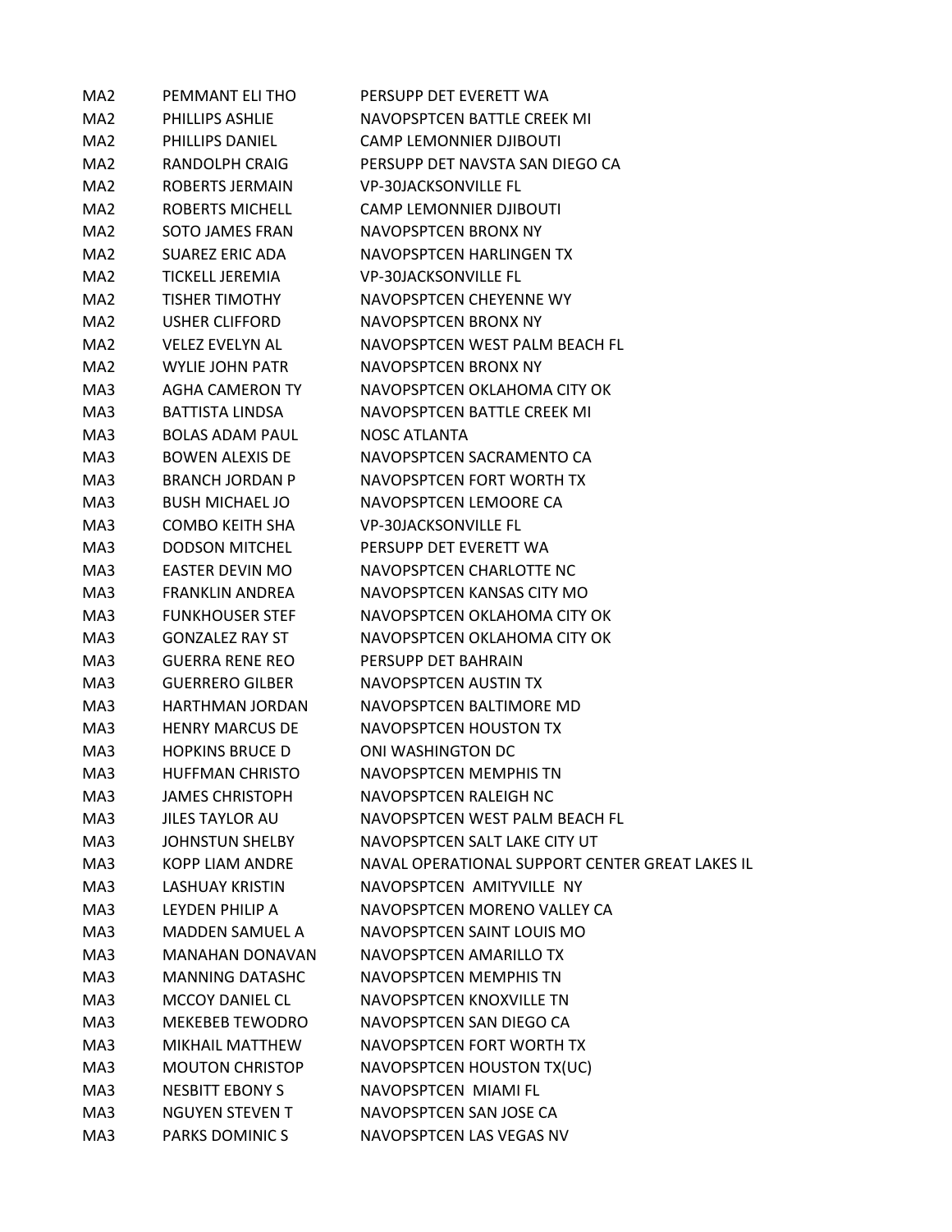| MA2             | PEMMANT ELI THO        | PERSUPP DET EVERETT WA                          |
|-----------------|------------------------|-------------------------------------------------|
| MA <sub>2</sub> | PHILLIPS ASHLIE        | NAVOPSPTCEN BATTLE CREEK MI                     |
| MA2             | <b>PHILLIPS DANIEL</b> | <b>CAMP LEMONNIER DJIBOUTI</b>                  |
| MA <sub>2</sub> | RANDOLPH CRAIG         | PERSUPP DET NAVSTA SAN DIEGO CA                 |
| MA <sub>2</sub> | ROBERTS JERMAIN        | <b>VP-30JACKSONVILLE FL</b>                     |
| MA <sub>2</sub> | <b>ROBERTS MICHELL</b> | <b>CAMP LEMONNIER DJIBOUTI</b>                  |
| MA <sub>2</sub> | SOTO JAMES FRAN        | NAVOPSPTCEN BRONX NY                            |
| MA2             | SUAREZ ERIC ADA        | NAVOPSPTCEN HARLINGEN TX                        |
| MA <sub>2</sub> | <b>TICKELL JEREMIA</b> | <b>VP-30JACKSONVILLE FL</b>                     |
| MA <sub>2</sub> | <b>TISHER TIMOTHY</b>  | NAVOPSPTCEN CHEYENNE WY                         |
| MA2             | <b>USHER CLIFFORD</b>  | NAVOPSPTCEN BRONX NY                            |
| MA2             | <b>VELEZ EVELYN AL</b> | NAVOPSPTCEN WEST PALM BEACH FL                  |
| MA <sub>2</sub> | WYLIE JOHN PATR        | NAVOPSPTCEN BRONX NY                            |
| MA3             | <b>AGHA CAMERON TY</b> | NAVOPSPTCEN OKLAHOMA CITY OK                    |
| MA3             | <b>BATTISTA LINDSA</b> | NAVOPSPTCEN BATTLE CREEK MI                     |
| MA3             | <b>BOLAS ADAM PAUL</b> | NOSC ATLANTA                                    |
| MA3             | <b>BOWEN ALEXIS DE</b> | NAVOPSPTCEN SACRAMENTO CA                       |
| MA3             | <b>BRANCH JORDAN P</b> | NAVOPSPTCEN FORT WORTH TX                       |
| MA3             | <b>BUSH MICHAEL JO</b> | NAVOPSPTCEN LEMOORE CA                          |
| MA3             | <b>COMBO KEITH SHA</b> | <b>VP-30JACKSONVILLE FL</b>                     |
| MA3             | <b>DODSON MITCHEL</b>  | PERSUPP DET EVERETT WA                          |
| MA3             | <b>EASTER DEVIN MO</b> | NAVOPSPTCEN CHARLOTTE NC                        |
| MA3             | <b>FRANKLIN ANDREA</b> | NAVOPSPTCEN KANSAS CITY MO                      |
| MA3             | <b>FUNKHOUSER STEF</b> | NAVOPSPTCEN OKLAHOMA CITY OK                    |
| MA3             | <b>GONZALEZ RAY ST</b> | NAVOPSPTCEN OKLAHOMA CITY OK                    |
| MA3             | GUERRA RENE REO        | PERSUPP DET BAHRAIN                             |
| MA3             | <b>GUERRERO GILBER</b> | NAVOPSPTCEN AUSTIN TX                           |
| MA3             | <b>HARTHMAN JORDAN</b> | NAVOPSPTCEN BALTIMORE MD                        |
| MA3             | <b>HENRY MARCUS DE</b> | NAVOPSPTCEN HOUSTON TX                          |
| MA3             | <b>HOPKINS BRUCE D</b> | ONI WASHINGTON DC                               |
| MA3             | <b>HUFFMAN CHRISTO</b> | NAVOPSPTCFN MEMPHIS TN                          |
| MA3             | <b>JAMES CHRISTOPH</b> | <b>NAVOPSPTCEN RALEIGH NC</b>                   |
| MA3             | <b>JILES TAYLOR AU</b> | NAVOPSPTCEN WEST PALM BEACH FL                  |
| MA3             | <b>JOHNSTUN SHELBY</b> | NAVOPSPTCEN SALT LAKE CITY UT                   |
| MA3             | <b>KOPP LIAM ANDRE</b> | NAVAL OPERATIONAL SUPPORT CENTER GREAT LAKES IL |
| MA3             | <b>LASHUAY KRISTIN</b> | NAVOPSPTCEN AMITYVILLE NY                       |
| MA3             | LEYDEN PHILIP A        | NAVOPSPTCEN MORENO VALLEY CA                    |
| MA3             | <b>MADDEN SAMUEL A</b> | NAVOPSPTCEN SAINT LOUIS MO                      |
| MA3             | <b>MANAHAN DONAVAN</b> | NAVOPSPTCEN AMARILLO TX                         |
| MA3             | <b>MANNING DATASHC</b> | <b>NAVOPSPTCEN MEMPHIS TN</b>                   |
| MA3             | MCCOY DANIEL CL        | NAVOPSPTCEN KNOXVILLE TN                        |
| MA3             | <b>MEKEBEB TEWODRO</b> | NAVOPSPTCEN SAN DIEGO CA                        |
| MA3             | <b>MIKHAIL MATTHEW</b> | NAVOPSPTCEN FORT WORTH TX                       |
| MA3             | <b>MOUTON CHRISTOP</b> | NAVOPSPTCEN HOUSTON TX(UC)                      |
| MA3             | <b>NESBITT EBONY S</b> | NAVOPSPTCEN MIAMI FL                            |
| MA3             | <b>NGUYEN STEVEN T</b> | NAVOPSPTCEN SAN JOSE CA                         |
| MA3             | PARKS DOMINICS         | NAVOPSPTCEN LAS VEGAS NV                        |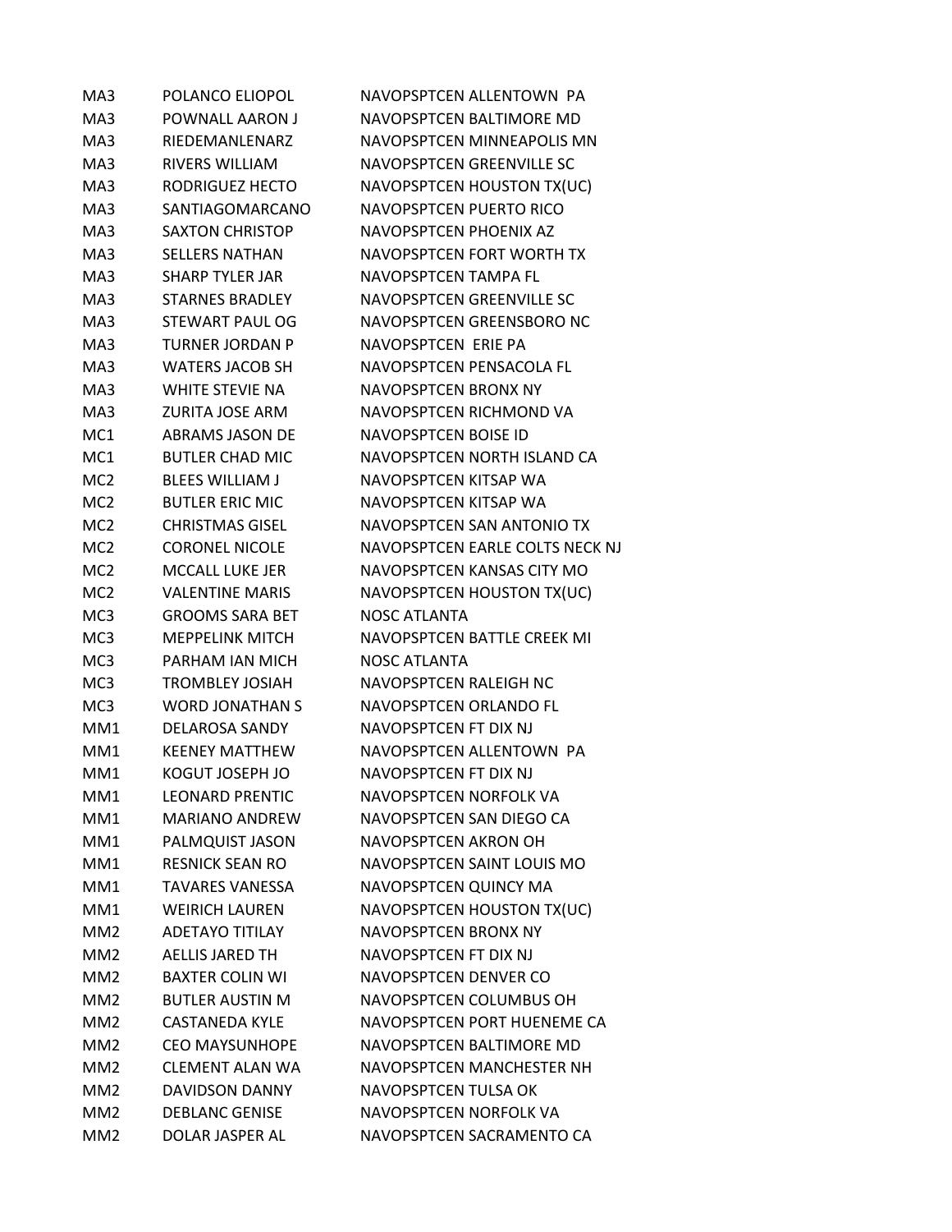| MA3             | POLANCO ELIOPOL         | NAVOPSPTCEN ALLENTOWN PA        |
|-----------------|-------------------------|---------------------------------|
| MA3             | POWNALL AARON J         | NAVOPSPTCEN BALTIMORE MD        |
| MA3             | <b>RIEDEMANLENARZ</b>   | NAVOPSPTCEN MINNEAPOLIS MN      |
| MA3             | <b>RIVERS WILLIAM</b>   | NAVOPSPTCEN GREENVILLE SC       |
| MA3             | RODRIGUEZ HECTO         | NAVOPSPTCEN HOUSTON TX(UC)      |
| MA3             | SANTIAGOMARCANO         | <b>NAVOPSPTCEN PUERTO RICO</b>  |
| MA3             | <b>SAXTON CHRISTOP</b>  | NAVOPSPTCEN PHOENIX AZ          |
| MA3             | <b>SELLERS NATHAN</b>   | NAVOPSPTCEN FORT WORTH TX       |
| MA3             | <b>SHARP TYLER JAR</b>  | NAVOPSPTCEN TAMPA FL            |
| MA3             | <b>STARNES BRADLEY</b>  | NAVOPSPTCEN GREENVILLE SC       |
| MA3             | STEWART PAUL OG         | NAVOPSPTCEN GREENSBORO NC       |
| MA3             | <b>TURNER JORDAN P</b>  | NAVOPSPTCEN ERIE PA             |
| MA3             | <b>WATERS JACOB SH</b>  | NAVOPSPTCEN PENSACOLA FL        |
| MA3             | WHITE STEVIE NA         | <b>NAVOPSPTCEN BRONX NY</b>     |
| MA3             | <b>ZURITA JOSE ARM</b>  | NAVOPSPTCEN RICHMOND VA         |
| MC <sub>1</sub> | <b>ABRAMS JASON DE</b>  | NAVOPSPTCEN BOISE ID            |
| MC <sub>1</sub> | <b>BUTLER CHAD MIC</b>  | NAVOPSPTCEN NORTH ISLAND CA     |
| MC <sub>2</sub> | <b>BLEES WILLIAM J</b>  | NAVOPSPTCEN KITSAP WA           |
| MC <sub>2</sub> | <b>BUTLER ERIC MIC</b>  | NAVOPSPTCEN KITSAP WA           |
| MC <sub>2</sub> | <b>CHRISTMAS GISEL</b>  | NAVOPSPTCEN SAN ANTONIO TX      |
| MC <sub>2</sub> | <b>CORONEL NICOLE</b>   | NAVOPSPTCEN EARLE COLTS NECK NJ |
| MC <sub>2</sub> | <b>MCCALL LUKE JER</b>  | NAVOPSPTCEN KANSAS CITY MO      |
| MC <sub>2</sub> | <b>VALENTINE MARIS</b>  | NAVOPSPTCEN HOUSTON TX(UC)      |
| MC <sub>3</sub> | <b>GROOMS SARA BET</b>  | <b>NOSC ATLANTA</b>             |
| MC <sub>3</sub> | <b>MEPPELINK MITCH</b>  | NAVOPSPTCEN BATTLE CREEK MI     |
| MC <sub>3</sub> | PARHAM IAN MICH         | <b>NOSC ATLANTA</b>             |
| MC <sub>3</sub> | <b>TROMBLEY JOSIAH</b>  | NAVOPSPTCEN RALEIGH NC          |
| MC <sub>3</sub> | <b>WORD JONATHAN S</b>  | NAVOPSPTCEN ORLANDO FL          |
| MM1             | <b>DELAROSA SANDY</b>   | NAVOPSPTCEN FT DIX NJ           |
| MM1             | <b>KEENEY MATTHEW</b>   | NAVOPSPTCEN ALLENTOWN PA        |
| MM1             | KOGUT JOSEPH JO         | NAVOPSPTCEN FT DIX NJ           |
| MM1             | <b>I FONARD PRENTIC</b> | NAVOPSPTCEN NORFOLK VA          |
| MM1             | <b>MARIANO ANDREW</b>   | NAVOPSPTCEN SAN DIEGO CA        |
| MM1             | PALMQUIST JASON         | <b>NAVOPSPTCEN AKRON OH</b>     |
| MM1             | <b>RESNICK SEAN RO</b>  | NAVOPSPTCEN SAINT LOUIS MO      |
| MM1             | <b>TAVARES VANESSA</b>  | NAVOPSPTCEN QUINCY MA           |
| MM1             | <b>WEIRICH LAUREN</b>   | NAVOPSPTCEN HOUSTON TX(UC)      |
| MM <sub>2</sub> | <b>ADFTAYO TITILAY</b>  | NAVOPSPTCEN BRONX NY            |
| MM <sub>2</sub> | <b>AELLIS JARED TH</b>  | NAVOPSPTCEN FT DIX NJ           |
| MM <sub>2</sub> | <b>BAXTER COLIN WI</b>  | NAVOPSPTCEN DENVER CO           |
| MM <sub>2</sub> | <b>BUTLER AUSTIN M</b>  | NAVOPSPTCEN COLUMBUS OH         |
| MM <sub>2</sub> | <b>CASTANEDA KYLE</b>   | NAVOPSPTCEN PORT HUENEME CA     |
| MM2             | <b>CEO MAYSUNHOPE</b>   | NAVOPSPTCEN BALTIMORE MD        |
| MM2             | <b>CLEMENT ALAN WA</b>  | NAVOPSPTCEN MANCHESTER NH       |
| MM <sub>2</sub> | <b>DAVIDSON DANNY</b>   | <b>NAVOPSPTCEN TULSA OK</b>     |
| MM <sub>2</sub> | <b>DEBLANC GENISE</b>   | NAVOPSPTCEN NORFOLK VA          |
| MM <sub>2</sub> | DOLAR JASPER AL         | NAVOPSPTCEN SACRAMENTO CA       |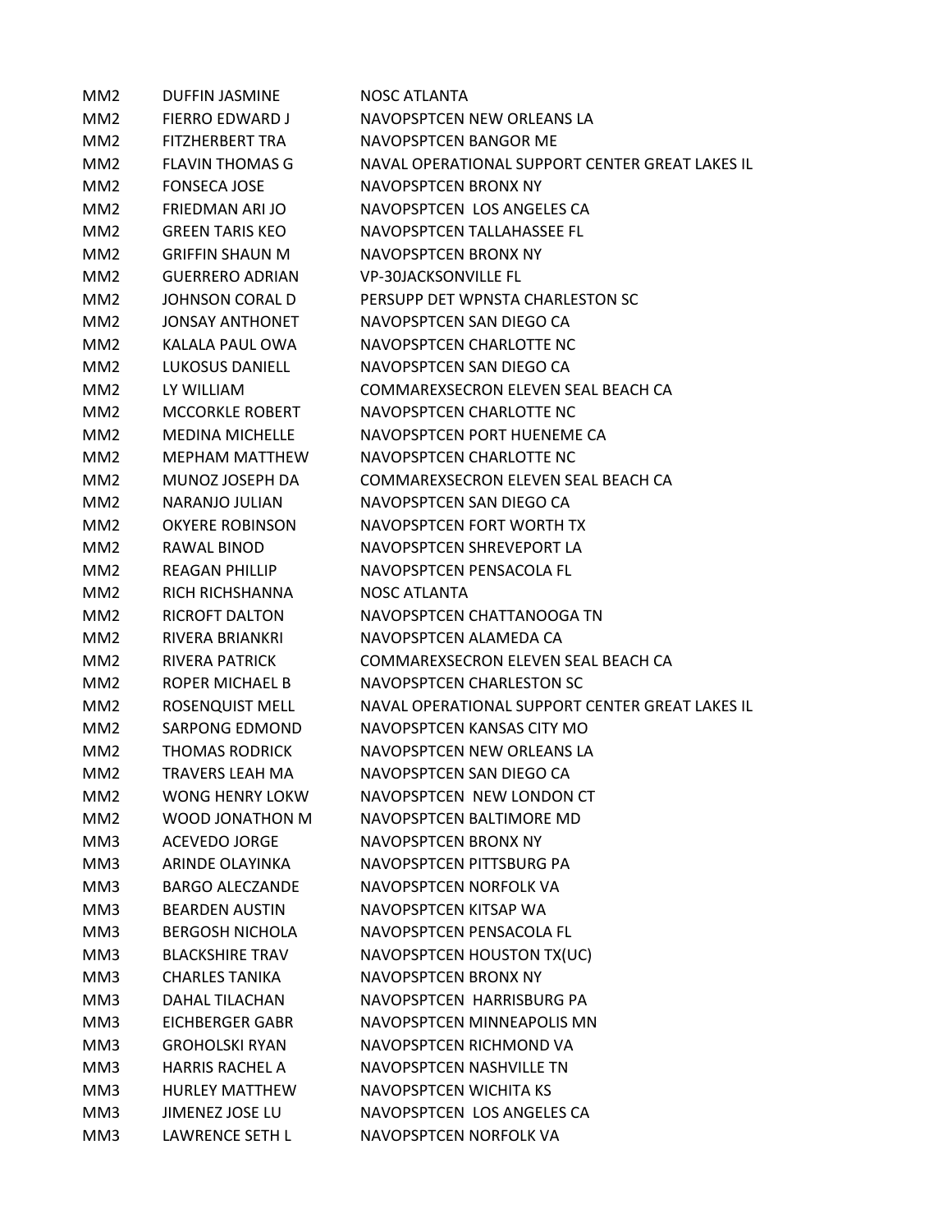| MM <sub>2</sub> | <b>DUFFIN JASMINE</b>  | NOSC ATLANTA                                    |
|-----------------|------------------------|-------------------------------------------------|
| MM <sub>2</sub> | <b>FIERRO EDWARD J</b> | NAVOPSPTCEN NEW ORLEANS LA                      |
| MM <sub>2</sub> | <b>FITZHERBERT TRA</b> | NAVOPSPTCEN BANGOR ME                           |
| MM <sub>2</sub> | <b>FLAVIN THOMAS G</b> | NAVAL OPERATIONAL SUPPORT CENTER GREAT LAKES IL |
| MM <sub>2</sub> | <b>FONSECA JOSE</b>    | NAVOPSPTCEN BRONX NY                            |
| MM <sub>2</sub> | FRIEDMAN ARI JO        | NAVOPSPTCEN LOS ANGELES CA                      |
| MM <sub>2</sub> | GREEN TARIS KEO        | NAVOPSPTCEN TALLAHASSEE FL                      |
| MM <sub>2</sub> | <b>GRIFFIN SHAUN M</b> | NAVOPSPTCEN BRONX NY                            |
| MM <sub>2</sub> | <b>GUERRERO ADRIAN</b> | <b>VP-30JACKSONVILLE FL</b>                     |
| MM <sub>2</sub> | <b>JOHNSON CORAL D</b> | PERSUPP DET WPNSTA CHARLESTON SC                |
| MM <sub>2</sub> | JONSAY ANTHONET        | NAVOPSPTCEN SAN DIEGO CA                        |
| MM <sub>2</sub> | KALALA PAUL OWA        | NAVOPSPTCEN CHARLOTTE NC                        |
| MM <sub>2</sub> | <b>LUKOSUS DANIELL</b> | NAVOPSPTCEN SAN DIEGO CA                        |
| MM <sub>2</sub> | LY WILLIAM             | COMMAREXSECRON ELEVEN SEAL BEACH CA             |
| MM <sub>2</sub> | <b>MCCORKLE ROBERT</b> | NAVOPSPTCEN CHARLOTTE NC                        |
| MM <sub>2</sub> | MEDINA MICHELLE        | NAVOPSPTCEN PORT HUENEME CA                     |
| MM <sub>2</sub> | <b>MEPHAM MATTHEW</b>  | NAVOPSPTCEN CHARLOTTE NC                        |
| MM <sub>2</sub> | MUNOZ JOSEPH DA        | COMMAREXSECRON ELEVEN SEAL BEACH CA             |
| MM <sub>2</sub> | NARANJO JULIAN         | NAVOPSPTCEN SAN DIEGO CA                        |
| MM <sub>2</sub> | <b>OKYERE ROBINSON</b> | NAVOPSPTCEN FORT WORTH TX                       |
| MM <sub>2</sub> | RAWAL BINOD            | NAVOPSPTCEN SHREVEPORT LA                       |
| MM <sub>2</sub> | <b>REAGAN PHILLIP</b>  | NAVOPSPTCEN PENSACOLA FL                        |
| MM <sub>2</sub> | RICH RICHSHANNA        | NOSC ATLANTA                                    |
| MM <sub>2</sub> | <b>RICROFT DALTON</b>  | NAVOPSPTCEN CHATTANOOGA TN                      |
| MM <sub>2</sub> | <b>RIVERA BRIANKRI</b> | NAVOPSPTCEN ALAMEDA CA                          |
| MM <sub>2</sub> | RIVERA PATRICK         | COMMAREXSECRON ELEVEN SEAL BEACH CA             |
| MM <sub>2</sub> | ROPER MICHAEL B        | NAVOPSPTCEN CHARLESTON SC                       |
| MM2             | ROSENQUIST MELL        | NAVAL OPERATIONAL SUPPORT CENTER GREAT LAKES IL |
| MM <sub>2</sub> | <b>SARPONG EDMOND</b>  | NAVOPSPTCEN KANSAS CITY MO                      |
| MM <sub>2</sub> | <b>THOMAS RODRICK</b>  | NAVOPSPTCEN NEW ORLEANS LA                      |
| MM <sub>2</sub> | <b>TRAVERS LEAH MA</b> | NAVOPSPTCEN SAN DIEGO CA                        |
| MM <sub>2</sub> | <b>WONG HENRY LOKW</b> | NAVOPSPTCEN NEW LONDON CT                       |
| MM <sub>2</sub> | WOOD JONATHON M        | NAVOPSPTCEN BALTIMORE MD                        |
| MM3             | <b>ACEVEDO JORGE</b>   | NAVOPSPTCEN BRONX NY                            |
| MM3             | ARINDE OLAYINKA        | NAVOPSPTCEN PITTSBURG PA                        |
| MM3             | <b>BARGO ALECZANDE</b> | NAVOPSPTCEN NORFOLK VA                          |
| MM3             | <b>BEARDEN AUSTIN</b>  | NAVOPSPTCEN KITSAP WA                           |
| MM3             | <b>BERGOSH NICHOLA</b> | NAVOPSPTCEN PENSACOLA FL                        |
| MM3             | <b>BLACKSHIRE TRAV</b> | NAVOPSPTCEN HOUSTON TX(UC)                      |
| MM3             | <b>CHARLES TANIKA</b>  | NAVOPSPTCEN BRONX NY                            |
| MM3             | <b>DAHAL TILACHAN</b>  | NAVOPSPTCEN HARRISBURG PA                       |
| MM3             | EICHBERGER GABR        | NAVOPSPTCEN MINNEAPOLIS MN                      |
| MM3             | <b>GROHOLSKI RYAN</b>  | NAVOPSPTCEN RICHMOND VA                         |
| MM3             | <b>HARRIS RACHEL A</b> | NAVOPSPTCEN NASHVILLE TN                        |
| MM3             | <b>HURLEY MATTHEW</b>  | NAVOPSPTCEN WICHITA KS                          |
| MM3             | JIMENEZ JOSE LU        | NAVOPSPTCEN LOS ANGELES CA                      |
| MM3             | <b>LAWRENCE SETH L</b> | NAVOPSPTCEN NORFOLK VA                          |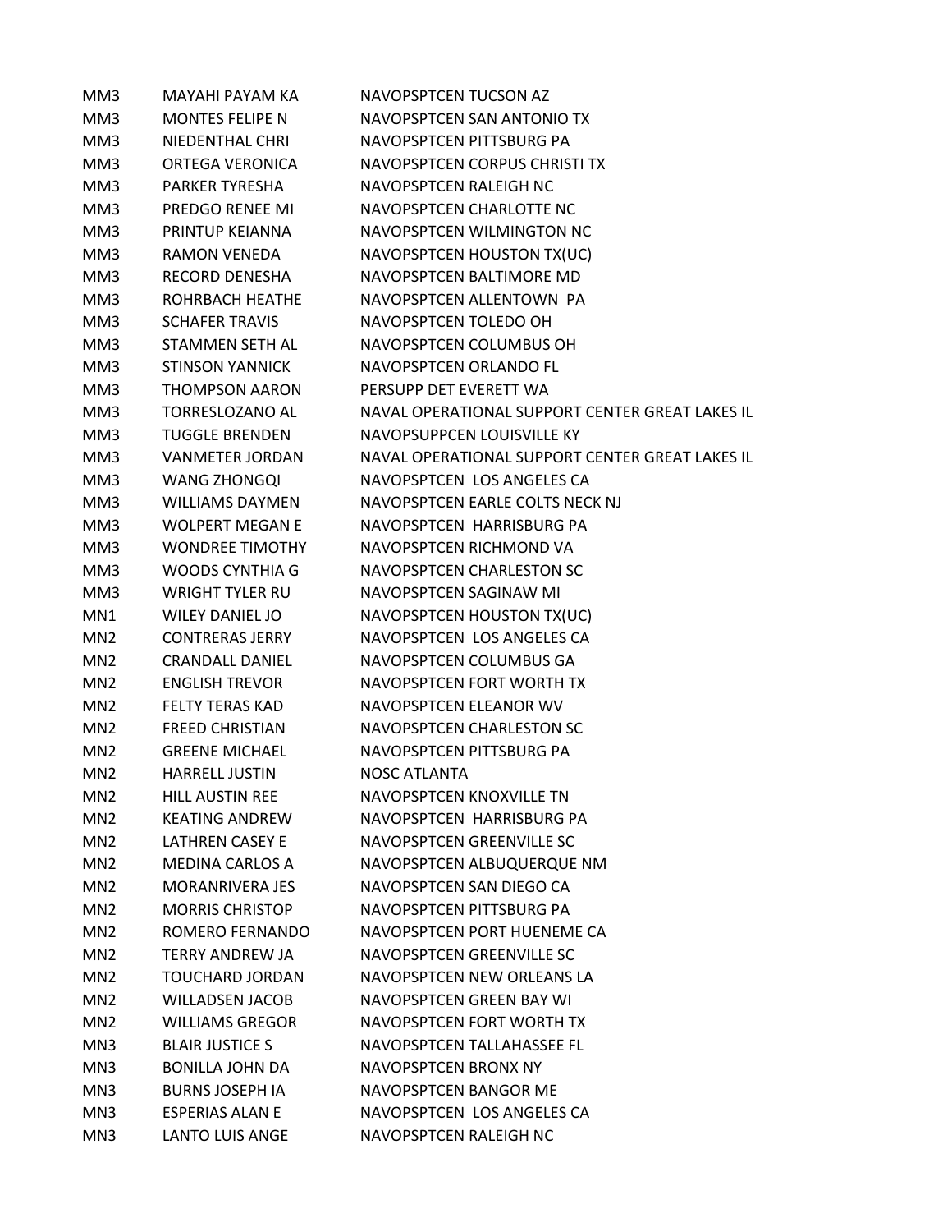| MM3             | <b>MAYAHI PAYAM KA</b> | <b>NAVOPSPTCEN TUCSON AZ</b>                    |
|-----------------|------------------------|-------------------------------------------------|
| MM3             | <b>MONTES FELIPE N</b> | NAVOPSPTCEN SAN ANTONIO TX                      |
| MM3             | NIEDENTHAL CHRI        | NAVOPSPTCEN PITTSBURG PA                        |
| MM3             | ORTEGA VERONICA        | NAVOPSPTCEN CORPUS CHRISTI TX                   |
| MM3             | <b>PARKER TYRESHA</b>  | NAVOPSPTCEN RALEIGH NC                          |
| MM3             | PREDGO RENEE MI        | NAVOPSPTCEN CHARLOTTE NC                        |
| MM3             | PRINTUP KEIANNA        | NAVOPSPTCEN WILMINGTON NC                       |
| MM3             | <b>RAMON VENEDA</b>    | NAVOPSPTCEN HOUSTON TX(UC)                      |
| MM3             | RECORD DENESHA         | NAVOPSPTCEN BALTIMORE MD                        |
| MM3             | ROHRBACH HEATHE        | NAVOPSPTCEN ALLENTOWN PA                        |
| MM3             | <b>SCHAFER TRAVIS</b>  | NAVOPSPTCEN TOLEDO OH                           |
| MM3             | STAMMEN SETH AL        | NAVOPSPTCEN COLUMBUS OH                         |
| MM3             | <b>STINSON YANNICK</b> | NAVOPSPTCEN ORLANDO FL                          |
| MM3             | <b>THOMPSON AARON</b>  | PERSUPP DET EVERETT WA                          |
| MM3             | <b>TORRESLOZANO AL</b> | NAVAL OPERATIONAL SUPPORT CENTER GREAT LAKES IL |
| MM3             | <b>TUGGLE BRENDEN</b>  | NAVOPSUPPCEN LOUISVILLE KY                      |
| MM3             | <b>VANMETER JORDAN</b> | NAVAL OPERATIONAL SUPPORT CENTER GREAT LAKES IL |
| MM3             | <b>WANG ZHONGQI</b>    | NAVOPSPTCEN LOS ANGELES CA                      |
| MM3             | <b>WILLIAMS DAYMEN</b> | NAVOPSPTCEN EARLE COLTS NECK NJ                 |
| MM3             | <b>WOLPERT MEGAN E</b> | NAVOPSPTCEN HARRISBURG PA                       |
| MM3             | <b>WONDREE TIMOTHY</b> | NAVOPSPTCEN RICHMOND VA                         |
| MM3             | <b>WOODS CYNTHIA G</b> | NAVOPSPTCEN CHARLESTON SC                       |
| MM3             | <b>WRIGHT TYLER RU</b> | NAVOPSPTCEN SAGINAW MI                          |
| MN1             | <b>WILEY DANIEL JO</b> | NAVOPSPTCEN HOUSTON TX(UC)                      |
| MN <sub>2</sub> | <b>CONTRERAS JERRY</b> | NAVOPSPTCEN LOS ANGELES CA                      |
| MN <sub>2</sub> | <b>CRANDALL DANIEL</b> | NAVOPSPTCEN COLUMBUS GA                         |
| MN <sub>2</sub> | <b>ENGLISH TREVOR</b>  | NAVOPSPTCEN FORT WORTH TX                       |
| MN <sub>2</sub> | <b>FELTY TERAS KAD</b> | NAVOPSPTCEN ELEANOR WV                          |
| MN <sub>2</sub> | <b>FREED CHRISTIAN</b> | NAVOPSPTCEN CHARLESTON SC                       |
| MN <sub>2</sub> | <b>GREENE MICHAEL</b>  | NAVOPSPTCEN PITTSBURG PA                        |
| MN <sub>2</sub> | <b>HARRELL JUSTIN</b>  | <b>NOSC ATLANTA</b>                             |
| MN <sub>2</sub> | <b>HILL AUSTIN REE</b> | <b>NAVOPSPTCEN KNOXVILLE TN</b>                 |
| MN <sub>2</sub> | <b>KEATING ANDREW</b>  | NAVOPSPTCEN HARRISBURG PA                       |
| MN <sub>2</sub> | <b>LATHREN CASEY E</b> | NAVOPSPTCEN GREENVILLE SC                       |
| MN <sub>2</sub> | <b>MEDINA CARLOS A</b> | NAVOPSPTCEN ALBUQUERQUE NM                      |
| MN <sub>2</sub> | <b>MORANRIVERA JES</b> | NAVOPSPTCEN SAN DIEGO CA                        |
| MN <sub>2</sub> | <b>MORRIS CHRISTOP</b> | NAVOPSPTCEN PITTSBURG PA                        |
| MN <sub>2</sub> | ROMERO FERNANDO        | NAVOPSPTCEN PORT HUENEME CA                     |
| MN <sub>2</sub> | <b>TERRY ANDREW JA</b> | NAVOPSPTCEN GREENVILLE SC                       |
| MN <sub>2</sub> | <b>TOUCHARD JORDAN</b> | NAVOPSPTCEN NEW ORLEANS LA                      |
| MN <sub>2</sub> | <b>WILLADSEN JACOB</b> | NAVOPSPTCEN GREEN BAY WI                        |
| MN <sub>2</sub> | <b>WILLIAMS GREGOR</b> | NAVOPSPTCEN FORT WORTH TX                       |
| MN3             | <b>BLAIR JUSTICE S</b> | NAVOPSPTCEN TALLAHASSEE FL                      |
| MN3             | <b>BONILLA JOHN DA</b> | NAVOPSPTCEN BRONX NY                            |
| MN3             | <b>BURNS JOSEPH IA</b> | NAVOPSPTCEN BANGOR ME                           |
| MN3             | <b>ESPERIAS ALAN E</b> | NAVOPSPTCEN LOS ANGELES CA                      |
| MN3             | <b>LANTO LUIS ANGE</b> | NAVOPSPTCEN RALEIGH NC                          |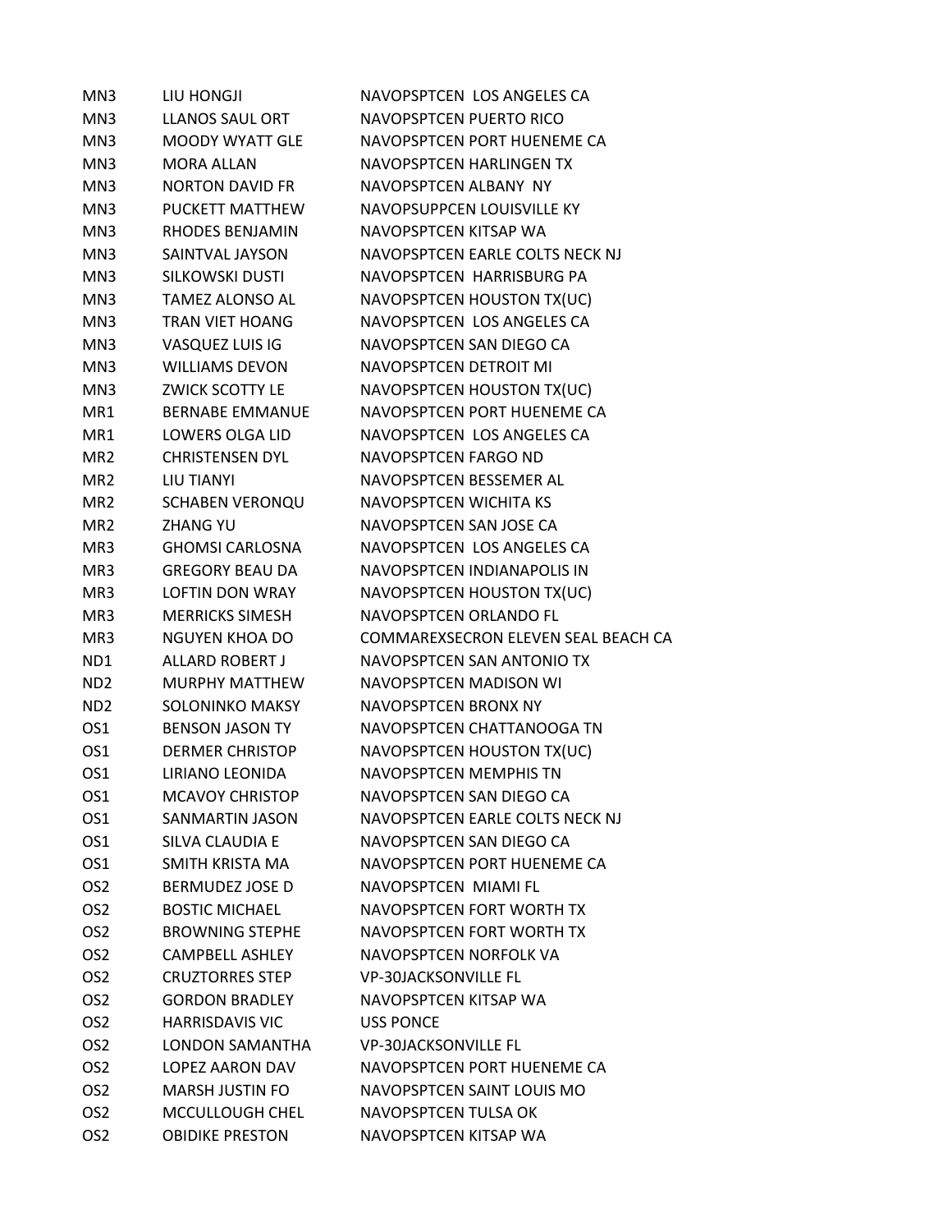| MN3             | LIU HONGJI             | NAVOPSPTCEN LOS ANGELES CA          |
|-----------------|------------------------|-------------------------------------|
| MN3             | <b>LLANOS SAUL ORT</b> | NAVOPSPTCEN PUERTO RICO             |
| MN3             | MOODY WYATT GLE        | NAVOPSPTCEN PORT HUENEME CA         |
| MN3             | <b>MORA ALLAN</b>      | NAVOPSPTCEN HARLINGEN TX            |
| MN3             | <b>NORTON DAVID FR</b> | NAVOPSPTCEN ALBANY NY               |
| MN3             | PUCKETT MATTHEW        | NAVOPSUPPCEN LOUISVILLE KY          |
| MN3             | RHODES BENJAMIN        | NAVOPSPTCEN KITSAP WA               |
| MN3             | SAINTVAL JAYSON        | NAVOPSPTCEN EARLE COLTS NECK NJ     |
| MN3             | SILKOWSKI DUSTI        | NAVOPSPTCEN HARRISBURG PA           |
| MN3             | TAMEZ ALONSO AL        | NAVOPSPTCEN HOUSTON TX(UC)          |
| MN3             | <b>TRAN VIET HOANG</b> | NAVOPSPTCEN LOS ANGELES CA          |
| MN3             | VASQUEZ LUIS IG        | NAVOPSPTCEN SAN DIEGO CA            |
| MN3             | <b>WILLIAMS DEVON</b>  | NAVOPSPTCEN DETROIT MI              |
| MN3             | <b>ZWICK SCOTTY LE</b> | NAVOPSPTCEN HOUSTON TX(UC)          |
| MR1             | <b>BERNABE EMMANUE</b> | NAVOPSPTCEN PORT HUENEME CA         |
| MR1             | LOWERS OLGA LID        | NAVOPSPTCEN LOS ANGELES CA          |
| MR <sub>2</sub> | <b>CHRISTENSEN DYL</b> | NAVOPSPTCEN FARGO ND                |
| MR <sub>2</sub> | LIU TIANYI             | NAVOPSPTCEN BESSEMER AL             |
| MR <sub>2</sub> | <b>SCHABEN VERONQU</b> | <b>NAVOPSPTCEN WICHITA KS</b>       |
| MR <sub>2</sub> | <b>ZHANG YU</b>        | NAVOPSPTCEN SAN JOSE CA             |
| MR3             | <b>GHOMSI CARLOSNA</b> | NAVOPSPTCEN LOS ANGELES CA          |
| MR3             | <b>GREGORY BEAU DA</b> | NAVOPSPTCEN INDIANAPOLIS IN         |
| MR3             | <b>LOFTIN DON WRAY</b> | NAVOPSPTCEN HOUSTON TX(UC)          |
| MR3             | <b>MERRICKS SIMESH</b> | NAVOPSPTCEN ORLANDO FL              |
| MR3             | <b>NGUYEN KHOA DO</b>  | COMMAREXSECRON ELEVEN SEAL BEACH CA |
| ND1             | <b>ALLARD ROBERT J</b> | NAVOPSPTCEN SAN ANTONIO TX          |
| ND <sub>2</sub> | <b>MURPHY MATTHEW</b>  | NAVOPSPTCEN MADISON WI              |
| ND <sub>2</sub> | SOLONINKO MAKSY        | NAVOPSPTCEN BRONX NY                |
| OS1             | <b>BENSON JASON TY</b> | NAVOPSPTCEN CHATTANOOGA TN          |
| OS1             | <b>DERMER CHRISTOP</b> | NAVOPSPTCEN HOUSTON TX(UC)          |
| OS1             | <b>LIRIANO LEONIDA</b> | NAVOPSPTCEN MEMPHIS TN              |
| OS1             | <b>MCAVOY CHRISTOP</b> | NAVOPSPTCEN SAN DIEGO CA            |
| OS1             | SANMARTIN JASON        | NAVOPSPTCEN EARLE COLTS NECK NJ     |
| OS1             | SILVA CLAUDIA E        | NAVOPSPTCEN SAN DIEGO CA            |
| OS1             | SMITH KRISTA MA        | NAVOPSPTCEN PORT HUENEME CA         |
| OS <sub>2</sub> | <b>BERMUDEZ JOSE D</b> | NAVOPSPTCEN MIAMI FL                |
| OS <sub>2</sub> | <b>BOSTIC MICHAEL</b>  | NAVOPSPTCEN FORT WORTH TX           |
| OS <sub>2</sub> | <b>BROWNING STEPHE</b> | NAVOPSPTCEN FORT WORTH TX           |
| OS <sub>2</sub> | <b>CAMPBELL ASHLEY</b> | NAVOPSPTCEN NORFOLK VA              |
| OS <sub>2</sub> | <b>CRUZTORRES STEP</b> | <b>VP-30JACKSONVILLE FL</b>         |
| OS <sub>2</sub> | <b>GORDON BRADLEY</b>  | NAVOPSPTCEN KITSAP WA               |
| OS <sub>2</sub> | <b>HARRISDAVIS VIC</b> | <b>USS PONCE</b>                    |
| OS <sub>2</sub> | <b>LONDON SAMANTHA</b> | <b>VP-30JACKSONVILLE FL</b>         |
| OS <sub>2</sub> | LOPEZ AARON DAV        | NAVOPSPTCEN PORT HUENEME CA         |
| OS <sub>2</sub> | <b>MARSH JUSTIN FO</b> | NAVOPSPTCEN SAINT LOUIS MO          |
| OS <sub>2</sub> | MCCULLOUGH CHEL        | NAVOPSPTCEN TULSA OK                |
| OS <sub>2</sub> | <b>OBIDIKE PRESTON</b> | NAVOPSPTCEN KITSAP WA               |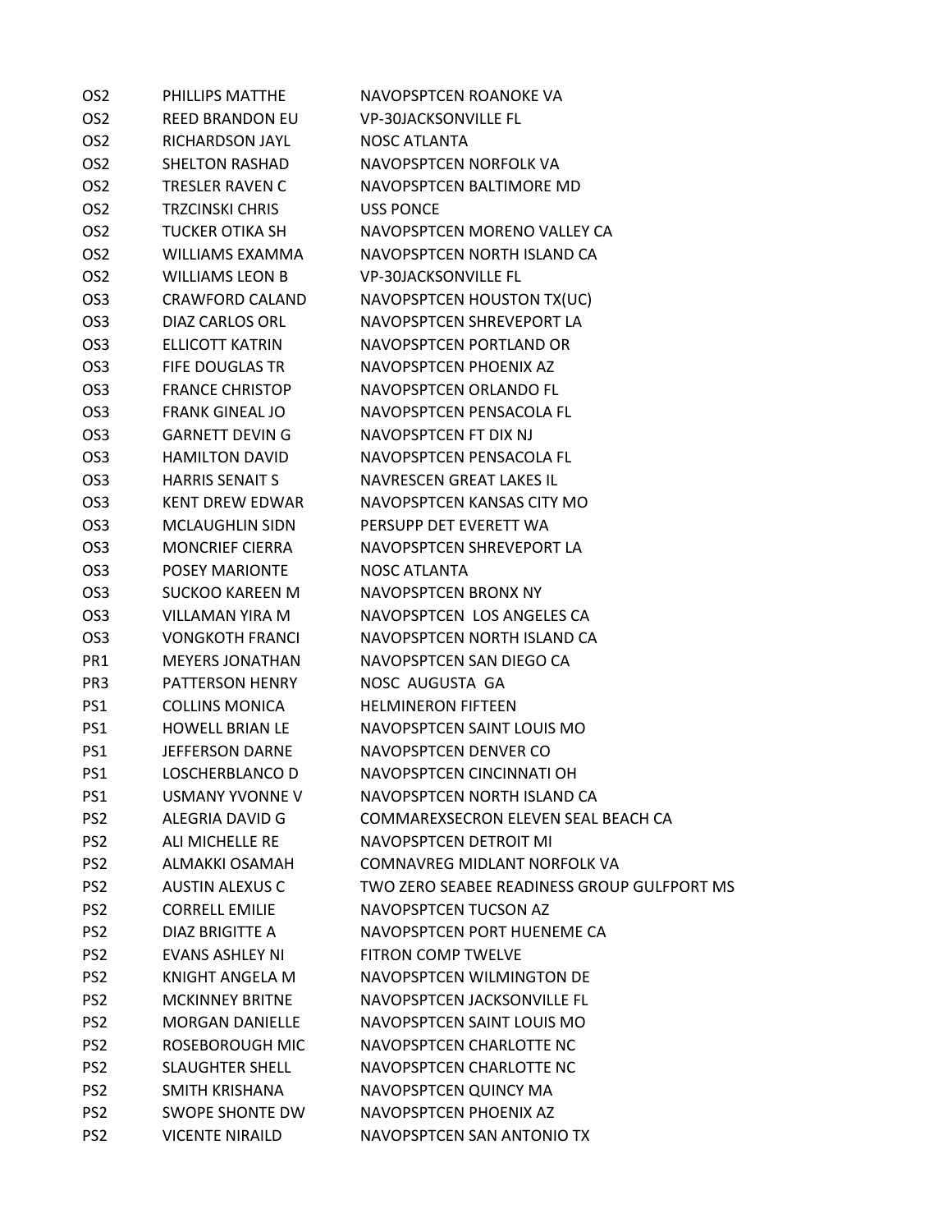| OS <sub>2</sub> | PHILLIPS MATTHE        | NAVOPSPTCEN ROANOKE VA                      |
|-----------------|------------------------|---------------------------------------------|
| OS <sub>2</sub> | <b>REED BRANDON EU</b> | <b>VP-30JACKSONVILLE FL</b>                 |
| OS <sub>2</sub> | RICHARDSON JAYL        | NOSC ATLANTA                                |
| OS <sub>2</sub> | <b>SHELTON RASHAD</b>  | NAVOPSPTCEN NORFOLK VA                      |
| OS <sub>2</sub> | <b>TRESLER RAVEN C</b> | NAVOPSPTCEN BALTIMORE MD                    |
| OS <sub>2</sub> | <b>TRZCINSKI CHRIS</b> | <b>USS PONCE</b>                            |
| OS <sub>2</sub> | TUCKER OTIKA SH        | NAVOPSPTCEN MORENO VALLEY CA                |
| OS <sub>2</sub> | WILLIAMS EXAMMA        | NAVOPSPTCEN NORTH ISLAND CA                 |
| OS <sub>2</sub> | WILLIAMS LEON B        | <b>VP-30JACKSONVILLE FL</b>                 |
| OS <sub>3</sub> | <b>CRAWFORD CALAND</b> | NAVOPSPTCEN HOUSTON TX(UC)                  |
| OS <sub>3</sub> | DIAZ CARLOS ORL        | NAVOPSPTCEN SHREVEPORT LA                   |
| OS <sub>3</sub> | ELLICOTT KATRIN        | NAVOPSPTCEN PORTLAND OR                     |
| OS <sub>3</sub> | FIFE DOUGLAS TR        | NAVOPSPTCEN PHOENIX AZ                      |
| OS <sub>3</sub> | <b>FRANCE CHRISTOP</b> | NAVOPSPTCEN ORLANDO FL                      |
| OS <sub>3</sub> | <b>FRANK GINEAL JO</b> | NAVOPSPTCEN PENSACOLA FL                    |
| OS <sub>3</sub> | <b>GARNETT DEVIN G</b> | NAVOPSPTCEN FT DIX NJ                       |
| OS <sub>3</sub> | <b>HAMILTON DAVID</b>  | NAVOPSPTCEN PENSACOLA FL                    |
| OS <sub>3</sub> | <b>HARRIS SENAIT S</b> | NAVRESCEN GREAT LAKES IL                    |
| OS <sub>3</sub> | KENT DREW EDWAR        | NAVOPSPTCEN KANSAS CITY MO                  |
| OS <sub>3</sub> | <b>MCLAUGHLIN SIDN</b> | PERSUPP DET EVERETT WA                      |
| OS <sub>3</sub> | <b>MONCRIEF CIERRA</b> | NAVOPSPTCEN SHREVEPORT LA                   |
| OS <sub>3</sub> | <b>POSEY MARIONTE</b>  | <b>NOSC ATLANTA</b>                         |
| OS <sub>3</sub> | SUCKOO KAREEN M        | NAVOPSPTCEN BRONX NY                        |
| OS <sub>3</sub> | VILLAMAN YIRA M        | NAVOPSPTCEN LOS ANGELES CA                  |
| OS <sub>3</sub> | <b>VONGKOTH FRANCI</b> | NAVOPSPTCEN NORTH ISLAND CA                 |
| PR1             | <b>MEYERS JONATHAN</b> | NAVOPSPTCEN SAN DIEGO CA                    |
| PR3             | PATTERSON HENRY        | NOSC AUGUSTA GA                             |
| PS1             | <b>COLLINS MONICA</b>  | <b>HELMINERON FIFTEEN</b>                   |
| PS1             | <b>HOWELL BRIAN LE</b> | NAVOPSPTCEN SAINT LOUIS MO                  |
| PS1             | JEFFERSON DARNE        | NAVOPSPTCEN DENVER CO                       |
| PS <sub>1</sub> | LOSCHERBLANCO D        | NAVOPSPTCEN CINCINNATI OH                   |
| PS1             | <b>USMANY YVONNE V</b> | NAVOPSPTCEN NORTH ISLAND CA                 |
| PS <sub>2</sub> | ALEGRIA DAVID G        | COMMAREXSECRON ELEVEN SEAL BEACH CA         |
| PS <sub>2</sub> | ALI MICHELLE RE        | NAVOPSPTCEN DETROIT MI                      |
| PS <sub>2</sub> | ALMAKKI OSAMAH         | COMNAVREG MIDLANT NORFOLK VA                |
| PS <sub>2</sub> | <b>AUSTIN ALEXUS C</b> | TWO ZERO SEABEE READINESS GROUP GULFPORT MS |
| PS <sub>2</sub> | <b>CORRELL EMILIE</b>  | NAVOPSPTCEN TUCSON AZ                       |
| PS <sub>2</sub> | DIAZ BRIGITTE A        | NAVOPSPTCEN PORT HUENEME CA                 |
| PS <sub>2</sub> | <b>EVANS ASHLEY NI</b> | <b>FITRON COMP TWELVE</b>                   |
| PS <sub>2</sub> | <b>KNIGHT ANGELA M</b> | NAVOPSPTCEN WILMINGTON DE                   |
| PS <sub>2</sub> | <b>MCKINNEY BRITNE</b> | NAVOPSPTCEN JACKSONVILLE FL                 |
| PS <sub>2</sub> | <b>MORGAN DANIELLE</b> | NAVOPSPTCEN SAINT LOUIS MO                  |
| PS <sub>2</sub> | ROSEBOROUGH MIC        | NAVOPSPTCEN CHARLOTTE NC                    |
| PS <sub>2</sub> | <b>SLAUGHTER SHELL</b> | NAVOPSPTCEN CHARLOTTE NC                    |
| PS <sub>2</sub> | SMITH KRISHANA         | NAVOPSPTCEN QUINCY MA                       |
| PS <sub>2</sub> | SWOPE SHONTE DW        | NAVOPSPTCEN PHOENIX AZ                      |
| PS <sub>2</sub> | <b>VICENTE NIRAILD</b> | NAVOPSPTCEN SAN ANTONIO TX                  |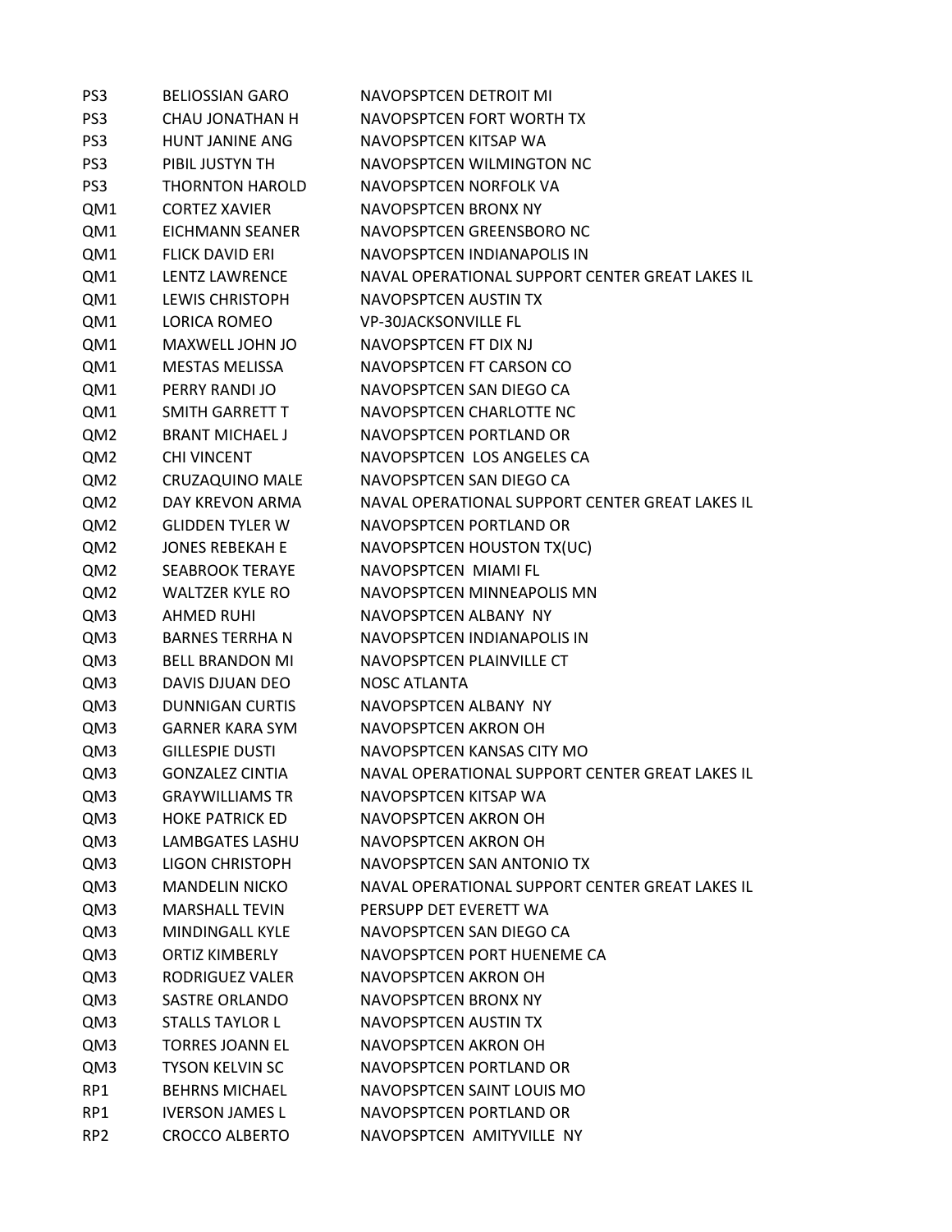| PS <sub>3</sub> | <b>BELIOSSIAN GARO</b> | <b>NAVOPSPTCEN DETROIT MI</b>                   |
|-----------------|------------------------|-------------------------------------------------|
| PS <sub>3</sub> | <b>CHAU JONATHAN H</b> | NAVOPSPTCEN FORT WORTH TX                       |
| PS <sub>3</sub> | <b>HUNT JANINE ANG</b> | NAVOPSPTCEN KITSAP WA                           |
| PS <sub>3</sub> | PIBIL JUSTYN TH        | NAVOPSPTCEN WILMINGTON NC                       |
| PS <sub>3</sub> | <b>THORNTON HAROLD</b> | NAVOPSPTCEN NORFOLK VA                          |
| QM1             | <b>CORTEZ XAVIER</b>   | NAVOPSPTCEN BRONX NY                            |
| QM1             | EICHMANN SEANER        | NAVOPSPTCEN GREENSBORO NC                       |
| QM1             | <b>FLICK DAVID ERI</b> | NAVOPSPTCEN INDIANAPOLIS IN                     |
| QM1             | <b>LENTZ LAWRENCE</b>  | NAVAL OPERATIONAL SUPPORT CENTER GREAT LAKES IL |
| QM1             | <b>LEWIS CHRISTOPH</b> | NAVOPSPTCFN AUSTIN TX                           |
| QM1             | <b>LORICA ROMEO</b>    | <b>VP-30JACKSONVILLE FL</b>                     |
| QM1             | MAXWELL JOHN JO        | NAVOPSPTCEN FT DIX NJ                           |
| QM1             | <b>MESTAS MELISSA</b>  | NAVOPSPTCEN FT CARSON CO                        |
| QM1             | PERRY RANDI JO         | NAVOPSPTCEN SAN DIEGO CA                        |
| QM1             | <b>SMITH GARRETT T</b> | NAVOPSPTCEN CHARLOTTE NC                        |
| QM <sub>2</sub> | <b>BRANT MICHAEL J</b> | NAVOPSPTCEN PORTLAND OR                         |
| QM2             | <b>CHI VINCENT</b>     | NAVOPSPTCEN LOS ANGELES CA                      |
| QM2             | CRUZAQUINO MALE        | NAVOPSPTCEN SAN DIEGO CA                        |
| QM <sub>2</sub> | DAY KREVON ARMA        | NAVAL OPERATIONAL SUPPORT CENTER GREAT LAKES IL |
| QM <sub>2</sub> | <b>GLIDDEN TYLER W</b> | NAVOPSPTCEN PORTLAND OR                         |
| QM <sub>2</sub> | <b>JONES REBEKAH E</b> | NAVOPSPTCEN HOUSTON TX(UC)                      |
| QM2             | <b>SEABROOK TERAYE</b> | NAVOPSPTCEN MIAMI FL                            |
| QM <sub>2</sub> | <b>WALTZER KYLE RO</b> | NAVOPSPTCEN MINNEAPOLIS MN                      |
| QM3             | <b>AHMED RUHI</b>      | NAVOPSPTCEN ALBANY NY                           |
| QM3             | <b>BARNES TERRHAN</b>  | NAVOPSPTCEN INDIANAPOLIS IN                     |
| QM3             | <b>BELL BRANDON MI</b> | NAVOPSPTCEN PLAINVILLE CT                       |
| QM3             | DAVIS DJUAN DEO        | <b>NOSC ATLANTA</b>                             |
| QM3             | <b>DUNNIGAN CURTIS</b> | NAVOPSPTCEN ALBANY NY                           |
| QM3             | <b>GARNER KARA SYM</b> | NAVOPSPTCEN AKRON OH                            |
| QM3             | <b>GILLESPIE DUSTI</b> | NAVOPSPTCEN KANSAS CITY MO                      |
| QM3             | <b>GONZALEZ CINTIA</b> | NAVAL OPERATIONAL SUPPORT CENTER GREAT LAKES IL |
| QM3             | <b>GRAYWILLIAMS TR</b> | NAVOPSPTCEN KITSAP WA                           |
| QM3             | <b>HOKE PATRICK ED</b> | NAVOPSPTCEN AKRON OH                            |
| QM3             | LAMBGATES LASHU        | NAVOPSPTCEN AKRON OH                            |
| QM3             | LIGON CHRISTOPH        | NAVOPSPTCEN SAN ANTONIO TX                      |
| QM3             | <b>MANDELIN NICKO</b>  | NAVAL OPERATIONAL SUPPORT CENTER GREAT LAKES IL |
| QM3             | <b>MARSHALL TEVIN</b>  | PERSUPP DET EVERETT WA                          |
| QM3             | <b>MINDINGALL KYLE</b> | NAVOPSPTCEN SAN DIEGO CA                        |
| QM3             | <b>ORTIZ KIMBERLY</b>  | NAVOPSPTCEN PORT HUENEME CA                     |
| QM3             | <b>RODRIGUEZ VALER</b> | NAVOPSPTCEN AKRON OH                            |
| QM3             | SASTRE ORLANDO         | NAVOPSPTCEN BRONX NY                            |
| QM3             | <b>STALLS TAYLOR L</b> | NAVOPSPTCEN AUSTIN TX                           |
| QM3             | <b>TORRES JOANN EL</b> | NAVOPSPTCEN AKRON OH                            |
| QM3             | <b>TYSON KELVIN SC</b> | NAVOPSPTCEN PORTLAND OR                         |
| RP1             | <b>BEHRNS MICHAEL</b>  | NAVOPSPTCEN SAINT LOUIS MO                      |
| RP1             | <b>IVERSON JAMES L</b> | NAVOPSPTCEN PORTLAND OR                         |
| RP <sub>2</sub> | <b>CROCCO ALBERTO</b>  | NAVOPSPTCEN AMITYVILLE NY                       |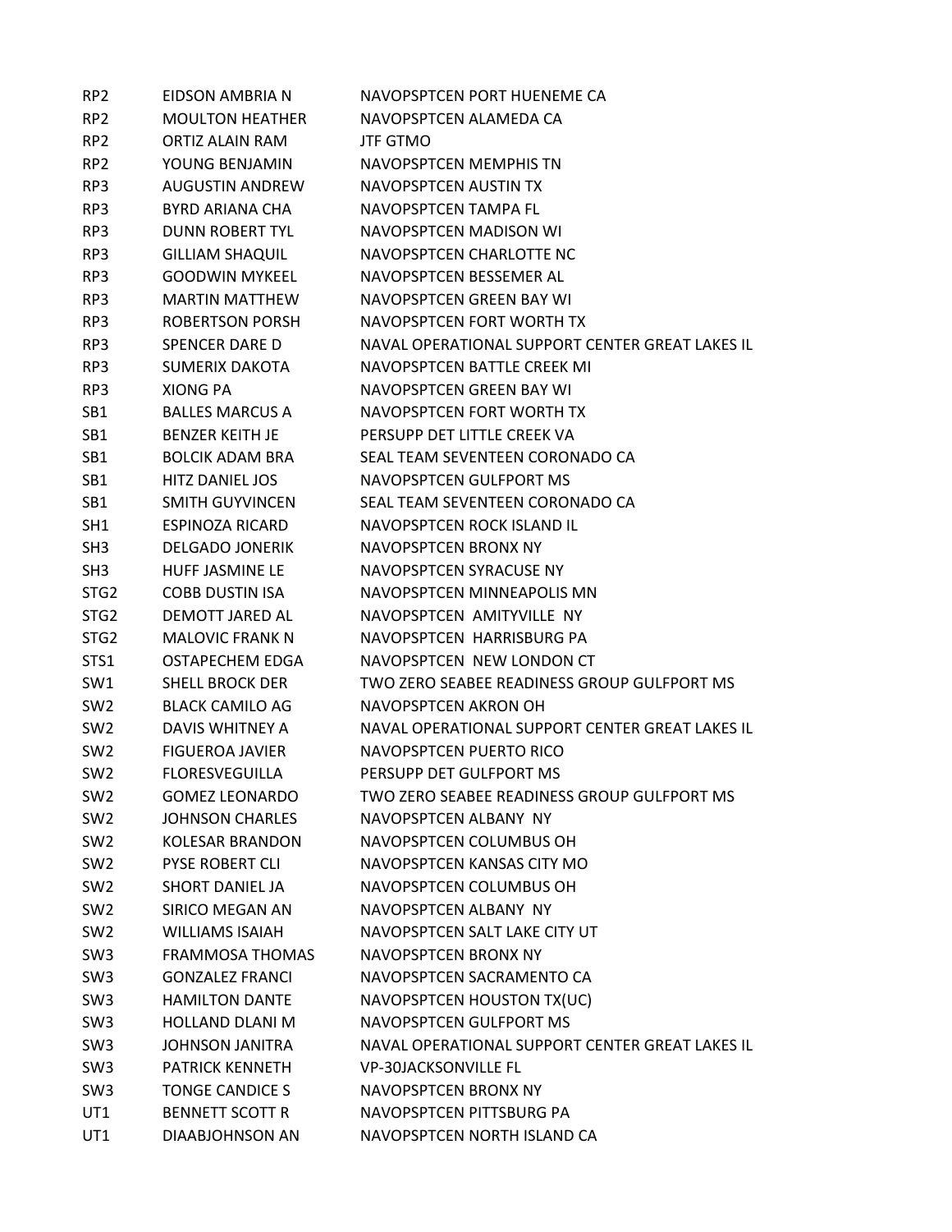| RP <sub>2</sub>  | EIDSON AMBRIA N        | NAVOPSPTCEN PORT HUENEME CA                     |
|------------------|------------------------|-------------------------------------------------|
| RP <sub>2</sub>  | <b>MOULTON HEATHER</b> | NAVOPSPTCEN ALAMEDA CA                          |
| RP <sub>2</sub>  | ORTIZ ALAIN RAM        | <b>JTF GTMO</b>                                 |
| RP <sub>2</sub>  | YOUNG BENJAMIN         | NAVOPSPTCEN MEMPHIS TN                          |
| RP3              | <b>AUGUSTIN ANDREW</b> | NAVOPSPTCEN AUSTIN TX                           |
| RP3              | BYRD ARIANA CHA        | NAVOPSPTCEN TAMPA FL                            |
| RP3              | <b>DUNN ROBERT TYL</b> | NAVOPSPTCEN MADISON WI                          |
| RP3              | <b>GILLIAM SHAQUIL</b> | NAVOPSPTCEN CHARLOTTE NC                        |
| RP3              | <b>GOODWIN MYKEEL</b>  | NAVOPSPTCEN BESSEMER AL                         |
| RP3              | <b>MARTIN MATTHEW</b>  | NAVOPSPTCFN GRFFN BAY WI                        |
| RP3              | ROBERTSON PORSH        | NAVOPSPTCEN FORT WORTH TX                       |
| RP3              | SPENCER DARE D         | NAVAL OPERATIONAL SUPPORT CENTER GREAT LAKES IL |
| RP3              | <b>SUMERIX DAKOTA</b>  | NAVOPSPTCEN BATTLE CREEK MI                     |
| RP3              | <b>XIONG PA</b>        | NAVOPSPTCEN GREEN BAY WI                        |
| SB1              | <b>BALLES MARCUS A</b> | NAVOPSPTCEN FORT WORTH TX                       |
| SB1              | <b>BENZER KEITH JE</b> | PERSUPP DET LITTLE CREEK VA                     |
| SB1              | <b>BOLCIK ADAM BRA</b> | SEAL TEAM SEVENTEEN CORONADO CA                 |
| SB1              | <b>HITZ DANIEL JOS</b> | NAVOPSPTCEN GULFPORT MS                         |
| SB <sub>1</sub>  | <b>SMITH GUYVINCEN</b> | SEAL TEAM SEVENTEEN CORONADO CA                 |
| SH <sub>1</sub>  | <b>ESPINOZA RICARD</b> | NAVOPSPTCEN ROCK ISLAND IL                      |
| SH <sub>3</sub>  | <b>DELGADO JONERIK</b> | NAVOPSPTCEN BRONX NY                            |
| SH <sub>3</sub>  | HUFF JASMINE LE        | NAVOPSPTCEN SYRACUSE NY                         |
| STG <sub>2</sub> | <b>COBB DUSTIN ISA</b> | NAVOPSPTCEN MINNEAPOLIS MN                      |
| STG <sub>2</sub> | DEMOTT JARED AL        | NAVOPSPTCEN AMITYVILLE NY                       |
| STG <sub>2</sub> | <b>MALOVIC FRANK N</b> | NAVOPSPTCEN HARRISBURG PA                       |
| STS1             | OSTAPECHEM EDGA        | NAVOPSPTCEN NEW LONDON CT                       |
| SW1              | <b>SHELL BROCK DER</b> | TWO ZERO SEABEE READINESS GROUP GULFPORT MS     |
| SW <sub>2</sub>  | <b>BLACK CAMILO AG</b> | NAVOPSPTCEN AKRON OH                            |
| SW <sub>2</sub>  | DAVIS WHITNEY A        | NAVAL OPERATIONAL SUPPORT CENTER GREAT LAKES IL |
| SW <sub>2</sub>  | <b>FIGUEROA JAVIER</b> | NAVOPSPTCEN PUERTO RICO                         |
| SW <sub>2</sub>  | <b>FLORESVEGUILLA</b>  | PERSUPP DET GULFPORT MS                         |
| SW <sub>2</sub>  | <b>GOMEZ LEONARDO</b>  | TWO ZERO SEABEE READINESS GROUP GULFPORT MS     |
| SW <sub>2</sub>  | <b>JOHNSON CHARLES</b> | NAVOPSPTCEN ALBANY NY                           |
| SW <sub>2</sub>  | <b>KOLESAR BRANDON</b> | NAVOPSPTCEN COLUMBUS OH                         |
| SW <sub>2</sub>  | <b>PYSE ROBERT CLI</b> | NAVOPSPTCEN KANSAS CITY MO                      |
| SW <sub>2</sub>  | <b>SHORT DANIEL JA</b> | NAVOPSPTCEN COLUMBUS OH                         |
| SW <sub>2</sub>  | SIRICO MEGAN AN        | NAVOPSPTCEN ALBANY NY                           |
| SW <sub>2</sub>  | <b>WILLIAMS ISAIAH</b> | NAVOPSPTCEN SALT LAKE CITY UT                   |
| SW <sub>3</sub>  | <b>FRAMMOSA THOMAS</b> | NAVOPSPTCEN BRONX NY                            |
| SW <sub>3</sub>  | <b>GONZALEZ FRANCI</b> | NAVOPSPTCEN SACRAMENTO CA                       |
| SW <sub>3</sub>  | <b>HAMILTON DANTE</b>  | NAVOPSPTCEN HOUSTON TX(UC)                      |
| SW <sub>3</sub>  | <b>HOLLAND DLANI M</b> | NAVOPSPTCEN GULFPORT MS                         |
| SW <sub>3</sub>  | <b>JOHNSON JANITRA</b> | NAVAL OPERATIONAL SUPPORT CENTER GREAT LAKES IL |
| SW <sub>3</sub>  | <b>PATRICK KENNETH</b> | <b>VP-30JACKSONVILLE FL</b>                     |
| SW <sub>3</sub>  | <b>TONGE CANDICE S</b> | NAVOPSPTCEN BRONX NY                            |
| UT1              | <b>BENNETT SCOTT R</b> | NAVOPSPTCEN PITTSBURG PA                        |
| UT1              | DIAABJOHNSON AN        | NAVOPSPTCEN NORTH ISLAND CA                     |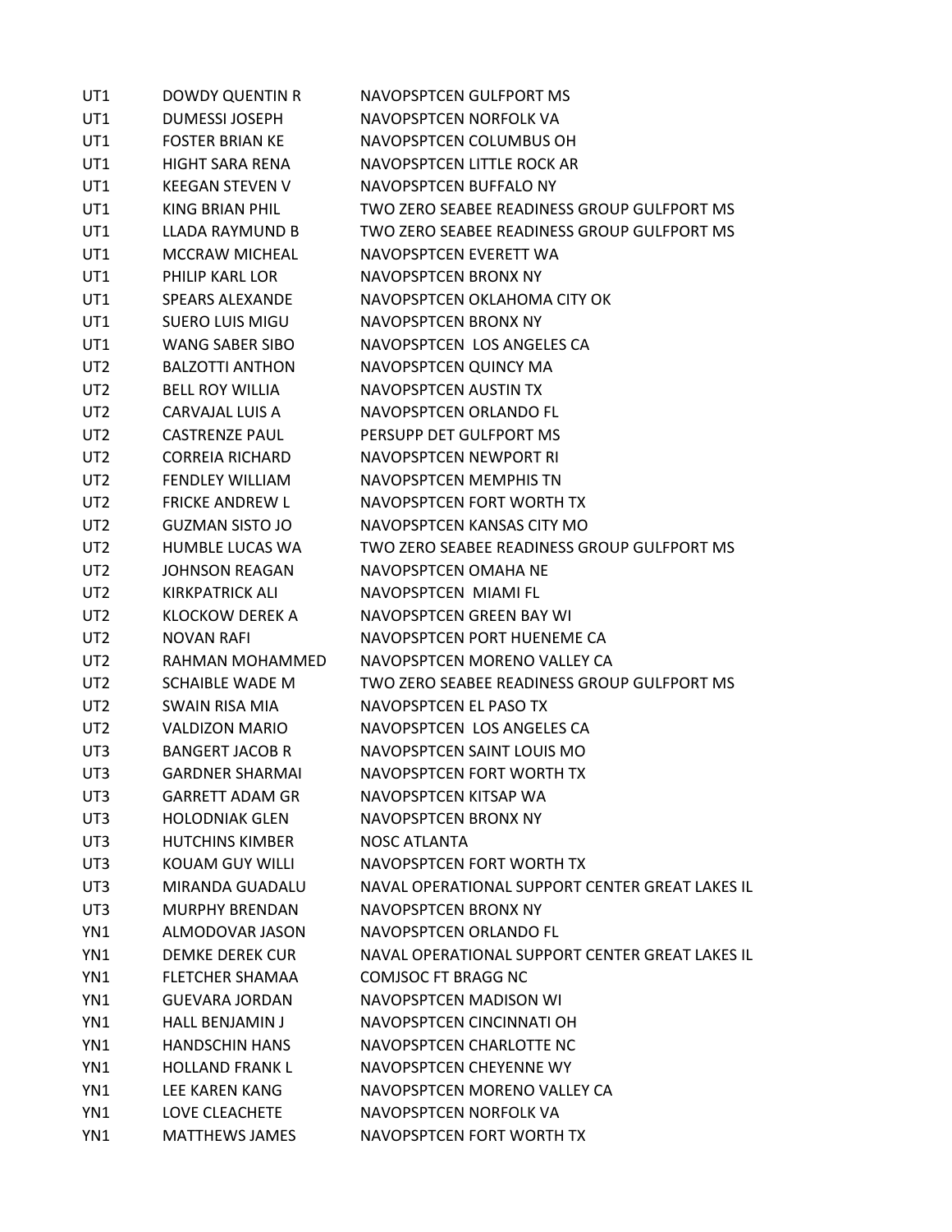| UT1             | <b>DOWDY QUENTIN R</b> | NAVOPSPTCEN GULFPORT MS                         |
|-----------------|------------------------|-------------------------------------------------|
| UT1             | <b>DUMESSI JOSEPH</b>  | NAVOPSPTCEN NORFOLK VA                          |
| UT1             | <b>FOSTER BRIAN KE</b> | NAVOPSPTCEN COLUMBUS OH                         |
| UT1             | <b>HIGHT SARA RENA</b> | NAVOPSPTCEN LITTLE ROCK AR                      |
| UT1             | <b>KEEGAN STEVEN V</b> | NAVOPSPTCEN BUFFALO NY                          |
| UT1             | KING BRIAN PHIL        | TWO ZERO SEABEE READINESS GROUP GULFPORT MS     |
| UT1             | LLADA RAYMUND B        | TWO ZERO SEABEE READINESS GROUP GULFPORT MS     |
| UT1             | <b>MCCRAW MICHEAL</b>  | NAVOPSPTCEN EVERETT WA                          |
| UT1             | PHILIP KARL LOR        | NAVOPSPTCEN BRONX NY                            |
| UT1             | <b>SPEARS ALEXANDE</b> | NAVOPSPTCEN OKLAHOMA CITY OK                    |
| UT1             | <b>SUERO LUIS MIGU</b> | NAVOPSPTCEN BRONX NY                            |
| UT1             | <b>WANG SABER SIBO</b> | NAVOPSPTCEN LOS ANGELES CA                      |
| UT2             | <b>BALZOTTI ANTHON</b> | NAVOPSPTCEN QUINCY MA                           |
| UT <sub>2</sub> | <b>BELL ROY WILLIA</b> | NAVOPSPTCEN AUSTIN TX                           |
| UT <sub>2</sub> | CARVAJAL LUIS A        | NAVOPSPTCEN ORLANDO FL                          |
| UT2             | <b>CASTRENZE PAUL</b>  | PERSUPP DET GULFPORT MS                         |
| UT2             | <b>CORREIA RICHARD</b> | NAVOPSPTCEN NEWPORT RI                          |
| UT <sub>2</sub> | <b>FENDLEY WILLIAM</b> | NAVOPSPTCEN MEMPHIS TN                          |
| UT2             | <b>FRICKE ANDREW L</b> | NAVOPSPTCEN FORT WORTH TX                       |
| UT <sub>2</sub> | <b>GUZMAN SISTO JO</b> | NAVOPSPTCEN KANSAS CITY MO                      |
| UT <sub>2</sub> | HUMBLE LUCAS WA        | TWO ZERO SEABEE READINESS GROUP GULFPORT MS     |
| UT <sub>2</sub> | <b>JOHNSON REAGAN</b>  | NAVOPSPTCEN OMAHA NE                            |
| UT2             | KIRKPATRICK ALI        | NAVOPSPTCEN MIAMI FL                            |
| UT2             | <b>KLOCKOW DEREK A</b> | NAVOPSPTCEN GREEN BAY WI                        |
| UT <sub>2</sub> | <b>NOVAN RAFI</b>      | NAVOPSPTCEN PORT HUENEME CA                     |
| UT2             | RAHMAN MOHAMMED        | NAVOPSPTCEN MORENO VALLEY CA                    |
| UT2             | <b>SCHAIBLE WADE M</b> | TWO ZERO SEABEE READINESS GROUP GULFPORT MS     |
| UT <sub>2</sub> | SWAIN RISA MIA         | NAVOPSPTCEN EL PASO TX                          |
| UT <sub>2</sub> | <b>VALDIZON MARIO</b>  | NAVOPSPTCEN LOS ANGELES CA                      |
| UT3             | <b>BANGERT JACOB R</b> | NAVOPSPTCEN SAINT LOUIS MO                      |
| UT3             | <b>GARDNER SHARMAI</b> | NAVOPSPTCEN FORT WORTH TX                       |
| UT3             | <b>GARRETT ADAM GR</b> | NAVOPSPTCEN KITSAP WA                           |
| UT3             | <b>HOLODNIAK GLEN</b>  | NAVOPSPTCEN BRONX NY                            |
| UT3             | <b>HUTCHINS KIMBER</b> | NOSC ATLANTA                                    |
| UT3             | <b>KOUAM GUY WILLI</b> | NAVOPSPTCEN FORT WORTH TX                       |
| UT3             | MIRANDA GUADALU        | NAVAL OPERATIONAL SUPPORT CENTER GREAT LAKES IL |
| UT3             | <b>MURPHY BRENDAN</b>  | NAVOPSPTCEN BRONX NY                            |
| YN1             | ALMODOVAR JASON        | NAVOPSPTCEN ORLANDO FL                          |
| YN1             | DEMKE DEREK CUR        | NAVAL OPERATIONAL SUPPORT CENTER GREAT LAKES IL |
| YN1             | <b>FLETCHER SHAMAA</b> | <b>COMJSOC FT BRAGG NC</b>                      |
| YN1             | <b>GUEVARA JORDAN</b>  | NAVOPSPTCEN MADISON WI                          |
| YN1             | <b>HALL BENJAMIN J</b> | NAVOPSPTCEN CINCINNATI OH                       |
| YN1             | <b>HANDSCHIN HANS</b>  | NAVOPSPTCEN CHARLOTTE NC                        |
| YN1             | <b>HOLLAND FRANK L</b> | NAVOPSPTCEN CHEYENNE WY                         |
| YN1             | LEE KAREN KANG         | NAVOPSPTCEN MORENO VALLEY CA                    |
| YN1             | LOVE CLEACHETE         | NAVOPSPTCEN NORFOLK VA                          |
| YN1             | MATTHEWS JAMES         | NAVOPSPTCEN FORT WORTH TX                       |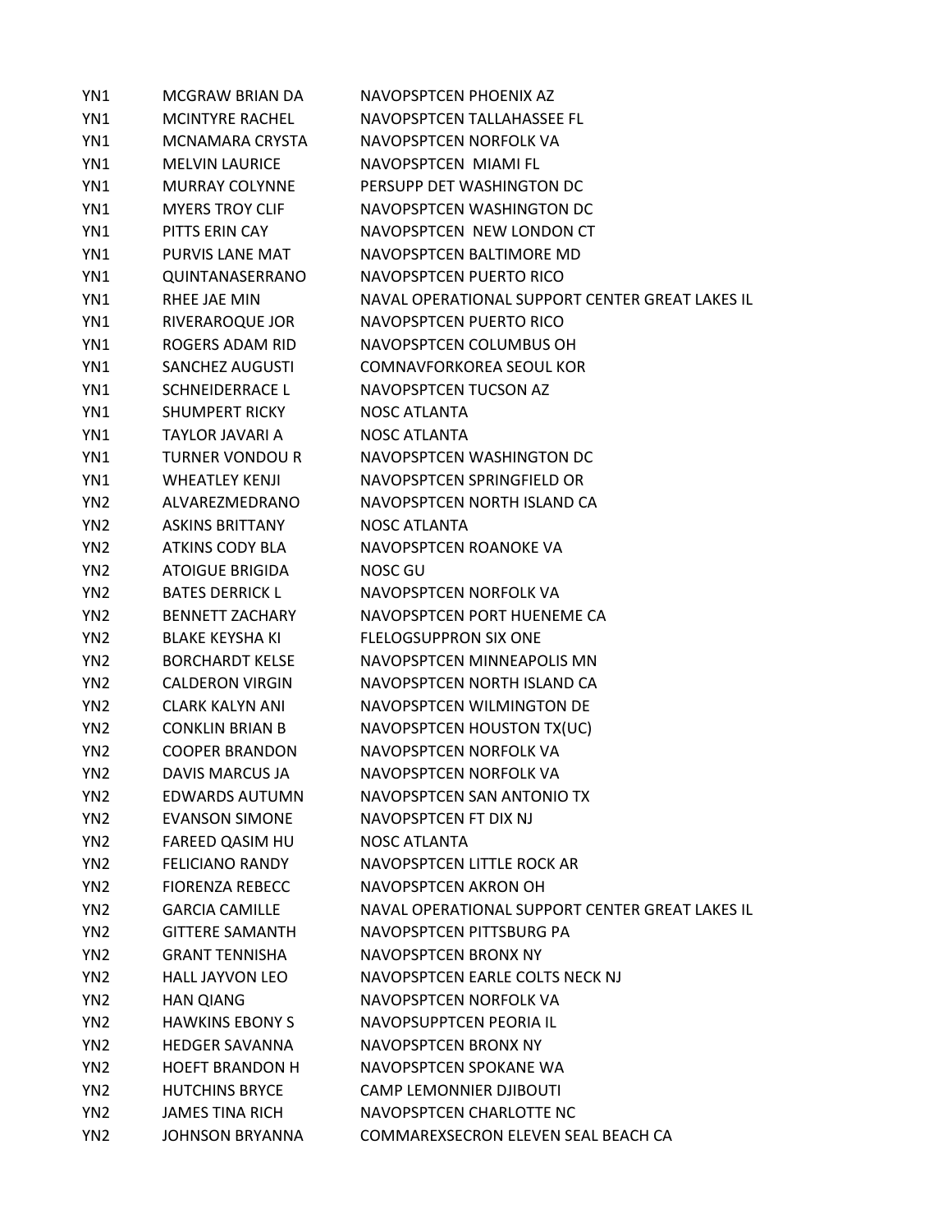| YN1             | MCGRAW BRIAN DA        | NAVOPSPTCEN PHOENIX AZ                          |
|-----------------|------------------------|-------------------------------------------------|
| YN1             | <b>MCINTYRE RACHEL</b> | NAVOPSPTCEN TALLAHASSEE FL                      |
| YN1             | MCNAMARA CRYSTA        | NAVOPSPTCEN NORFOLK VA                          |
| YN1             | <b>MELVIN LAURICE</b>  | NAVOPSPTCEN MIAMI FL                            |
| YN1             | <b>MURRAY COLYNNE</b>  | PERSUPP DET WASHINGTON DC                       |
| YN1             | <b>MYERS TROY CLIF</b> | NAVOPSPTCEN WASHINGTON DC                       |
| YN1             | PITTS ERIN CAY         | NAVOPSPTCEN NEW LONDON CT                       |
| YN1             | PURVIS LANE MAT        | NAVOPSPTCEN BALTIMORE MD                        |
| YN1             | QUINTANASERRANO        | NAVOPSPTCEN PUERTO RICO                         |
| YN1             | RHEE JAE MIN           | NAVAL OPERATIONAL SUPPORT CENTER GREAT LAKES IL |
| YN1             | RIVERAROQUE JOR        | NAVOPSPTCEN PUERTO RICO                         |
| YN1             | ROGERS ADAM RID        | NAVOPSPTCEN COLUMBUS OH                         |
| YN1             | <b>SANCHEZ AUGUSTI</b> | <b>COMNAVFORKOREA SEOUL KOR</b>                 |
| YN1             | <b>SCHNEIDERRACE L</b> | NAVOPSPTCEN TUCSON AZ                           |
| YN1             | <b>SHUMPERT RICKY</b>  | <b>NOSC ATLANTA</b>                             |
| YN1             | TAYLOR JAVARI A        | NOSC ATLANTA                                    |
| YN1             | <b>TURNER VONDOU R</b> | NAVOPSPTCEN WASHINGTON DC                       |
| YN1             | <b>WHFATLFY KFNJI</b>  | NAVOPSPTCEN SPRINGFIELD OR                      |
| YN <sub>2</sub> | ALVAREZMEDRANO         | NAVOPSPTCEN NORTH ISLAND CA                     |
| YN <sub>2</sub> | <b>ASKINS BRITTANY</b> | <b>NOSC ATLANTA</b>                             |
| YN <sub>2</sub> | <b>ATKINS CODY BLA</b> | NAVOPSPTCEN ROANOKE VA                          |
| YN <sub>2</sub> | <b>ATOIGUE BRIGIDA</b> | NOSC GU                                         |
| YN <sub>2</sub> | <b>BATES DERRICK L</b> | NAVOPSPTCEN NORFOLK VA                          |
| YN <sub>2</sub> | <b>BENNETT ZACHARY</b> | NAVOPSPTCEN PORT HUENEME CA                     |
| YN <sub>2</sub> | <b>BLAKE KEYSHA KI</b> | <b>FLELOGSUPPRON SIX ONE</b>                    |
| YN <sub>2</sub> | <b>BORCHARDT KELSE</b> | NAVOPSPTCEN MINNEAPOLIS MN                      |
| YN <sub>2</sub> | <b>CALDERON VIRGIN</b> | NAVOPSPTCEN NORTH ISLAND CA                     |
| YN <sub>2</sub> | <b>CLARK KALYN ANI</b> | NAVOPSPTCEN WILMINGTON DE                       |
| YN <sub>2</sub> | <b>CONKLIN BRIAN B</b> | NAVOPSPTCEN HOUSTON TX(UC)                      |
| YN <sub>2</sub> | <b>COOPER BRANDON</b>  | NAVOPSPTCEN NORFOLK VA                          |
| YN <sub>2</sub> | DAVIS MARCUS JA        | NAVOPSPTCEN NORFOLK VA                          |
| YN <sub>2</sub> | <b>EDWARDS AUTUMN</b>  | NAVOPSPTCEN SAN ANTONIO TX                      |
| YN <sub>2</sub> | <b>EVANSON SIMONE</b>  | NAVOPSPTCEN FT DIX NJ                           |
| YN <sub>2</sub> | FAREED QASIM HU        | NOSC ATLANTA                                    |
| YN <sub>2</sub> | <b>FELICIANO RANDY</b> | NAVOPSPTCEN LITTLE ROCK AR                      |
| YN <sub>2</sub> | <b>FIORENZA REBECC</b> | NAVOPSPTCEN AKRON OH                            |
| YN <sub>2</sub> | <b>GARCIA CAMILLE</b>  | NAVAL OPERATIONAL SUPPORT CENTER GREAT LAKES IL |
| YN <sub>2</sub> | <b>GITTERE SAMANTH</b> | NAVOPSPTCEN PITTSBURG PA                        |
| YN <sub>2</sub> | <b>GRANT TENNISHA</b>  | NAVOPSPTCEN BRONX NY                            |
| YN <sub>2</sub> | <b>HALL JAYVON LEO</b> | NAVOPSPTCEN EARLE COLTS NECK NJ                 |
| YN <sub>2</sub> | <b>HAN QIANG</b>       | NAVOPSPTCEN NORFOLK VA                          |
| YN <sub>2</sub> | <b>HAWKINS EBONY S</b> | NAVOPSUPPTCEN PEORIA IL                         |
| YN <sub>2</sub> | <b>HEDGER SAVANNA</b>  | NAVOPSPTCEN BRONX NY                            |
| YN <sub>2</sub> | <b>HOEFT BRANDON H</b> | NAVOPSPTCEN SPOKANE WA                          |
| YN <sub>2</sub> | <b>HUTCHINS BRYCE</b>  | <b>CAMP LEMONNIER DJIBOUTI</b>                  |
| YN <sub>2</sub> | <b>JAMES TINA RICH</b> | NAVOPSPTCEN CHARLOTTE NC                        |
| YN <sub>2</sub> | <b>JOHNSON BRYANNA</b> | COMMAREXSECRON ELEVEN SEAL BEACH CA             |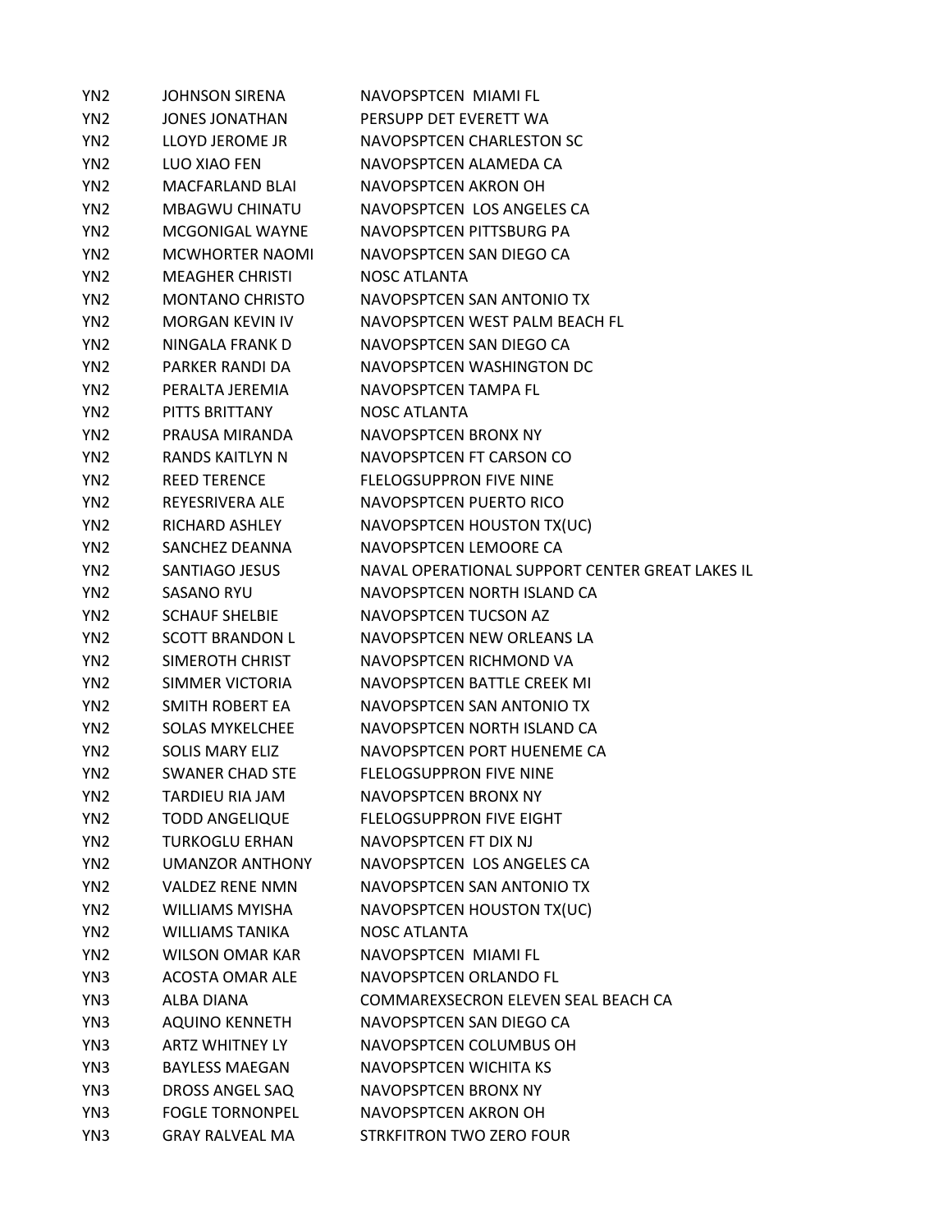| YN <sub>2</sub> | <b>JOHNSON SIRENA</b>  | NAVOPSPTCEN MIAMI FL                            |
|-----------------|------------------------|-------------------------------------------------|
| YN <sub>2</sub> | <b>JONES JONATHAN</b>  | PERSUPP DET EVERETT WA                          |
| YN <sub>2</sub> | LLOYD JEROME JR        | NAVOPSPTCEN CHARLESTON SC                       |
| YN <sub>2</sub> | LUO XIAO FEN           | NAVOPSPTCEN ALAMEDA CA                          |
| YN <sub>2</sub> | <b>MACFARLAND BLAI</b> | NAVOPSPTCEN AKRON OH                            |
| YN <sub>2</sub> | <b>MBAGWU CHINATU</b>  | NAVOPSPTCEN LOS ANGELES CA                      |
| YN <sub>2</sub> | MCGONIGAL WAYNE        | NAVOPSPTCEN PITTSBURG PA                        |
| YN <sub>2</sub> | <b>MCWHORTER NAOMI</b> | NAVOPSPTCEN SAN DIEGO CA                        |
| YN <sub>2</sub> | <b>MEAGHER CHRISTI</b> | <b>NOSC ATLANTA</b>                             |
| YN <sub>2</sub> | <b>MONTANO CHRISTO</b> | NAVOPSPTCEN SAN ANTONIO TX                      |
| YN <sub>2</sub> | <b>MORGAN KEVIN IV</b> | NAVOPSPTCEN WEST PALM BEACH FL                  |
| YN <sub>2</sub> | NINGALA FRANK D        | NAVOPSPTCEN SAN DIEGO CA                        |
| YN <sub>2</sub> | PARKER RANDI DA        | NAVOPSPTCEN WASHINGTON DC                       |
| YN <sub>2</sub> | PERALTA JEREMIA        | NAVOPSPTCEN TAMPA FL                            |
| YN <sub>2</sub> | PITTS BRITTANY         | <b>NOSC ATLANTA</b>                             |
| YN <sub>2</sub> | PRAUSA MIRANDA         | NAVOPSPTCEN BRONX NY                            |
| YN <sub>2</sub> | <b>RANDS KAITLYN N</b> | NAVOPSPTCEN FT CARSON CO                        |
| YN <sub>2</sub> | <b>REED TERENCE</b>    | <b>FLELOGSUPPRON FIVE NINE</b>                  |
| YN <sub>2</sub> | REYESRIVERA ALE        | NAVOPSPTCEN PUERTO RICO                         |
| YN <sub>2</sub> | <b>RICHARD ASHLEY</b>  | NAVOPSPTCEN HOUSTON TX(UC)                      |
| YN <sub>2</sub> | SANCHEZ DEANNA         | NAVOPSPTCEN LEMOORE CA                          |
| YN <sub>2</sub> | <b>SANTIAGO JESUS</b>  | NAVAL OPERATIONAL SUPPORT CENTER GREAT LAKES IL |
| YN <sub>2</sub> | <b>SASANO RYU</b>      | NAVOPSPTCEN NORTH ISLAND CA                     |
| YN <sub>2</sub> | <b>SCHAUF SHELBIE</b>  | NAVOPSPTCEN TUCSON AZ                           |
| YN <sub>2</sub> | <b>SCOTT BRANDON L</b> | NAVOPSPTCEN NEW ORLEANS LA                      |
| YN <sub>2</sub> | SIMEROTH CHRIST        | NAVOPSPTCEN RICHMOND VA                         |
| YN <sub>2</sub> | SIMMER VICTORIA        | NAVOPSPTCEN BATTLE CREEK MI                     |
| YN <sub>2</sub> | SMITH ROBERT EA        | NAVOPSPTCEN SAN ANTONIO TX                      |
| YN <sub>2</sub> | <b>SOLAS MYKELCHEE</b> | NAVOPSPTCEN NORTH ISLAND CA                     |
| YN <sub>2</sub> | <b>SOLIS MARY ELIZ</b> | NAVOPSPTCEN PORT HUENEME CA                     |
| YN <sub>2</sub> | <b>SWANER CHAD STE</b> | <b>FLELOGSUPPRON FIVE NINE</b>                  |
| YN <sub>2</sub> | TARDIEU RIA JAM        | <b>NAVOPSPTCEN BRONX NY</b>                     |
| YN <sub>2</sub> | <b>TODD ANGELIQUE</b>  | <b>FLELOGSUPPRON FIVE EIGHT</b>                 |
| YN <sub>2</sub> | <b>TURKOGLU ERHAN</b>  | NAVOPSPTCEN FT DIX NJ                           |
| YN <sub>2</sub> | <b>UMANZOR ANTHONY</b> | NAVOPSPTCEN LOS ANGELES CA                      |
| YN <sub>2</sub> | <b>VALDEZ RENE NMN</b> | NAVOPSPTCEN SAN ANTONIO TX                      |
| YN <sub>2</sub> | <b>WILLIAMS MYISHA</b> | NAVOPSPTCEN HOUSTON TX(UC)                      |
| YN <sub>2</sub> | <b>WILLIAMS TANIKA</b> | <b>NOSC ATLANTA</b>                             |
| YN <sub>2</sub> | WILSON OMAR KAR        | NAVOPSPTCEN MIAMI FL                            |
| YN3             | <b>ACOSTA OMAR ALE</b> | NAVOPSPTCEN ORLANDO FL                          |
| YN3             | ALBA DIANA             | COMMAREXSECRON ELEVEN SEAL BEACH CA             |
| YN3             | AQUINO KENNETH         | NAVOPSPTCEN SAN DIEGO CA                        |
| YN3             | <b>ARTZ WHITNEY LY</b> | NAVOPSPTCEN COLUMBUS OH                         |
| YN3             | <b>BAYLESS MAEGAN</b>  | NAVOPSPTCEN WICHITA KS                          |
| YN3             | DROSS ANGEL SAQ        | NAVOPSPTCEN BRONX NY                            |
| YN3             | <b>FOGLE TORNONPEL</b> | NAVOPSPTCEN AKRON OH                            |
| YN3             | <b>GRAY RALVEAL MA</b> | STRKFITRON TWO ZERO FOUR                        |